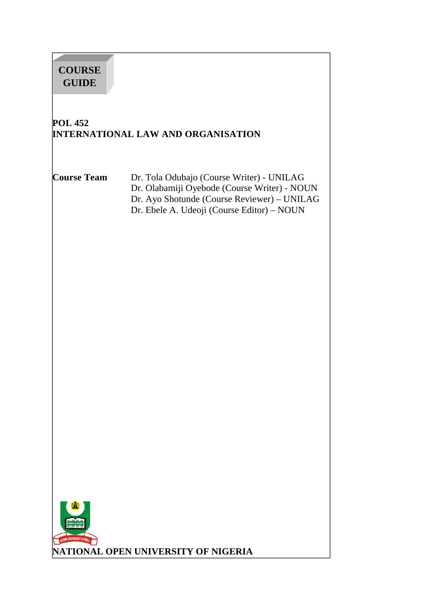# **POL 452 INTERNATIONAL LAW AND ORGANISATION Course Team** Dr. Tola Odubajo (Course Writer) - UNILAG Dr. Olabamiji Oyebode (Course Writer) - NOUN Dr. Ayo Shotunde (Course Reviewer) – UNILAG Dr. Ebele A. Udeoji (Course Editor) – NOUN **COURSE GUIDE**

**NATIONAL OPEN UNIVERSITY OF NIGERIA**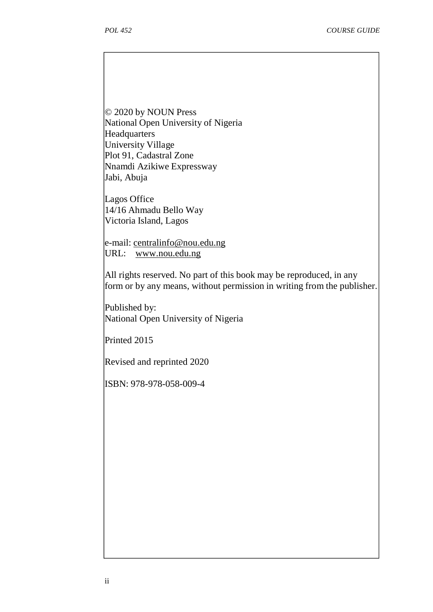© 2020 by NOUN Press National Open University of Nigeria Headquarters University Village Plot 91, Cadastral Zone Nnamdi Azikiwe Expressway Jabi, Abuja

Lagos Office 14/16 Ahmadu Bello Way Victoria Island, Lagos

e-mail: centralinfo@nou.edu.ng URL: www.nou.edu.ng

All rights reserved. No part of this book may be reproduced, in any form or by any means, without permission in writing from the publisher.

Published by: National Open University of Nigeria

Printed 2015

Revised and reprinted 2020

ISBN: 978-978-058-009-4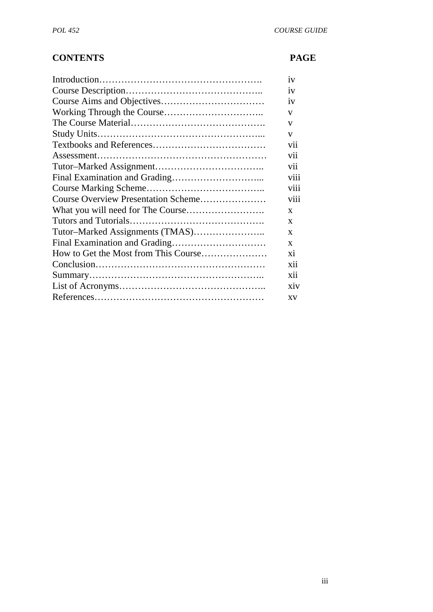# **CONTENTS PAGE**

|                                     | iv           |
|-------------------------------------|--------------|
|                                     | iv           |
|                                     | iv           |
|                                     | V            |
|                                     | V            |
|                                     | V            |
|                                     | vii          |
|                                     | vii          |
|                                     | vii          |
|                                     | viii         |
|                                     | viii         |
| Course Overview Presentation Scheme | viii         |
|                                     | $\mathbf{x}$ |
|                                     | X            |
|                                     | X            |
|                                     | X            |
|                                     | xi           |
|                                     | xii          |
|                                     | xii          |
|                                     | xiv          |
|                                     | XV           |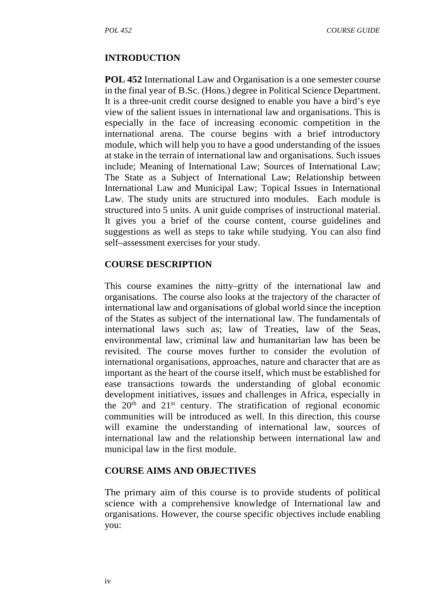#### **INTRODUCTION**

**POL 452** International Law and Organisation is a one semester course in the final year of B.Sc. (Hons.) degree in Political Science Department. It is a three-unit credit course designed to enable you have a bird's eye view of the salient issues in international law and organisations. This is especially in the face of increasing economic competition in the international arena. The course begins with a brief introductory module, which will help you to have a good understanding of the issues at stake in the terrain of international law and organisations. Such issues include; Meaning of International Law; Sources of International Law; The State as a Subject of International Law; Relationship between International Law and Municipal Law; Topical Issues in International Law. The study units are structured into modules. Each module is structured into 5 units. A unit guide comprises of instructional material. It gives you a brief of the course content, course guidelines and suggestions as well as steps to take while studying. You can also find self–assessment exercises for your study.

#### **COURSE DESCRIPTION**

This course examines the nitty–gritty of the international law and organisations. The course also looks at the trajectory of the character of international law and organisations of global world since the inception of the States as subject of the international law. The fundamentals of international laws such as; law of Treaties, law of the Seas, environmental law, criminal law and humanitarian law has been be revisited. The course moves further to consider the evolution of international organisations, approaches, nature and character that are as important as the heart of the course itself, which must be established for ease transactions towards the understanding of global economic development initiatives, issues and challenges in Africa, especially in the  $20<sup>th</sup>$  and  $21<sup>st</sup>$  century. The stratification of regional economic communities will be introduced as well. In this direction, this course will examine the understanding of international law, sources of international law and the relationship between international law and municipal law in the first module.

#### **COURSE AIMS AND OBJECTIVES**

The primary aim of this course is to provide students of political science with a comprehensive knowledge of International law and organisations. However, the course specific objectives include enabling you: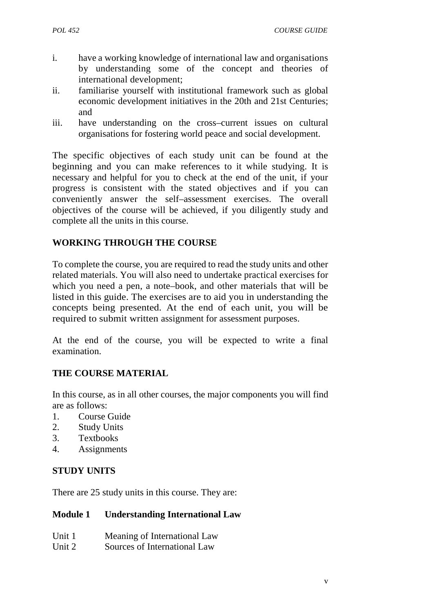- i. have a working knowledge of international law and organisations by understanding some of the concept and theories of international development;
- ii. familiarise yourself with institutional framework such as global economic development initiatives in the 20th and 21st Centuries; and
- iii. have understanding on the cross–current issues on cultural organisations for fostering world peace and social development.

The specific objectives of each study unit can be found at the beginning and you can make references to it while studying. It is necessary and helpful for you to check at the end of the unit, if your progress is consistent with the stated objectives and if you can conveniently answer the self–assessment exercises. The overall objectives of the course will be achieved, if you diligently study and complete all the units in this course.

# **WORKING THROUGH THE COURSE**

To complete the course, you are required to read the study units and other related materials. You will also need to undertake practical exercises for which you need a pen, a note–book, and other materials that will be listed in this guide. The exercises are to aid you in understanding the concepts being presented. At the end of each unit, you will be required to submit written assignment for assessment purposes.

At the end of the course, you will be expected to write a final examination.

# **THE COURSE MATERIAL**

In this course, as in all other courses, the major components you will find are as follows:

- 1. Course Guide
- 2. Study Units
- 3. Textbooks
- 4. Assignments

# **STUDY UNITS**

There are 25 study units in this course. They are:

# **Module 1 Understanding International Law**

| Unit 1 | Meaning of International Law |  |
|--------|------------------------------|--|
|--------|------------------------------|--|

Unit 2 Sources of International Law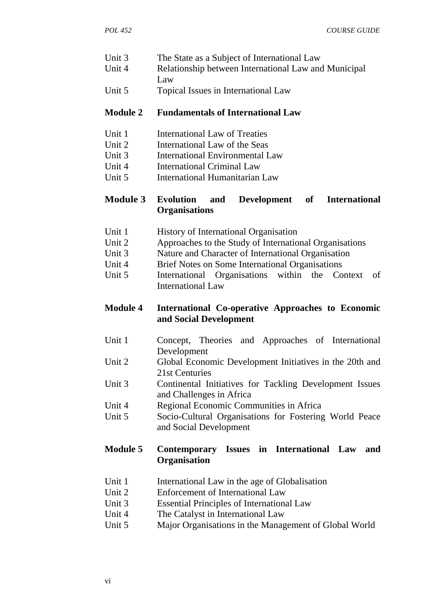- Unit 3 The State as a Subject of International Law
- Unit 4 Relationship between International Law and Municipal Law
- Unit 5 Topical Issues in International Law

#### **Module 2 Fundamentals of International Law**

- Unit 1 International Law of Treaties
- Unit 2 International Law of the Seas
- Unit 3 International Environmental Law
- Unit 4 International Criminal Law
- Unit 5 International Humanitarian Law

#### **Module 3 Evolution and Development of International Organisations**

- Unit 1 History of International Organisation
- Unit 2 Approaches to the Study of International Organisations
- Unit 3 Nature and Character of International Organisation
- Unit 4 Brief Notes on Some International Organisations
- Unit 5 International Organisations within the Context of International Law

#### **Module 4 International Co-operative Approaches to Economic and Social Development**

- Unit 1 Concept, Theories and Approaches of International Development
- Unit 2 Global Economic Development Initiatives in the 20th and 21st Centuries
- Unit 3 Continental Initiatives for Tackling Development Issues and Challenges in Africa
- Unit 4 Regional Economic Communities in Africa
- Unit 5 Socio-Cultural Organisations for Fostering World Peace and Social Development

#### **Module 5 Contemporary Issues in International Law and Organisation**

- Unit 1 International Law in the age of Globalisation
- Unit 2 Enforcement of International Law
- Unit 3 Essential Principles of International Law
- Unit 4 The Catalyst in International Law
- Unit 5 Major Organisations in the Management of Global World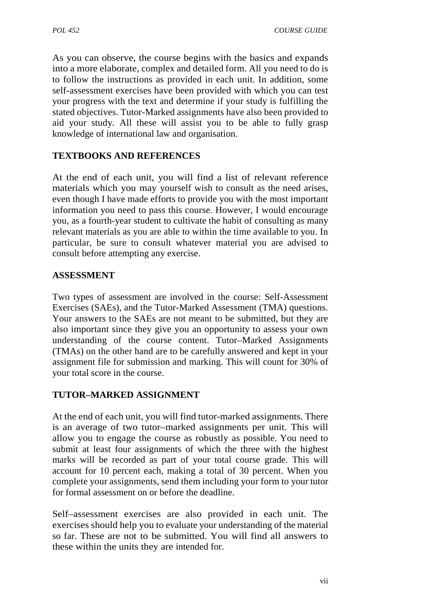As you can observe, the course begins with the basics and expands into a more elaborate, complex and detailed form. All you need to do is to follow the instructions as provided in each unit. In addition, some self-assessment exercises have been provided with which you can test your progress with the text and determine if your study is fulfilling the stated objectives. Tutor-Marked assignments have also been provided to aid your study. All these will assist you to be able to fully grasp knowledge of international law and organisation.

# **TEXTBOOKS AND REFERENCES**

At the end of each unit, you will find a list of relevant reference materials which you may yourself wish to consult as the need arises, even though I have made efforts to provide you with the most important information you need to pass this course. However, I would encourage you, as a fourth-year student to cultivate the habit of consulting as many relevant materials as you are able to within the time available to you. In particular, be sure to consult whatever material you are advised to consult before attempting any exercise.

# **ASSESSMENT**

Two types of assessment are involved in the course: Self-Assessment Exercises (SAEs), and the Tutor-Marked Assessment (TMA) questions. Your answers to the SAEs are not meant to be submitted, but they are also important since they give you an opportunity to assess your own understanding of the course content. Tutor–Marked Assignments (TMAs) on the other hand are to be carefully answered and kept in your assignment file for submission and marking. This will count for 30% of your total score in the course.

# **TUTOR–MARKED ASSIGNMENT**

At the end of each unit, you will find tutor-marked assignments. There is an average of two tutor–marked assignments per unit. This will allow you to engage the course as robustly as possible. You need to submit at least four assignments of which the three with the highest marks will be recorded as part of your total course grade. This will account for 10 percent each, making a total of 30 percent. When you complete your assignments, send them including your form to your tutor for formal assessment on or before the deadline.

Self–assessment exercises are also provided in each unit. The exercises should help you to evaluate your understanding of the material so far. These are not to be submitted. You will find all answers to these within the units they are intended for.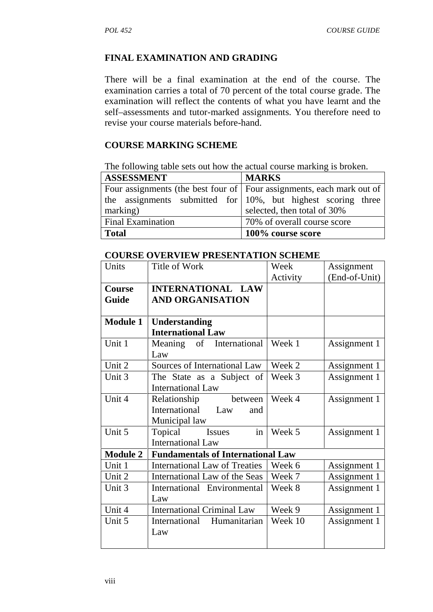#### **FINAL EXAMINATION AND GRADING**

There will be a final examination at the end of the course. The examination carries a total of 70 percent of the total course grade. The examination will reflect the contents of what you have learnt and the self–assessments and tutor-marked assignments. You therefore need to revise your course materials before-hand.

#### **COURSE MARKING SCHEME**

The following table sets out how the actual course marking is broken.

| <b>ASSESSMENT</b>        | <b>MARKS</b>                                                            |  |  |
|--------------------------|-------------------------------------------------------------------------|--|--|
|                          | Four assignments (the best four of   Four assignments, each mark out of |  |  |
|                          | the assignments submitted for $10\%$ , but highest scoring three        |  |  |
| marking)                 | selected, then total of 30%                                             |  |  |
| <b>Final Examination</b> | 70% of overall course score                                             |  |  |
| <b>Total</b>             | 100% course score                                                       |  |  |

#### **COURSE OVERVIEW PRESENTATION SCHEME**

| Units           | Title of Work                            | Week     | Assignment    |
|-----------------|------------------------------------------|----------|---------------|
|                 |                                          | Activity | (End-of-Unit) |
| <b>Course</b>   | <b>INTERNATIONAL LAW</b>                 |          |               |
| Guide           | <b>AND ORGANISATION</b>                  |          |               |
|                 |                                          |          |               |
| <b>Module 1</b> | Understanding                            |          |               |
|                 | <b>International Law</b>                 |          |               |
| Unit 1          | of International<br>Meaning              | Week 1   | Assignment 1  |
|                 | Law                                      |          |               |
| Unit 2          | Sources of International Law             | Week 2   | Assignment 1  |
| Unit 3          | The State as a Subject of                | Week 3   | Assignment 1  |
|                 | <b>International Law</b>                 |          |               |
| Unit 4          | Relationship<br>between                  | Week 4   | Assignment 1  |
|                 | International<br>Law<br>and              |          |               |
|                 | Municipal law                            |          |               |
| Unit 5          | in<br><b>Issues</b><br>Topical           | Week 5   | Assignment 1  |
|                 | <b>International Law</b>                 |          |               |
| <b>Module 2</b> | <b>Fundamentals of International Law</b> |          |               |
| Unit 1          | <b>International Law of Treaties</b>     | Week 6   | Assignment 1  |
| Unit 2          | International Law of the Seas            | Week 7   | Assignment 1  |
| Unit 3          | International Environmental              | Week 8   | Assignment 1  |
|                 | Law                                      |          |               |
| Unit 4          | <b>International Criminal Law</b>        | Week 9   | Assignment 1  |
| Unit 5          | International<br>Humanitarian            | Week 10  | Assignment 1  |
|                 | Law                                      |          |               |
|                 |                                          |          |               |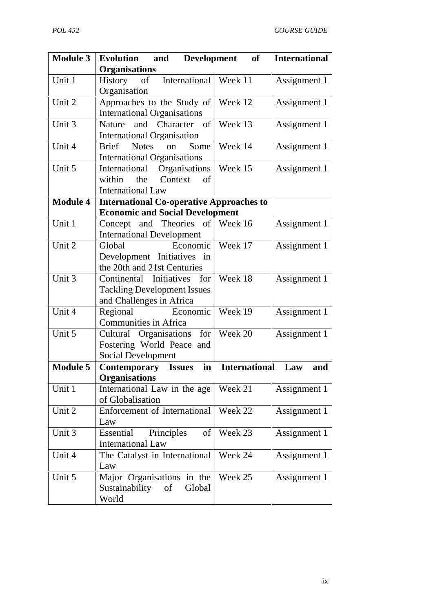| <b>Module 3</b> | Evolution<br>and<br><b>Organisations</b>                                                      | Development<br>of    | <b>International</b> |
|-----------------|-----------------------------------------------------------------------------------------------|----------------------|----------------------|
| Unit 1          | International<br>History of<br>Organisation                                                   | Week 11              | Assignment 1         |
| Unit 2          | Approaches to the Study of<br><b>International Organisations</b>                              | Week 12              | Assignment 1         |
| Unit 3          | Nature and Character of<br><b>International Organisation</b>                                  | Week 13              | Assignment 1         |
| Unit 4          | <b>Notes</b><br><b>Brief</b><br>Some<br>on<br><b>International Organisations</b>              | Week 14              | Assignment 1         |
| Unit 5          | Organisations<br>International<br>within<br>the<br>Context<br>of<br><b>International Law</b>  | Week 15              | Assignment 1         |
| <b>Module 4</b> | <b>International Co-operative Approaches to</b>                                               |                      |                      |
|                 | <b>Economic and Social Development</b>                                                        |                      |                      |
| Unit 1          | Concept and Theories of Week 16<br><b>International Development</b>                           |                      | Assignment 1         |
| Unit 2          | Economic<br>Global<br>Development Initiatives in<br>the 20th and 21st Centuries               | Week 17              | Assignment 1         |
| Unit 3          | Continental Initiatives for<br><b>Tackling Development Issues</b><br>and Challenges in Africa | Week 18              | Assignment 1         |
| Unit 4          | Economic<br>Regional<br><b>Communities in Africa</b>                                          | Week 19              | Assignment 1         |
| Unit 5          | Cultural Organisations for<br>Fostering World Peace and<br><b>Social Development</b>          | Week 20              | Assignment 1         |
| <b>Module 5</b> | <b>Contemporary Issues</b>                                                                    | in International Law | and                  |
|                 | <b>Organisations</b>                                                                          |                      |                      |
| Unit 1          | International Law in the age<br>of Globalisation                                              | Week 21              | Assignment 1         |
| Unit 2          | Enforcement of International<br>Law                                                           | Week 22              | Assignment 1         |
| Unit 3          | Essential<br>Principles<br>of<br><b>International Law</b>                                     | Week 23              | Assignment 1         |
| Unit 4          | The Catalyst in International<br>Law                                                          | Week 24              | Assignment 1         |
| Unit 5          | Major Organisations in the<br>Sustainability<br>of<br>Global<br>World                         | Week 25              | Assignment 1         |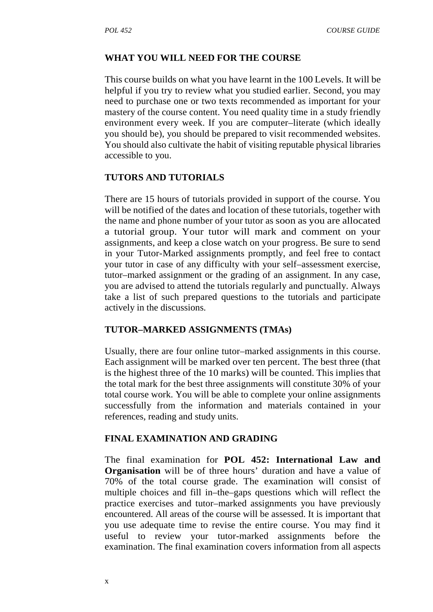#### **WHAT YOU WILL NEED FOR THE COURSE**

This course builds on what you have learnt in the 100 Levels. It will be helpful if you try to review what you studied earlier. Second, you may need to purchase one or two texts recommended as important for your mastery of the course content. You need quality time in a study friendly environment every week. If you are computer–literate (which ideally you should be), you should be prepared to visit recommended websites. You should also cultivate the habit of visiting reputable physical libraries accessible to you.

# **TUTORS AND TUTORIALS**

There are 15 hours of tutorials provided in support of the course. You will be notified of the dates and location of these tutorials, together with the name and phone number of your tutor as soon as you are allocated a tutorial group. Your tutor will mark and comment on your assignments, and keep a close watch on your progress. Be sure to send in your Tutor-Marked assignments promptly, and feel free to contact your tutor in case of any difficulty with your self–assessment exercise, tutor–marked assignment or the grading of an assignment. In any case, you are advised to attend the tutorials regularly and punctually. Always take a list of such prepared questions to the tutorials and participate actively in the discussions.

#### **TUTOR–MARKED ASSIGNMENTS (TMAs)**

Usually, there are four online tutor–marked assignments in this course. Each assignment will be marked over ten percent. The best three (that is the highest three of the 10 marks) will be counted. This implies that the total mark for the best three assignments will constitute 30% of your total course work. You will be able to complete your online assignments successfully from the information and materials contained in your references, reading and study units.

#### **FINAL EXAMINATION AND GRADING**

The final examination for **POL 452: International Law and Organisation** will be of three hours' duration and have a value of 70% of the total course grade. The examination will consist of multiple choices and fill in–the–gaps questions which will reflect the practice exercises and tutor–marked assignments you have previously encountered. All areas of the course will be assessed. It is important that you use adequate time to revise the entire course. You may find it useful to review your tutor-marked assignments before the examination. The final examination covers information from all aspects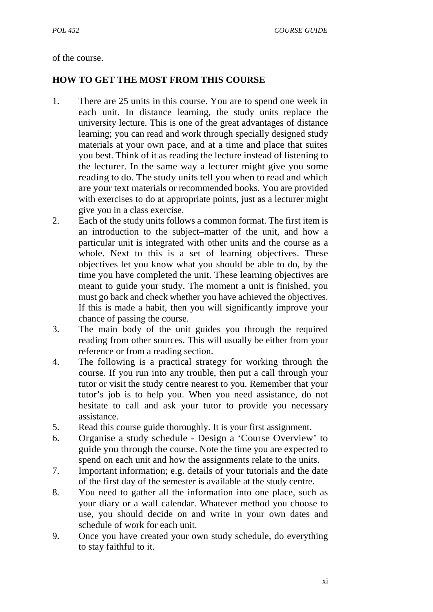#### of the course.

#### **HOW TO GET THE MOST FROM THIS COURSE**

- 1. There are 25 units in this course. You are to spend one week in each unit. In distance learning, the study units replace the university lecture. This is one of the great advantages of distance learning; you can read and work through specially designed study materials at your own pace, and at a time and place that suites you best. Think of it as reading the lecture instead of listening to the lecturer. In the same way a lecturer might give you some reading to do. The study units tell you when to read and which are your text materials or recommended books. You are provided with exercises to do at appropriate points, just as a lecturer might give you in a class exercise.
- 2. Each of the study units follows a common format. The first item is an introduction to the subject–matter of the unit, and how a particular unit is integrated with other units and the course as a whole. Next to this is a set of learning objectives. These objectives let you know what you should be able to do, by the time you have completed the unit. These learning objectives are meant to guide your study. The moment a unit is finished, you must go back and check whether you have achieved the objectives. If this is made a habit, then you will significantly improve your chance of passing the course.
- 3. The main body of the unit guides you through the required reading from other sources. This will usually be either from your reference or from a reading section.
- 4. The following is a practical strategy for working through the course. If you run into any trouble, then put a call through your tutor or visit the study centre nearest to you. Remember that your tutor's job is to help you. When you need assistance, do not hesitate to call and ask your tutor to provide you necessary assistance.
- 5. Read this course guide thoroughly. It is your first assignment.
- 6. Organise a study schedule Design a 'Course Overview' to guide you through the course. Note the time you are expected to spend on each unit and how the assignments relate to the units.
- 7. Important information; e.g. details of your tutorials and the date of the first day of the semester is available at the study centre.
- 8. You need to gather all the information into one place, such as your diary or a wall calendar. Whatever method you choose to use, you should decide on and write in your own dates and schedule of work for each unit.
- 9. Once you have created your own study schedule, do everything to stay faithful to it.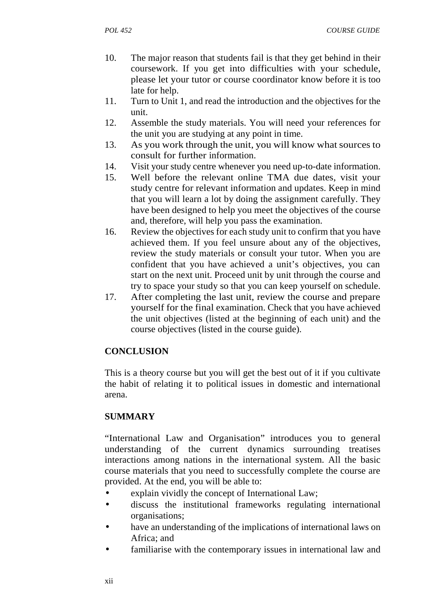- 10. The major reason that students fail is that they get behind in their coursework. If you get into difficulties with your schedule, please let your tutor or course coordinator know before it is too late for help.
- 11. Turn to Unit 1, and read the introduction and the objectives for the unit.
- 12. Assemble the study materials. You will need your references for the unit you are studying at any point in time.
- 13. As you work through the unit, you will know what sources to consult for further information.
- 14. Visit your study centre whenever you need up-to-date information.
- 15. Well before the relevant online TMA due dates, visit your study centre for relevant information and updates. Keep in mind that you will learn a lot by doing the assignment carefully. They have been designed to help you meet the objectives of the course and, therefore, will help you pass the examination.
- 16. Review the objectives for each study unit to confirm that you have achieved them. If you feel unsure about any of the objectives, review the study materials or consult your tutor. When you are confident that you have achieved a unit's objectives, you can start on the next unit. Proceed unit by unit through the course and try to space your study so that you can keep yourself on schedule.
- 17. After completing the last unit, review the course and prepare yourself for the final examination. Check that you have achieved the unit objectives (listed at the beginning of each unit) and the course objectives (listed in the course guide).

# **CONCLUSION**

This is a theory course but you will get the best out of it if you cultivate the habit of relating it to political issues in domestic and international arena.

# **SUMMARY**

"International Law and Organisation" introduces you to general understanding of the current dynamics surrounding treatises interactions among nations in the international system. All the basic course materials that you need to successfully complete the course are provided. At the end, you will be able to:

- explain vividly the concept of International Law;
- discuss the institutional frameworks regulating international organisations;
- have an understanding of the implications of international laws on Africa; and
- familiarise with the contemporary issues in international law and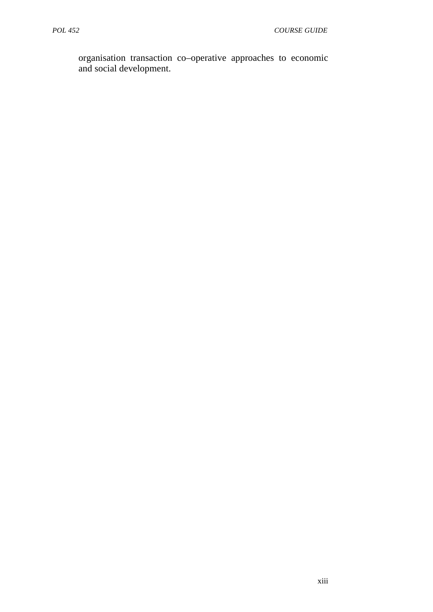organisation transaction co–operative approaches to economic and social development.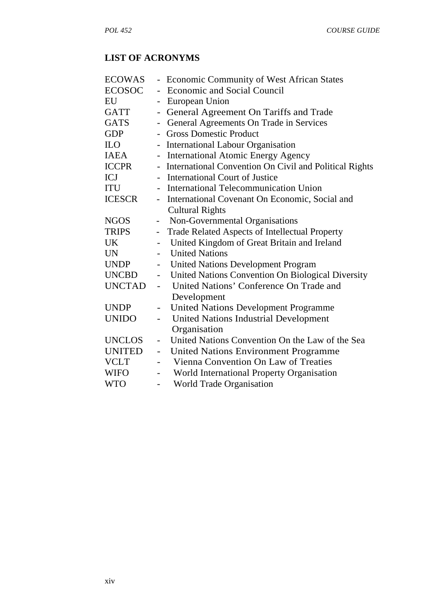# **LIST OF ACRONYMS**

| <b>ECOWAS</b>    |                          | - Economic Community of West African States              |
|------------------|--------------------------|----------------------------------------------------------|
| ECOSOC           |                          | <b>Economic and Social Council</b>                       |
| EU               |                          | European Union                                           |
| GATT             |                          | General Agreement On Tariffs and Trade                   |
| GATS             | $\blacksquare$           | General Agreements On Trade in Services                  |
| <b>GDP</b>       |                          | <b>Gross Domestic Product</b>                            |
| ILO <sub>1</sub> |                          | - International Labour Organisation                      |
| IAEA             |                          | - International Atomic Energy Agency                     |
| <b>ICCPR</b>     |                          | - International Convention On Civil and Political Rights |
| <b>ICJ</b>       |                          | - International Court of Justice                         |
| ITU              |                          | - International Telecommunication Union                  |
| <b>ICESCR</b>    |                          | - International Covenant On Economic, Social and         |
|                  |                          | <b>Cultural Rights</b>                                   |
| <b>NGOS</b>      | $\qquad \qquad -$        | Non-Governmental Organisations                           |
| TRIPS            | $\qquad \qquad -$        | Trade Related Aspects of Intellectual Property           |
| UK.              |                          | United Kingdom of Great Britain and Ireland              |
| <b>UN</b>        |                          | <b>United Nations</b>                                    |
| <b>UNDP</b>      | $\qquad \qquad -$        | <b>United Nations Development Program</b>                |
| <b>UNCBD</b>     |                          | - United Nations Convention On Biological Diversity      |
|                  |                          | UNCTAD - United Nations' Conference On Trade and         |
|                  |                          | Development                                              |
| <b>UNDP</b>      | $\qquad \qquad -$        | <b>United Nations Development Programme</b>              |
| <b>UNIDO</b>     | $\frac{1}{2}$            | United Nations Industrial Development                    |
|                  |                          | Organisation                                             |
| UNCLOS           | $\blacksquare$           | United Nations Convention On the Law of the Sea          |
| UNITED           | $\overline{\phantom{a}}$ | <b>United Nations Environment Programme</b>              |
| <b>VCLT</b>      | $\overline{\phantom{0}}$ | Vienna Convention On Law of Treaties                     |
| <b>WIFO</b>      | $\blacksquare$           | World International Property Organisation                |
| <b>WTO</b>       |                          | World Trade Organisation                                 |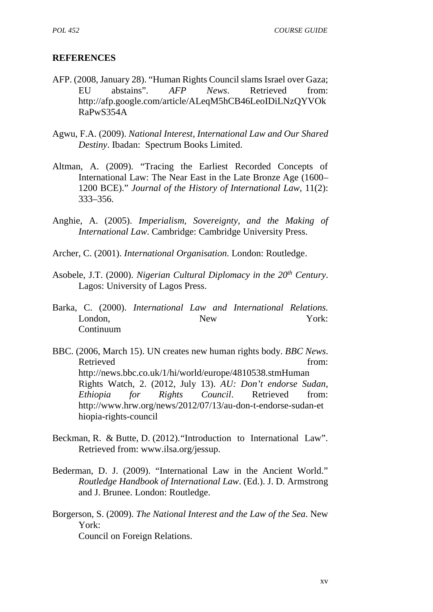#### **REFERENCES**

- AFP. (2008, January 28). "Human Rights Council slams Israel over Gaza; EU abstains". *AFP News*. Retrieved from: http://afp.google.com/article/ALeqM5hCB46LeoIDiLNzQYVOk RaPwS354A
- Agwu, F.A. (2009). *National Interest, International Law and Our Shared Destiny*. Ibadan: Spectrum Books Limited.
- Altman, A. (2009). "Tracing the Earliest Recorded Concepts of International Law: The Near East in the Late Bronze Age (1600– 1200 BCE)." *Journal of the History of International Law*, 11(2): 333–356.
- Anghie, A. (2005). *Imperialism, Sovereignty, and the Making of International Law*. Cambridge: Cambridge University Press.
- Archer, C. (2001). *International Organisation.* London: Routledge.
- Asobele, J.T. (2000). *Nigerian Cultural Diplomacy in the 20th Century*. Lagos: University of Lagos Press.
- Barka, C. (2000). *International Law and International Relations.* London, New York: Continuum
- BBC. (2006, March 15). UN creates new human rights body. *BBC News*. Retrieved from: http://news.bbc.co.uk/1/hi/world/europe/4810538.stmHuman Rights Watch, 2. (2012, July 13). *AU: Don't endorse Sudan, Ethiopia for Rights Council*. Retrieved from: http://www.hrw.org/news/2012/07/13/au-don-t-endorse-sudan-et hiopia-rights-council
- Beckman, R. & Butte, D. (2012)."Introduction to International Law". Retrieved from: www.ilsa.org/jessup.
- Bederman, D. J. (2009). "International Law in the Ancient World." *Routledge Handbook of International Law*. (Ed.). J. D. Armstrong and J. Brunee. London: Routledge.
- Borgerson, S. (2009). *The National Interest and the Law of the Sea*. New York: Council on Foreign Relations.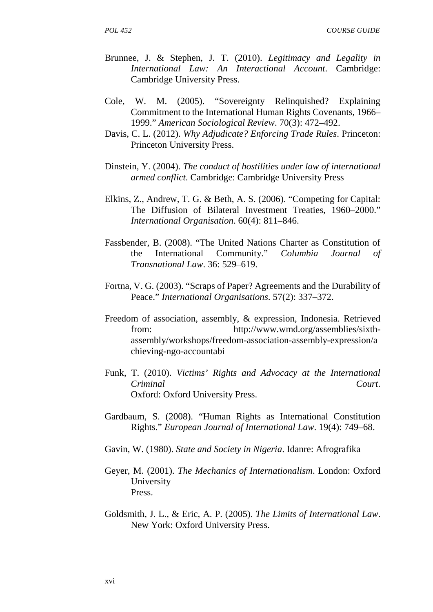*POL 452 COURSE GUIDE*

- Brunnee, J. & Stephen, J. T. (2010). *Legitimacy and Legality in International Law: An Interactional Account*. Cambridge: Cambridge University Press.
- Cole, W. M. (2005). "Sovereignty Relinquished? Explaining Commitment to the International Human Rights Covenants, 1966– 1999." *American Sociological Review*. 70(3): 472–492.
- Davis, C. L. (2012). *Why Adjudicate? Enforcing Trade Rules*. Princeton: Princeton University Press.
- Dinstein, Y. (2004). *The conduct of hostilities under law of international armed conflict*. Cambridge: Cambridge University Press
- Elkins, Z., Andrew, T. G. & Beth, A. S. (2006). "Competing for Capital: The Diffusion of Bilateral Investment Treaties, 1960–2000." *International Organisation*. 60(4): 811–846.
- Fassbender, B. (2008). "The United Nations Charter as Constitution of the International Community." *Columbia Journal of Transnational Law*. 36: 529–619.
- Fortna, V. G. (2003). "Scraps of Paper? Agreements and the Durability of Peace." *International Organisations*. 57(2): 337–372.
- Freedom of association, assembly, & expression, Indonesia. Retrieved from: http://www.wmd.org/assemblies/sixth assembly/workshops/freedom-association-assembly-expression/a chieving-ngo-accountabi
- Funk, T. (2010). *Victims' Rights and Advocacy at the International Criminal Court*. Oxford: Oxford University Press.
- Gardbaum, S. (2008). "Human Rights as International Constitution Rights." *European Journal of International Law*. 19(4): 749–68.
- Gavin, W. (1980). *State and Society in Nigeria*. Idanre: Afrografika
- Geyer, M. (2001). *The Mechanics of Internationalism*. London: Oxford University Press.
- Goldsmith, J. L., & Eric, A. P. (2005). *The Limits of International Law*. New York: Oxford University Press.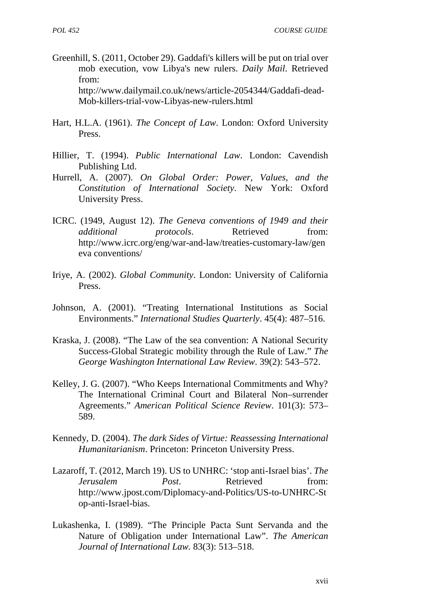- Greenhill, S. (2011, October 29). Gaddafi's killers will be put on trial over mob execution, vow Libya's new rulers. *Daily Mail*. Retrieved from: http://www.dailymail.co.uk/news/article-2054344/Gaddafi-dead- Mob-killers-trial-vow-Libyas-new-rulers.html
- Hart, H.L.A. (1961). *The Concept of Law*. London: Oxford University Press.
- Hillier, T. (1994). *Public International Law*. London: Cavendish Publishing Ltd.
- Hurrell, A. (2007). *On Global Order: Power, Values, and the Constitution of International Society*. New York: Oxford University Press.
- ICRC. (1949, August 12). *The Geneva conventions of 1949 and their additional protocols*. Retrieved from: http://www.icrc.org/eng/war-and-law/treaties-customary-law/gen eva conventions/
- Iriye, A. (2002). *Global Community*. London: University of California Press.
- Johnson, A. (2001). "Treating International Institutions as Social Environments." *International Studies Quarterly*. 45(4): 487–516.
- Kraska, J. (2008). "The Law of the sea convention: A National Security Success-Global Strategic mobility through the Rule of Law." *The George Washington International Law Review*. 39(2): 543–572.
- Kelley, J. G. (2007). "Who Keeps International Commitments and Why? The International Criminal Court and Bilateral Non–surrender Agreements." *American Political Science Review*. 101(3): 573– 589.
- Kennedy, D. (2004). *The dark Sides of Virtue: Reassessing International Humanitarianism*. Princeton: Princeton University Press.
- Lazaroff, T. (2012, March 19). US to UNHRC: 'stop anti-Israel bias'. *The Jerusalem Post.* Retrieved from: http://www.jpost.com/Diplomacy-and-Politics/US-to-UNHRC-St op-anti-Israel-bias.
- Lukashenka, I. (1989). "The Principle Pacta Sunt Servanda and the Nature of Obligation under International Law". *The American Journal of International Law.* 83(3): 513–518.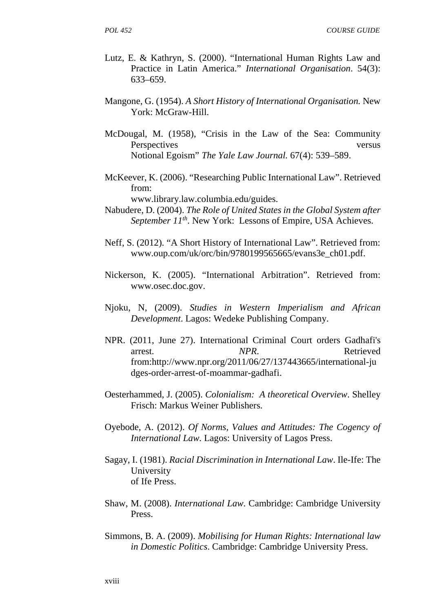- Lutz, E. & Kathryn, S. (2000). "International Human Rights Law and Practice in Latin America." *International Organisation*. 54(3): 633–659.
- Mangone, G. (1954). *A Short History of International Organisation.* New York: McGraw-Hill.
- McDougal, M. (1958), "Crisis in the Law of the Sea: Community Perspectives versus versus Notional Egoism" *The Yale Law Journal.* 67(4): 539–589.
- McKeever, K. (2006). "Researching Public International Law". Retrieved from:

www.library.law.columbia.edu/guides.

- Nabudere, D. (2004). *The Role of United States in the Global System after September 11th*. New York: Lessons of Empire, USA Achieves.
- Neff, S. (2012). "A Short History of International Law". Retrieved from: www.oup.com/uk/orc/bin/9780199565665/evans3e\_ch01.pdf.
- Nickerson, K. (2005). "International Arbitration". Retrieved from: www.osec.doc.gov.
- Njoku, N, (2009). *Studies in Western Imperialism and African Development*. Lagos: Wedeke Publishing Company.
- NPR. (2011, June 27). International Criminal Court orders Gadhafi's arrest. NPR. Retrieved from:http://www.npr.org/2011/06/27/137443665/international-ju dges-order-arrest-of-moammar-gadhafi.
- Oesterhammed, J. (2005). *Colonialism: A theoretical Overview*. Shelley Frisch: Markus Weiner Publishers.
- Oyebode, A. (2012). *Of Norms, Values and Attitudes: The Cogency of International Law.* Lagos: University of Lagos Press.
- Sagay, I. (1981). *Racial Discrimination in International Law*. Ile-Ife: The University of Ife Press.
- Shaw, M. (2008). *International Law*. Cambridge: Cambridge University Press.
- Simmons, B. A. (2009). *Mobilising for Human Rights: International law in Domestic Politics*. Cambridge: Cambridge University Press.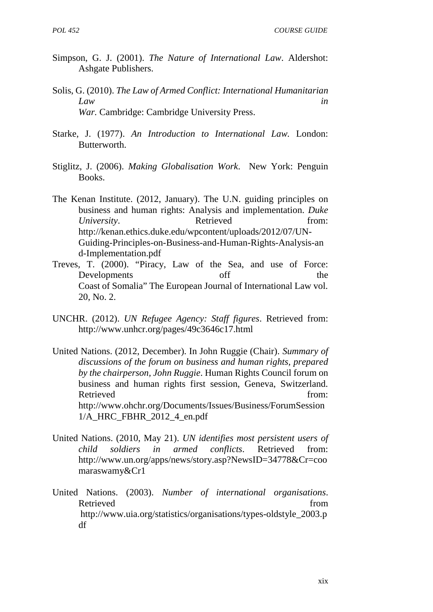- Simpson, G. J. (2001). *The Nature of International Law*. Aldershot: Ashgate Publishers.
- Solis, G. (2010). *The Law of Armed Conflict: International Humanitarian Law in War.* Cambridge: Cambridge University Press.
- Starke, J. (1977). *An Introduction to International Law.* London: Butterworth.
- Stiglitz, J. (2006). *Making Globalisation Work*. New York: Penguin Books.
- The Kenan Institute. (2012, January). The U.N. guiding principles on business and human rights: Analysis and implementation. *Duke University*. Retrieved from: http://kenan.ethics.duke.edu/wpcontent/uploads/2012/07/UN- Guiding-Principles-on-Business-and-Human-Rights-Analysis-an d-Implementation.pdf
- Treves, T. (2000). "Piracy, Law of the Sea, and use of Force: Developments off the Coast of Somalia" The European Journal of International Law vol. 20, No. 2.
- UNCHR. (2012). *UN Refugee Agency: Staff figures*. Retrieved from: http://www.unhcr.org/pages/49c3646c17.html
- United Nations. (2012, December). In John Ruggie (Chair). *Summary of discussions of the forum on business and human rights, prepared by the chairperson, John Ruggie*. Human Rights Council forum on business and human rights first session, Geneva, Switzerland. Retrieved from: http://www.ohchr.org/Documents/Issues/Business/ForumSession 1/A\_HRC\_FBHR\_2012\_4\_en.pdf
- United Nations. (2010, May 21). *UN identifies most persistent users of child soldiers in armed conflicts*. Retrieved from: http://www.un.org/apps/news/story.asp?NewsID=34778&Cr=coo maraswamy&Cr1
- United Nations. (2003). *Number of international organisations*. Retrieved from the state of  $\sim$  from the state of  $\sim$  from the state of  $\sim$  from the state of  $\sim$  from the state of  $\sim$  from the state of  $\sim$  from the state of  $\sim$  from the state of  $\sim$  from the state of  $\sim$  from http://www.uia.org/statistics/organisations/types-oldstyle\_2003.p df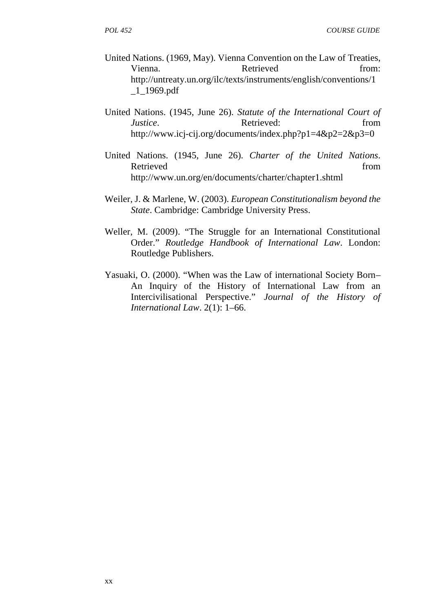- United Nations. (1969, May). Vienna Convention on the Law of Treaties, Vienna. Retrieved from: http://untreaty.un.org/ilc/texts/instruments/english/conventions/1  $\_1\_1969.pdf$
- United Nations. (1945, June 26). *Statute of the International Court of Justice*. **Retrieved: Retrieved:** from http://www.icj-cij.org/documents/index.php?p1=4&p2=2&p3=0
- United Nations. (1945, June 26). *Charter of the United Nations*. Retrieved from the state of  $\sim$  from the state of  $\sim$  from the state of  $\sim$  from the state of  $\sim$  from the state of  $\sim$  from the state of  $\sim$  from the state of  $\sim$  from the state of  $\sim$  from the state of  $\sim$  from http://www.un.org/en/documents/charter/chapter1.shtml
- Weiler, J. & Marlene, W. (2003). *European Constitutionalism beyond the State*. Cambridge: Cambridge University Press.
- Weller, M. (2009). "The Struggle for an International Constitutional Order." *Routledge Handbook of International Law*. London: Routledge Publishers.
- Yasuaki, O. (2000). "When was the Law of international Society Born– An Inquiry of the History of International Law from an Intercivilisational Perspective." *Journal of the History of International Law*. 2(1): 1–66.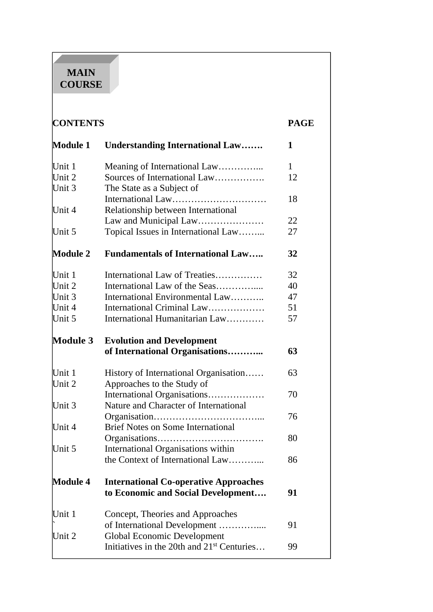# **MAIN COURSE**

| <b>CONTENTS</b> |                                                                        | <b>PAGE</b> |
|-----------------|------------------------------------------------------------------------|-------------|
| <b>Module 1</b> | <b>Understanding International Law</b>                                 | 1           |
| Unit 1          | Meaning of International Law                                           | 1           |
| Unit 2          | Sources of International Law                                           | 12          |
| Unit 3          | The State as a Subject of                                              |             |
|                 |                                                                        | 18          |
| Unit 4          | Relationship between International<br>Law and Municipal Law            | 22          |
| Unit 5          | Topical Issues in International Law                                    | 27          |
|                 |                                                                        |             |
| <b>Module 2</b> | <b>Fundamentals of International Law</b>                               | 32          |
| Unit 1          | International Law of Treaties                                          | 32          |
| Unit 2          | International Law of the Seas                                          | 40          |
| Unit 3          | International Environmental Law                                        | 47          |
| Unit 4          | International Criminal Law                                             | 51          |
| Unit 5          | International Humanitarian Law                                         | 57          |
| <b>Module 3</b> | <b>Evolution and Development</b>                                       |             |
|                 | of International Organisations                                         | 63          |
| Unit 1          | History of International Organisation                                  | 63          |
| Unit 2          | Approaches to the Study of                                             |             |
|                 | International Organisations                                            | 70          |
| Unit 3          | Nature and Character of International                                  |             |
|                 |                                                                        | 76          |
| Unit 4          | <b>Brief Notes on Some International</b>                               |             |
|                 |                                                                        | 80          |
| Unit 5          | International Organisations within<br>the Context of International Law | 86          |
|                 |                                                                        |             |
| <b>Module 4</b> | <b>International Co-operative Approaches</b>                           |             |
|                 | to Economic and Social Development                                     | 91          |
| Unit 1          | Concept, Theories and Approaches                                       |             |
|                 | of International Development                                           | 91          |
| Unit 2          | <b>Global Economic Development</b>                                     |             |
|                 | Initiatives in the 20th and 21 <sup>st</sup> Centuries                 | 99          |
|                 |                                                                        |             |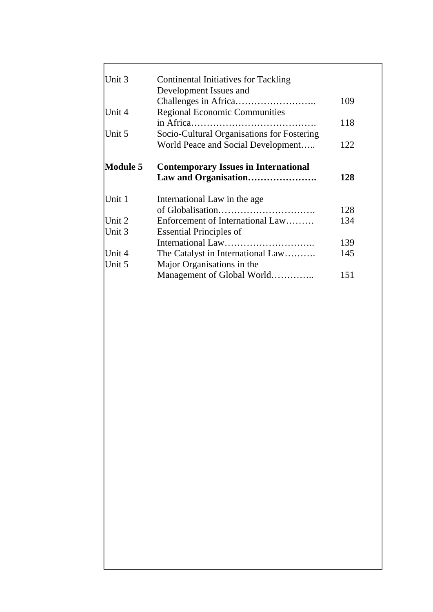| Unit 3          | <b>Continental Initiatives for Tackling</b> |     |
|-----------------|---------------------------------------------|-----|
|                 | Development Issues and                      |     |
|                 |                                             | 109 |
| Unit 4          | <b>Regional Economic Communities</b>        |     |
|                 |                                             | 118 |
| Unit 5          | Socio-Cultural Organisations for Fostering  |     |
|                 | World Peace and Social Development          | 122 |
| <b>Module 5</b> | <b>Contemporary Issues in International</b> |     |
|                 |                                             | 128 |
| Unit 1          | International Law in the age                |     |
|                 |                                             | 128 |
| Unit 2          | Enforcement of International Law            | 134 |
| Unit 3          | <b>Essential Principles of</b>              |     |
|                 |                                             | 139 |
| Unit 4          | The Catalyst in International Law           | 145 |
| Unit 5          | Major Organisations in the                  |     |
|                 | Management of Global World                  | 151 |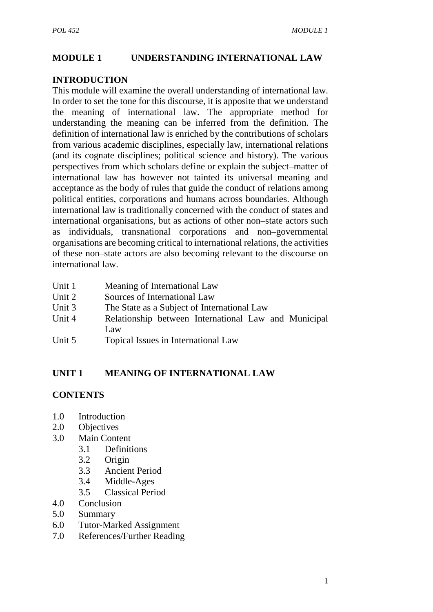#### **MODULE 1 UNDERSTANDING INTERNATIONAL LAW**

#### **INTRODUCTION**

This module will examine the overall understanding of international law. In order to set the tone for this discourse, it is apposite that we understand the meaning of international law. The appropriate method for understanding the meaning can be inferred from the definition. The definition of international law is enriched by the contributions of scholars from various academic disciplines, especially law, international relations (and its cognate disciplines; political science and history). The various perspectives from which scholars define or explain the subject–matter of international law has however not tainted its universal meaning and acceptance as the body of rules that guide the conduct of relations among political entities, corporations and humans across boundaries. Although international law is traditionally concerned with the conduct of states and international organisations, but as actions of other non–state actors such as individuals, transnational corporations and non–governmental organisations are becoming critical to international relations, the activities of these non–state actors are also becoming relevant to the discourse on international law.

- Unit 1 Meaning of International Law
- Unit 2 Sources of International Law
- Unit 3 The State as a Subject of International Law
- Unit 4 Relationship between International Law and Municipal Law
- Unit 5 Topical Issues in International Law

# **UNIT 1 MEANING OF INTERNATIONAL LAW**

#### **CONTENTS**

- 1.0 Introduction
- 2.0 Objectives
- 3.0 Main Content
	- 3.1 Definitions
	- 3.2 Origin
	- 3.3 Ancient Period
	- 3.4 Middle-Ages
	- 3.5 Classical Period
- 4.0 Conclusion
- 5.0 Summary
- 6.0 Tutor-Marked Assignment
- 7.0 References/Further Reading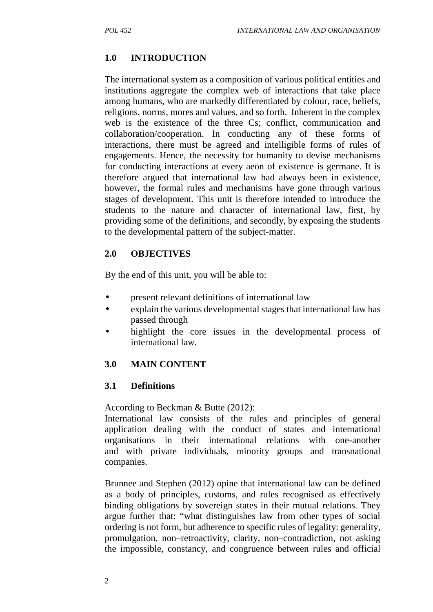# **1.0 INTRODUCTION**

The international system as a composition of various political entities and institutions aggregate the complex web of interactions that take place among humans, who are markedly differentiated by colour, race, beliefs, religions, norms, mores and values, and so forth. Inherent in the complex web is the existence of the three Cs; conflict, communication and collaboration/cooperation. In conducting any of these forms of interactions, there must be agreed and intelligible forms of rules of engagements. Hence, the necessity for humanity to devise mechanisms for conducting interactions at every aeon of existence is germane. It is therefore argued that international law had always been in existence, however, the formal rules and mechanisms have gone through various stages of development. This unit is therefore intended to introduce the students to the nature and character of international law, first, by providing some of the definitions, and secondly, by exposing the students to the developmental pattern of the subject-matter.

#### **2.0 OBJECTIVES**

By the end of this unit, you will be able to:

- present relevant definitions of international law
- explain the various developmental stages that international law has passed through
- highlight the core issues in the developmental process of international law.

# **3.0 MAIN CONTENT**

#### **3.1 Definitions**

According to Beckman & Butte (2012):

International law consists of the rules and principles of general application dealing with the conduct of states and international organisations in their international relations with one-another and with private individuals, minority groups and transnational companies.

Brunnee and Stephen (2012) opine that international law can be defined as a body of principles, customs, and rules recognised as effectively binding obligations by sovereign states in their mutual relations. They argue further that: "what distinguishes law from other types of social ordering is not form, but adherence to specific rules of legality: generality, promulgation, non–retroactivity, clarity, non–contradiction, not asking the impossible, constancy, and congruence between rules and official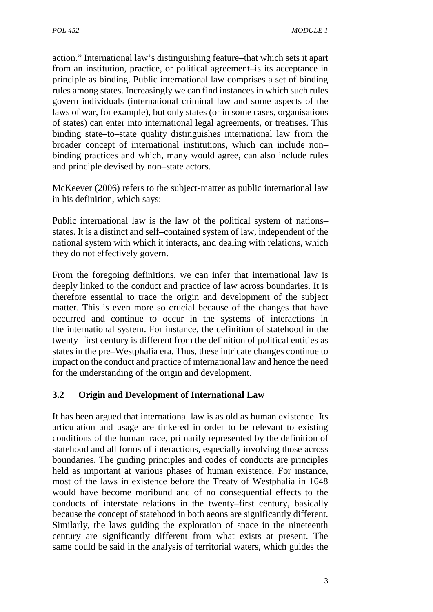action." International law's distinguishing feature–that which sets it apart from an institution, practice, or political agreement–is its acceptance in principle as binding. Public international law comprises a set of binding rules among states. Increasingly we can find instances in which such rules govern individuals (international criminal law and some aspects of the laws of war, for example), but only states (or in some cases, organisations of states) can enter into international legal agreements, or treatises. This binding state–to–state quality distinguishes international law from the broader concept of international institutions, which can include non– binding practices and which, many would agree, can also include rules and principle devised by non–state actors.

McKeever (2006) refers to the subject-matter as public international law in his definition, which says:

Public international law is the law of the political system of nations– states. It is a distinct and self–contained system of law, independent of the national system with which it interacts, and dealing with relations, which they do not effectively govern.

From the foregoing definitions, we can infer that international law is deeply linked to the conduct and practice of law across boundaries. It is therefore essential to trace the origin and development of the subject matter. This is even more so crucial because of the changes that have occurred and continue to occur in the systems of interactions in the international system. For instance, the definition of statehood in the twenty–first century is different from the definition of political entities as states in the pre–Westphalia era. Thus, these intricate changes continue to impact on the conduct and practice of international law and hence the need for the understanding of the origin and development.

# **3.2 Origin and Development of International Law**

It has been argued that international law is as old as human existence. Its articulation and usage are tinkered in order to be relevant to existing conditions of the human–race, primarily represented by the definition of statehood and all forms of interactions, especially involving those across boundaries. The guiding principles and codes of conducts are principles held as important at various phases of human existence. For instance, most of the laws in existence before the Treaty of Westphalia in 1648 would have become moribund and of no consequential effects to the conducts of interstate relations in the twenty–first century, basically because the concept of statehood in both aeons are significantly different. Similarly, the laws guiding the exploration of space in the nineteenth century are significantly different from what exists at present. The same could be said in the analysis of territorial waters, which guides the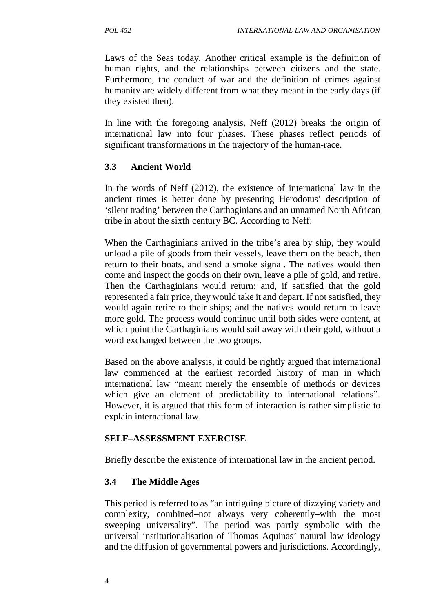Laws of the Seas today. Another critical example is the definition of human rights, and the relationships between citizens and the state. Furthermore, the conduct of war and the definition of crimes against humanity are widely different from what they meant in the early days (if they existed then).

In line with the foregoing analysis, Neff (2012) breaks the origin of international law into four phases. These phases reflect periods of significant transformations in the trajectory of the human-race.

# **3.3 Ancient World**

In the words of Neff (2012), the existence of international law in the ancient times is better done by presenting Herodotus' description of 'silent trading' between the Carthaginians and an unnamed North African tribe in about the sixth century BC. According to Neff:

When the Carthaginians arrived in the tribe's area by ship, they would unload a pile of goods from their vessels, leave them on the beach, then return to their boats, and send a smoke signal. The natives would then come and inspect the goods on their own, leave a pile of gold, and retire. Then the Carthaginians would return; and, if satisfied that the gold represented a fair price, they would take it and depart. If not satisfied, they would again retire to their ships; and the natives would return to leave more gold. The process would continue until both sides were content, at which point the Carthaginians would sail away with their gold, without a word exchanged between the two groups.

Based on the above analysis, it could be rightly argued that international law commenced at the earliest recorded history of man in which international law "meant merely the ensemble of methods or devices which give an element of predictability to international relations". However, it is argued that this form of interaction is rather simplistic to explain international law.

# **SELF–ASSESSMENT EXERCISE**

Briefly describe the existence of international law in the ancient period.

# **3.4 The Middle Ages**

This period is referred to as "an intriguing picture of dizzying variety and complexity, combined–not always very coherently–with the most sweeping universality". The period was partly symbolic with the universal institutionalisation of Thomas Aquinas' natural law ideology and the diffusion of governmental powers and jurisdictions. Accordingly,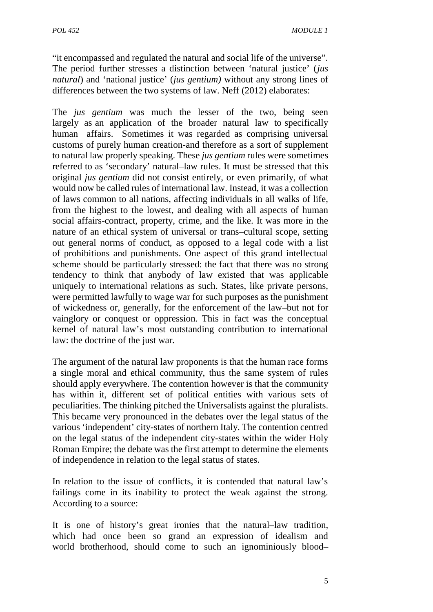"it encompassed and regulated the natural and social life of the universe". The period further stresses a distinction between 'natural justice' (*jus natural*) and 'national justice' (*jus gentium)* without any strong lines of differences between the two systems of law. Neff (2012) elaborates:

The *jus gentium* was much the lesser of the two, being seen largely as an application of the broader natural law to specifically human affairs. Sometimes it was regarded as comprising universal customs of purely human creation-and therefore as a sort of supplement to natural law properly speaking. These *jus gentium* rules were sometimes referred to as 'secondary' natural–law rules. It must be stressed that this original *jus gentium* did not consist entirely, or even primarily, of what would now be called rules of international law. Instead, it was a collection of laws common to all nations, affecting individuals in all walks of life, from the highest to the lowest, and dealing with all aspects of human social affairs-contract, property, crime, and the like. It was more in the nature of an ethical system of universal or trans–cultural scope, setting out general norms of conduct, as opposed to a legal code with a list of prohibitions and punishments. One aspect of this grand intellectual scheme should be particularly stressed: the fact that there was no strong tendency to think that anybody of law existed that was applicable uniquely to international relations as such. States, like private persons, were permitted lawfully to wage war for such purposes as the punishment of wickedness or, generally, for the enforcement of the law–but not for vainglory or conquest or oppression. This in fact was the conceptual kernel of natural law's most outstanding contribution to international law: the doctrine of the just war*.*

The argument of the natural law proponents is that the human race forms a single moral and ethical community, thus the same system of rules should apply everywhere. The contention however is that the community has within it, different set of political entities with various sets of peculiarities. The thinking pitched the Universalists against the pluralists. This became very pronounced in the debates over the legal status of the various 'independent' city-states of northern Italy. The contention centred on the legal status of the independent city-states within the wider Holy Roman Empire; the debate was the first attempt to determine the elements of independence in relation to the legal status of states.

In relation to the issue of conflicts, it is contended that natural law's failings come in its inability to protect the weak against the strong. According to a source:

It is one of history's great ironies that the natural–law tradition, which had once been so grand an expression of idealism and world brotherhood, should come to such an ignominiously blood–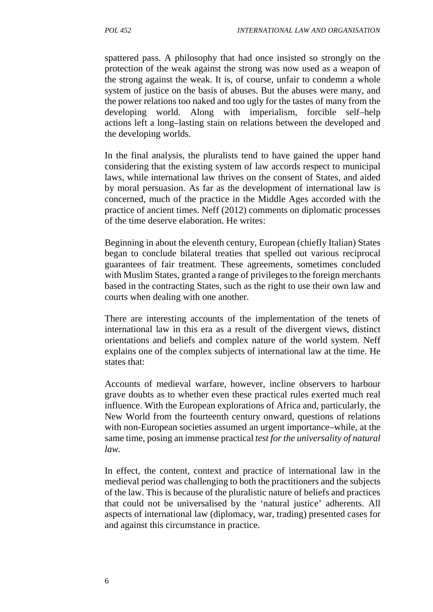spattered pass. A philosophy that had once insisted so strongly on the protection of the weak against the strong was now used as a weapon of the strong against the weak. It is, of course, unfair to condemn a whole system of justice on the basis of abuses. But the abuses were many, and the power relations too naked and too ugly for the tastes of many from the developing world. Along with imperialism, forcible self–help actions left a long–lasting stain on relations between the developed and the developing worlds.

In the final analysis, the pluralists tend to have gained the upper hand considering that the existing system of law accords respect to municipal laws, while international law thrives on the consent of States, and aided by moral persuasion. As far as the development of international law is concerned, much of the practice in the Middle Ages accorded with the practice of ancient times. Neff (2012) comments on diplomatic processes of the time deserve elaboration. He writes:

Beginning in about the eleventh century, European (chiefly Italian) States began to conclude bilateral treaties that spelled out various reciprocal guarantees of fair treatment. These agreements, sometimes concluded with Muslim States, granted a range of privileges to the foreign merchants based in the contracting States, such as the right to use their own law and courts when dealing with one another.

There are interesting accounts of the implementation of the tenets of international law in this era as a result of the divergent views, distinct orientations and beliefs and complex nature of the world system. Neff explains one of the complex subjects of international law at the time. He states that:

Accounts of medieval warfare, however, incline observers to harbour grave doubts as to whether even these practical rules exerted much real influence. With the European explorations of Africa and, particularly, the New World from the fourteenth century onward, questions of relations with non-European societies assumed an urgent importance–while, at the same time, posing an immense practical *test for the universality of natural law.*

In effect, the content, context and practice of international law in the medieval period was challenging to both the practitioners and the subjects of the law. This is because of the pluralistic nature of beliefs and practices that could not be universalised by the 'natural justice' adherents. All aspects of international law (diplomacy, war, trading) presented cases for and against this circumstance in practice.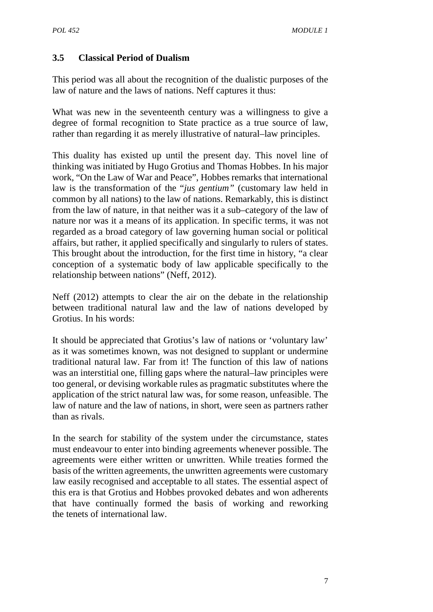#### **3.5 Classical Period of Dualism**

This period was all about the recognition of the dualistic purposes of the law of nature and the laws of nations. Neff captures it thus:

What was new in the seventeenth century was a willingness to give a degree of formal recognition to State practice as a true source of law, rather than regarding it as merely illustrative of natural–law principles.

This duality has existed up until the present day. This novel line of thinking was initiated by Hugo Grotius and Thomas Hobbes. In his major work, "On the Law of War and Peace", Hobbes remarks that international law is the transformation of the "*jus gentium"* (customary law held in common by all nations) to the law of nations. Remarkably, this is distinct from the law of nature, in that neither was it a sub–category of the law of nature nor was it a means of its application. In specific terms, it was not regarded as a broad category of law governing human social or political affairs, but rather, it applied specifically and singularly to rulers of states. This brought about the introduction, for the first time in history, "a clear conception of a systematic body of law applicable specifically to the relationship between nations" (Neff, 2012).

Neff (2012) attempts to clear the air on the debate in the relationship between traditional natural law and the law of nations developed by Grotius. In his words:

It should be appreciated that Grotius's law of nations or 'voluntary law' as it was sometimes known, was not designed to supplant or undermine traditional natural law. Far from it! The function of this law of nations was an interstitial one, filling gaps where the natural–law principles were too general, or devising workable rules as pragmatic substitutes where the application of the strict natural law was, for some reason, unfeasible. The law of nature and the law of nations, in short, were seen as partners rather than as rivals.

In the search for stability of the system under the circumstance, states must endeavour to enter into binding agreements whenever possible. The agreements were either written or unwritten. While treaties formed the basis of the written agreements, the unwritten agreements were customary law easily recognised and acceptable to all states. The essential aspect of this era is that Grotius and Hobbes provoked debates and won adherents that have continually formed the basis of working and reworking the tenets of international law.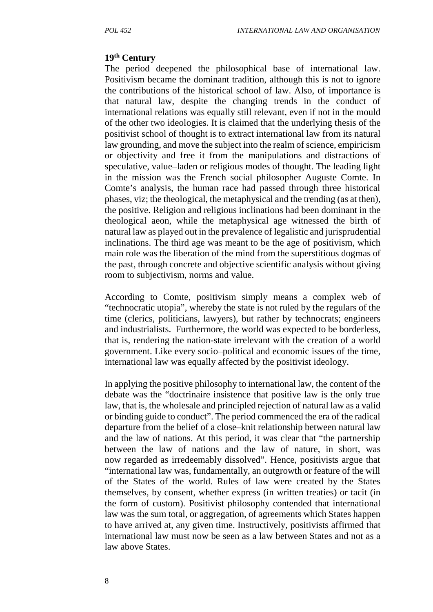#### **19th Century**

The period deepened the philosophical base of international law. Positivism became the dominant tradition, although this is not to ignore the contributions of the historical school of law. Also, of importance is that natural law, despite the changing trends in the conduct of international relations was equally still relevant, even if not in the mould of the other two ideologies. It is claimed that the underlying thesis of the positivist school of thought is to extract international law from its natural law grounding, and move the subject into the realm of science, empiricism or objectivity and free it from the manipulations and distractions of speculative, value–laden or religious modes of thought. The leading light in the mission was the French social philosopher Auguste Comte. In Comte's analysis, the human race had passed through three historical phases, viz; the theological, the metaphysical and the trending (as at then), the positive. Religion and religious inclinations had been dominant in the theological aeon, while the metaphysical age witnessed the birth of natural law as played out in the prevalence of legalistic and jurisprudential inclinations. The third age was meant to be the age of positivism, which main role was the liberation of the mind from the superstitious dogmas of the past, through concrete and objective scientific analysis without giving room to subjectivism, norms and value.

According to Comte, positivism simply means a complex web of "technocratic utopia", whereby the state is not ruled by the regulars of the time (clerics, politicians, lawyers), but rather by technocrats; engineers and industrialists. Furthermore, the world was expected to be borderless, that is, rendering the nation-state irrelevant with the creation of a world government. Like every socio–political and economic issues of the time, international law was equally affected by the positivist ideology.

In applying the positive philosophy to international law, the content of the debate was the "doctrinaire insistence that positive law is the only true law, that is, the wholesale and principled rejection of natural law as a valid or binding guide to conduct". The period commenced the era of the radical departure from the belief of a close–knit relationship between natural law and the law of nations. At this period, it was clear that "the partnership between the law of nations and the law of nature, in short, was now regarded as irredeemably dissolved". Hence, positivists argue that "international law was, fundamentally, an outgrowth or feature of the will of the States of the world. Rules of law were created by the States themselves, by consent, whether express (in written treaties) or tacit (in the form of custom). Positivist philosophy contended that international law was the sum total, or aggregation, of agreements which States happen to have arrived at, any given time. Instructively, positivists affirmed that international law must now be seen as a law between States and not as a law above States.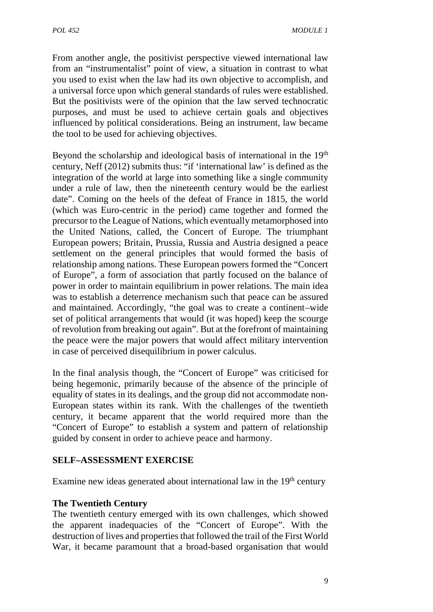From another angle, the positivist perspective viewed international law from an "instrumentalist" point of view, a situation in contrast to what you used to exist when the law had its own objective to accomplish, and a universal force upon which general standards of rules were established. But the positivists were of the opinion that the law served technocratic purposes, and must be used to achieve certain goals and objectives influenced by political considerations. Being an instrument, law became the tool to be used for achieving objectives.

Beyond the scholarship and ideological basis of international in the 19<sup>th</sup> century, Neff (2012) submits thus: "if 'international law' is defined as the integration of the world at large into something like a single community under a rule of law, then the nineteenth century would be the earliest date". Coming on the heels of the defeat of France in 1815, the world (which was Euro-centric in the period) came together and formed the precursor to the League of Nations, which eventually metamorphosed into the United Nations, called, the Concert of Europe. The triumphant European powers; Britain, Prussia, Russia and Austria designed a peace settlement on the general principles that would formed the basis of relationship among nations. These European powers formed the "Concert of Europe", a form of association that partly focused on the balance of power in order to maintain equilibrium in power relations. The main idea was to establish a deterrence mechanism such that peace can be assured and maintained. Accordingly, "the goal was to create a continent–wide set of political arrangements that would (it was hoped) keep the scourge of revolution from breaking out again". But at the forefront of maintaining the peace were the major powers that would affect military intervention in case of perceived disequilibrium in power calculus.

In the final analysis though, the "Concert of Europe" was criticised for being hegemonic, primarily because of the absence of the principle of equality of states in its dealings, and the group did not accommodate non- European states within its rank. With the challenges of the twentieth century, it became apparent that the world required more than the "Concert of Europe" to establish a system and pattern of relationship guided by consent in order to achieve peace and harmony.

#### **SELF–ASSESSMENT EXERCISE**

Examine new ideas generated about international law in the  $19<sup>th</sup>$  century

#### **The Twentieth Century**

The twentieth century emerged with its own challenges, which showed the apparent inadequacies of the "Concert of Europe". With the destruction of lives and properties that followed the trail of the First World War, it became paramount that a broad-based organisation that would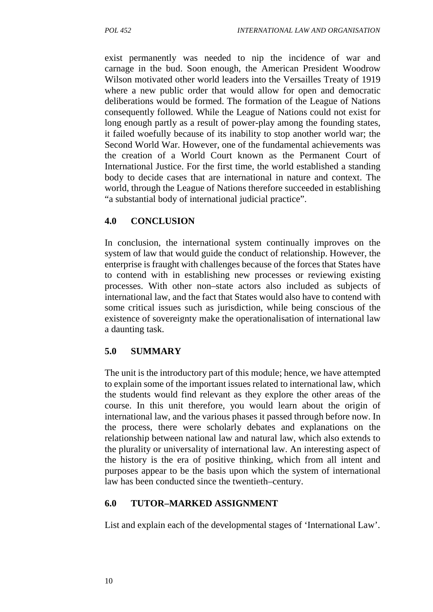exist permanently was needed to nip the incidence of war and carnage in the bud. Soon enough, the American President Woodrow Wilson motivated other world leaders into the Versailles Treaty of 1919 where a new public order that would allow for open and democratic deliberations would be formed. The formation of the League of Nations consequently followed. While the League of Nations could not exist for long enough partly as a result of power-play among the founding states, it failed woefully because of its inability to stop another world war; the Second World War. However, one of the fundamental achievements was the creation of a World Court known as the Permanent Court of International Justice. For the first time, the world established a standing body to decide cases that are international in nature and context. The world, through the League of Nations therefore succeeded in establishing "a substantial body of international judicial practice".

#### **4.0 CONCLUSION**

In conclusion, the international system continually improves on the system of law that would guide the conduct of relationship. However, the enterprise is fraught with challenges because of the forces that States have to contend with in establishing new processes or reviewing existing processes. With other non–state actors also included as subjects of international law, and the fact that States would also have to contend with some critical issues such as jurisdiction, while being conscious of the existence of sovereignty make the operationalisation of international law a daunting task.

# **5.0 SUMMARY**

The unit is the introductory part of this module; hence, we have attempted to explain some of the important issues related to international law, which the students would find relevant as they explore the other areas of the course. In this unit therefore, you would learn about the origin of international law, and the various phases it passed through before now. In the process, there were scholarly debates and explanations on the relationship between national law and natural law, which also extends to the plurality or universality of international law. An interesting aspect of the history is the era of positive thinking, which from all intent and purposes appear to be the basis upon which the system of international law has been conducted since the twentieth–century.

#### **6.0 TUTOR–MARKED ASSIGNMENT**

List and explain each of the developmental stages of 'International Law'.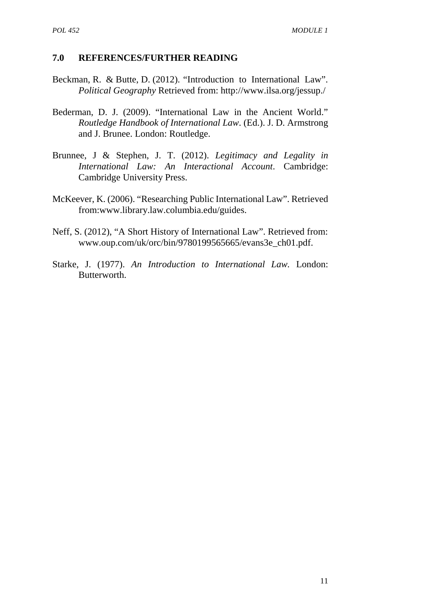#### **7.0 REFERENCES/FURTHER READING**

- Beckman, R. & Butte, D. (2012). "Introduction to International Law". *Political Geography* Retrieved from: http://www.ilsa.org/jessup./
- Bederman, D. J. (2009). "International Law in the Ancient World." *Routledge Handbook of International Law*. (Ed.). J. D. Armstrong and J. Brunee. London: Routledge.
- Brunnee, J & Stephen, J. T. (2012). *Legitimacy and Legality in International Law: An Interactional Account*. Cambridge: Cambridge University Press.
- McKeever, K. (2006). "Researching Public International Law". Retrieved from:www.library.law.columbia.edu/guides.
- Neff, S. (2012), "A Short History of International Law". Retrieved from: www.oup.com/uk/orc/bin/9780199565665/evans3e\_ch01.pdf.
- Starke, J. (1977). *An Introduction to International Law.* London: Butterworth.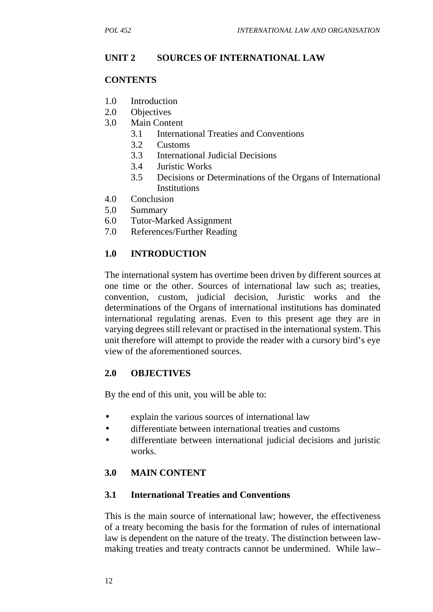# **UNIT 2 SOURCES OF INTERNATIONAL LAW**

#### **CONTENTS**

- 1.0 Introduction
- 2.0 Objectives
- 3.0 Main Content
	- 3.1 International Treaties and Conventions
	- 3.2 Customs
	- 3.3 International Judicial Decisions
	- 3.4 Juristic Works
	- 3.5 Decisions or Determinations of the Organs of International Institutions
- 4.0 Conclusion
- 5.0 Summary
- 6.0 Tutor-Marked Assignment
- 7.0 References/Further Reading

#### **1.0 INTRODUCTION**

The international system has overtime been driven by different sources at one time or the other. Sources of international law such as; treaties, convention, custom, judicial decision, Juristic works and the determinations of the Organs of international institutions has dominated international regulating arenas. Even to this present age they are in varying degrees still relevant or practised in the international system. This unit therefore will attempt to provide the reader with a cursory bird's eye view of the aforementioned sources.

#### **2.0 OBJECTIVES**

By the end of this unit, you will be able to:

- explain the various sources of international law
- differentiate between international treaties and customs
- differentiate between international judicial decisions and juristic works.

#### **3.0 MAIN CONTENT**

#### **3.1 International Treaties and Conventions**

This is the main source of international law; however, the effectiveness of a treaty becoming the basis for the formation of rules of international law is dependent on the nature of the treaty. The distinction between law making treaties and treaty contracts cannot be undermined. While law–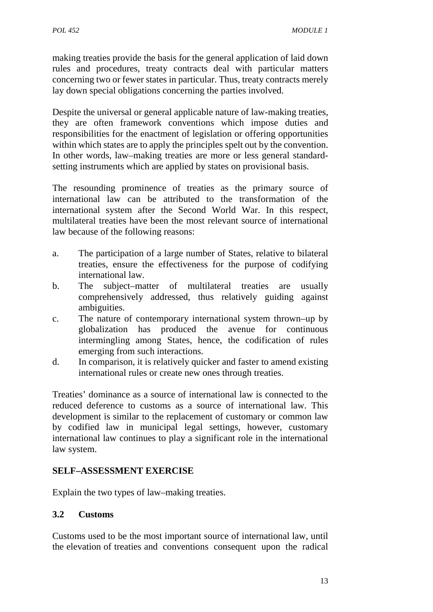making treaties provide the basis for the general application of laid down rules and procedures, treaty contracts deal with particular matters concerning two or fewer states in particular. Thus, treaty contracts merely lay down special obligations concerning the parties involved.

Despite the universal or general applicable nature of law-making treaties, they are often framework conventions which impose duties and responsibilities for the enactment of legislation or offering opportunities within which states are to apply the principles spelt out by the convention. In other words, law–making treaties are more or less general standard setting instruments which are applied by states on provisional basis.

The resounding prominence of treaties as the primary source of international law can be attributed to the transformation of the international system after the Second World War. In this respect, multilateral treaties have been the most relevant source of international law because of the following reasons:

- a. The participation of a large number of States, relative to bilateral treaties, ensure the effectiveness for the purpose of codifying international law.
- b. The subject–matter of multilateral treaties are usually comprehensively addressed, thus relatively guiding against ambiguities.
- c. The nature of contemporary international system thrown–up by globalization has produced the avenue for continuous intermingling among States, hence, the codification of rules emerging from such interactions.
- d. In comparison, it is relatively quicker and faster to amend existing international rules or create new ones through treaties.

Treaties' dominance as a source of international law is connected to the reduced deference to customs as a source of international law. This development is similar to the replacement of customary or common law by codified law in municipal legal settings, however, customary international law continues to play a significant role in the international law system.

#### **SELF–ASSESSMENT EXERCISE**

Explain the two types of law–making treaties.

#### **3.2 Customs**

Customs used to be the most important source of international law, until the elevation of treaties and conventions consequent upon the radical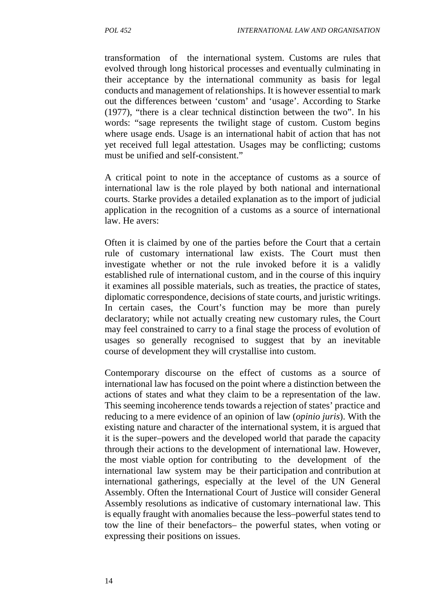transformation of the international system. Customs are rules that evolved through long historical processes and eventually culminating in their acceptance by the international community as basis for legal conducts and management of relationships. It is however essential to mark out the differences between 'custom' and 'usage'. According to Starke (1977), "there is a clear technical distinction between the two". In his words: "sage represents the twilight stage of custom. Custom begins where usage ends. Usage is an international habit of action that has not yet received full legal attestation. Usages may be conflicting; customs must be unified and self-consistent."

A critical point to note in the acceptance of customs as a source of international law is the role played by both national and international courts. Starke provides a detailed explanation as to the import of judicial application in the recognition of a customs as a source of international law. He avers:

Often it is claimed by one of the parties before the Court that a certain rule of customary international law exists. The Court must then investigate whether or not the rule invoked before it is a validly established rule of international custom, and in the course of this inquiry it examines all possible materials, such as treaties, the practice of states, diplomatic correspondence, decisions of state courts, and juristic writings. In certain cases, the Court's function may be more than purely declaratory; while not actually creating new customary rules, the Court may feel constrained to carry to a final stage the process of evolution of usages so generally recognised to suggest that by an inevitable course of development they will crystallise into custom.

Contemporary discourse on the effect of customs as a source of international law has focused on the point where a distinction between the actions of states and what they claim to be a representation of the law. This seeming incoherence tends towards a rejection of states' practice and reducing to a mere evidence of an opinion of law (*opinio juris*). With the existing nature and character of the international system, it is argued that it is the super–powers and the developed world that parade the capacity through their actions to the development of international law. However, the most viable option for contributing to the development of the international law system may be their participation and contribution at international gatherings, especially at the level of the UN General Assembly. Often the International Court of Justice will consider General Assembly resolutions as indicative of customary international law. This is equally fraught with anomalies because the less–powerful states tend to tow the line of their benefactors– the powerful states, when voting or expressing their positions on issues.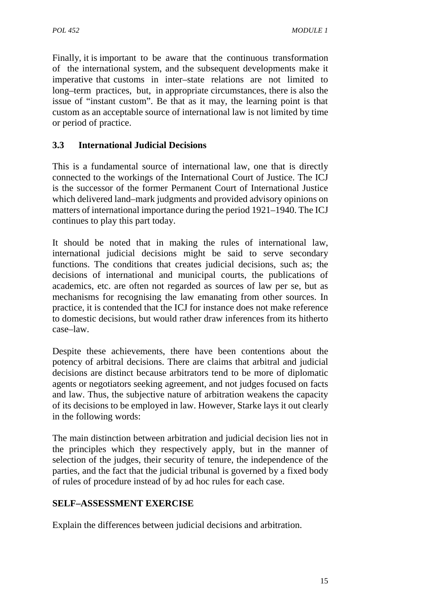Finally, it is important to be aware that the continuous transformation of the international system, and the subsequent developments make it imperative that customs in inter–state relations are not limited to long–term practices, but, in appropriate circumstances, there is also the issue of "instant custom". Be that as it may, the learning point is that custom as an acceptable source of international law is not limited by time or period of practice.

# **3.3 International Judicial Decisions**

This is a fundamental source of international law, one that is directly connected to the workings of the International Court of Justice. The ICJ is the successor of the former Permanent Court of International Justice which delivered land–mark judgments and provided advisory opinions on matters of international importance during the period 1921–1940. The ICJ continues to play this part today.

It should be noted that in making the rules of international law, international judicial decisions might be said to serve secondary functions. The conditions that creates judicial decisions, such as; the decisions of international and municipal courts, the publications of academics, etc. are often not regarded as sources of law per se, but as mechanisms for recognising the law emanating from other sources. In practice, it is contended that the ICJ for instance does not make reference to domestic decisions, but would rather draw inferences from its hitherto case–law.

Despite these achievements, there have been contentions about the potency of arbitral decisions. There are claims that arbitral and judicial decisions are distinct because arbitrators tend to be more of diplomatic agents or negotiators seeking agreement, and not judges focused on facts and law. Thus, the subjective nature of arbitration weakens the capacity of its decisions to be employed in law. However, Starke lays it out clearly in the following words:

The main distinction between arbitration and judicial decision lies not in the principles which they respectively apply, but in the manner of selection of the judges, their security of tenure, the independence of the parties, and the fact that the judicial tribunal is governed by a fixed body of rules of procedure instead of by ad hoc rules for each case.

### **SELF–ASSESSMENT EXERCISE**

Explain the differences between judicial decisions and arbitration.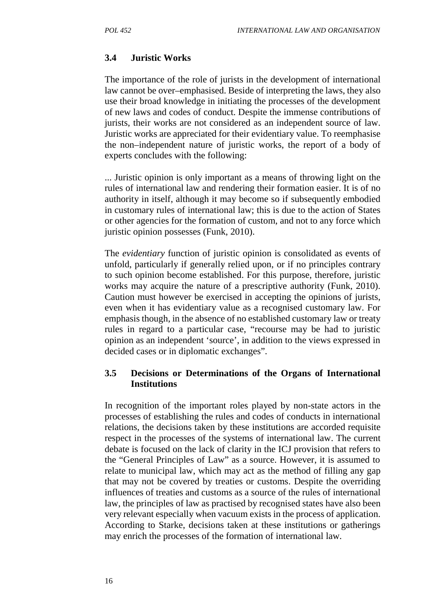### **3.4 Juristic Works**

The importance of the role of jurists in the development of international law cannot be over–emphasised. Beside of interpreting the laws, they also use their broad knowledge in initiating the processes of the development of new laws and codes of conduct. Despite the immense contributions of jurists, their works are not considered as an independent source of law. Juristic works are appreciated for their evidentiary value. To reemphasise the non–independent nature of juristic works, the report of a body of experts concludes with the following:

... Juristic opinion is only important as a means of throwing light on the rules of international law and rendering their formation easier. It is of no authority in itself, although it may become so if subsequently embodied in customary rules of international law; this is due to the action of States or other agencies for the formation of custom, and not to any force which juristic opinion possesses (Funk, 2010).

The *evidentiary* function of juristic opinion is consolidated as events of unfold, particularly if generally relied upon, or if no principles contrary to such opinion become established. For this purpose, therefore, juristic works may acquire the nature of a prescriptive authority (Funk, 2010). Caution must however be exercised in accepting the opinions of jurists, even when it has evidentiary value as a recognised customary law. For emphasis though, in the absence of no established customary law or treaty rules in regard to a particular case, "recourse may be had to juristic opinion as an independent 'source', in addition to the views expressed in decided cases or in diplomatic exchanges".

#### **3.5 Decisions or Determinations of the Organs of International Institutions**

In recognition of the important roles played by non-state actors in the processes of establishing the rules and codes of conducts in international relations, the decisions taken by these institutions are accorded requisite respect in the processes of the systems of international law. The current debate is focused on the lack of clarity in the ICJ provision that refers to the "General Principles of Law" as a source. However, it is assumed to relate to municipal law, which may act as the method of filling any gap that may not be covered by treaties or customs. Despite the overriding influences of treaties and customs as a source of the rules of international law, the principles of law as practised by recognised states have also been very relevant especially when vacuum exists in the process of application. According to Starke, decisions taken at these institutions or gatherings may enrich the processes of the formation of international law.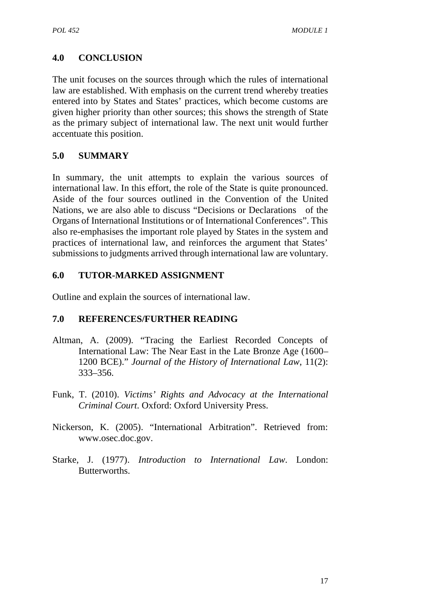# **4.0 CONCLUSION**

The unit focuses on the sources through which the rules of international law are established. With emphasis on the current trend whereby treaties entered into by States and States' practices, which become customs are given higher priority than other sources; this shows the strength of State as the primary subject of international law. The next unit would further accentuate this position.

### **5.0 SUMMARY**

In summary, the unit attempts to explain the various sources of international law. In this effort, the role of the State is quite pronounced. Aside of the four sources outlined in the Convention of the United Nations, we are also able to discuss "Decisions or Declarations of the Organs of International Institutions or of International Conferences". This also re-emphasises the important role played by States in the system and practices of international law, and reinforces the argument that States' submissions to judgments arrived through international law are voluntary.

# **6.0 TUTOR-MARKED ASSIGNMENT**

Outline and explain the sources of international law.

- Altman, A. (2009). "Tracing the Earliest Recorded Concepts of International Law: The Near East in the Late Bronze Age (1600– 1200 BCE)." *Journal of the History of International Law*, 11(2): 333–356.
- Funk, T. (2010). *Victims' Rights and Advocacy at the International Criminal Court*. Oxford: Oxford University Press.
- Nickerson, K. (2005). "International Arbitration". Retrieved from: www.osec.doc.gov.
- Starke, J. (1977). *Introduction to International Law*. London: Butterworths.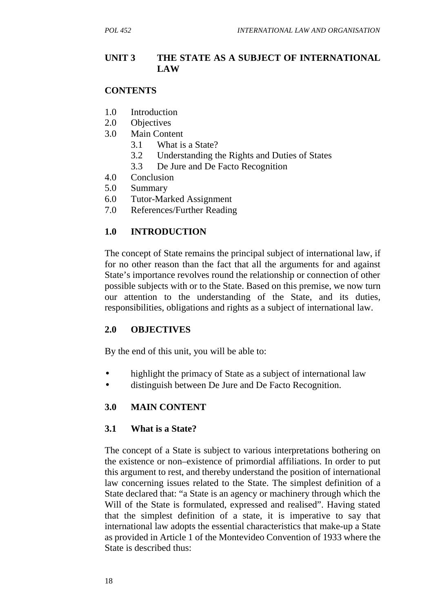### **UNIT 3 THE STATE AS A SUBJECT OF INTERNATIONAL LAW**

### **CONTENTS**

- 1.0 Introduction
- 2.0 Objectives
- 3.0 Main Content
	- 3.1 What is a State?
	- 3.2 Understanding the Rights and Duties of States
	- 3.3 De Jure and De Facto Recognition
- 4.0 Conclusion
- 5.0 Summary
- 6.0 Tutor-Marked Assignment
- 7.0 References/Further Reading

### **1.0 INTRODUCTION**

The concept of State remains the principal subject of international law, if for no other reason than the fact that all the arguments for and against State's importance revolves round the relationship or connection of other possible subjects with or to the State. Based on this premise, we now turn our attention to the understanding of the State, and its duties, responsibilities, obligations and rights as a subject of international law.

### **2.0 OBJECTIVES**

By the end of this unit, you will be able to:

- highlight the primacy of State as a subject of international law
- distinguish between De Jure and De Facto Recognition.

### **3.0 MAIN CONTENT**

#### **3.1 What is a State?**

The concept of a State is subject to various interpretations bothering on the existence or non–existence of primordial affiliations. In order to put this argument to rest, and thereby understand the position of international law concerning issues related to the State. The simplest definition of a State declared that: "a State is an agency or machinery through which the Will of the State is formulated, expressed and realised". Having stated that the simplest definition of a state, it is imperative to say that international law adopts the essential characteristics that make-up a State as provided in Article 1 of the Montevideo Convention of 1933 where the State is described thus: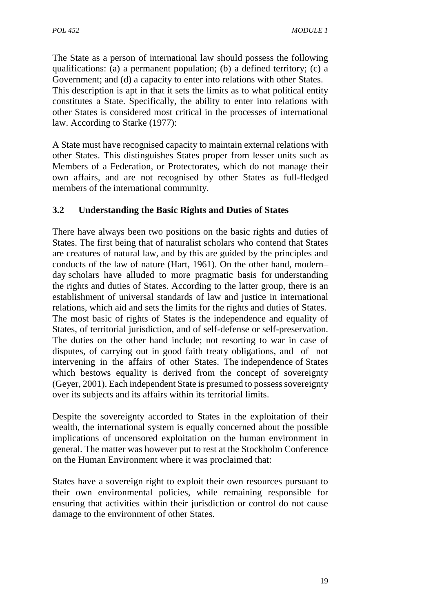The State as a person of international law should possess the following qualifications: (a) a permanent population; (b) a defined territory; (c) a Government; and (d) a capacity to enter into relations with other States. This description is apt in that it sets the limits as to what political entity constitutes a State. Specifically, the ability to enter into relations with other States is considered most critical in the processes of international law. According to Starke (1977):

A State must have recognised capacity to maintain external relations with other States. This distinguishes States proper from lesser units such as Members of a Federation, or Protectorates, which do not manage their own affairs, and are not recognised by other States as full-fledged members of the international community.

# **3.2 Understanding the Basic Rights and Duties of States**

There have always been two positions on the basic rights and duties of States. The first being that of naturalist scholars who contend that States are creatures of natural law, and by this are guided by the principles and conducts of the law of nature (Hart, 1961). On the other hand, modern– day scholars have alluded to more pragmatic basis for understanding the rights and duties of States. According to the latter group, there is an establishment of universal standards of law and justice in international relations, which aid and sets the limits for the rights and duties of States. The most basic of rights of States is the independence and equality of States, of territorial jurisdiction, and of self-defense or self-preservation. The duties on the other hand include; not resorting to war in case of disputes, of carrying out in good faith treaty obligations, and of not intervening in the affairs of other States. The independence of States which bestows equality is derived from the concept of sovereignty (Geyer, 2001). Each independent State is presumed to possess sovereignty over its subjects and its affairs within its territorial limits.

Despite the sovereignty accorded to States in the exploitation of their wealth, the international system is equally concerned about the possible implications of uncensored exploitation on the human environment in general. The matter was however put to rest at the Stockholm Conference on the Human Environment where it was proclaimed that:

States have a sovereign right to exploit their own resources pursuant to their own environmental policies, while remaining responsible for ensuring that activities within their jurisdiction or control do not cause damage to the environment of other States.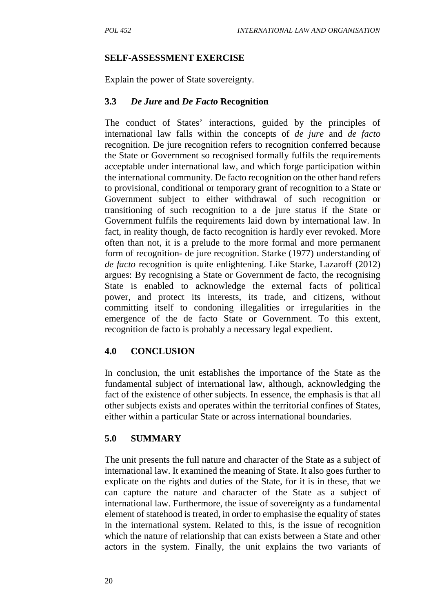### **SELF-ASSESSMENT EXERCISE**

Explain the power of State sovereignty.

### **3.3** *De Jure* **and** *De Facto* **Recognition**

The conduct of States' interactions, guided by the principles of international law falls within the concepts of *de jure* and *de facto* recognition. De jure recognition refers to recognition conferred because the State or Government so recognised formally fulfils the requirements acceptable under international law, and which forge participation within the international community. De facto recognition on the other hand refers to provisional, conditional or temporary grant of recognition to a State or Government subject to either withdrawal of such recognition or transitioning of such recognition to a de jure status if the State or Government fulfils the requirements laid down by international law. In fact, in reality though, de facto recognition is hardly ever revoked. More often than not, it is a prelude to the more formal and more permanent form of recognition- de jure recognition. Starke (1977) understanding of *de facto* recognition is quite enlightening. Like Starke, Lazaroff (2012) argues: By recognising a State or Government de facto, the recognising State is enabled to acknowledge the external facts of political power, and protect its interests, its trade, and citizens, without committing itself to condoning illegalities or irregularities in the emergence of the de facto State or Government. To this extent, recognition de facto is probably a necessary legal expedient*.*

### **4.0 CONCLUSION**

In conclusion, the unit establishes the importance of the State as the fundamental subject of international law, although, acknowledging the fact of the existence of other subjects. In essence, the emphasis is that all other subjects exists and operates within the territorial confines of States, either within a particular State or across international boundaries.

### **5.0 SUMMARY**

The unit presents the full nature and character of the State as a subject of international law. It examined the meaning of State. It also goes further to explicate on the rights and duties of the State, for it is in these, that we can capture the nature and character of the State as a subject of international law. Furthermore, the issue of sovereignty as a fundamental element of statehood is treated, in order to emphasise the equality of states in the international system. Related to this, is the issue of recognition which the nature of relationship that can exists between a State and other actors in the system. Finally, the unit explains the two variants of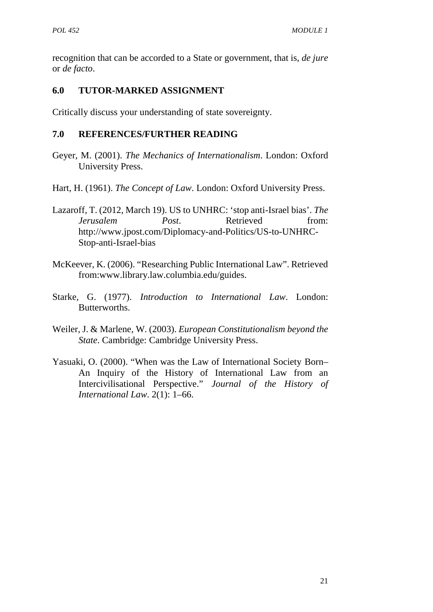recognition that can be accorded to a State or government, that is, *de jure* or *de facto*.

# **6.0 TUTOR-MARKED ASSIGNMENT**

Critically discuss your understanding of state sovereignty.

- Geyer, M. (2001). *The Mechanics of Internationalism*. London: Oxford University Press.
- Hart, H. (1961). *The Concept of Law*. London: Oxford University Press.
- Lazaroff, T. (2012, March 19). US to UNHRC: 'stop anti-Israel bias'. *The Jerusalem Post.* Retrieved from: http://www.jpost.com/Diplomacy-and-Politics/US-to-UNHRC- Stop-anti-Israel-bias
- McKeever, K. (2006). "Researching Public International Law". Retrieved from:www.library.law.columbia.edu/guides.
- Starke, G. (1977). *Introduction to International Law*. London: Butterworths.
- Weiler, J. & Marlene, W. (2003). *European Constitutionalism beyond the State*. Cambridge: Cambridge University Press.
- Yasuaki, O. (2000). "When was the Law of International Society Born– An Inquiry of the History of International Law from an Intercivilisational Perspective." *Journal of the History of International Law*. 2(1): 1–66.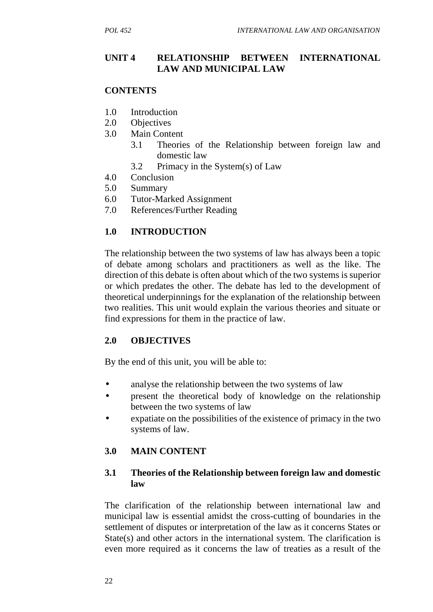### **UNIT 4 RELATIONSHIP BETWEEN INTERNATIONAL LAW AND MUNICIPAL LAW**

#### **CONTENTS**

- 1.0 Introduction
- 2.0 Objectives
- 3.0 Main Content
	- 3.1 Theories of the Relationship between foreign law and domestic law
	- 3.2 Primacy in the System(s) of Law
- 4.0 Conclusion
- 5.0 Summary
- 6.0 Tutor-Marked Assignment
- 7.0 References/Further Reading

#### **1.0 INTRODUCTION**

The relationship between the two systems of law has always been a topic of debate among scholars and practitioners as well as the like. The direction of this debate is often about which of the two systems is superior or which predates the other. The debate has led to the development of theoretical underpinnings for the explanation of the relationship between two realities. This unit would explain the various theories and situate or find expressions for them in the practice of law.

#### **2.0 OBJECTIVES**

By the end of this unit, you will be able to:

- analyse the relationship between the two systems of law
- present the theoretical body of knowledge on the relationship between the two systems of law
- expatiate on the possibilities of the existence of primacy in the two systems of law.

#### **3.0 MAIN CONTENT**

### **3.1 Theories of the Relationship between foreign law and domestic law**

The clarification of the relationship between international law and municipal law is essential amidst the cross-cutting of boundaries in the settlement of disputes or interpretation of the law as it concerns States or State(s) and other actors in the international system. The clarification is even more required as it concerns the law of treaties as a result of the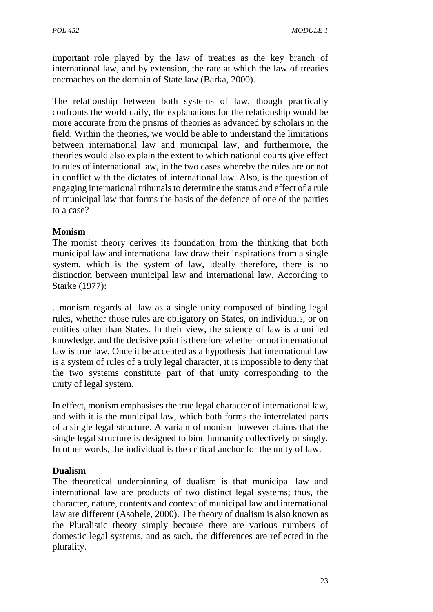important role played by the law of treaties as the key branch of international law, and by extension, the rate at which the law of treaties encroaches on the domain of State law (Barka, 2000).

The relationship between both systems of law, though practically confronts the world daily, the explanations for the relationship would be more accurate from the prisms of theories as advanced by scholars in the field. Within the theories, we would be able to understand the limitations between international law and municipal law, and furthermore, the theories would also explain the extent to which national courts give effect to rules of international law, in the two cases whereby the rules are or not in conflict with the dictates of international law. Also, is the question of engaging international tribunals to determine the status and effect of a rule of municipal law that forms the basis of the defence of one of the parties to a case?

# **Monism**

The monist theory derives its foundation from the thinking that both municipal law and international law draw their inspirations from a single system, which is the system of law, ideally therefore, there is no distinction between municipal law and international law. According to Starke (1977):

...monism regards all law as a single unity composed of binding legal rules, whether those rules are obligatory on States, on individuals, or on entities other than States. In their view, the science of law is a unified knowledge, and the decisive point is therefore whether or not international law is true law. Once it be accepted as a hypothesis that international law is a system of rules of a truly legal character, it is impossible to deny that the two systems constitute part of that unity corresponding to the unity of legal system*.*

In effect, monism emphasises the true legal character of international law, and with it is the municipal law, which both forms the interrelated parts of a single legal structure. A variant of monism however claims that the single legal structure is designed to bind humanity collectively or singly. In other words, the individual is the critical anchor for the unity of law.

### **Dualism**

The theoretical underpinning of dualism is that municipal law and international law are products of two distinct legal systems; thus, the character, nature, contents and context of municipal law and international law are different (Asobele, 2000). The theory of dualism is also known as the Pluralistic theory simply because there are various numbers of domestic legal systems, and as such, the differences are reflected in the plurality.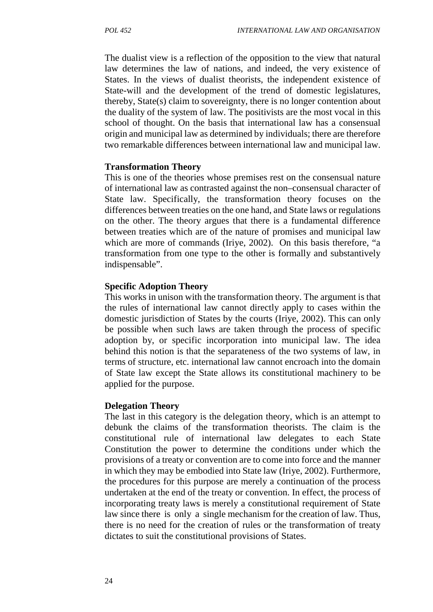The dualist view is a reflection of the opposition to the view that natural law determines the law of nations, and indeed, the very existence of States. In the views of dualist theorists, the independent existence of State-will and the development of the trend of domestic legislatures, thereby, State(s) claim to sovereignty, there is no longer contention about the duality of the system of law. The positivists are the most vocal in this school of thought. On the basis that international law has a consensual origin and municipal law as determined by individuals; there are therefore two remarkable differences between international law and municipal law.

#### **Transformation Theory**

This is one of the theories whose premises rest on the consensual nature of international law as contrasted against the non–consensual character of State law. Specifically, the transformation theory focuses on the differences between treaties on the one hand, and State laws or regulations on the other. The theory argues that there is a fundamental difference between treaties which are of the nature of promises and municipal law which are more of commands (Iriye, 2002). On this basis therefore, "a transformation from one type to the other is formally and substantively indispensable".

#### **Specific Adoption Theory**

This works in unison with the transformation theory. The argument is that the rules of international law cannot directly apply to cases within the domestic jurisdiction of States by the courts (Iriye, 2002). This can only be possible when such laws are taken through the process of specific adoption by, or specific incorporation into municipal law. The idea behind this notion is that the separateness of the two systems of law, in terms of structure, etc. international law cannot encroach into the domain of State law except the State allows its constitutional machinery to be applied for the purpose.

#### **Delegation Theory**

The last in this category is the delegation theory, which is an attempt to debunk the claims of the transformation theorists. The claim is the constitutional rule of international law delegates to each State Constitution the power to determine the conditions under which the provisions of a treaty or convention are to come into force and the manner in which they may be embodied into State law (Iriye, 2002). Furthermore, the procedures for this purpose are merely a continuation of the process undertaken at the end of the treaty or convention. In effect, the process of incorporating treaty laws is merely a constitutional requirement of State law since there is only a single mechanism for the creation of law. Thus, there is no need for the creation of rules or the transformation of treaty dictates to suit the constitutional provisions of States.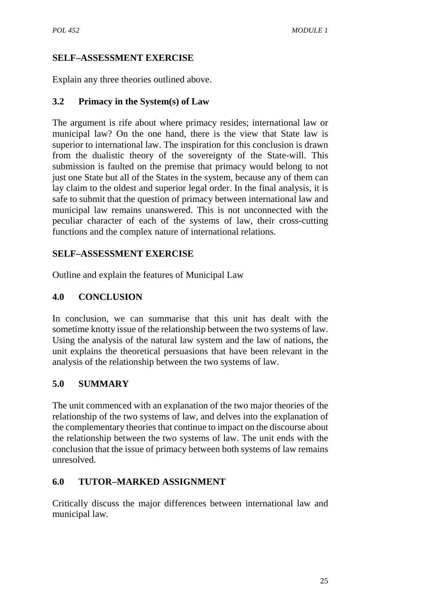# **SELF–ASSESSMENT EXERCISE**

Explain any three theories outlined above.

## **3.2 Primacy in the System(s) of Law**

The argument is rife about where primacy resides; international law or municipal law? On the one hand, there is the view that State law is superior to international law. The inspiration for this conclusion is drawn from the dualistic theory of the sovereignty of the State-will. This submission is faulted on the premise that primacy would belong to not just one State but all of the States in the system, because any of them can lay claim to the oldest and superior legal order. In the final analysis, it is safe to submit that the question of primacy between international law and municipal law remains unanswered. This is not unconnected with the peculiar character of each of the systems of law, their cross-cutting functions and the complex nature of international relations.

### **SELF–ASSESSMENT EXERCISE**

Outline and explain the features of Municipal Law

# **4.0 CONCLUSION**

In conclusion, we can summarise that this unit has dealt with the sometime knotty issue of the relationship between the two systems of law. Using the analysis of the natural law system and the law of nations, the unit explains the theoretical persuasions that have been relevant in the analysis of the relationship between the two systems of law.

# **5.0 SUMMARY**

The unit commenced with an explanation of the two major theories of the relationship of the two systems of law, and delves into the explanation of the complementary theories that continue to impact on the discourse about the relationship between the two systems of law. The unit ends with the conclusion that the issue of primacy between both systems of law remains unresolved.

# **6.0 TUTOR–MARKED ASSIGNMENT**

Critically discuss the major differences between international law and municipal law.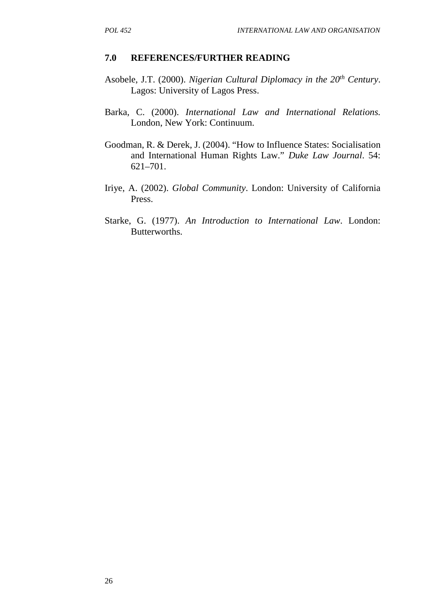- Asobele, J.T. (2000). *Nigerian Cultural Diplomacy in the 20th Century*. Lagos: University of Lagos Press.
- Barka, C. (2000). *International Law and International Relations.* London, New York: Continuum.
- Goodman, R. & Derek, J. (2004). "How to Influence States: Socialisation and International Human Rights Law." *Duke Law Journal*. 54: 621–701.
- Iriye, A. (2002). *Global Community*. London: University of California Press.
- Starke, G. (1977). *An Introduction to International Law*. London: Butterworths.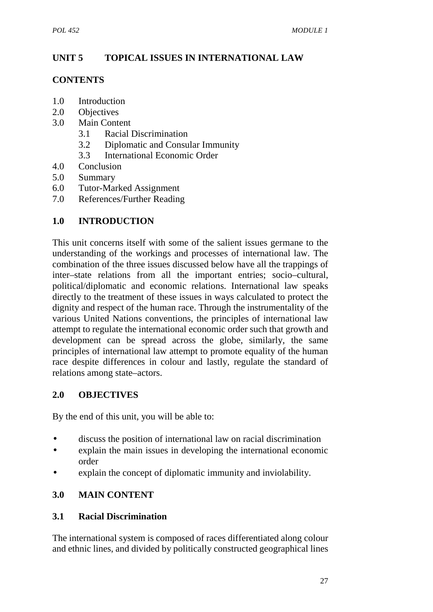# **UNIT 5 TOPICAL ISSUES IN INTERNATIONAL LAW**

## **CONTENTS**

- 1.0 Introduction
- 2.0 Objectives
- 3.0 Main Content
	- 3.1 Racial Discrimination
	- 3.2 Diplomatic and Consular Immunity
	- 3.3 International Economic Order
- 4.0 Conclusion
- 5.0 Summary
- 6.0 Tutor-Marked Assignment
- 7.0 References/Further Reading

# **1.0 INTRODUCTION**

This unit concerns itself with some of the salient issues germane to the understanding of the workings and processes of international law. The combination of the three issues discussed below have all the trappings of inter–state relations from all the important entries; socio–cultural, political/diplomatic and economic relations. International law speaks directly to the treatment of these issues in ways calculated to protect the dignity and respect of the human race. Through the instrumentality of the various United Nations conventions, the principles of international law attempt to regulate the international economic order such that growth and development can be spread across the globe, similarly, the same principles of international law attempt to promote equality of the human race despite differences in colour and lastly, regulate the standard of relations among state–actors.

### **2.0 OBJECTIVES**

By the end of this unit, you will be able to:

- discuss the position of international law on racial discrimination
- explain the main issues in developing the international economic order
- explain the concept of diplomatic immunity and inviolability.

# **3.0 MAIN CONTENT**

# **3.1 Racial Discrimination**

The international system is composed of races differentiated along colour and ethnic lines, and divided by politically constructed geographical lines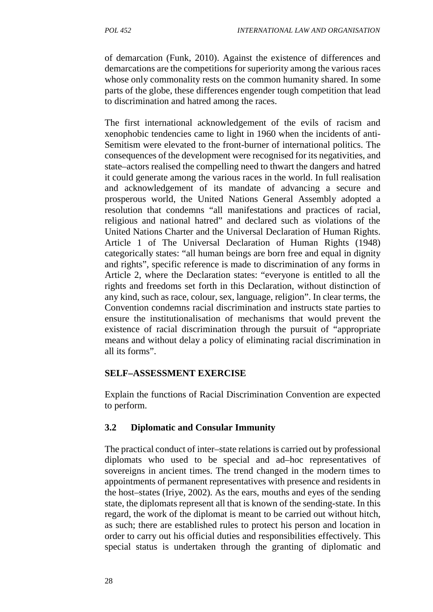of demarcation (Funk, 2010). Against the existence of differences and demarcations are the competitions for superiority among the various races whose only commonality rests on the common humanity shared. In some parts of the globe, these differences engender tough competition that lead to discrimination and hatred among the races.

The first international acknowledgement of the evils of racism and xenophobic tendencies came to light in 1960 when the incidents of anti- Semitism were elevated to the front-burner of international politics. The consequences of the development were recognised for its negativities, and state–actors realised the compelling need to thwart the dangers and hatred it could generate among the various races in the world. In full realisation and acknowledgement of its mandate of advancing a secure and prosperous world, the United Nations General Assembly adopted a resolution that condemns "all manifestations and practices of racial, religious and national hatred" and declared such as violations of the United Nations Charter and the Universal Declaration of Human Rights. Article 1 of The Universal Declaration of Human Rights (1948) categorically states: "all human beings are born free and equal in dignity and rights", specific reference is made to discrimination of any forms in Article 2, where the Declaration states: "everyone is entitled to all the rights and freedoms set forth in this Declaration, without distinction of any kind, such as race, colour, sex, language, religion". In clear terms, the Convention condemns racial discrimination and instructs state parties to ensure the institutionalisation of mechanisms that would prevent the existence of racial discrimination through the pursuit of "appropriate means and without delay a policy of eliminating racial discrimination in all its forms".

#### **SELF–ASSESSMENT EXERCISE**

Explain the functions of Racial Discrimination Convention are expected to perform.

#### **3.2 Diplomatic and Consular Immunity**

The practical conduct of inter–state relations is carried out by professional diplomats who used to be special and ad–hoc representatives of sovereigns in ancient times. The trend changed in the modern times to appointments of permanent representatives with presence and residents in the host–states (Iriye, 2002). As the ears, mouths and eyes of the sending state, the diplomats represent all that is known of the sending-state. In this regard, the work of the diplomat is meant to be carried out without hitch, as such; there are established rules to protect his person and location in order to carry out his official duties and responsibilities effectively. This special status is undertaken through the granting of diplomatic and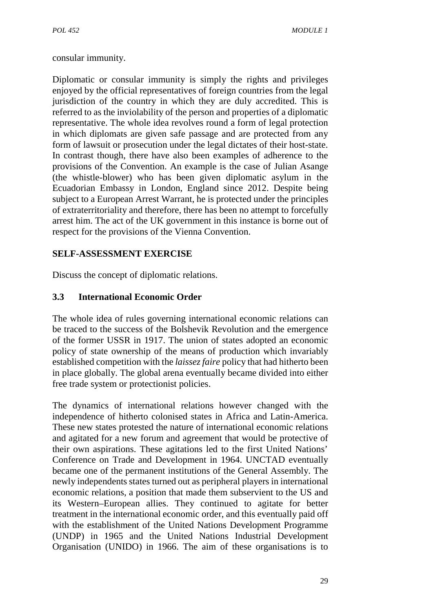consular immunity.

Diplomatic or consular immunity is simply the rights and privileges enjoyed by the official representatives of foreign countries from the legal jurisdiction of the country in which they are duly accredited. This is referred to as the inviolability of the person and properties of a diplomatic representative. The whole idea revolves round a form of legal protection in which diplomats are given safe passage and are protected from any form of lawsuit or prosecution under the legal dictates of their host-state. In contrast though, there have also been examples of adherence to the provisions of the Convention. An example is the case of Julian Asange (the whistle-blower) who has been given diplomatic asylum in the Ecuadorian Embassy in London, England since 2012. Despite being subject to a European Arrest Warrant, he is protected under the principles of extraterritoriality and therefore, there has been no attempt to forcefully arrest him. The act of the UK government in this instance is borne out of respect for the provisions of the Vienna Convention.

# **SELF-ASSESSMENT EXERCISE**

Discuss the concept of diplomatic relations.

# **3.3 International Economic Order**

The whole idea of rules governing international economic relations can be traced to the success of the Bolshevik Revolution and the emergence of the former USSR in 1917. The union of states adopted an economic policy of state ownership of the means of production which invariably established competition with the *laissez faire* policy that had hitherto been in place globally. The global arena eventually became divided into either free trade system or protectionist policies.

The dynamics of international relations however changed with the independence of hitherto colonised states in Africa and Latin-America. These new states protested the nature of international economic relations and agitated for a new forum and agreement that would be protective of their own aspirations. These agitations led to the first United Nations' Conference on Trade and Development in 1964. UNCTAD eventually became one of the permanent institutions of the General Assembly. The newly independents states turned out as peripheral players in international economic relations, a position that made them subservient to the US and its Western–European allies. They continued to agitate for better treatment in the international economic order, and this eventually paid off with the establishment of the United Nations Development Programme (UNDP) in 1965 and the United Nations Industrial Development Organisation (UNIDO) in 1966. The aim of these organisations is to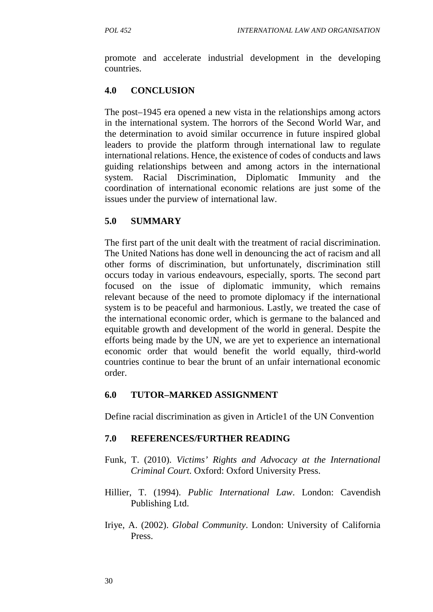promote and accelerate industrial development in the developing countries.

# **4.0 CONCLUSION**

The post–1945 era opened a new vista in the relationships among actors in the international system. The horrors of the Second World War, and the determination to avoid similar occurrence in future inspired global leaders to provide the platform through international law to regulate international relations. Hence, the existence of codes of conducts and laws guiding relationships between and among actors in the international system. Racial Discrimination, Diplomatic Immunity and the coordination of international economic relations are just some of the issues under the purview of international law.

### **5.0 SUMMARY**

The first part of the unit dealt with the treatment of racial discrimination. The United Nations has done well in denouncing the act of racism and all other forms of discrimination, but unfortunately, discrimination still occurs today in various endeavours, especially, sports. The second part focused on the issue of diplomatic immunity, which remains relevant because of the need to promote diplomacy if the international system is to be peaceful and harmonious. Lastly, we treated the case of the international economic order, which is germane to the balanced and equitable growth and development of the world in general. Despite the efforts being made by the UN, we are yet to experience an international economic order that would benefit the world equally, third-world countries continue to bear the brunt of an unfair international economic order.

### **6.0 TUTOR–MARKED ASSIGNMENT**

Define racial discrimination as given in Article1 of the UN Convention

- Funk, T. (2010). *Victims' Rights and Advocacy at the International Criminal Court*. Oxford: Oxford University Press.
- Hillier, T. (1994). *Public International Law*. London: Cavendish Publishing Ltd.
- Iriye, A. (2002). *Global Community*. London: University of California Press.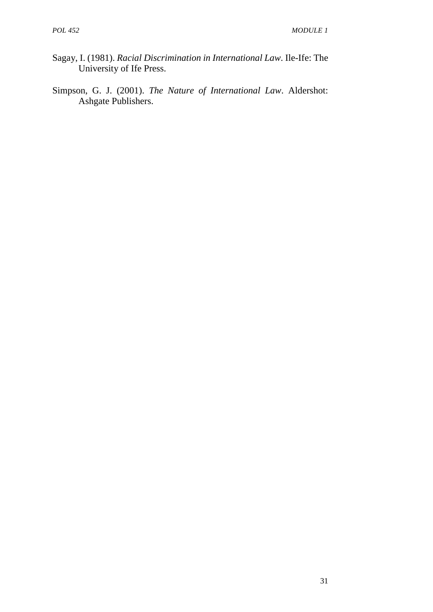- Sagay, I. (1981). *Racial Discrimination in International Law*. Ile-Ife: The University of Ife Press.
- Simpson, G. J. (2001). *The Nature of International Law*. Aldershot: Ashgate Publishers.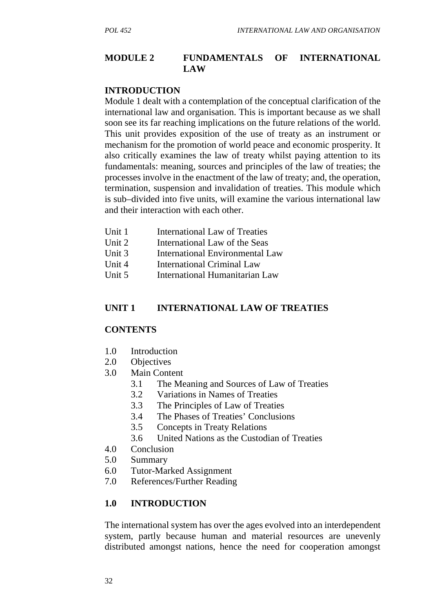#### **MODULE 2 FUNDAMENTALS OF INTERNATIONAL LAW**

#### **INTRODUCTION**

Module 1 dealt with a contemplation of the conceptual clarification of the international law and organisation. This is important because as we shall soon see its far reaching implications on the future relations of the world. This unit provides exposition of the use of treaty as an instrument or mechanism for the promotion of world peace and economic prosperity. It also critically examines the law of treaty whilst paying attention to its fundamentals: meaning, sources and principles of the law of treaties; the processes involve in the enactment of the law of treaty; and, the operation, termination, suspension and invalidation of treaties. This module which is sub–divided into five units, will examine the various international law and their interaction with each other.

- Unit 1 International Law of Treaties
- Unit 2 International Law of the Seas
- Unit 3 International Environmental Law
- Unit 4 International Criminal Law
- Unit 5 International Humanitarian Law

#### **UNIT 1 INTERNATIONAL LAW OF TREATIES**

### **CONTENTS**

- 1.0 Introduction
- 2.0 Objectives
- 3.0 Main Content
	- 3.1 The Meaning and Sources of Law of Treaties
	- 3.2 Variations in Names of Treaties
	- 3.3 The Principles of Law of Treaties
	- 3.4 The Phases of Treaties' Conclusions
	- 3.5 Concepts in Treaty Relations
	- 3.6 United Nations as the Custodian of Treaties
- 4.0 Conclusion
- 5.0 Summary
- 6.0 Tutor-Marked Assignment
- 7.0 References/Further Reading

#### **1.0 INTRODUCTION**

The international system has over the ages evolved into an interdependent system, partly because human and material resources are unevenly distributed amongst nations, hence the need for cooperation amongst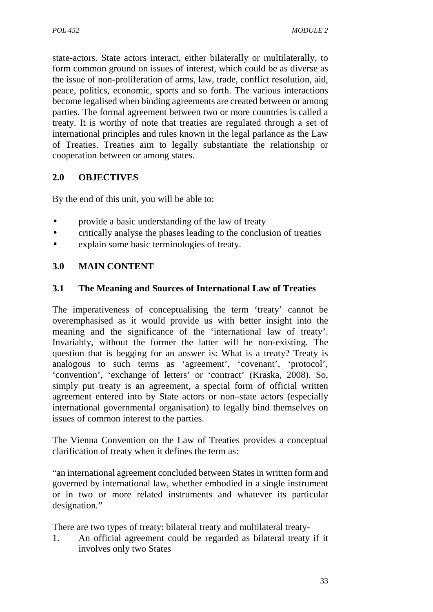state-actors. State actors interact, either bilaterally or multilaterally, to form common ground on issues of interest, which could be as diverse as the issue of non-proliferation of arms, law, trade, conflict resolution, aid, peace, politics, economic, sports and so forth. The various interactions become legalised when binding agreements are created between or among parties. The formal agreement between two or more countries is called a treaty. It is worthy of note that treaties are regulated through a set of international principles and rules known in the legal parlance as the Law of Treaties. Treaties aim to legally substantiate the relationship or cooperation between or among states.

# **2.0 OBJECTIVES**

By the end of this unit, you will be able to:

- provide a basic understanding of the law of treaty
- critically analyse the phases leading to the conclusion of treaties
- explain some basic terminologies of treaty.

# **3.0 MAIN CONTENT**

### **3.1 The Meaning and Sources of International Law of Treaties**

The imperativeness of conceptualising the term 'treaty' cannot be overemphasised as it would provide us with better insight into the meaning and the significance of the 'international law of treaty'. Invariably, without the former the latter will be non-existing. The question that is begging for an answer is: What is a treaty? Treaty is analogous to such terms as 'agreement', 'covenant', 'protocol', 'convention', 'exchange of letters' or 'contract' (Kraska, 2008). So, simply put treaty is an agreement, a special form of official written agreement entered into by State actors or non–state actors (especially international governmental organisation) to legally bind themselves on issues of common interest to the parties.

The Vienna Convention on the Law of Treaties provides a conceptual clarification of treaty when it defines the term as:

"an international agreement concluded between States in written form and governed by international law, whether embodied in a single instrument or in two or more related instruments and whatever its particular designation*.*"

There are two types of treaty: bilateral treaty and multilateral treaty-

1. An official agreement could be regarded as bilateral treaty if it involves only two States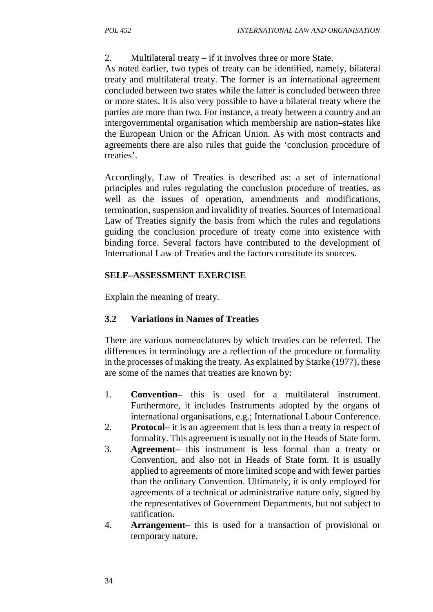2. Multilateral treaty – if it involves three or more State.

As noted earlier, two types of treaty can be identified, namely, bilateral treaty and multilateral treaty. The former is an international agreement concluded between two states while the latter is concluded between three or more states. It is also very possible to have a bilateral treaty where the parties are more than two. For instance, a treaty between a country and an intergovernmental organisation which membership are nation–states like the European Union or the African Union. As with most contracts and agreements there are also rules that guide the 'conclusion procedure of treaties'.

Accordingly, Law of Treaties is described as: a set of international principles and rules regulating the conclusion procedure of treaties, as well as the issues of operation, amendments and modifications, termination, suspension and invalidity of treaties*.* Sources of International Law of Treaties signify the basis from which the rules and regulations guiding the conclusion procedure of treaty come into existence with binding force. Several factors have contributed to the development of International Law of Treaties and the factors constitute its sources.

# **SELF–ASSESSMENT EXERCISE**

Explain the meaning of treaty.

### **3.2 Variations in Names of Treaties**

There are various nomenclatures by which treaties can be referred. The differences in terminology are a reflection of the procedure or formality in the processes of making the treaty. As explained by Starke (1977), these are some of the names that treaties are known by:

- 1. **Convention–** this is used for a multilateral instrument. Furthermore, it includes Instruments adopted by the organs of international organisations, e.g.; International Labour Conference.
- 2. **Protocol–** it is an agreement that is less than a treaty in respect of formality. This agreement is usually not in the Heads of State form.
- 3. **Agreement–** this instrument is less formal than a treaty or Convention, and also not in Heads of State form. It is usually applied to agreements of more limited scope and with fewer parties than the ordinary Convention. Ultimately, it is only employed for agreements of a technical or administrative nature only, signed by the representatives of Government Departments, but not subject to ratification.
- 4. **Arrangement–** this is used for a transaction of provisional or temporary nature.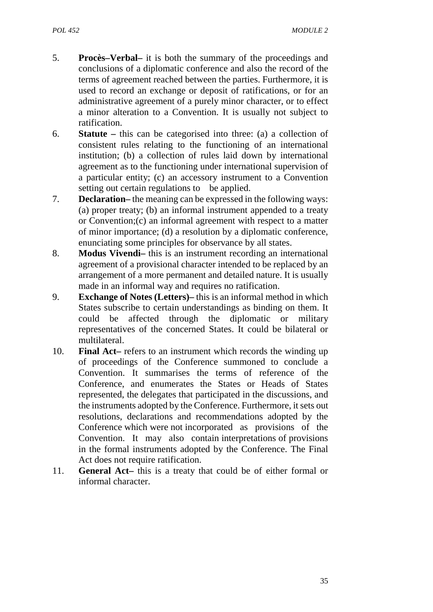- 5. **Procès–Verbal–** it is both the summary of the proceedings and conclusions of a diplomatic conference and also the record of the terms of agreement reached between the parties. Furthermore, it is used to record an exchange or deposit of ratifications, or for an administrative agreement of a purely minor character, or to effect a minor alteration to a Convention. It is usually not subject to ratification.
- 6. **Statute –** this can be categorised into three: (a) a collection of consistent rules relating to the functioning of an international institution; (b) a collection of rules laid down by international agreement as to the functioning under international supervision of a particular entity; (c) an accessory instrument to a Convention setting out certain regulations to be applied.
- 7. **Declaration–** the meaning can be expressed in the following ways: (a) proper treaty; (b) an informal instrument appended to a treaty or Convention;(c) an informal agreement with respect to a matter of minor importance; (d) a resolution by a diplomatic conference, enunciating some principles for observance by all states.
- 8. **Modus Vivendi–** this is an instrument recording an international agreement of a provisional character intended to be replaced by an arrangement of a more permanent and detailed nature. It is usually made in an informal way and requires no ratification.
- 9. **Exchange of Notes (Letters)–** this is an informal method in which States subscribe to certain understandings as binding on them. It could be affected through the diplomatic or military representatives of the concerned States. It could be bilateral or multilateral.
- 10. **Final Act–** refers to an instrument which records the winding up of proceedings of the Conference summoned to conclude a Convention. It summarises the terms of reference of the Conference, and enumerates the States or Heads of States represented, the delegates that participated in the discussions, and the instruments adopted by the Conference. Furthermore, it sets out resolutions, declarations and recommendations adopted by the Conference which were not incorporated as provisions of the Convention. It may also contain interpretations of provisions in the formal instruments adopted by the Conference. The Final Act does not require ratification.
- 11. **General Act–** this is a treaty that could be of either formal or informal character.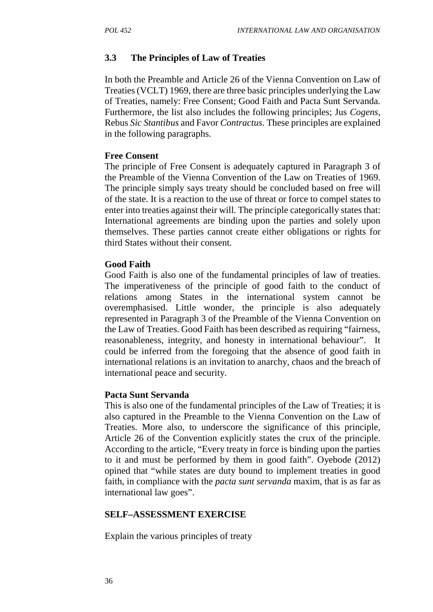### **3.3 The Principles of Law of Treaties**

In both the Preamble and Article 26 of the Vienna Convention on Law of Treaties (VCLT) 1969, there are three basic principles underlying the Law of Treaties, namely: Free Consent; Good Faith and Pacta Sunt Servanda*.* Furthermore, the list also includes the following principles; Jus *Cogens*, Rebus *Sic Stantibus* and Favor *Contractus.* These principles are explained in the following paragraphs.

#### **Free Consent**

The principle of Free Consent is adequately captured in Paragraph 3 of the Preamble of the Vienna Convention of the Law on Treaties of 1969. The principle simply says treaty should be concluded based on free will of the state. It is a reaction to the use of threat or force to compel states to enter into treaties against their will. The principle categorically states that: International agreements are binding upon the parties and solely upon themselves. These parties cannot create either obligations or rights for third States without their consent*.*

### **Good Faith**

Good Faith is also one of the fundamental principles of law of treaties. The imperativeness of the principle of good faith to the conduct of relations among States in the international system cannot be overemphasised. Little wonder, the principle is also adequately represented in Paragraph 3 of the Preamble of the Vienna Convention on the Law of Treaties. Good Faith has been described as requiring "fairness, reasonableness, integrity, and honesty in international behaviour". It could be inferred from the foregoing that the absence of good faith in international relations is an invitation to anarchy, chaos and the breach of international peace and security.

#### **Pacta Sunt Servanda**

This is also one of the fundamental principles of the Law of Treaties; it is also captured in the Preamble to the Vienna Convention on the Law of Treaties. More also, to underscore the significance of this principle, Article 26 of the Convention explicitly states the crux of the principle. According to the article, "Every treaty in force is binding upon the parties to it and must be performed by them in good faith". Oyebode (2012) opined that "while states are duty bound to implement treaties in good faith, in compliance with the *pacta sunt servanda* maxim, that is as far as international law goes".

### **SELF–ASSESSMENT EXERCISE**

Explain the various principles of treaty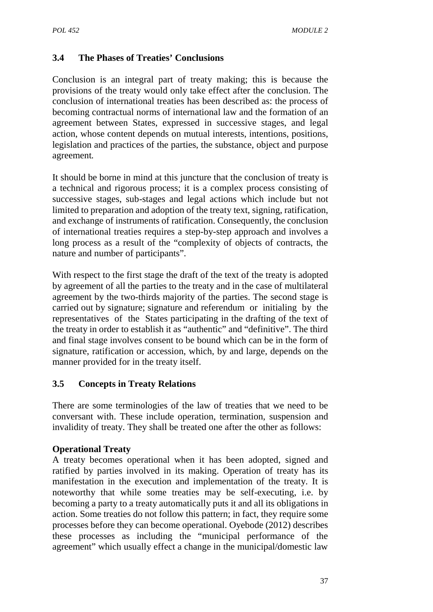# **3.4 The Phases of Treaties' Conclusions**

Conclusion is an integral part of treaty making; this is because the provisions of the treaty would only take effect after the conclusion. The conclusion of international treaties has been described as: the process of becoming contractual norms of international law and the formation of an agreement between States, expressed in successive stages, and legal action, whose content depends on mutual interests, intentions, positions, legislation and practices of the parties, the substance, object and purpose agreement*.*

It should be borne in mind at this juncture that the conclusion of treaty is a technical and rigorous process; it is a complex process consisting of successive stages, sub-stages and legal actions which include but not limited to preparation and adoption of the treaty text, signing, ratification, and exchange of instruments of ratification. Consequently, the conclusion of international treaties requires a step-by-step approach and involves a long process as a result of the "complexity of objects of contracts, the nature and number of participants".

With respect to the first stage the draft of the text of the treaty is adopted by agreement of all the parties to the treaty and in the case of multilateral agreement by the two-thirds majority of the parties. The second stage is carried out by signature; signature and referendum or initialing by the representatives of the States participating in the drafting of the text of the treaty in order to establish it as "authentic" and "definitive". The third and final stage involves consent to be bound which can be in the form of signature, ratification or accession, which, by and large, depends on the manner provided for in the treaty itself.

# **3.5 Concepts in Treaty Relations**

There are some terminologies of the law of treaties that we need to be conversant with. These include operation, termination, suspension and invalidity of treaty. They shall be treated one after the other as follows:

### **Operational Treaty**

A treaty becomes operational when it has been adopted, signed and ratified by parties involved in its making. Operation of treaty has its manifestation in the execution and implementation of the treaty. It is noteworthy that while some treaties may be self-executing, i.e. by becoming a party to a treaty automatically puts it and all its obligations in action. Some treaties do not follow this pattern; in fact, they require some processes before they can become operational. Oyebode (2012) describes these processes as including the "municipal performance of the agreement" which usually effect a change in the municipal/domestic law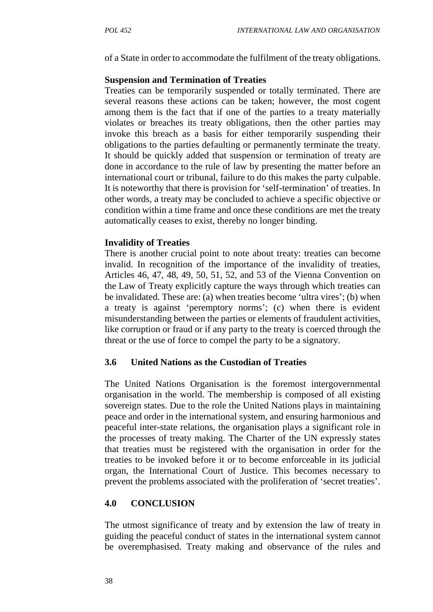of a State in order to accommodate the fulfilment of the treaty obligations.

#### **Suspension and Termination of Treaties**

Treaties can be temporarily suspended or totally terminated. There are several reasons these actions can be taken; however, the most cogent among them is the fact that if one of the parties to a treaty materially violates or breaches its treaty obligations, then the other parties may invoke this breach as a basis for either temporarily suspending their obligations to the parties defaulting or permanently terminate the treaty. It should be quickly added that suspension or termination of treaty are done in accordance to the rule of law by presenting the matter before an international court or tribunal, failure to do this makes the party culpable. It is noteworthy that there is provision for 'self-termination' of treaties. In other words, a treaty may be concluded to achieve a specific objective or condition within a time frame and once these conditions are met the treaty automatically ceases to exist, thereby no longer binding.

#### **Invalidity of Treaties**

There is another crucial point to note about treaty: treaties can become invalid. In recognition of the importance of the invalidity of treaties, Articles 46, 47, 48, 49, 50, 51, 52, and 53 of the Vienna Convention on the Law of Treaty explicitly capture the ways through which treaties can be invalidated. These are: (a) when treaties become 'ultra vires'; (b) when a treaty is against 'peremptory norms'; (c) when there is evident misunderstanding between the parties or elements of fraudulent activities, like corruption or fraud or if any party to the treaty is coerced through the threat or the use of force to compel the party to be a signatory.

### **3.6 United Nations as the Custodian of Treaties**

The United Nations Organisation is the foremost intergovernmental organisation in the world. The membership is composed of all existing sovereign states. Due to the role the United Nations plays in maintaining peace and order in the international system, and ensuring harmonious and peaceful inter-state relations, the organisation plays a significant role in the processes of treaty making. The Charter of the UN expressly states that treaties must be registered with the organisation in order for the treaties to be invoked before it or to become enforceable in its judicial organ, the International Court of Justice. This becomes necessary to prevent the problems associated with the proliferation of 'secret treaties'.

#### **4.0 CONCLUSION**

The utmost significance of treaty and by extension the law of treaty in guiding the peaceful conduct of states in the international system cannot be overemphasised. Treaty making and observance of the rules and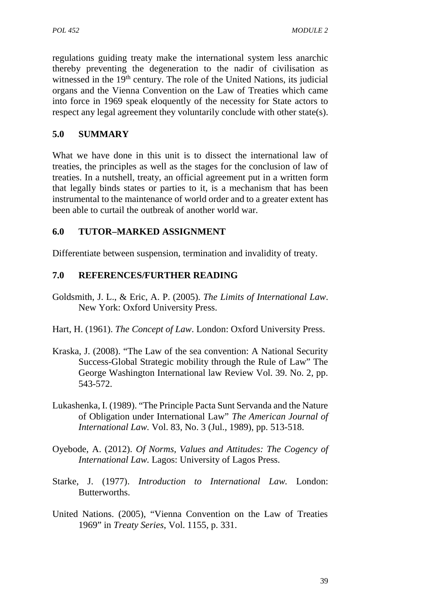regulations guiding treaty make the international system less anarchic thereby preventing the degeneration to the nadir of civilisation as witnessed in the 19<sup>th</sup> century. The role of the United Nations, its judicial organs and the Vienna Convention on the Law of Treaties which came into force in 1969 speak eloquently of the necessity for State actors to respect any legal agreement they voluntarily conclude with other state(s).

## **5.0 SUMMARY**

What we have done in this unit is to dissect the international law of treaties, the principles as well as the stages for the conclusion of law of treaties. In a nutshell, treaty, an official agreement put in a written form that legally binds states or parties to it, is a mechanism that has been instrumental to the maintenance of world order and to a greater extent has been able to curtail the outbreak of another world war.

# **6.0 TUTOR–MARKED ASSIGNMENT**

Differentiate between suspension, termination and invalidity of treaty.

- Goldsmith, J. L., & Eric, A. P. (2005). *The Limits of International Law*. New York: Oxford University Press.
- Hart, H. (1961). *The Concept of Law*. London: Oxford University Press.
- Kraska, J. (2008). "The Law of the sea convention: A National Security Success-Global Strategic mobility through the Rule of Law" The George Washington International law Review Vol. 39. No. 2, pp. 543-572.
- Lukashenka, I. (1989). "The Principle Pacta Sunt Servanda and the Nature of Obligation under International Law" *The American Journal of International Law.* Vol. 83, No. 3 (Jul., 1989), pp. 513-518.
- Oyebode, A. (2012). *Of Norms, Values and Attitudes: The Cogency of International Law.* Lagos: University of Lagos Press.
- Starke, J. (1977). *Introduction to International Law.* London: **Butterworths**
- United Nations. (2005), "Vienna Convention on the Law of Treaties 1969" in *Treaty Series*, Vol. 1155, p. 331.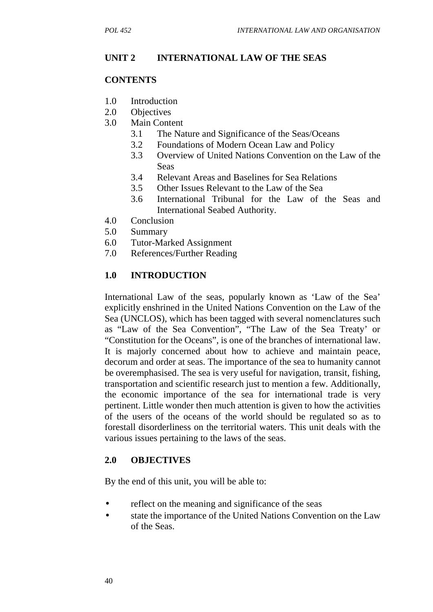# **UNIT 2 INTERNATIONAL LAW OF THE SEAS**

### **CONTENTS**

- 1.0 Introduction
- 2.0 Objectives
- 3.0 Main Content
	- 3.1 The Nature and Significance of the Seas/Oceans
	- 3.2 Foundations of Modern Ocean Law and Policy
	- 3.3 Overview of United Nations Convention on the Law of the Seas
	- 3.4 Relevant Areas and Baselines for Sea Relations
	- 3.5 Other Issues Relevant to the Law of the Sea
	- 3.6 International Tribunal for the Law of the Seas and International Seabed Authority.
- 4.0 Conclusion
- 5.0 Summary
- 6.0 Tutor-Marked Assignment
- 7.0 References/Further Reading

# **1.0 INTRODUCTION**

International Law of the seas, popularly known as 'Law of the Sea' explicitly enshrined in the United Nations Convention on the Law of the Sea (UNCLOS), which has been tagged with several nomenclatures such as "Law of the Sea Convention", "The Law of the Sea Treaty' or "Constitution for the Oceans", is one of the branches of international law. It is majorly concerned about how to achieve and maintain peace, decorum and order at seas. The importance of the sea to humanity cannot be overemphasised. The sea is very useful for navigation, transit, fishing, transportation and scientific research just to mention a few. Additionally, the economic importance of the sea for international trade is very pertinent. Little wonder then much attention is given to how the activities of the users of the oceans of the world should be regulated so as to forestall disorderliness on the territorial waters. This unit deals with the various issues pertaining to the laws of the seas.

### **2.0 OBJECTIVES**

By the end of this unit, you will be able to:

- reflect on the meaning and significance of the seas
- state the importance of the United Nations Convention on the Law of the Seas.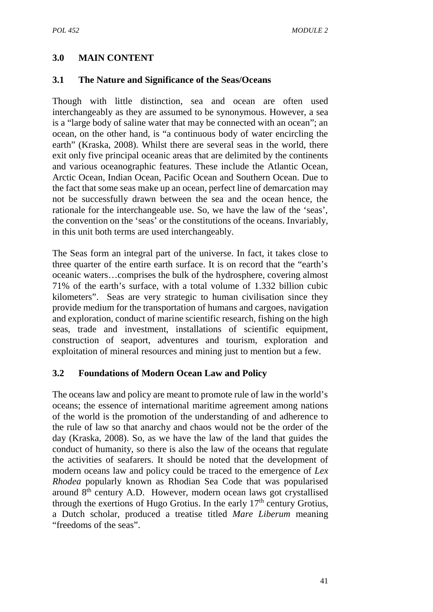# **3.0 MAIN CONTENT**

### **3.1 The Nature and Significance of the Seas/Oceans**

Though with little distinction, sea and ocean are often used interchangeably as they are assumed to be synonymous. However, a sea is a "large body of saline water that may be connected with an ocean"; an ocean, on the other hand, is "a continuous body of water encircling the earth" (Kraska, 2008). Whilst there are several seas in the world, there exit only five principal oceanic areas that are delimited by the continents and various oceanographic features. These include the Atlantic Ocean, Arctic Ocean, Indian Ocean, Pacific Ocean and Southern Ocean. Due to the fact that some seas make up an ocean, perfect line of demarcation may not be successfully drawn between the sea and the ocean hence, the rationale for the interchangeable use. So, we have the law of the 'seas', the convention on the 'seas' or the constitutions of the oceans. Invariably, in this unit both terms are used interchangeably.

The Seas form an integral part of the universe. In fact, it takes close to three quarter of the entire earth surface. It is on record that the "earth's oceanic waters…comprises the bulk of the hydrosphere, covering almost 71% of the earth's surface, with a total volume of 1.332 billion cubic kilometers". Seas are very strategic to human civilisation since they provide medium for the transportation of humans and cargoes, navigation and exploration, conduct of marine scientific research, fishing on the high seas, trade and investment, installations of scientific equipment, construction of seaport, adventures and tourism, exploration and exploitation of mineral resources and mining just to mention but a few.

### **3.2 Foundations of Modern Ocean Law and Policy**

The oceans law and policy are meant to promote rule of law in the world's oceans; the essence of international maritime agreement among nations of the world is the promotion of the understanding of and adherence to the rule of law so that anarchy and chaos would not be the order of the day (Kraska, 2008). So, as we have the law of the land that guides the conduct of humanity, so there is also the law of the oceans that regulate the activities of seafarers. It should be noted that the development of modern oceans law and policy could be traced to the emergence of *Lex Rhodea* popularly known as Rhodian Sea Code that was popularised around  $8<sup>th</sup>$  century A.D. However, modern ocean laws got crystallised through the exertions of Hugo Grotius. In the early  $17<sup>th</sup>$  century Grotius, a Dutch scholar, produced a treatise titled *Mare Liberum* meaning "freedoms of the seas".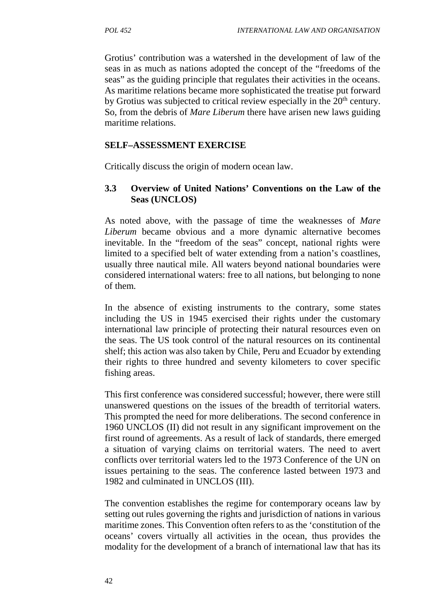Grotius' contribution was a watershed in the development of law of the seas in as much as nations adopted the concept of the "freedoms of the seas" as the guiding principle that regulates their activities in the oceans. As maritime relations became more sophisticated the treatise put forward by Grotius was subjected to critical review especially in the 20<sup>th</sup> century. So, from the debris of *Mare Liberum* there have arisen new laws guiding maritime relations.

# **SELF–ASSESSMENT EXERCISE**

Critically discuss the origin of modern ocean law.

# **3.3 Overview of United Nations' Conventions on the Law of the Seas (UNCLOS)**

As noted above, with the passage of time the weaknesses of *Mare Liberum* became obvious and a more dynamic alternative becomes inevitable. In the "freedom of the seas" concept, national rights were limited to a specified belt of water extending from a nation's coastlines, usually three nautical mile. All waters beyond national boundaries were considered international waters: free to all nations, but belonging to none of them*.*

In the absence of existing instruments to the contrary, some states including the US in 1945 exercised their rights under the customary international law principle of protecting their natural resources even on the seas. The US took control of the natural resources on its continental shelf; this action was also taken by Chile, Peru and Ecuador by extending their rights to three hundred and seventy kilometers to cover specific fishing areas.

This first conference was considered successful; however, there were still unanswered questions on the issues of the breadth of territorial waters. This prompted the need for more deliberations. The second conference in 1960 UNCLOS (II) did not result in any significant improvement on the first round of agreements. As a result of lack of standards, there emerged a situation of varying claims on territorial waters. The need to avert conflicts over territorial waters led to the 1973 Conference of the UN on issues pertaining to the seas. The conference lasted between 1973 and 1982 and culminated in UNCLOS (III).

The convention establishes the regime for contemporary oceans law by setting out rules governing the rights and jurisdiction of nations in various maritime zones. This Convention often refers to as the 'constitution of the oceans' covers virtually all activities in the ocean, thus provides the modality for the development of a branch of international law that has its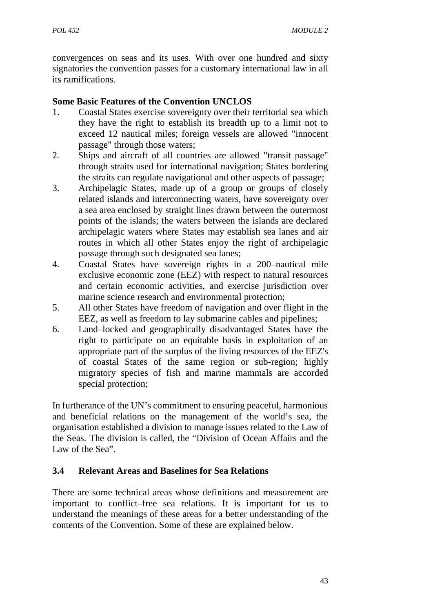convergences on seas and its uses. With over one hundred and sixty signatories the convention passes for a customary international law in all its ramifications.

### **Some Basic Features of the Convention UNCLOS**

- 1. Coastal States exercise sovereignty over their territorial sea which they have the right to establish its breadth up to a limit not to exceed 12 nautical miles; foreign vessels are allowed "innocent passage" through those waters;
- 2. Ships and aircraft of all countries are allowed "transit passage" through straits used for international navigation; States bordering the straits can regulate navigational and other aspects of passage;
- 3. Archipelagic States, made up of a group or groups of closely related islands and interconnecting waters, have sovereignty over a sea area enclosed by straight lines drawn between the outermost points of the islands; the waters between the islands are declared archipelagic waters where States may establish sea lanes and air routes in which all other States enjoy the right of archipelagic passage through such designated sea lanes;
- 4. Coastal States have sovereign rights in a 200–nautical mile exclusive economic zone (EEZ) with respect to natural resources and certain economic activities, and exercise jurisdiction over marine science research and environmental protection;
- 5. All other States have freedom of navigation and over flight in the EEZ, as well as freedom to lay submarine cables and pipelines;
- 6. Land–locked and geographically disadvantaged States have the right to participate on an equitable basis in exploitation of an appropriate part of the surplus of the living resources of the EEZ's of coastal States of the same region or sub-region; highly migratory species of fish and marine mammals are accorded special protection;

In furtherance of the UN's commitment to ensuring peaceful, harmonious and beneficial relations on the management of the world's sea, the organisation established a division to manage issues related to the Law of the Seas. The division is called, the "Division of Ocean Affairs and the Law of the Sea".

# **3.4 Relevant Areas and Baselines for Sea Relations**

There are some technical areas whose definitions and measurement are important to conflict–free sea relations. It is important for us to understand the meanings of these areas for a better understanding of the contents of the Convention. Some of these are explained below.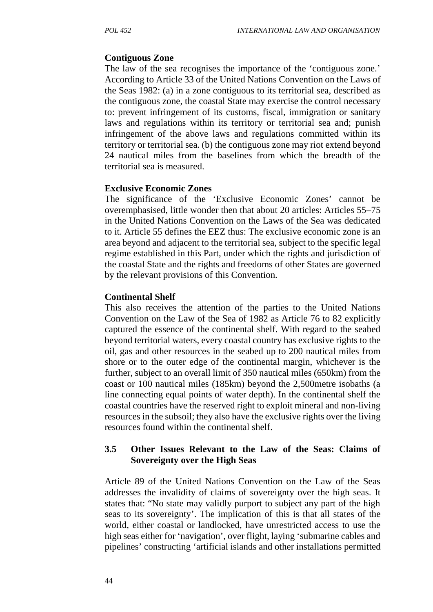### **Contiguous Zone**

The law of the sea recognises the importance of the 'contiguous zone.' According to Article 33 of the United Nations Convention on the Laws of the Seas 1982: (a) in a zone contiguous to its territorial sea, described as the contiguous zone, the coastal State may exercise the control necessary to: prevent infringement of its customs, fiscal, immigration or sanitary laws and regulations within its territory or territorial sea and; punish infringement of the above laws and regulations committed within its territory or territorial sea. (b) the contiguous zone may riot extend beyond 24 nautical miles from the baselines from which the breadth of the territorial sea is measured.

### **Exclusive Economic Zones**

The significance of the 'Exclusive Economic Zones' cannot be overemphasised, little wonder then that about 20 articles: Articles 55–75 in the United Nations Convention on the Laws of the Sea was dedicated to it. Article 55 defines the EEZ thus: The exclusive economic zone is an area beyond and adjacent to the territorial sea, subject to the specific legal regime established in this Part, under which the rights and jurisdiction of the coastal State and the rights and freedoms of other States are governed by the relevant provisions of this Convention*.*

### **Continental Shelf**

This also receives the attention of the parties to the United Nations Convention on the Law of the Sea of 1982 as Article 76 to 82 explicitly captured the essence of the continental shelf. With regard to the seabed beyond territorial waters, every coastal country has exclusive rights to the oil, gas and other resources in the seabed up to 200 nautical miles from shore or to the outer edge of the continental margin, whichever is the further, subject to an overall limit of 350 nautical miles (650km) from the coast or 100 nautical miles (185km) beyond the 2,500metre isobaths (a line connecting equal points of water depth). In the continental shelf the coastal countries have the reserved right to exploit mineral and non-living resources in the subsoil; they also have the exclusive rights over the living resources found within the continental shelf.

### **3.5 Other Issues Relevant to the Law of the Seas: Claims of Sovereignty over the High Seas**

Article 89 of the United Nations Convention on the Law of the Seas addresses the invalidity of claims of sovereignty over the high seas. It states that: "No state may validly purport to subject any part of the high seas to its sovereignty'. The implication of this is that all states of the world, either coastal or landlocked, have unrestricted access to use the high seas either for 'navigation', over flight, laying 'submarine cables and pipelines' constructing 'artificial islands and other installations permitted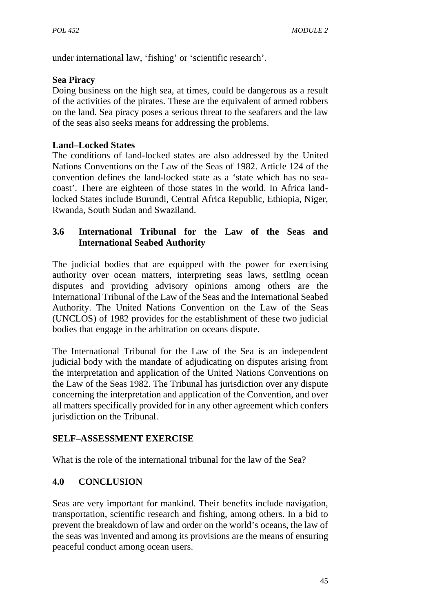under international law, 'fishing' or 'scientific research'.

## **Sea Piracy**

Doing business on the high sea, at times, could be dangerous as a result of the activities of the pirates. These are the equivalent of armed robbers on the land. Sea piracy poses a serious threat to the seafarers and the law of the seas also seeks means for addressing the problems.

## **Land–Locked States**

The conditions of land-locked states are also addressed by the United Nations Conventions on the Law of the Seas of 1982. Article 124 of the convention defines the land-locked state as a 'state which has no sea coast'. There are eighteen of those states in the world. In Africa landlocked States include Burundi, Central Africa Republic, Ethiopia, Niger, Rwanda, South Sudan and Swaziland.

# **3.6 International Tribunal for the Law of the Seas and International Seabed Authority**

The judicial bodies that are equipped with the power for exercising authority over ocean matters, interpreting seas laws, settling ocean disputes and providing advisory opinions among others are the International Tribunal of the Law of the Seas and the International Seabed Authority. The United Nations Convention on the Law of the Seas (UNCLOS) of 1982 provides for the establishment of these two judicial bodies that engage in the arbitration on oceans dispute.

The International Tribunal for the Law of the Sea is an independent judicial body with the mandate of adjudicating on disputes arising from the interpretation and application of the United Nations Conventions on the Law of the Seas 1982. The Tribunal has jurisdiction over any dispute concerning the interpretation and application of the Convention, and over all matters specifically provided for in any other agreement which confers jurisdiction on the Tribunal.

# **SELF–ASSESSMENT EXERCISE**

What is the role of the international tribunal for the law of the Sea?

# **4.0 CONCLUSION**

Seas are very important for mankind. Their benefits include navigation, transportation, scientific research and fishing, among others. In a bid to prevent the breakdown of law and order on the world's oceans, the law of the seas was invented and among its provisions are the means of ensuring peaceful conduct among ocean users.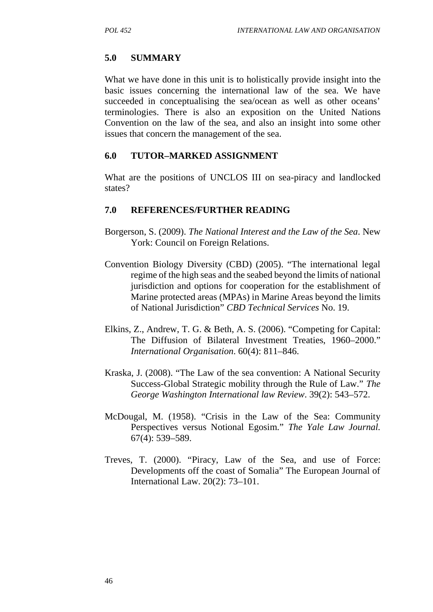# **5.0 SUMMARY**

What we have done in this unit is to holistically provide insight into the basic issues concerning the international law of the sea. We have succeeded in conceptualising the sea/ocean as well as other oceans' terminologies. There is also an exposition on the United Nations Convention on the law of the sea, and also an insight into some other issues that concern the management of the sea.

### **6.0 TUTOR–MARKED ASSIGNMENT**

What are the positions of UNCLOS III on sea-piracy and landlocked states?

- Borgerson, S. (2009). *The National Interest and the Law of the Sea*. New York: Council on Foreign Relations.
- Convention Biology Diversity (CBD) (2005). "The international legal regime of the high seas and the seabed beyond the limits of national jurisdiction and options for cooperation for the establishment of Marine protected areas (MPAs) in Marine Areas beyond the limits of National Jurisdiction" *CBD Technical Services* No. 19.
- Elkins, Z., Andrew, T. G. & Beth, A. S. (2006). "Competing for Capital: The Diffusion of Bilateral Investment Treaties, 1960–2000." *International Organisation*. 60(4): 811–846.
- Kraska, J. (2008). "The Law of the sea convention: A National Security Success-Global Strategic mobility through the Rule of Law." *The George Washington International law Review*. 39(2): 543–572.
- McDougal, M. (1958). "Crisis in the Law of the Sea: Community Perspectives versus Notional Egosim." *The Yale Law Journal.* 67(4): 539–589.
- Treves, T. (2000). "Piracy, Law of the Sea, and use of Force: Developments off the coast of Somalia" The European Journal of International Law. 20(2): 73–101.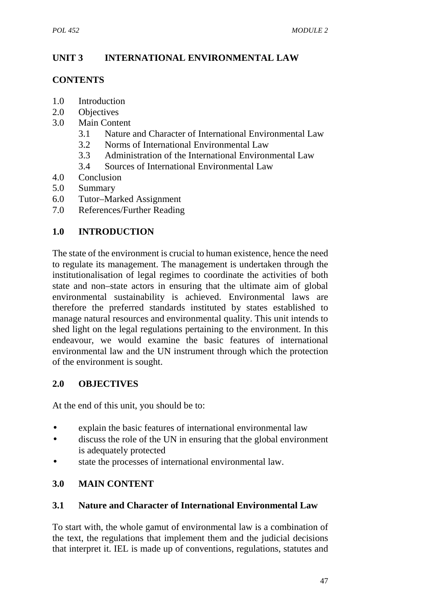# **UNIT 3 INTERNATIONAL ENVIRONMENTAL LAW**

### **CONTENTS**

- 1.0 Introduction<br>2.0 Objectives
- **Objectives**
- 3.0 Main Content
	- 3.1 Nature and Character of International Environmental Law
	- 3.2 Norms of International Environmental Law
	- 3.3 Administration of the International Environmental Law
	- 3.4 Sources of International Environmental Law
- 4.0 Conclusion
- 5.0 Summary
- 6.0 Tutor–Marked Assignment
- 7.0 References/Further Reading

# **1.0 INTRODUCTION**

The state of the environment is crucial to human existence, hence the need to regulate its management. The management is undertaken through the institutionalisation of legal regimes to coordinate the activities of both state and non–state actors in ensuring that the ultimate aim of global environmental sustainability is achieved. Environmental laws are therefore the preferred standards instituted by states established to manage natural resources and environmental quality. This unit intends to shed light on the legal regulations pertaining to the environment. In this endeavour, we would examine the basic features of international environmental law and the UN instrument through which the protection of the environment is sought.

# **2.0 OBJECTIVES**

At the end of this unit, you should be to:

- explain the basic features of international environmental law
- discuss the role of the UN in ensuring that the global environment is adequately protected
- state the processes of international environmental law.

# **3.0 MAIN CONTENT**

### **3.1 Nature and Character of International Environmental Law**

To start with, the whole gamut of environmental law is a combination of the text, the regulations that implement them and the judicial decisions that interpret it. IEL is made up of conventions, regulations, statutes and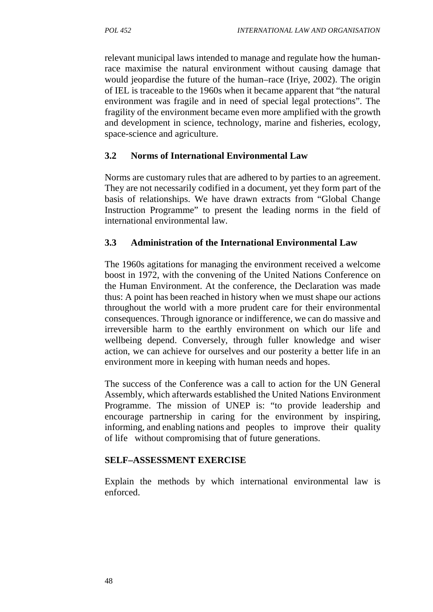relevant municipal laws intended to manage and regulate how the humanrace maximise the natural environment without causing damage that would jeopardise the future of the human–race (Iriye, 2002). The origin of IEL is traceable to the 1960s when it became apparent that "the natural environment was fragile and in need of special legal protections". The fragility of the environment became even more amplified with the growth and development in science, technology, marine and fisheries, ecology, space-science and agriculture.

### **3.2 Norms of International Environmental Law**

Norms are customary rules that are adhered to by parties to an agreement. They are not necessarily codified in a document, yet they form part of the basis of relationships. We have drawn extracts from "Global Change Instruction Programme" to present the leading norms in the field of international environmental law.

### **3.3 Administration of the International Environmental Law**

The 1960s agitations for managing the environment received a welcome boost in 1972, with the convening of the United Nations Conference on the Human Environment. At the conference, the Declaration was made thus: A point has been reached in history when we must shape our actions throughout the world with a more prudent care for their environmental consequences. Through ignorance or indifference, we can do massive and irreversible harm to the earthly environment on which our life and wellbeing depend. Conversely, through fuller knowledge and wiser action, we can achieve for ourselves and our posterity a better life in an environment more in keeping with human needs and hopes.

The success of the Conference was a call to action for the UN General Assembly, which afterwards established the United Nations Environment Programme. The mission of UNEP is: "to provide leadership and encourage partnership in caring for the environment by inspiring, informing, and enabling nations and peoples to improve their quality of life without compromising that of future generations.

### **SELF–ASSESSMENT EXERCISE**

Explain the methods by which international environmental law is enforced.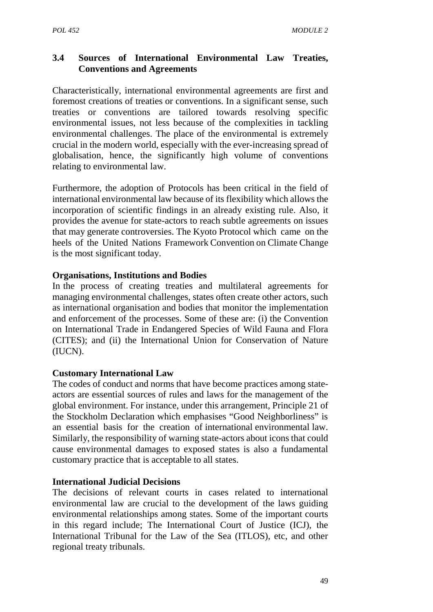# **3.4 Sources of International Environmental Law Treaties, Conventions and Agreements**

Characteristically, international environmental agreements are first and foremost creations of treaties or conventions. In a significant sense, such treaties or conventions are tailored towards resolving specific environmental issues, not less because of the complexities in tackling environmental challenges. The place of the environmental is extremely crucial in the modern world, especially with the ever-increasing spread of globalisation, hence, the significantly high volume of conventions relating to environmental law.

Furthermore, the adoption of Protocols has been critical in the field of international environmental law because of its flexibility which allows the incorporation of scientific findings in an already existing rule. Also, it provides the avenue for state-actors to reach subtle agreements on issues that may generate controversies. The Kyoto Protocol which came on the heels of the United Nations Framework Convention on Climate Change is the most significant today.

### **Organisations, Institutions and Bodies**

In the process of creating treaties and multilateral agreements for managing environmental challenges, states often create other actors, such as international organisation and bodies that monitor the implementation and enforcement of the processes. Some of these are: (i) the Convention on International Trade in Endangered Species of Wild Fauna and Flora (CITES); and (ii) the International Union for Conservation of Nature (IUCN).

#### **Customary International Law**

The codes of conduct and norms that have become practices among state actors are essential sources of rules and laws for the management of the global environment. For instance, under this arrangement, Principle 21 of the Stockholm Declaration which emphasises "Good Neighborliness" is an essential basis for the creation of international environmental law. Similarly, the responsibility of warning state-actors about icons that could cause environmental damages to exposed states is also a fundamental customary practice that is acceptable to all states.

#### **International Judicial Decisions**

The decisions of relevant courts in cases related to international environmental law are crucial to the development of the laws guiding environmental relationships among states. Some of the important courts in this regard include; The International Court of Justice (ICJ), the International Tribunal for the Law of the Sea (ITLOS), etc, and other regional treaty tribunals.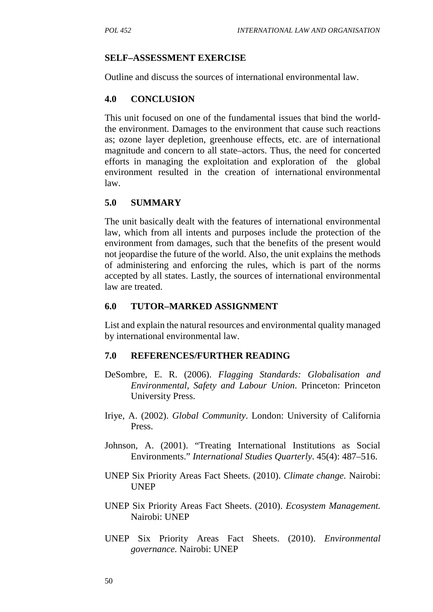### **SELF–ASSESSMENT EXERCISE**

Outline and discuss the sources of international environmental law.

### **4.0 CONCLUSION**

This unit focused on one of the fundamental issues that bind the worldthe environment. Damages to the environment that cause such reactions as; ozone layer depletion, greenhouse effects, etc. are of international magnitude and concern to all state–actors. Thus, the need for concerted efforts in managing the exploitation and exploration of the global environment resulted in the creation of international environmental law.

### **5.0 SUMMARY**

The unit basically dealt with the features of international environmental law, which from all intents and purposes include the protection of the environment from damages, such that the benefits of the present would not jeopardise the future of the world. Also, the unit explains the methods of administering and enforcing the rules, which is part of the norms accepted by all states. Lastly, the sources of international environmental law are treated.

#### **6.0 TUTOR–MARKED ASSIGNMENT**

List and explain the natural resources and environmental quality managed by international environmental law.

- DeSombre, E. R. (2006). *Flagging Standards: Globalisation and Environmental, Safety and Labour Union*. Princeton: Princeton University Press.
- Iriye, A. (2002). *Global Community*. London: University of California Press.
- Johnson, A. (2001). "Treating International Institutions as Social Environments." *International Studies Quarterly*. 45(4): 487–516.
- UNEP Six Priority Areas Fact Sheets. (2010). *Climate change.* Nairobi: UNEP
- UNEP Six Priority Areas Fact Sheets. (2010). *Ecosystem Management.* Nairobi: UNEP
- UNEP Six Priority Areas Fact Sheets. (2010). *Environmental governance.* Nairobi: UNEP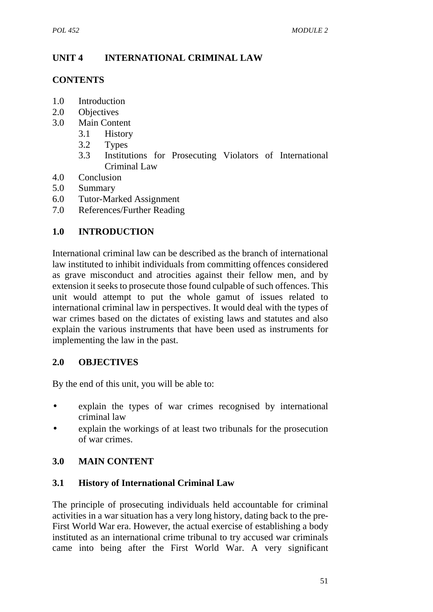# **UNIT 4 INTERNATIONAL CRIMINAL LAW**

### **CONTENTS**

- 1.0 Introduction
- 2.0 Objectives
- 3.0 Main Content
	- 3.1 History
	- 3.2 Types
	- 3.3 Institutions for Prosecuting Violators of International Criminal Law
- 4.0 Conclusion
- 5.0 Summary
- 6.0 Tutor-Marked Assignment
- 7.0 References/Further Reading

# **1.0 INTRODUCTION**

International criminal law can be described as the branch of international law instituted to inhibit individuals from committing offences considered as grave misconduct and atrocities against their fellow men, and by extension it seeks to prosecute those found culpable of such offences. This unit would attempt to put the whole gamut of issues related to international criminal law in perspectives. It would deal with the types of war crimes based on the dictates of existing laws and statutes and also explain the various instruments that have been used as instruments for implementing the law in the past.

## **2.0 OBJECTIVES**

By the end of this unit, you will be able to:

- explain the types of war crimes recognised by international criminal law
- explain the workings of at least two tribunals for the prosecution of war crimes.

## **3.0 MAIN CONTENT**

## **3.1 History of International Criminal Law**

The principle of prosecuting individuals held accountable for criminal activities in a war situation has a very long history, dating back to the pre- First World War era. However, the actual exercise of establishing a body instituted as an international crime tribunal to try accused war criminals came into being after the First World War. A very significant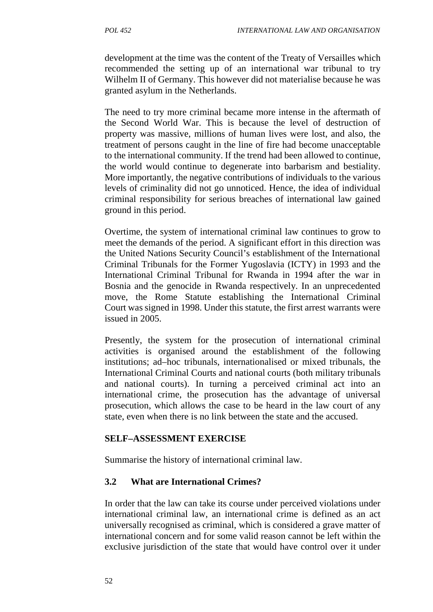development at the time was the content of the Treaty of Versailles which recommended the setting up of an international war tribunal to try Wilhelm II of Germany. This however did not materialise because he was granted asylum in the Netherlands.

The need to try more criminal became more intense in the aftermath of the Second World War. This is because the level of destruction of property was massive, millions of human lives were lost, and also, the treatment of persons caught in the line of fire had become unacceptable to the international community. If the trend had been allowed to continue, the world would continue to degenerate into barbarism and bestiality. More importantly, the negative contributions of individuals to the various levels of criminality did not go unnoticed. Hence, the idea of individual criminal responsibility for serious breaches of international law gained ground in this period.

Overtime, the system of international criminal law continues to grow to meet the demands of the period. A significant effort in this direction was the United Nations Security Council's establishment of the International Criminal Tribunals for the Former Yugoslavia (ICTY) in 1993 and the International Criminal Tribunal for Rwanda in 1994 after the war in Bosnia and the genocide in Rwanda respectively. In an unprecedented move, the Rome Statute establishing the International Criminal Court was signed in 1998. Under this statute, the first arrest warrants were issued in 2005.

Presently, the system for the prosecution of international criminal activities is organised around the establishment of the following institutions; ad–hoc tribunals, internationalised or mixed tribunals, the International Criminal Courts and national courts (both military tribunals and national courts). In turning a perceived criminal act into an international crime, the prosecution has the advantage of universal prosecution, which allows the case to be heard in the law court of any state, even when there is no link between the state and the accused.

### **SELF–ASSESSMENT EXERCISE**

Summarise the history of international criminal law.

## **3.2 What are International Crimes?**

In order that the law can take its course under perceived violations under international criminal law, an international crime is defined as an act universally recognised as criminal, which is considered a grave matter of international concern and for some valid reason cannot be left within the exclusive jurisdiction of the state that would have control over it under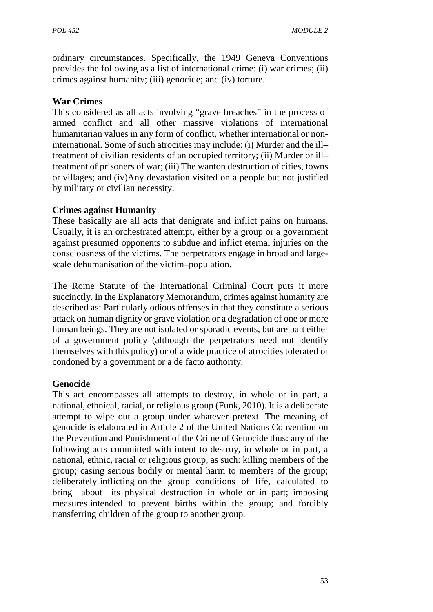ordinary circumstances. Specifically, the 1949 Geneva Conventions provides the following as a list of international crime: (i) war crimes; (ii) crimes against humanity; (iii) genocide; and (iv) torture.

#### **War Crimes**

This considered as all acts involving "grave breaches" in the process of armed conflict and all other massive violations of international humanitarian values in any form of conflict, whether international or noninternational. Some of such atrocities may include: (i) Murder and the ill– treatment of civilian residents of an occupied territory; (ii) Murder or ill– treatment of prisoners of war; (iii) The wanton destruction of cities, towns or villages; and (iv)Any devastation visited on a people but not justified by military or civilian necessity.

#### **Crimes against Humanity**

These basically are all acts that denigrate and inflict pains on humans. Usually, it is an orchestrated attempt, either by a group or a government against presumed opponents to subdue and inflict eternal injuries on the consciousness of the victims. The perpetrators engage in broad and large scale dehumanisation of the victim–population.

The Rome Statute of the International Criminal Court puts it more succinctly. In the Explanatory Memorandum, crimes against humanity are described as: Particularly odious offenses in that they constitute a serious attack on human dignity or grave violation or a degradation of one or more human beings. They are not isolated or sporadic events, but are part either of a government policy (although the perpetrators need not identify themselves with this policy) or of a wide practice of atrocities tolerated or condoned by a government or a de facto authority.

#### **Genocide**

This act encompasses all attempts to destroy, in whole or in part, a national, ethnical, racial, or religious group (Funk, 2010). It is a deliberate attempt to wipe out a group under whatever pretext. The meaning of genocide is elaborated in Article 2 of the United Nations Convention on the Prevention and Punishment of the Crime of Genocide thus: any of the following acts committed with intent to destroy, in whole or in part, a national, ethnic, racial or religious group, as such: killing members of the group; casing serious bodily or mental harm to members of the group; deliberately inflicting on the group conditions of life, calculated to bring about its physical destruction in whole or in part; imposing measures intended to prevent births within the group; and forcibly transferring children of the group to another group*.*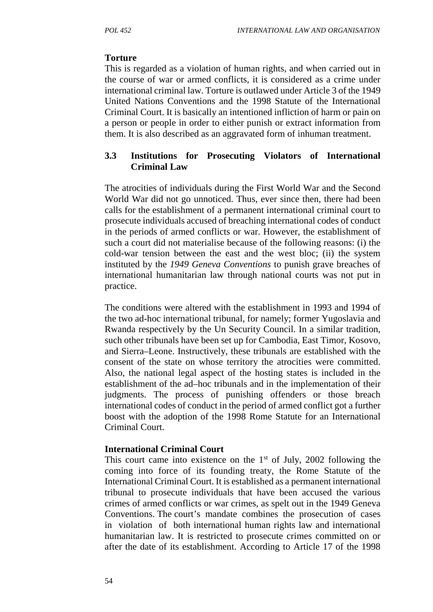#### **Torture**

This is regarded as a violation of human rights, and when carried out in the course of war or armed conflicts, it is considered as a crime under international criminal law. Torture is outlawed under Article 3 of the 1949 United Nations Conventions and the 1998 Statute of the International Criminal Court. It is basically an intentioned infliction of harm or pain on a person or people in order to either punish or extract information from them. It is also described as an aggravated form of inhuman treatment.

### **3.3 Institutions for Prosecuting Violators of International Criminal Law**

The atrocities of individuals during the First World War and the Second World War did not go unnoticed. Thus, ever since then, there had been calls for the establishment of a permanent international criminal court to prosecute individuals accused of breaching international codes of conduct in the periods of armed conflicts or war. However, the establishment of such a court did not materialise because of the following reasons: (i) the cold-war tension between the east and the west bloc; (ii) the system instituted by the *1949 Geneva Conventions* to punish grave breaches of international humanitarian law through national courts was not put in practice.

The conditions were altered with the establishment in 1993 and 1994 of the two ad-hoc international tribunal, for namely; former Yugoslavia and Rwanda respectively by the Un Security Council. In a similar tradition, such other tribunals have been set up for Cambodia, East Timor, Kosovo, and Sierra–Leone. Instructively, these tribunals are established with the consent of the state on whose territory the atrocities were committed. Also, the national legal aspect of the hosting states is included in the establishment of the ad–hoc tribunals and in the implementation of their judgments. The process of punishing offenders or those breach international codes of conduct in the period of armed conflict got a further boost with the adoption of the 1998 Rome Statute for an International Criminal Court.

#### **International Criminal Court**

This court came into existence on the  $1<sup>st</sup>$  of July, 2002 following the coming into force of its founding treaty, the Rome Statute of the International Criminal Court. It is established as a permanent international tribunal to prosecute individuals that have been accused the various crimes of armed conflicts or war crimes, as spelt out in the 1949 Geneva Conventions. The court's mandate combines the prosecution of cases in violation of both international human rights law and international humanitarian law. It is restricted to prosecute crimes committed on or after the date of its establishment. According to Article 17 of the 1998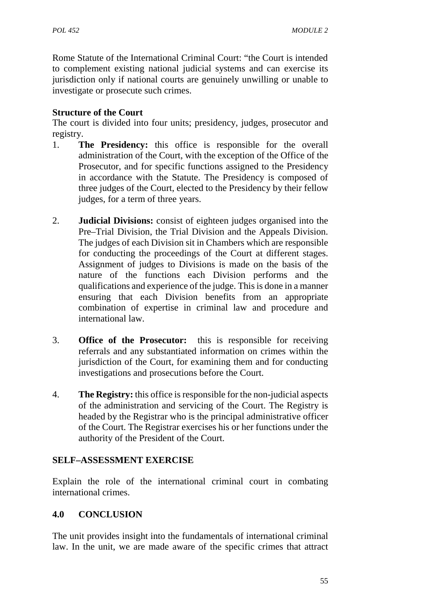Rome Statute of the International Criminal Court: "the Court is intended to complement existing national judicial systems and can exercise its jurisdiction only if national courts are genuinely unwilling or unable to investigate or prosecute such crimes.

## **Structure of the Court**

The court is divided into four units; presidency, judges, prosecutor and registry.

- 1. **The Presidency:** this office is responsible for the overall administration of the Court, with the exception of the Office of the Prosecutor, and for specific functions assigned to the Presidency in accordance with the Statute. The Presidency is composed of three judges of the Court, elected to the Presidency by their fellow judges, for a term of three years.
- 2. **Judicial Divisions:** consist of eighteen judges organised into the Pre–Trial Division, the Trial Division and the Appeals Division. The judges of each Division sit in Chambers which are responsible for conducting the proceedings of the Court at different stages. Assignment of judges to Divisions is made on the basis of the nature of the functions each Division performs and the qualifications and experience of the judge. This is done in a manner ensuring that each Division benefits from an appropriate combination of expertise in criminal law and procedure and international law.
- 3. **Office of the Prosecutor:** this is responsible for receiving referrals and any substantiated information on crimes within the jurisdiction of the Court, for examining them and for conducting investigations and prosecutions before the Court.
- 4. **The Registry:** this office is responsible for the non-judicial aspects of the administration and servicing of the Court. The Registry is headed by the Registrar who is the principal administrative officer of the Court. The Registrar exercises his or her functions under the authority of the President of the Court.

### **SELF–ASSESSMENT EXERCISE**

Explain the role of the international criminal court in combating international crimes.

## **4.0 CONCLUSION**

The unit provides insight into the fundamentals of international criminal law. In the unit, we are made aware of the specific crimes that attract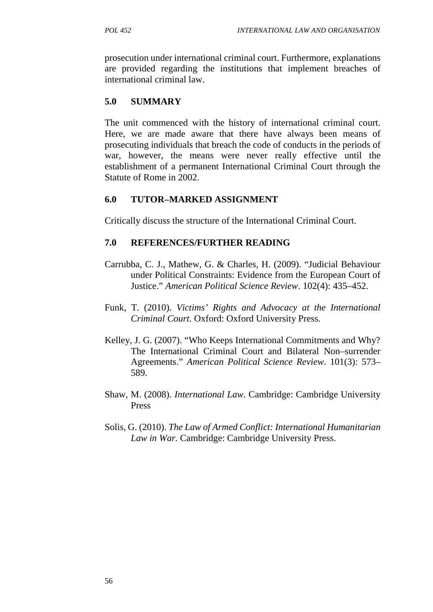prosecution under international criminal court. Furthermore, explanations are provided regarding the institutions that implement breaches of international criminal law.

#### **5.0 SUMMARY**

The unit commenced with the history of international criminal court. Here, we are made aware that there have always been means of prosecuting individuals that breach the code of conducts in the periods of war, however, the means were never really effective until the establishment of a permanent International Criminal Court through the Statute of Rome in 2002.

#### **6.0 TUTOR–MARKED ASSIGNMENT**

Critically discuss the structure of the International Criminal Court.

#### **7.0 REFERENCES/FURTHER READING**

- Carrubba, C. J., Mathew, G. & Charles, H. (2009). "Judicial Behaviour under Political Constraints: Evidence from the European Court of Justice." *American Political Science Review*. 102(4): 435–452.
- Funk, T. (2010). *Victims' Rights and Advocacy at the International Criminal Court*. Oxford: Oxford University Press.
- Kelley, J. G. (2007). "Who Keeps International Commitments and Why? The International Criminal Court and Bilateral Non–surrender Agreements." *American Political Science Review*. 101(3): 573– 589.
- Shaw, M. (2008). *International Law*. Cambridge: Cambridge University Press
- Solis, G. (2010). *The Law of Armed Conflict: International Humanitarian Law in War.* Cambridge: Cambridge University Press.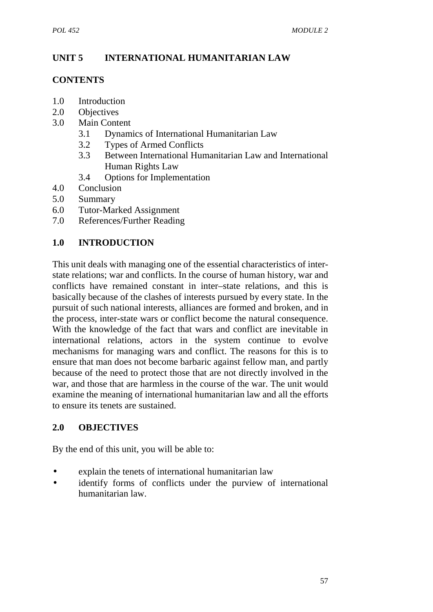# **UNIT 5 INTERNATIONAL HUMANITARIAN LAW**

### **CONTENTS**

- 1.0 Introduction
- 2.0 Objectives
- 3.0 Main Content
	- 3.1 Dynamics of International Humanitarian Law
	- 3.2 Types of Armed Conflicts
	- 3.3 Between International Humanitarian Law and International Human Rights Law
	- 3.4 Options for Implementation
- 4.0 Conclusion
- 5.0 Summary
- 6.0 Tutor-Marked Assignment
- 7.0 References/Further Reading

# **1.0 INTRODUCTION**

This unit deals with managing one of the essential characteristics of inter state relations; war and conflicts. In the course of human history, war and conflicts have remained constant in inter–state relations, and this is basically because of the clashes of interests pursued by every state. In the pursuit of such national interests, alliances are formed and broken, and in the process, inter-state wars or conflict become the natural consequence. With the knowledge of the fact that wars and conflict are inevitable in international relations, actors in the system continue to evolve mechanisms for managing wars and conflict. The reasons for this is to ensure that man does not become barbaric against fellow man, and partly because of the need to protect those that are not directly involved in the war, and those that are harmless in the course of the war. The unit would examine the meaning of international humanitarian law and all the efforts to ensure its tenets are sustained.

## **2.0 OBJECTIVES**

By the end of this unit, you will be able to:

- explain the tenets of international humanitarian law
- identify forms of conflicts under the purview of international humanitarian law.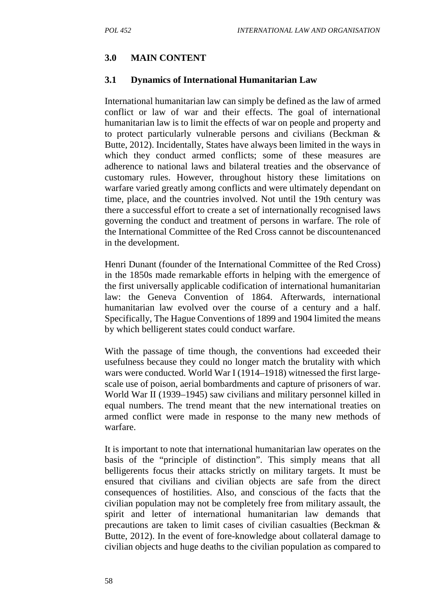## **3.0 MAIN CONTENT**

#### **3.1 Dynamics of International Humanitarian Law**

International humanitarian law can simply be defined as the law of armed conflict or law of war and their effects. The goal of international humanitarian law is to limit the effects of war on people and property and to protect particularly vulnerable persons and civilians (Beckman & Butte, 2012). Incidentally, States have always been limited in the ways in which they conduct armed conflicts; some of these measures are adherence to national laws and bilateral treaties and the observance of customary rules. However, throughout history these limitations on warfare varied greatly among conflicts and were ultimately dependant on time, place, and the countries involved. Not until the 19th century was there a successful effort to create a set of internationally recognised laws governing the conduct and treatment of persons in warfare. The role of the International Committee of the Red Cross cannot be discountenanced in the development.

Henri Dunant (founder of the International Committee of the Red Cross) in the 1850s made remarkable efforts in helping with the emergence of the first universally applicable codification of international humanitarian law: the Geneva Convention of 1864. Afterwards, international humanitarian law evolved over the course of a century and a half. Specifically, The Hague Conventions of 1899 and 1904 limited the means by which belligerent states could conduct warfare.

With the passage of time though, the conventions had exceeded their usefulness because they could no longer match the brutality with which wars were conducted. World War I (1914–1918) witnessed the first large scale use of poison, aerial bombardments and capture of prisoners of war. World War II (1939–1945) saw civilians and military personnel killed in equal numbers. The trend meant that the new international treaties on armed conflict were made in response to the many new methods of warfare.

It is important to note that international humanitarian law operates on the basis of the "principle of distinction". This simply means that all belligerents focus their attacks strictly on military targets. It must be ensured that civilians and civilian objects are safe from the direct consequences of hostilities. Also, and conscious of the facts that the civilian population may not be completely free from military assault, the spirit and letter of international humanitarian law demands that precautions are taken to limit cases of civilian casualties (Beckman & Butte, 2012). In the event of fore-knowledge about collateral damage to civilian objects and huge deaths to the civilian population as compared to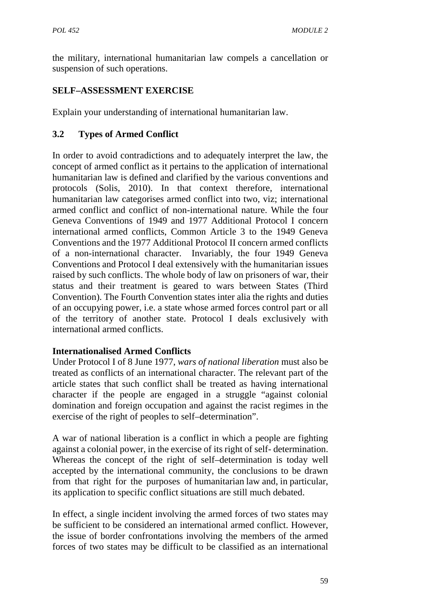the military, international humanitarian law compels a cancellation or suspension of such operations.

## **SELF–ASSESSMENT EXERCISE**

Explain your understanding of international humanitarian law.

# **3.2 Types of Armed Conflict**

In order to avoid contradictions and to adequately interpret the law, the concept of armed conflict as it pertains to the application of international humanitarian law is defined and clarified by the various conventions and protocols (Solis, 2010). In that context therefore, international humanitarian law categorises armed conflict into two, viz; international armed conflict and conflict of non-international nature. While the four Geneva Conventions of 1949 and 1977 Additional Protocol I concern international armed conflicts, Common Article 3 to the 1949 Geneva Conventions and the 1977 Additional Protocol II concern armed conflicts of a non-international character. Invariably, the four 1949 Geneva Conventions and Protocol I deal extensively with the humanitarian issues raised by such conflicts. The whole body of law on prisoners of war, their status and their treatment is geared to wars between States (Third Convention). The Fourth Convention states inter alia the rights and duties of an occupying power, i.e. a state whose armed forces control part or all of the territory of another state. Protocol I deals exclusively with international armed conflicts.

## **Internationalised Armed Conflicts**

Under Protocol I of 8 June 1977, *wars of national liberation* must also be treated as conflicts of an international character. The relevant part of the article states that such conflict shall be treated as having international character if the people are engaged in a struggle "against colonial domination and foreign occupation and against the racist regimes in the exercise of the right of peoples to self–determination".

A war of national liberation is a conflict in which a people are fighting against a colonial power, in the exercise of its right of self- determination. Whereas the concept of the right of self–determination is today well accepted by the international community, the conclusions to be drawn from that right for the purposes of humanitarian law and, in particular, its application to specific conflict situations are still much debated.

In effect, a single incident involving the armed forces of two states may be sufficient to be considered an international armed conflict. However, the issue of border confrontations involving the members of the armed forces of two states may be difficult to be classified as an international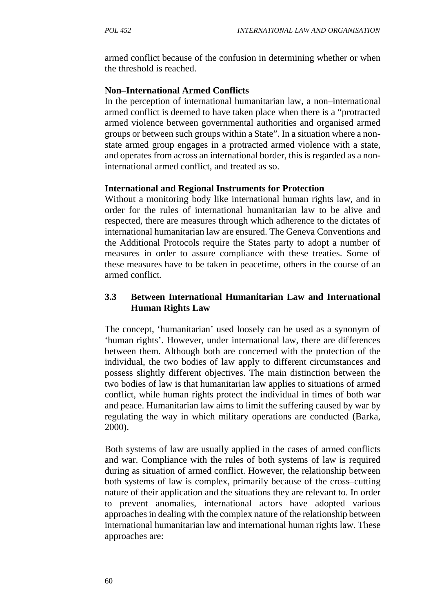armed conflict because of the confusion in determining whether or when the threshold is reached.

#### **Non–International Armed Conflicts**

In the perception of international humanitarian law, a non–international armed conflict is deemed to have taken place when there is a "protracted armed violence between governmental authorities and organised armed groups or between such groups within a State". In a situation where a non state armed group engages in a protracted armed violence with a state, and operates from across an international border, this is regarded as a noninternational armed conflict, and treated as so.

#### **International and Regional Instruments for Protection**

Without a monitoring body like international human rights law, and in order for the rules of international humanitarian law to be alive and respected, there are measures through which adherence to the dictates of international humanitarian law are ensured. The Geneva Conventions and the Additional Protocols require the States party to adopt a number of measures in order to assure compliance with these treaties. Some of these measures have to be taken in peacetime, others in the course of an armed conflict.

## **3.3 Between International Humanitarian Law and International Human Rights Law**

The concept, 'humanitarian' used loosely can be used as a synonym of 'human rights'. However, under international law, there are differences between them. Although both are concerned with the protection of the individual, the two bodies of law apply to different circumstances and possess slightly different objectives. The main distinction between the two bodies of law is that humanitarian law applies to situations of armed conflict, while human rights protect the individual in times of both war and peace. Humanitarian law aims to limit the suffering caused by war by regulating the way in which military operations are conducted (Barka, 2000).

Both systems of law are usually applied in the cases of armed conflicts and war. Compliance with the rules of both systems of law is required during as situation of armed conflict. However, the relationship between both systems of law is complex, primarily because of the cross–cutting nature of their application and the situations they are relevant to. In order to prevent anomalies, international actors have adopted various approaches in dealing with the complex nature of the relationship between international humanitarian law and international human rights law. These approaches are: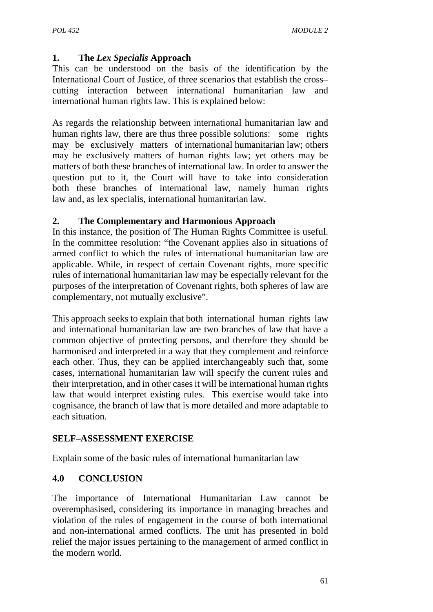## **1. The** *Lex Specialis* **Approach**

This can be understood on the basis of the identification by the International Court of Justice, of three scenarios that establish the cross– cutting interaction between international humanitarian law and international human rights law. This is explained below:

As regards the relationship between international humanitarian law and human rights law, there are thus three possible solutions: some rights may be exclusively matters of international humanitarian law; others may be exclusively matters of human rights law; yet others may be matters of both these branches of international law. In order to answer the question put to it, the Court will have to take into consideration both these branches of international law, namely human rights law and, as lex specialis, international humanitarian law*.*

### **2. The Complementary and Harmonious Approach**

In this instance, the position of The Human Rights Committee is useful. In the committee resolution: "the Covenant applies also in situations of armed conflict to which the rules of international humanitarian law are applicable. While, in respect of certain Covenant rights, more specific rules of international humanitarian law may be especially relevant for the purposes of the interpretation of Covenant rights, both spheres of law are complementary, not mutually exclusive".

This approach seeks to explain that both international human rights law and international humanitarian law are two branches of law that have a common objective of protecting persons, and therefore they should be harmonised and interpreted in a way that they complement and reinforce each other. Thus, they can be applied interchangeably such that, some cases, international humanitarian law will specify the current rules and their interpretation, and in other cases it will be international human rights law that would interpret existing rules. This exercise would take into cognisance, the branch of law that is more detailed and more adaptable to each situation.

### **SELF–ASSESSMENT EXERCISE**

Explain some of the basic rules of international humanitarian law

### **4.0 CONCLUSION**

The importance of International Humanitarian Law cannot be overemphasised, considering its importance in managing breaches and violation of the rules of engagement in the course of both international and non-international armed conflicts. The unit has presented in bold relief the major issues pertaining to the management of armed conflict in the modern world.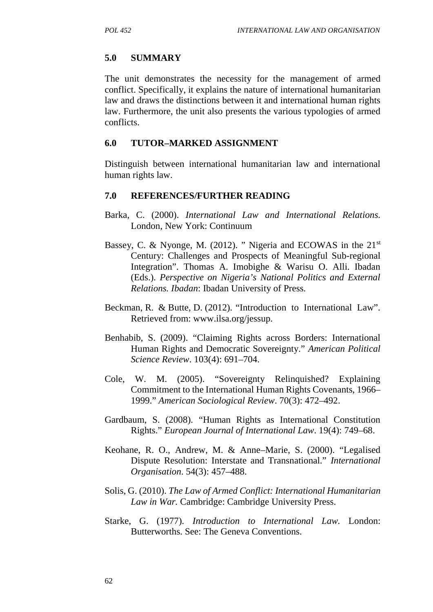#### **5.0 SUMMARY**

The unit demonstrates the necessity for the management of armed conflict. Specifically, it explains the nature of international humanitarian law and draws the distinctions between it and international human rights law. Furthermore, the unit also presents the various typologies of armed conflicts.

#### **6.0 TUTOR–MARKED ASSIGNMENT**

Distinguish between international humanitarian law and international human rights law.

#### **7.0 REFERENCES/FURTHER READING**

- Barka, C. (2000). *International Law and International Relations.* London, New York: Continuum
- Bassey, C. & Nyonge, M. (2012). " Nigeria and ECOWAS in the 21<sup>st</sup> Century: Challenges and Prospects of Meaningful Sub-regional Integration". Thomas A. Imobighe & Warisu O. Alli. Ibadan (Eds.). *Perspective on Nigeria's National Politics and External Relations. Ibadan*: Ibadan University of Press.
- Beckman, R. & Butte, D. (2012). "Introduction to International Law". Retrieved from: www.ilsa.org/jessup.
- Benhabib, S. (2009). "Claiming Rights across Borders: International Human Rights and Democratic Sovereignty." *American Political Science Review*. 103(4): 691–704.
- Cole, W. M. (2005). "Sovereignty Relinquished? Explaining Commitment to the International Human Rights Covenants, 1966– 1999." *American Sociological Review*. 70(3): 472–492.
- Gardbaum, S. (2008). "Human Rights as International Constitution Rights." *European Journal of International Law*. 19(4): 749–68.
- Keohane, R. O., Andrew, M. & Anne–Marie, S. (2000). "Legalised Dispute Resolution: Interstate and Transnational." *International Organisation*. 54(3): 457–488.
- Solis, G. (2010). *The Law of Armed Conflict: International Humanitarian Law in War.* Cambridge: Cambridge University Press.
- Starke, G. (1977). *Introduction to International Law.* London: Butterworths. See: The Geneva Conventions.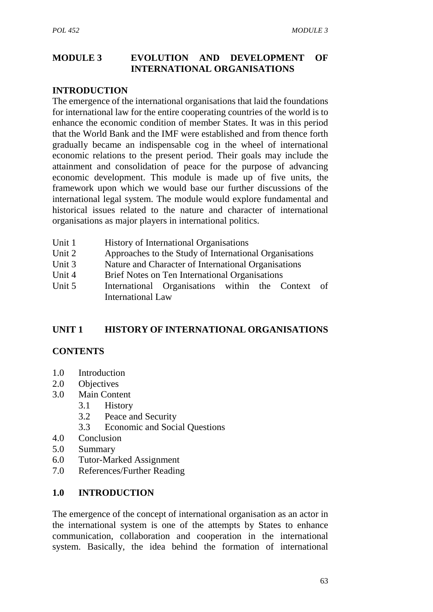## **MODULE 3 EVOLUTION AND DEVELOPMENT OF INTERNATIONAL ORGANISATIONS**

### **INTRODUCTION**

The emergence of the international organisations that laid the foundations for international law for the entire cooperating countries of the world is to enhance the economic condition of member States. It was in this period that the World Bank and the IMF were established and from thence forth gradually became an indispensable cog in the wheel of international economic relations to the present period. Their goals may include the attainment and consolidation of peace for the purpose of advancing economic development. This module is made up of five units, the framework upon which we would base our further discussions of the international legal system. The module would explore fundamental and historical issues related to the nature and character of international organisations as major players in international politics.

- Unit 1 History of International Organisations
- Unit 2 Approaches to the Study of International Organisations
- Unit 3 Nature and Character of International Organisations
- Unit 4 Brief Notes on Ten International Organisations
- Unit 5 International Organisations within the Context of International Law

### **UNIT 1 HISTORY OF INTERNATIONAL ORGANISATIONS**

### **CONTENTS**

- 1.0 Introduction
- 2.0 Objectives
- 3.0 Main Content
	- 3.1 History
	- 3.2 Peace and Security
	- 3.3 Economic and Social Questions
- 4.0 Conclusion
- 5.0 Summary
- 6.0 Tutor-Marked Assignment
- 7.0 References/Further Reading

### **1.0 INTRODUCTION**

The emergence of the concept of international organisation as an actor in the international system is one of the attempts by States to enhance communication, collaboration and cooperation in the international system. Basically, the idea behind the formation of international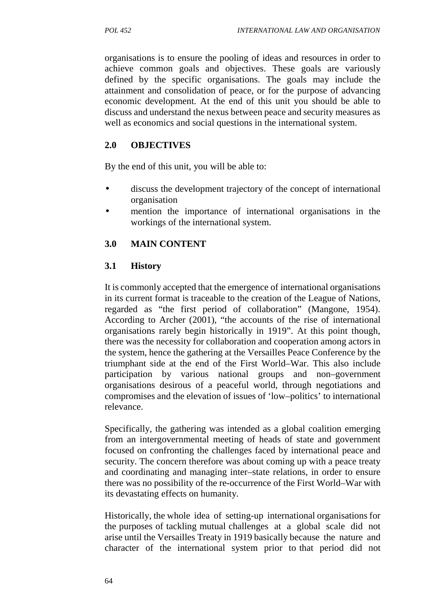organisations is to ensure the pooling of ideas and resources in order to achieve common goals and objectives. These goals are variously defined by the specific organisations. The goals may include the attainment and consolidation of peace, or for the purpose of advancing economic development. At the end of this unit you should be able to discuss and understand the nexus between peace and security measures as well as economics and social questions in the international system.

## **2.0 OBJECTIVES**

By the end of this unit, you will be able to:

- discuss the development trajectory of the concept of international organisation
- mention the importance of international organisations in the workings of the international system.

## **3.0 MAIN CONTENT**

## **3.1 History**

It is commonly accepted that the emergence of international organisations in its current format is traceable to the creation of the League of Nations, regarded as "the first period of collaboration" (Mangone, 1954). According to Archer (2001), "the accounts of the rise of international organisations rarely begin historically in 1919". At this point though, there was the necessity for collaboration and cooperation among actors in the system, hence the gathering at the Versailles Peace Conference by the triumphant side at the end of the First World–War. This also include participation by various national groups and non–government organisations desirous of a peaceful world, through negotiations and compromises and the elevation of issues of 'low–politics' to international relevance.

Specifically, the gathering was intended as a global coalition emerging from an intergovernmental meeting of heads of state and government focused on confronting the challenges faced by international peace and security. The concern therefore was about coming up with a peace treaty and coordinating and managing inter–state relations, in order to ensure there was no possibility of the re-occurrence of the First World–War with its devastating effects on humanity.

Historically, the whole idea of setting-up international organisations for the purposes of tackling mutual challenges at a global scale did not arise until the Versailles Treaty in 1919 basically because the nature and character of the international system prior to that period did not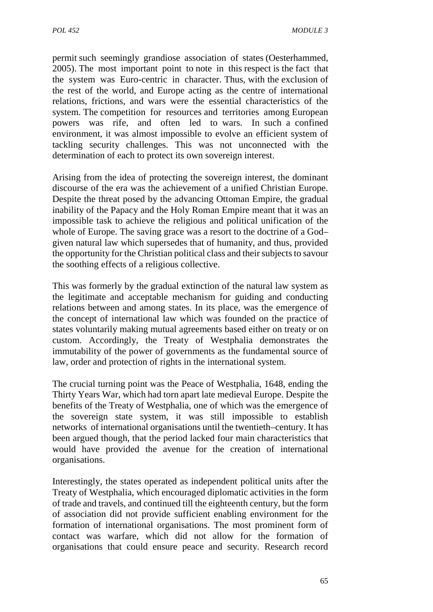permit such seemingly grandiose association of states (Oesterhammed, 2005). The most important point to note in this respect is the fact that the system was Euro-centric in character. Thus, with the exclusion of the rest of the world, and Europe acting as the centre of international relations, frictions, and wars were the essential characteristics of the system. The competition for resources and territories among European powers was rife, and often led to wars. In such a confined environment, it was almost impossible to evolve an efficient system of tackling security challenges. This was not unconnected with the determination of each to protect its own sovereign interest.

Arising from the idea of protecting the sovereign interest, the dominant discourse of the era was the achievement of a unified Christian Europe. Despite the threat posed by the advancing Ottoman Empire, the gradual inability of the Papacy and the Holy Roman Empire meant that it was an impossible task to achieve the religious and political unification of the whole of Europe. The saving grace was a resort to the doctrine of a God– given natural law which supersedes that of humanity, and thus, provided the opportunity for the Christian political class and their subjects to savour the soothing effects of a religious collective.

This was formerly by the gradual extinction of the natural law system as the legitimate and acceptable mechanism for guiding and conducting relations between and among states. In its place, was the emergence of the concept of international law which was founded on the practice of states voluntarily making mutual agreements based either on treaty or on custom. Accordingly, the Treaty of Westphalia demonstrates the immutability of the power of governments as the fundamental source of law, order and protection of rights in the international system.

The crucial turning point was the Peace of Westphalia, 1648, ending the Thirty Years War, which had torn apart late medieval Europe. Despite the benefits of the Treaty of Westphalia, one of which was the emergence of the sovereign state system, it was still impossible to establish networks of international organisations until the twentieth–century. It has been argued though, that the period lacked four main characteristics that would have provided the avenue for the creation of international organisations.

Interestingly, the states operated as independent political units after the Treaty of Westphalia, which encouraged diplomatic activities in the form of trade and travels, and continued till the eighteenth century, but the form of association did not provide sufficient enabling environment for the formation of international organisations. The most prominent form of contact was warfare, which did not allow for the formation of organisations that could ensure peace and security. Research record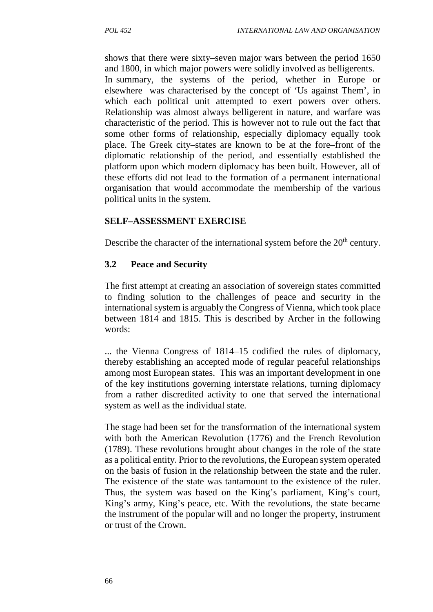shows that there were sixty–seven major wars between the period 1650 and 1800, in which major powers were solidly involved as belligerents.

In summary, the systems of the period, whether in Europe or elsewhere was characterised by the concept of 'Us against Them', in which each political unit attempted to exert powers over others. Relationship was almost always belligerent in nature, and warfare was characteristic of the period. This is however not to rule out the fact that some other forms of relationship, especially diplomacy equally took place. The Greek city–states are known to be at the fore–front of the diplomatic relationship of the period, and essentially established the platform upon which modern diplomacy has been built. However, all of these efforts did not lead to the formation of a permanent international organisation that would accommodate the membership of the various political units in the system.

### **SELF–ASSESSMENT EXERCISE**

Describe the character of the international system before the  $20<sup>th</sup>$  century.

## **3.2 Peace and Security**

The first attempt at creating an association of sovereign states committed to finding solution to the challenges of peace and security in the international system is arguably the Congress of Vienna, which took place between 1814 and 1815. This is described by Archer in the following words:

... the Vienna Congress of 1814–15 codified the rules of diplomacy, thereby establishing an accepted mode of regular peaceful relationships among most European states. This was an important development in one of the key institutions governing interstate relations, turning diplomacy from a rather discredited activity to one that served the international system as well as the individual state*.*

The stage had been set for the transformation of the international system with both the American Revolution (1776) and the French Revolution (1789). These revolutions brought about changes in the role of the state as a political entity. Prior to the revolutions, the European system operated on the basis of fusion in the relationship between the state and the ruler. The existence of the state was tantamount to the existence of the ruler. Thus, the system was based on the King's parliament, King's court, King's army, King's peace, etc. With the revolutions, the state became the instrument of the popular will and no longer the property, instrument or trust of the Crown.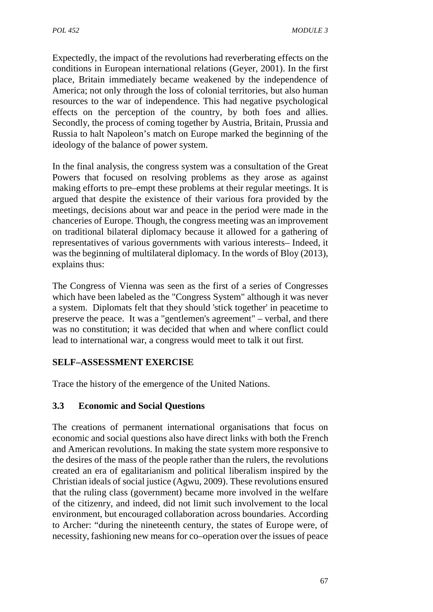Expectedly, the impact of the revolutions had reverberating effects on the conditions in European international relations (Geyer, 2001). In the first place, Britain immediately became weakened by the independence of America; not only through the loss of colonial territories, but also human resources to the war of independence. This had negative psychological effects on the perception of the country, by both foes and allies. Secondly, the process of coming together by Austria, Britain, Prussia and Russia to halt Napoleon's match on Europe marked the beginning of the ideology of the balance of power system.

In the final analysis, the congress system was a consultation of the Great Powers that focused on resolving problems as they arose as against making efforts to pre–empt these problems at their regular meetings. It is argued that despite the existence of their various fora provided by the meetings, decisions about war and peace in the period were made in the chanceries of Europe. Though, the congress meeting was an improvement on traditional bilateral diplomacy because it allowed for a gathering of representatives of various governments with various interests– Indeed, it was the beginning of multilateral diplomacy. In the words of Bloy (2013), explains thus:

The Congress of Vienna was seen as the first of a series of Congresses which have been labeled as the "Congress System" although it was never a system. Diplomats felt that they should 'stick together' in peacetime to preserve the peace. It was a "gentlemen's agreement" – verbal, and there was no constitution; it was decided that when and where conflict could lead to international war, a congress would meet to talk it out first*.*

### **SELF–ASSESSMENT EXERCISE**

Trace the history of the emergence of the United Nations.

## **3.3 Economic and Social Questions**

The creations of permanent international organisations that focus on economic and social questions also have direct links with both the French and American revolutions. In making the state system more responsive to the desires of the mass of the people rather than the rulers, the revolutions created an era of egalitarianism and political liberalism inspired by the Christian ideals of social justice (Agwu, 2009). These revolutions ensured that the ruling class (government) became more involved in the welfare of the citizenry, and indeed, did not limit such involvement to the local environment, but encouraged collaboration across boundaries. According to Archer: "during the nineteenth century, the states of Europe were, of necessity, fashioning new means for co–operation over the issues of peace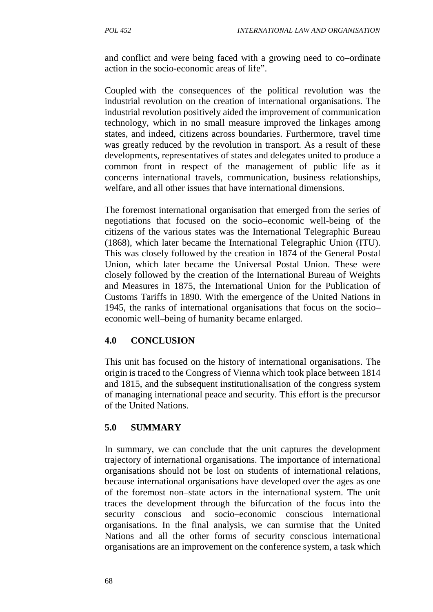and conflict and were being faced with a growing need to co–ordinate action in the socio-economic areas of life".

Coupled with the consequences of the political revolution was the industrial revolution on the creation of international organisations. The industrial revolution positively aided the improvement of communication technology, which in no small measure improved the linkages among states, and indeed, citizens across boundaries. Furthermore, travel time was greatly reduced by the revolution in transport. As a result of these developments, representatives of states and delegates united to produce a common front in respect of the management of public life as it concerns international travels, communication, business relationships, welfare, and all other issues that have international dimensions.

The foremost international organisation that emerged from the series of negotiations that focused on the socio–economic well-being of the citizens of the various states was the International Telegraphic Bureau (1868), which later became the International Telegraphic Union (ITU). This was closely followed by the creation in 1874 of the General Postal Union, which later became the Universal Postal Union. These were closely followed by the creation of the International Bureau of Weights and Measures in 1875, the International Union for the Publication of Customs Tariffs in 1890. With the emergence of the United Nations in 1945, the ranks of international organisations that focus on the socio– economic well–being of humanity became enlarged.

### **4.0 CONCLUSION**

This unit has focused on the history of international organisations. The origin is traced to the Congress of Vienna which took place between 1814 and 1815, and the subsequent institutionalisation of the congress system of managing international peace and security. This effort is the precursor of the United Nations.

### **5.0 SUMMARY**

In summary, we can conclude that the unit captures the development trajectory of international organisations. The importance of international organisations should not be lost on students of international relations, because international organisations have developed over the ages as one of the foremost non–state actors in the international system. The unit traces the development through the bifurcation of the focus into the security conscious and socio–economic conscious international organisations. In the final analysis, we can surmise that the United Nations and all the other forms of security conscious international organisations are an improvement on the conference system, a task which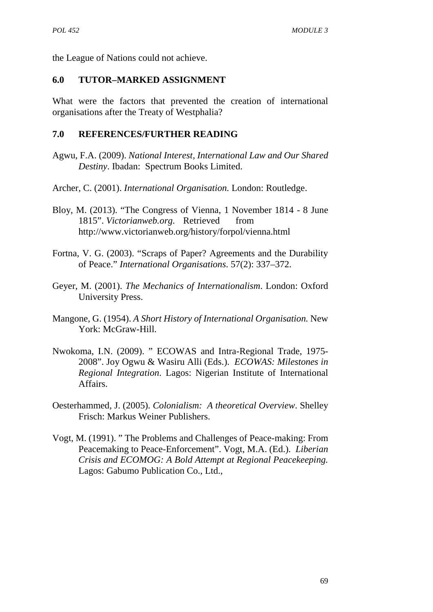the League of Nations could not achieve.

### **6.0 TUTOR–MARKED ASSIGNMENT**

What were the factors that prevented the creation of international organisations after the Treaty of Westphalia?

### **7.0 REFERENCES/FURTHER READING**

- Agwu, F.A. (2009). *National Interest, International Law and Our Shared Destiny*. Ibadan: Spectrum Books Limited.
- Archer, C. (2001). *International Organisation.* London: Routledge.
- Bloy, M. (2013). "The Congress of Vienna, 1 November 1814 8 June 1815". *Victorianweb.org.* Retrieved from http://www.victorianweb.org/history/forpol/vienna.html
- Fortna, V. G. (2003). "Scraps of Paper? Agreements and the Durability of Peace." *International Organisations*. 57(2): 337–372.
- Geyer, M. (2001). *The Mechanics of Internationalism*. London: Oxford University Press.
- Mangone, G. (1954). *A Short History of International Organisation.* New York: McGraw-Hill.
- Nwokoma, I.N. (2009). " ECOWAS and Intra-Regional Trade, 1975- 2008". Joy Ogwu & Wasiru Alli (Eds.). *ECOWAS: Milestones in Regional Integration*. Lagos: Nigerian Institute of International Affairs.
- Oesterhammed, J. (2005). *Colonialism: A theoretical Overview*. Shelley Frisch: Markus Weiner Publishers.
- Vogt, M. (1991). " The Problems and Challenges of Peace-making: From Peacemaking to Peace-Enforcement". Vogt, M.A. (Ed.). *Liberian Crisis and ECOMOG: A Bold Attempt at Regional Peacekeeping.* Lagos: Gabumo Publication Co., Ltd.,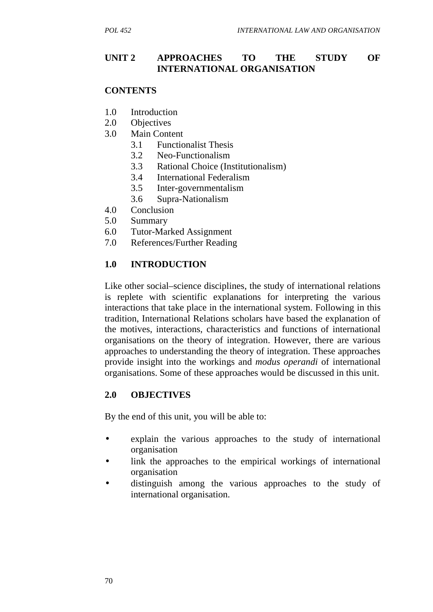#### **UNIT 2 APPROACHES TO THE STUDY OF INTERNATIONAL ORGANISATION**

#### **CONTENTS**

- 1.0 Introduction
- 2.0 Objectives
- 3.0 Main Content
	- 3.1 Functionalist Thesis
	- 3.2 Neo-Functionalism
	- 3.3 Rational Choice (Institutionalism)
	- 3.4 International Federalism
	- 3.5 Inter-governmentalism
	- 3.6 Supra-Nationalism
- 4.0 Conclusion
- 5.0 Summary
- 6.0 Tutor-Marked Assignment
- 7.0 References/Further Reading

### **1.0 INTRODUCTION**

Like other social–science disciplines, the study of international relations is replete with scientific explanations for interpreting the various interactions that take place in the international system. Following in this tradition, International Relations scholars have based the explanation of the motives, interactions, characteristics and functions of international organisations on the theory of integration. However, there are various approaches to understanding the theory of integration. These approaches provide insight into the workings and *modus operandi* of international organisations. Some of these approaches would be discussed in this unit.

#### **2.0 OBJECTIVES**

By the end of this unit, you will be able to:

- explain the various approaches to the study of international organisation
- link the approaches to the empirical workings of international organisation
- distinguish among the various approaches to the study of international organisation.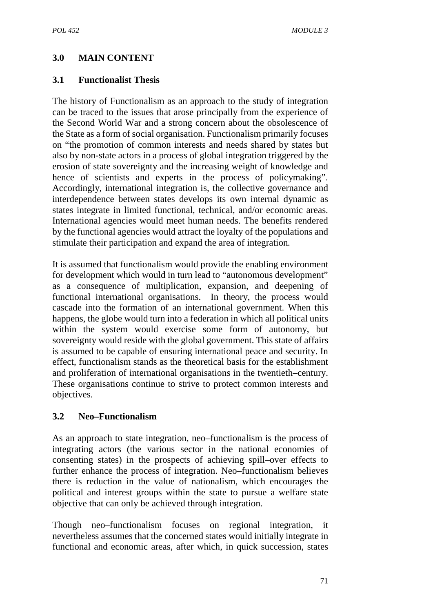## **3.0 MAIN CONTENT**

#### **3.1 Functionalist Thesis**

The history of Functionalism as an approach to the study of integration can be traced to the issues that arose principally from the experience of the Second World War and a strong concern about the obsolescence of the State as a form of social organisation. Functionalism primarily focuses on "the promotion of common interests and needs shared by states but also by non-state actors in a process of global integration triggered by the erosion of state sovereignty and the increasing weight of knowledge and hence of scientists and experts in the process of policymaking". Accordingly, international integration is, the collective governance and interdependence between states develops its own internal dynamic as states integrate in limited functional, technical, and/or economic areas. International agencies would meet human needs. The benefits rendered by the functional agencies would attract the loyalty of the populations and stimulate their participation and expand the area of integration*.*

It is assumed that functionalism would provide the enabling environment for development which would in turn lead to "autonomous development" as a consequence of multiplication, expansion, and deepening of functional international organisations. In theory, the process would cascade into the formation of an international government. When this happens, the globe would turn into a federation in which all political units within the system would exercise some form of autonomy, but sovereignty would reside with the global government. This state of affairs is assumed to be capable of ensuring international peace and security. In effect, functionalism stands as the theoretical basis for the establishment and proliferation of international organisations in the twentieth–century. These organisations continue to strive to protect common interests and objectives.

#### **3.2 Neo–Functionalism**

As an approach to state integration, neo–functionalism is the process of integrating actors (the various sector in the national economies of consenting states) in the prospects of achieving spill–over effects to further enhance the process of integration. Neo–functionalism believes there is reduction in the value of nationalism, which encourages the political and interest groups within the state to pursue a welfare state objective that can only be achieved through integration.

Though neo–functionalism focuses on regional integration, it nevertheless assumes that the concerned states would initially integrate in functional and economic areas, after which, in quick succession, states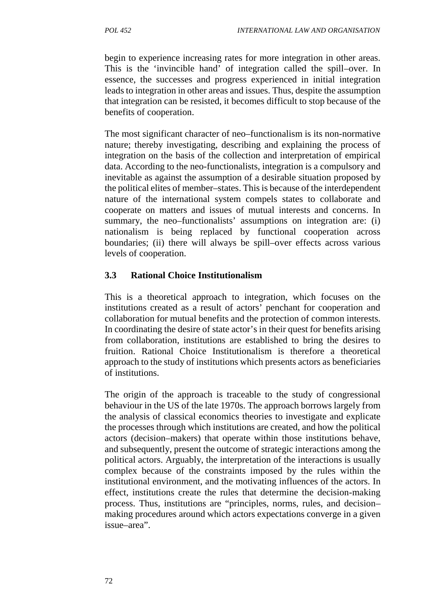begin to experience increasing rates for more integration in other areas. This is the 'invincible hand' of integration called the spill–over. In essence, the successes and progress experienced in initial integration leads to integration in other areas and issues. Thus, despite the assumption that integration can be resisted, it becomes difficult to stop because of the benefits of cooperation.

The most significant character of neo–functionalism is its non-normative nature; thereby investigating, describing and explaining the process of integration on the basis of the collection and interpretation of empirical data. According to the neo-functionalists, integration is a compulsory and inevitable as against the assumption of a desirable situation proposed by the political elites of member–states. This is because of the interdependent nature of the international system compels states to collaborate and cooperate on matters and issues of mutual interests and concerns. In summary, the neo–functionalists' assumptions on integration are: (i) nationalism is being replaced by functional cooperation across boundaries; (ii) there will always be spill–over effects across various levels of cooperation.

## **3.3 Rational Choice Institutionalism**

This is a theoretical approach to integration, which focuses on the institutions created as a result of actors' penchant for cooperation and collaboration for mutual benefits and the protection of common interests. In coordinating the desire of state actor's in their quest for benefits arising from collaboration, institutions are established to bring the desires to fruition. Rational Choice Institutionalism is therefore a theoretical approach to the study of institutions which presents actors as beneficiaries of institutions.

The origin of the approach is traceable to the study of congressional behaviour in the US of the late 1970s. The approach borrows largely from the analysis of classical economics theories to investigate and explicate the processes through which institutions are created, and how the political actors (decision–makers) that operate within those institutions behave, and subsequently, present the outcome of strategic interactions among the political actors. Arguably, the interpretation of the interactions is usually complex because of the constraints imposed by the rules within the institutional environment, and the motivating influences of the actors. In effect, institutions create the rules that determine the decision-making process. Thus, institutions are "principles, norms, rules, and decision– making procedures around which actors expectations converge in a given issue–area".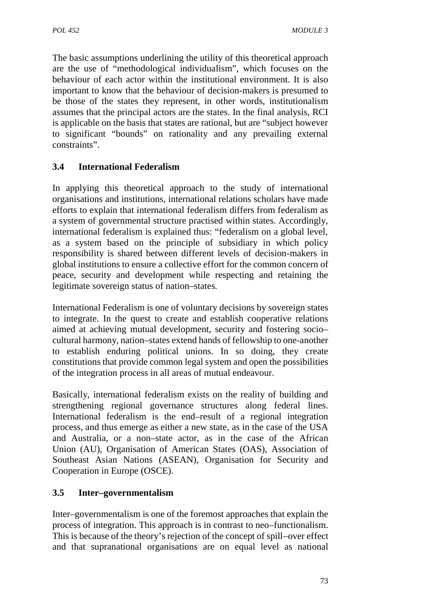The basic assumptions underlining the utility of this theoretical approach are the use of "methodological individualism", which focuses on the behaviour of each actor within the institutional environment. It is also important to know that the behaviour of decision-makers is presumed to be those of the states they represent, in other words, institutionalism assumes that the principal actors are the states. In the final analysis, RCI is applicable on the basis that states are rational, but are "subject however to significant "bounds" on rationality and any prevailing external constraints".

## **3.4 International Federalism**

In applying this theoretical approach to the study of international organisations and institutions, international relations scholars have made efforts to explain that international federalism differs from federalism as a system of governmental structure practised within states. Accordingly, international federalism is explained thus: "federalism on a global level, as a system based on the principle of subsidiary in which policy responsibility is shared between different levels of decision-makers in global institutions to ensure a collective effort for the common concern of peace, security and development while respecting and retaining the legitimate sovereign status of nation–states*.*

International Federalism is one of voluntary decisions by sovereign states to integrate. In the quest to create and establish cooperative relations aimed at achieving mutual development, security and fostering socio– cultural harmony, nation–states extend hands of fellowship to one-another to establish enduring political unions. In so doing, they create constitutions that provide common legal system and open the possibilities of the integration process in all areas of mutual endeavour.

Basically, international federalism exists on the reality of building and strengthening regional governance structures along federal lines. International federalism is the end–result of a regional integration process, and thus emerge as either a new state, as in the case of the USA and Australia, or a non–state actor, as in the case of the African Union (AU), Organisation of American States (OAS), Association of Southeast Asian Nations (ASEAN), Organisation for Security and Cooperation in Europe (OSCE).

### **3.5 Inter–governmentalism**

Inter–governmentalism is one of the foremost approaches that explain the process of integration. This approach is in contrast to neo–functionalism. This is because of the theory's rejection of the concept of spill–over effect and that supranational organisations are on equal level as national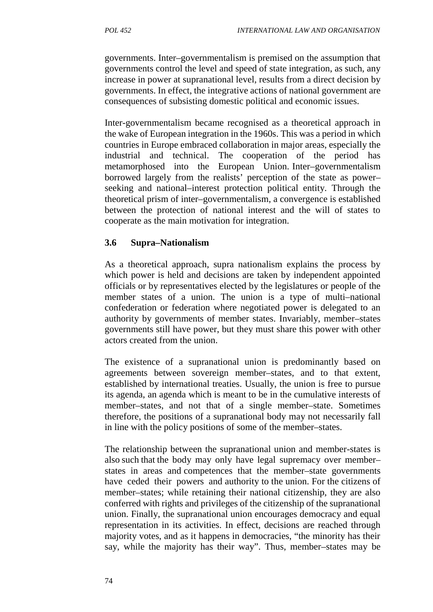governments. Inter–governmentalism is premised on the assumption that governments control the level and speed of state integration, as such, any increase in power at supranational level, results from a direct decision by governments. In effect, the integrative actions of national government are consequences of subsisting domestic political and economic issues.

Inter-governmentalism became recognised as a theoretical approach in the wake of European integration in the 1960s. This was a period in which countries in Europe embraced collaboration in major areas, especially the industrial and technical. The cooperation of the period has metamorphosed into the European Union. Inter–governmentalism borrowed largely from the realists' perception of the state as power– seeking and national–interest protection political entity. Through the theoretical prism of inter–governmentalism, a convergence is established between the protection of national interest and the will of states to cooperate as the main motivation for integration.

### **3.6 Supra–Nationalism**

As a theoretical approach, supra nationalism explains the process by which power is held and decisions are taken by independent appointed officials or by representatives elected by the legislatures or people of the member states of a union. The union is a type of multi–national confederation or federation where negotiated power is delegated to an authority by governments of member states. Invariably, member–states governments still have power, but they must share this power with other actors created from the union.

The existence of a supranational union is predominantly based on agreements between sovereign member–states, and to that extent, established by international treaties. Usually, the union is free to pursue its agenda, an agenda which is meant to be in the cumulative interests of member–states, and not that of a single member–state. Sometimes therefore, the positions of a supranational body may not necessarily fall in line with the policy positions of some of the member–states.

The relationship between the supranational union and member-states is also such that the body may only have legal supremacy over member– states in areas and competences that the member–state governments have ceded their powers and authority to the union. For the citizens of member–states; while retaining their national citizenship, they are also conferred with rights and privileges of the citizenship of the supranational union. Finally, the supranational union encourages democracy and equal representation in its activities. In effect, decisions are reached through majority votes, and as it happens in democracies, "the minority has their say, while the majority has their way". Thus, member–states may be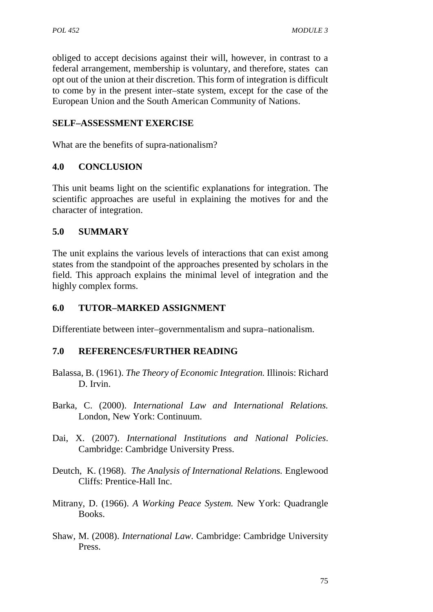obliged to accept decisions against their will, however, in contrast to a federal arrangement, membership is voluntary, and therefore, states can opt out of the union at their discretion. This form of integration is difficult to come by in the present inter–state system, except for the case of the European Union and the South American Community of Nations.

## **SELF–ASSESSMENT EXERCISE**

What are the benefits of supra-nationalism?

### **4.0 CONCLUSION**

This unit beams light on the scientific explanations for integration. The scientific approaches are useful in explaining the motives for and the character of integration.

### **5.0 SUMMARY**

The unit explains the various levels of interactions that can exist among states from the standpoint of the approaches presented by scholars in the field. This approach explains the minimal level of integration and the highly complex forms.

#### **6.0 TUTOR–MARKED ASSIGNMENT**

Differentiate between inter–governmentalism and supra–nationalism.

#### **7.0 REFERENCES/FURTHER READING**

- Balassa, B. (1961). *The Theory of Economic Integration.* Illinois: Richard D. Irvin.
- Barka, C. (2000). *International Law and International Relations.* London, New York: Continuum.
- Dai, X. (2007). *International Institutions and National Policies*. Cambridge: Cambridge University Press.
- Deutch, K. (1968). *The Analysis of International Relations.* Englewood Cliffs: Prentice-Hall Inc.
- Mitrany, D. (1966). *A Working Peace System.* New York: Quadrangle Books.
- Shaw, M. (2008). *International Law*. Cambridge: Cambridge University Press.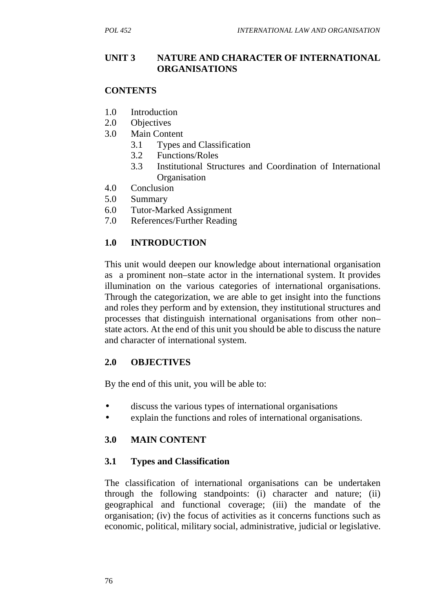## **UNIT 3 NATURE AND CHARACTER OF INTERNATIONAL ORGANISATIONS**

## **CONTENTS**

- 1.0 Introduction
- 2.0 Objectives
- 3.0 Main Content
	- 3.1 Types and Classification
	- 3.2 Functions/Roles
	- 3.3 Institutional Structures and Coordination of International **Organisation**
- 4.0 Conclusion
- 5.0 Summary
- 6.0 Tutor-Marked Assignment
- 7.0 References/Further Reading

## **1.0 INTRODUCTION**

This unit would deepen our knowledge about international organisation as a prominent non–state actor in the international system. It provides illumination on the various categories of international organisations. Through the categorization, we are able to get insight into the functions and roles they perform and by extension, they institutional structures and processes that distinguish international organisations from other non– state actors. At the end of this unit you should be able to discuss the nature and character of international system.

### **2.0 OBJECTIVES**

By the end of this unit, you will be able to:

- discuss the various types of international organisations
- explain the functions and roles of international organisations.

## **3.0 MAIN CONTENT**

## **3.1 Types and Classification**

The classification of international organisations can be undertaken through the following standpoints: (i) character and nature; (ii) geographical and functional coverage; (iii) the mandate of the organisation; (iv) the focus of activities as it concerns functions such as economic, political, military social, administrative, judicial or legislative.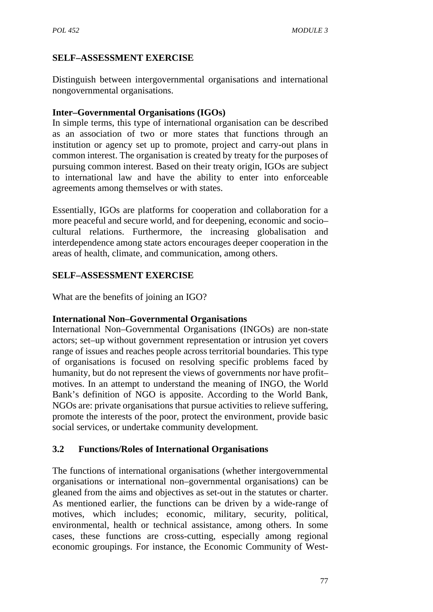## **SELF–ASSESSMENT EXERCISE**

Distinguish between intergovernmental organisations and international nongovernmental organisations.

### **Inter–Governmental Organisations (IGOs)**

In simple terms, this type of international organisation can be described as an association of two or more states that functions through an institution or agency set up to promote, project and carry-out plans in common interest. The organisation is created by treaty for the purposes of pursuing common interest. Based on their treaty origin, IGOs are subject to international law and have the ability to enter into enforceable agreements among themselves or with states.

Essentially, IGOs are platforms for cooperation and collaboration for a more peaceful and secure world, and for deepening, economic and socio– cultural relations. Furthermore, the increasing globalisation and interdependence among state actors encourages deeper cooperation in the areas of health, climate, and communication, among others.

## **SELF–ASSESSMENT EXERCISE**

What are the benefits of joining an IGO?

### **International Non–Governmental Organisations**

International Non–Governmental Organisations (INGOs) are non-state actors; set–up without government representation or intrusion yet covers range of issues and reaches people across territorial boundaries. This type of organisations is focused on resolving specific problems faced by humanity, but do not represent the views of governments nor have profit– motives. In an attempt to understand the meaning of INGO, the World Bank's definition of NGO is apposite. According to the World Bank, NGOs are: private organisations that pursue activities to relieve suffering, promote the interests of the poor, protect the environment, provide basic social services, or undertake community development*.*

## **3.2 Functions/Roles of International Organisations**

The functions of international organisations (whether intergovernmental organisations or international non–governmental organisations) can be gleaned from the aims and objectives as set-out in the statutes or charter. As mentioned earlier, the functions can be driven by a wide-range of motives, which includes; economic, military, security, political, environmental, health or technical assistance, among others. In some cases, these functions are cross-cutting, especially among regional economic groupings. For instance, the Economic Community of West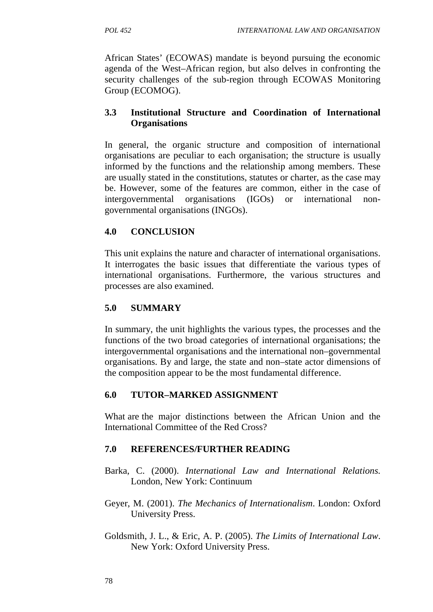African States' (ECOWAS) mandate is beyond pursuing the economic agenda of the West–African region, but also delves in confronting the security challenges of the sub-region through ECOWAS Monitoring Group (ECOMOG).

## **3.3 Institutional Structure and Coordination of International Organisations**

In general, the organic structure and composition of international organisations are peculiar to each organisation; the structure is usually informed by the functions and the relationship among members. These are usually stated in the constitutions, statutes or charter, as the case may be. However, some of the features are common, either in the case of intergovernmental organisations (IGOs) or international non governmental organisations (INGOs).

## **4.0 CONCLUSION**

This unit explains the nature and character of international organisations. It interrogates the basic issues that differentiate the various types of international organisations. Furthermore, the various structures and processes are also examined.

## **5.0 SUMMARY**

In summary, the unit highlights the various types, the processes and the functions of the two broad categories of international organisations; the intergovernmental organisations and the international non–governmental organisations. By and large, the state and non–state actor dimensions of the composition appear to be the most fundamental difference.

## **6.0 TUTOR–MARKED ASSIGNMENT**

What are the major distinctions between the African Union and the International Committee of the Red Cross?

### **7.0 REFERENCES/FURTHER READING**

- Barka, C. (2000). *International Law and International Relations.* London, New York: Continuum
- Geyer, M. (2001). *The Mechanics of Internationalism*. London: Oxford University Press.
- Goldsmith, J. L., & Eric, A. P. (2005). *The Limits of International Law*. New York: Oxford University Press.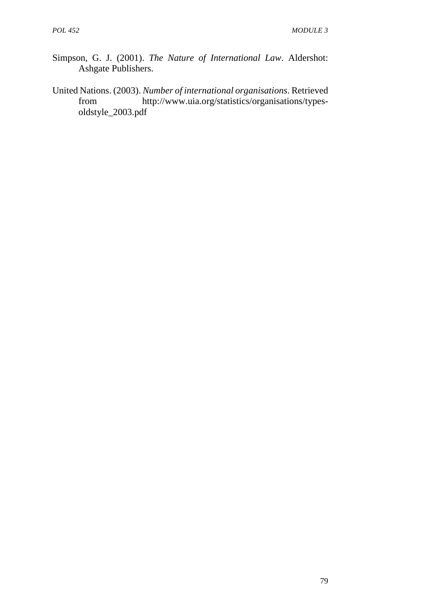- Simpson, G. J. (2001). *The Nature of International Law*. Aldershot: Ashgate Publishers.
- United Nations. (2003). *Number of international organisations*. Retrieved from http://www.uia.org/statistics/organisations/types oldstyle\_2003.pdf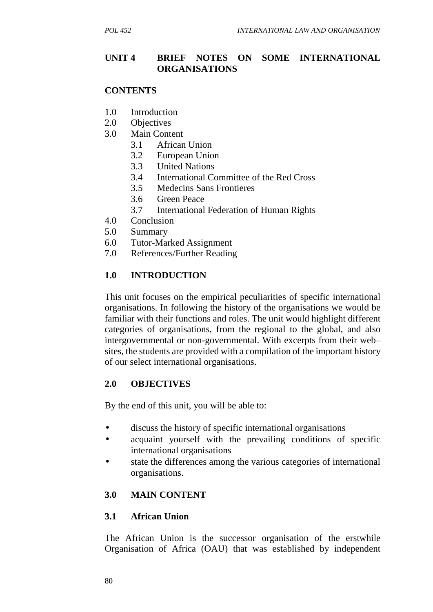### **UNIT 4 BRIEF NOTES ON SOME INTERNATIONAL ORGANISATIONS**

#### **CONTENTS**

- 1.0 Introduction
- 2.0 Objectives
- 3.0 Main Content
	- 3.1 African Union
	- 3.2 European Union
	- 3.3 United Nations
	- 3.4 International Committee of the Red Cross
	- 3.5 Medecins Sans Frontieres
	- 3.6 Green Peace
	- 3.7 International Federation of Human Rights
- 4.0 Conclusion
- 5.0 Summary
- 6.0 Tutor-Marked Assignment
- 7.0 References/Further Reading

### **1.0 INTRODUCTION**

This unit focuses on the empirical peculiarities of specific international organisations. In following the history of the organisations we would be familiar with their functions and roles. The unit would highlight different categories of organisations, from the regional to the global, and also intergovernmental or non-governmental. With excerpts from their web– sites, the students are provided with a compilation of the important history of our select international organisations.

### **2.0 OBJECTIVES**

By the end of this unit, you will be able to:

- discuss the history of specific international organisations
- acquaint yourself with the prevailing conditions of specific international organisations
- state the differences among the various categories of international organisations.

### **3.0 MAIN CONTENT**

#### **3.1 African Union**

The African Union is the successor organisation of the erstwhile Organisation of Africa (OAU) that was established by independent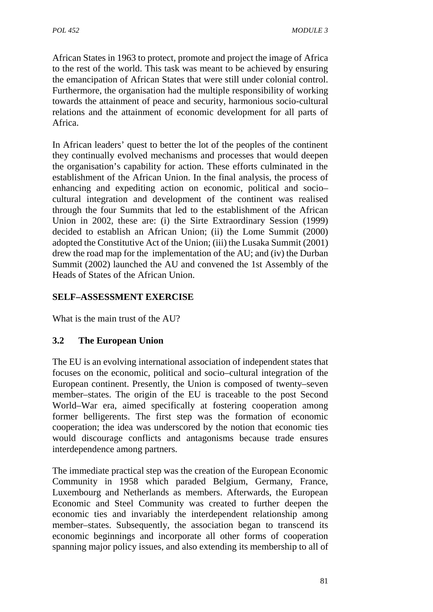African States in 1963 to protect, promote and project the image of Africa to the rest of the world. This task was meant to be achieved by ensuring the emancipation of African States that were still under colonial control. Furthermore, the organisation had the multiple responsibility of working towards the attainment of peace and security, harmonious socio-cultural relations and the attainment of economic development for all parts of Africa.

In African leaders' quest to better the lot of the peoples of the continent they continually evolved mechanisms and processes that would deepen the organisation's capability for action. These efforts culminated in the establishment of the African Union. In the final analysis, the process of enhancing and expediting action on economic, political and socio– cultural integration and development of the continent was realised through the four Summits that led to the establishment of the African Union in 2002, these are: (i) the Sirte Extraordinary Session (1999) decided to establish an African Union; (ii) the Lome Summit (2000) adopted the Constitutive Act of the Union; (iii) the Lusaka Summit (2001) drew the road map for the implementation of the AU; and (iv) the Durban Summit (2002) launched the AU and convened the 1st Assembly of the Heads of States of the African Union.

## **SELF–ASSESSMENT EXERCISE**

What is the main trust of the AU?

## **3.2 The European Union**

The EU is an evolving international association of independent states that focuses on the economic, political and socio–cultural integration of the European continent. Presently, the Union is composed of twenty–seven member–states. The origin of the EU is traceable to the post Second World–War era, aimed specifically at fostering cooperation among former belligerents. The first step was the formation of economic cooperation; the idea was underscored by the notion that economic ties would discourage conflicts and antagonisms because trade ensures interdependence among partners.

The immediate practical step was the creation of the European Economic Community in 1958 which paraded Belgium, Germany, France, Luxembourg and Netherlands as members. Afterwards, the European Economic and Steel Community was created to further deepen the economic ties and invariably the interdependent relationship among member–states. Subsequently, the association began to transcend its economic beginnings and incorporate all other forms of cooperation spanning major policy issues, and also extending its membership to all of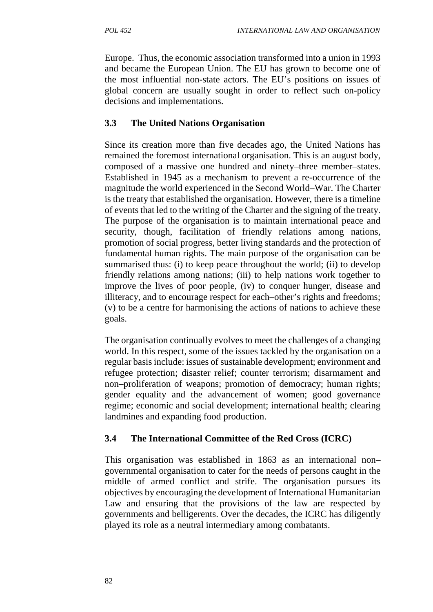Europe. Thus, the economic association transformed into a union in 1993 and became the European Union. The EU has grown to become one of the most influential non-state actors. The EU's positions on issues of global concern are usually sought in order to reflect such on-policy decisions and implementations.

# **3.3 The United Nations Organisation**

Since its creation more than five decades ago, the United Nations has remained the foremost international organisation. This is an august body, composed of a massive one hundred and ninety–three member–states. Established in 1945 as a mechanism to prevent a re-occurrence of the magnitude the world experienced in the Second World–War. The Charter is the treaty that established the organisation. However, there is a timeline of events that led to the writing of the Charter and the signing of the treaty. The purpose of the organisation is to maintain international peace and security, though, facilitation of friendly relations among nations, promotion of social progress, better living standards and the protection of fundamental human rights. The main purpose of the organisation can be summarised thus: (i) to keep peace throughout the world; (ii) to develop friendly relations among nations; (iii) to help nations work together to improve the lives of poor people, (iv) to conquer hunger, disease and illiteracy, and to encourage respect for each–other's rights and freedoms; (v) to be a centre for harmonising the actions of nations to achieve these goals.

The organisation continually evolves to meet the challenges of a changing world. In this respect, some of the issues tackled by the organisation on a regular basis include: issues of sustainable development; environment and refugee protection; disaster relief; counter terrorism; disarmament and non–proliferation of weapons; promotion of democracy; human rights; gender equality and the advancement of women; good governance regime; economic and social development; international health; clearing landmines and expanding food production.

## **3.4 The International Committee of the Red Cross (ICRC)**

This organisation was established in 1863 as an international non– governmental organisation to cater for the needs of persons caught in the middle of armed conflict and strife. The organisation pursues its objectives by encouraging the development of International Humanitarian Law and ensuring that the provisions of the law are respected by governments and belligerents. Over the decades, the ICRC has diligently played its role as a neutral intermediary among combatants.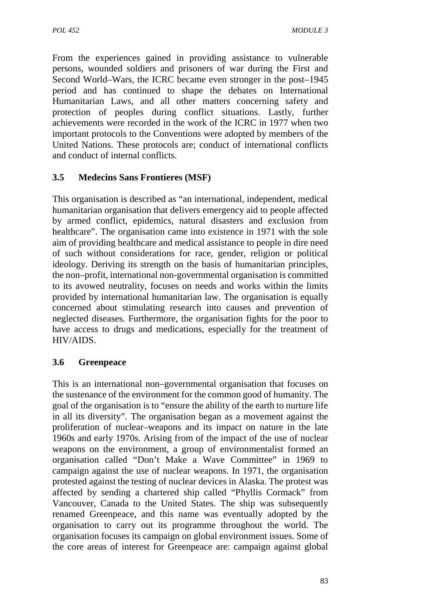From the experiences gained in providing assistance to vulnerable persons, wounded soldiers and prisoners of war during the First and Second World–Wars, the ICRC became even stronger in the post–1945 period and has continued to shape the debates on International Humanitarian Laws, and all other matters concerning safety and protection of peoples during conflict situations. Lastly, further achievements were recorded in the work of the ICRC in 1977 when two important protocols to the Conventions were adopted by members of the United Nations. These protocols are; conduct of international conflicts and conduct of internal conflicts.

## **3.5 Medecins Sans Frontieres (MSF)**

This organisation is described as "an international, independent, medical humanitarian organisation that delivers emergency aid to people affected by armed conflict, epidemics, natural disasters and exclusion from healthcare". The organisation came into existence in 1971 with the sole aim of providing healthcare and medical assistance to people in dire need of such without considerations for race, gender, religion or political ideology. Deriving its strength on the basis of humanitarian principles, the non–profit, international non-governmental organisation is committed to its avowed neutrality, focuses on needs and works within the limits provided by international humanitarian law. The organisation is equally concerned about stimulating research into causes and prevention of neglected diseases. Furthermore, the organisation fights for the poor to have access to drugs and medications, especially for the treatment of HIV/AIDS.

### **3.6 Greenpeace**

This is an international non–governmental organisation that focuses on the sustenance of the environment for the common good of humanity. The goal of the organisation is to "ensure the ability of the earth to nurture life in all its diversity". The organisation began as a movement against the proliferation of nuclear–weapons and its impact on nature in the late 1960s and early 1970s. Arising from of the impact of the use of nuclear weapons on the environment, a group of environmentalist formed an organisation called "Don't Make a Wave Committee" in 1969 to campaign against the use of nuclear weapons. In 1971, the organisation protested against the testing of nuclear devices in Alaska. The protest was affected by sending a chartered ship called "Phyllis Cormack" from Vancouver, Canada to the United States. The ship was subsequently renamed Greenpeace, and this name was eventually adopted by the organisation to carry out its programme throughout the world. The organisation focuses its campaign on global environment issues. Some of the core areas of interest for Greenpeace are: campaign against global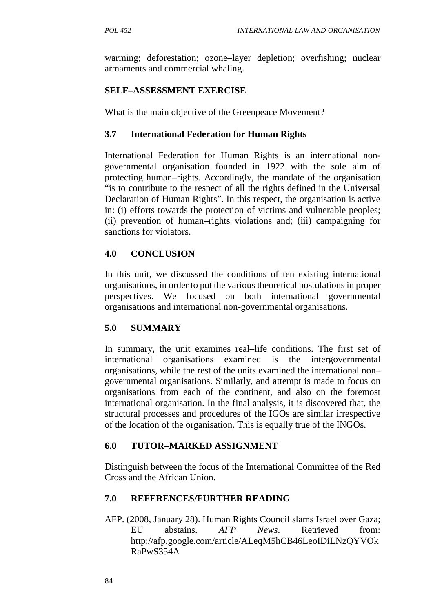warming; deforestation; ozone–layer depletion; overfishing; nuclear armaments and commercial whaling.

## **SELF–ASSESSMENT EXERCISE**

What is the main objective of the Greenpeace Movement?

## **3.7 International Federation for Human Rights**

International Federation for Human Rights is an international non governmental organisation founded in 1922 with the sole aim of protecting human–rights. Accordingly, the mandate of the organisation "is to contribute to the respect of all the rights defined in the Universal Declaration of Human Rights". In this respect, the organisation is active in: (i) efforts towards the protection of victims and vulnerable peoples; (ii) prevention of human–rights violations and; (iii) campaigning for sanctions for violators.

## **4.0 CONCLUSION**

In this unit, we discussed the conditions of ten existing international organisations, in order to put the various theoretical postulations in proper perspectives. We focused on both international governmental organisations and international non-governmental organisations.

## **5.0 SUMMARY**

In summary, the unit examines real–life conditions. The first set of international organisations examined is the intergovernmental organisations, while the rest of the units examined the international non– governmental organisations. Similarly, and attempt is made to focus on organisations from each of the continent, and also on the foremost international organisation. In the final analysis, it is discovered that, the structural processes and procedures of the IGOs are similar irrespective of the location of the organisation. This is equally true of the INGOs.

## **6.0 TUTOR–MARKED ASSIGNMENT**

Distinguish between the focus of the International Committee of the Red Cross and the African Union.

## **7.0 REFERENCES/FURTHER READING**

AFP. (2008, January 28). Human Rights Council slams Israel over Gaza; EU abstains. *AFP News*. Retrieved from: http://afp.google.com/article/ALeqM5hCB46LeoIDiLNzQYVOk RaPwS354A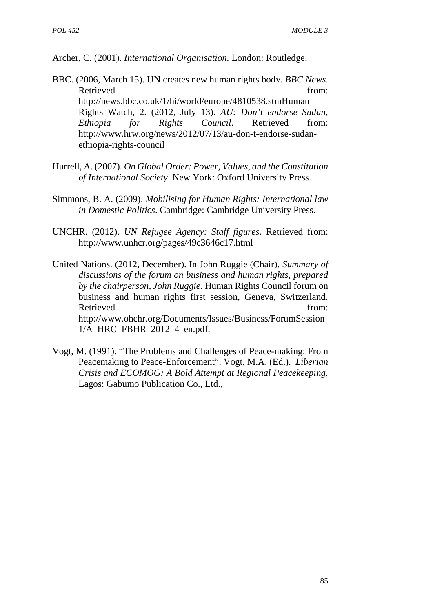Archer, C. (2001). *International Organisation.* London: Routledge.

- BBC. (2006, March 15). UN creates new human rights body. *BBC News*. Retrieved from: http://news.bbc.co.uk/1/hi/world/europe/4810538.stmHuman Rights Watch, 2. (2012, July 13). *AU: Don't endorse Sudan, Ethiopia for Rights Council*. Retrieved from: http://www.hrw.org/news/2012/07/13/au-don-t-endorse-sudan ethiopia-rights-council
- Hurrell, A. (2007). *On Global Order: Power, Values, and the Constitution of International Society*. New York: Oxford University Press.
- Simmons, B. A. (2009). *Mobilising for Human Rights: International law in Domestic Politics*. Cambridge: Cambridge University Press.
- UNCHR. (2012). *UN Refugee Agency: Staff figures*. Retrieved from: http://www.unhcr.org/pages/49c3646c17.html
- United Nations. (2012, December). In John Ruggie (Chair). *Summary of discussions of the forum on business and human rights, prepared by the chairperson, John Ruggie*. Human Rights Council forum on business and human rights first session, Geneva, Switzerland. Retrieved from: http://www.ohchr.org/Documents/Issues/Business/ForumSession 1/A\_HRC\_FBHR\_2012\_4\_en.pdf.
- Vogt, M. (1991). "The Problems and Challenges of Peace-making: From Peacemaking to Peace-Enforcement". Vogt, M.A. (Ed.). *Liberian Crisis and ECOMOG: A Bold Attempt at Regional Peacekeeping.* Lagos: Gabumo Publication Co., Ltd.,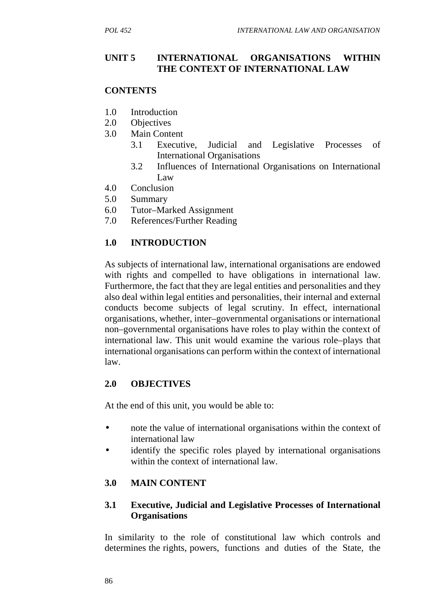## **UNIT 5 INTERNATIONAL ORGANISATIONS WITHIN THE CONTEXT OF INTERNATIONAL LAW**

## **CONTENTS**

- 1.0 Introduction
- 2.0 Objectives
- 3.0 Main Content
	- 3.1 Executive, Judicial and Legislative Processes of International Organisations
	- 3.2 Influences of International Organisations on International Law
- 4.0 Conclusion
- 5.0 Summary
- 6.0 Tutor–Marked Assignment
- 7.0 References/Further Reading

# **1.0 INTRODUCTION**

As subjects of international law, international organisations are endowed with rights and compelled to have obligations in international law. Furthermore, the fact that they are legal entities and personalities and they also deal within legal entities and personalities, their internal and external conducts become subjects of legal scrutiny. In effect, international organisations, whether, inter–governmental organisations or international non–governmental organisations have roles to play within the context of international law. This unit would examine the various role–plays that international organisations can perform within the context of international law.

## **2.0 OBJECTIVES**

At the end of this unit, you would be able to:

- note the value of international organisations within the context of international law
- identify the specific roles played by international organisations within the context of international law.

## **3.0 MAIN CONTENT**

### **3.1 Executive, Judicial and Legislative Processes of International Organisations**

In similarity to the role of constitutional law which controls and determines the rights, powers, functions and duties of the State, the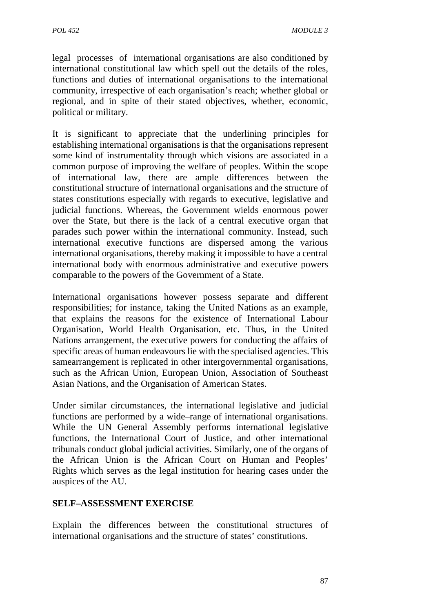legal processes of international organisations are also conditioned by international constitutional law which spell out the details of the roles, functions and duties of international organisations to the international community, irrespective of each organisation's reach; whether global or regional, and in spite of their stated objectives, whether, economic, political or military.

It is significant to appreciate that the underlining principles for establishing international organisations is that the organisations represent some kind of instrumentality through which visions are associated in a common purpose of improving the welfare of peoples. Within the scope of international law, there are ample differences between the constitutional structure of international organisations and the structure of states constitutions especially with regards to executive, legislative and judicial functions. Whereas, the Government wields enormous power over the State, but there is the lack of a central executive organ that parades such power within the international community. Instead, such international executive functions are dispersed among the various international organisations, thereby making it impossible to have a central international body with enormous administrative and executive powers comparable to the powers of the Government of a State.

International organisations however possess separate and different responsibilities; for instance, taking the United Nations as an example, that explains the reasons for the existence of International Labour Organisation, World Health Organisation, etc. Thus, in the United Nations arrangement, the executive powers for conducting the affairs of specific areas of human endeavours lie with the specialised agencies. This samearrangement is replicated in other intergovernmental organisations, such as the African Union, European Union, Association of Southeast Asian Nations, and the Organisation of American States.

Under similar circumstances, the international legislative and judicial functions are performed by a wide–range of international organisations. While the UN General Assembly performs international legislative functions, the International Court of Justice, and other international tribunals conduct global judicial activities. Similarly, one of the organs of the African Union is the African Court on Human and Peoples' Rights which serves as the legal institution for hearing cases under the auspices of the AU.

## **SELF–ASSESSMENT EXERCISE**

Explain the differences between the constitutional structures of international organisations and the structure of states' constitutions.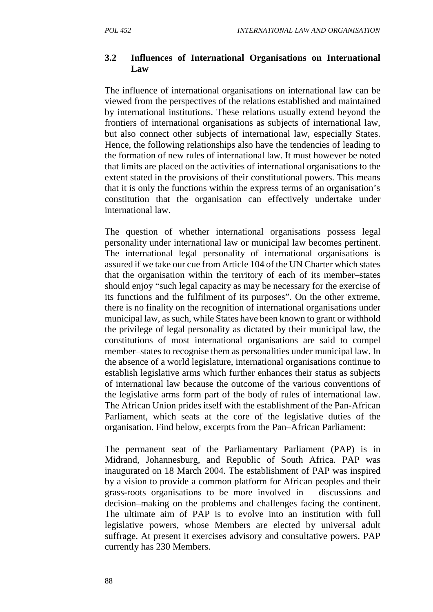### **3.2 Influences of International Organisations on International Law**

The influence of international organisations on international law can be viewed from the perspectives of the relations established and maintained by international institutions. These relations usually extend beyond the frontiers of international organisations as subjects of international law, but also connect other subjects of international law, especially States. Hence, the following relationships also have the tendencies of leading to the formation of new rules of international law. It must however be noted that limits are placed on the activities of international organisations to the extent stated in the provisions of their constitutional powers. This means that it is only the functions within the express terms of an organisation's constitution that the organisation can effectively undertake under international law.

The question of whether international organisations possess legal personality under international law or municipal law becomes pertinent. The international legal personality of international organisations is assured if we take our cue from Article 104 of the UN Charter which states that the organisation within the territory of each of its member–states should enjoy "such legal capacity as may be necessary for the exercise of its functions and the fulfilment of its purposes". On the other extreme, there is no finality on the recognition of international organisations under municipal law, as such, while States have been known to grant or withhold the privilege of legal personality as dictated by their municipal law, the constitutions of most international organisations are said to compel member–states to recognise them as personalities under municipal law. In the absence of a world legislature, international organisations continue to establish legislative arms which further enhances their status as subjects of international law because the outcome of the various conventions of the legislative arms form part of the body of rules of international law. The African Union prides itself with the establishment of the Pan-African Parliament, which seats at the core of the legislative duties of the organisation. Find below, excerpts from the Pan–African Parliament:

The permanent seat of the Parliamentary Parliament (PAP) is in Midrand, Johannesburg, and Republic of South Africa. PAP was inaugurated on 18 March 2004. The establishment of PAP was inspired by a vision to provide a common platform for African peoples and their grass-roots organisations to be more involved in discussions and decision–making on the problems and challenges facing the continent. The ultimate aim of PAP is to evolve into an institution with full legislative powers, whose Members are elected by universal adult suffrage. At present it exercises advisory and consultative powers. PAP currently has 230 Members.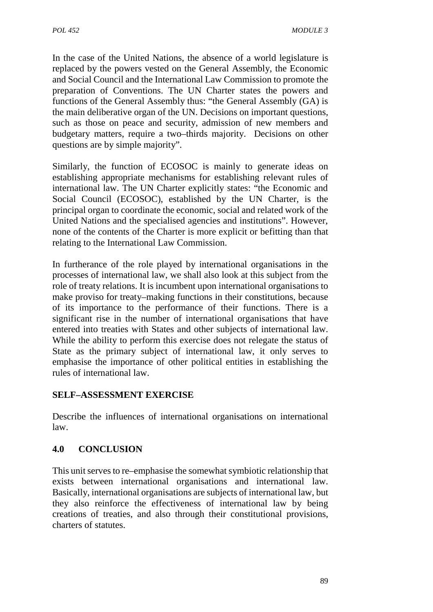In the case of the United Nations, the absence of a world legislature is replaced by the powers vested on the General Assembly, the Economic and Social Council and the International Law Commission to promote the preparation of Conventions. The UN Charter states the powers and functions of the General Assembly thus: "the General Assembly (GA) is the main deliberative organ of the UN. Decisions on important questions, such as those on peace and security, admission of new members and budgetary matters, require a two–thirds majority. Decisions on other questions are by simple majority"*.*

Similarly, the function of ECOSOC is mainly to generate ideas on establishing appropriate mechanisms for establishing relevant rules of international law. The UN Charter explicitly states: "the Economic and Social Council (ECOSOC), established by the UN Charter, is the principal organ to coordinate the economic, social and related work of the United Nations and the specialised agencies and institutions". However, none of the contents of the Charter is more explicit or befitting than that relating to the International Law Commission.

In furtherance of the role played by international organisations in the processes of international law, we shall also look at this subject from the role of treaty relations. It is incumbent upon international organisations to make proviso for treaty–making functions in their constitutions, because of its importance to the performance of their functions. There is a significant rise in the number of international organisations that have entered into treaties with States and other subjects of international law. While the ability to perform this exercise does not relegate the status of State as the primary subject of international law, it only serves to emphasise the importance of other political entities in establishing the rules of international law.

## **SELF–ASSESSMENT EXERCISE**

Describe the influences of international organisations on international law.

# **4.0 CONCLUSION**

This unit serves to re–emphasise the somewhat symbiotic relationship that exists between international organisations and international law. Basically, international organisations are subjects of international law, but they also reinforce the effectiveness of international law by being creations of treaties, and also through their constitutional provisions, charters of statutes.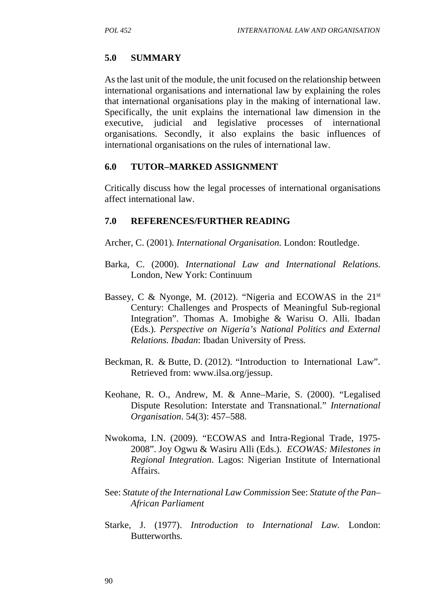# **5.0 SUMMARY**

As the last unit of the module, the unit focused on the relationship between international organisations and international law by explaining the roles that international organisations play in the making of international law. Specifically, the unit explains the international law dimension in the executive, judicial and legislative processes of international organisations. Secondly, it also explains the basic influences of international organisations on the rules of international law.

# **6.0 TUTOR–MARKED ASSIGNMENT**

Critically discuss how the legal processes of international organisations affect international law.

# **7.0 REFERENCES/FURTHER READING**

- Archer, C. (2001). *International Organisation.* London: Routledge.
- Barka, C. (2000). *International Law and International Relations.* London, New York: Continuum
- Bassey, C & Nyonge, M. (2012). "Nigeria and ECOWAS in the  $21<sup>st</sup>$ Century: Challenges and Prospects of Meaningful Sub-regional Integration". Thomas A. Imobighe & Warisu O. Alli. Ibadan (Eds.). *Perspective on Nigeria's National Politics and External Relations. Ibadan*: Ibadan University of Press.
- Beckman, R. & Butte, D. (2012). "Introduction to International Law". Retrieved from: www.ilsa.org/jessup.
- Keohane, R. O., Andrew, M. & Anne–Marie, S. (2000). "Legalised Dispute Resolution: Interstate and Transnational." *International Organisation*. 54(3): 457–588.
- Nwokoma, I.N. (2009). "ECOWAS and Intra-Regional Trade, 1975- 2008". Joy Ogwu & Wasiru Alli (Eds.). *ECOWAS: Milestones in Regional Integration*. Lagos: Nigerian Institute of International Affairs.
- See: *Statute of the International Law Commission* See: *Statute of the Pan– African Parliament*
- Starke, J. (1977). *Introduction to International Law.* London: Butterworths.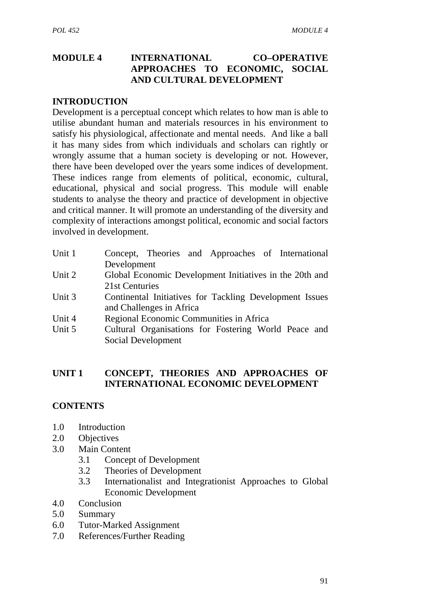# **MODULE 4 INTERNATIONAL CO–OPERATIVE APPROACHES TO ECONOMIC, SOCIAL AND CULTURAL DEVELOPMENT**

#### **INTRODUCTION**

Development is a perceptual concept which relates to how man is able to utilise abundant human and materials resources in his environment to satisfy his physiological, affectionate and mental needs. And like a ball it has many sides from which individuals and scholars can rightly or wrongly assume that a human society is developing or not. However, there have been developed over the years some indices of development. These indices range from elements of political, economic, cultural, educational, physical and social progress. This module will enable students to analyse the theory and practice of development in objective and critical manner. It will promote an understanding of the diversity and complexity of interactions amongst political, economic and social factors involved in development.

| Unit 1 | Concept, Theories and Approaches of International       |
|--------|---------------------------------------------------------|
|        | Development                                             |
| Unit 2 | Global Economic Development Initiatives in the 20th and |
|        | 21st Centuries                                          |
| Unit 3 | Continental Initiatives for Tackling Development Issues |
|        | and Challenges in Africa                                |
| Unit 4 | Regional Economic Communities in Africa                 |
| Unit 5 | Cultural Organisations for Fostering World Peace and    |

Unit 5 Cultural Organisations for Fostering World Peace and Social Development

## **UNIT 1 CONCEPT, THEORIES AND APPROACHES OF INTERNATIONAL ECONOMIC DEVELOPMENT**

## **CONTENTS**

- 1.0 Introduction
- 2.0 Objectives
- 3.0 Main Content
	- 3.1 Concept of Development
	- 3.2 Theories of Development
	- 3.3 Internationalist and Integrationist Approaches to Global Economic Development
- 4.0 Conclusion
- 5.0 Summary
- 6.0 Tutor-Marked Assignment
- 7.0 References/Further Reading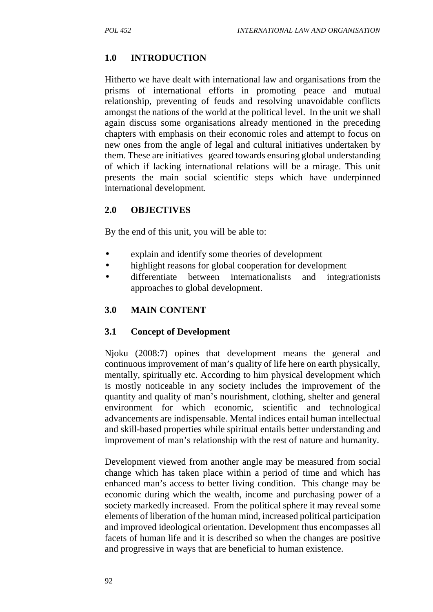# **1.0 INTRODUCTION**

Hitherto we have dealt with international law and organisations from the prisms of international efforts in promoting peace and mutual relationship, preventing of feuds and resolving unavoidable conflicts amongst the nations of the world at the political level. In the unit we shall again discuss some organisations already mentioned in the preceding chapters with emphasis on their economic roles and attempt to focus on new ones from the angle of legal and cultural initiatives undertaken by them. These are initiatives geared towards ensuring global understanding of which if lacking international relations will be a mirage. This unit presents the main social scientific steps which have underpinned international development.

## **2.0 OBJECTIVES**

By the end of this unit, you will be able to:

- explain and identify some theories of development
- highlight reasons for global cooperation for development
- differentiate between internationalists and integrationists approaches to global development.

## **3.0 MAIN CONTENT**

#### **3.1 Concept of Development**

Njoku (2008:7) opines that development means the general and continuous improvement of man's quality of life here on earth physically, mentally, spiritually etc. According to him physical development which is mostly noticeable in any society includes the improvement of the quantity and quality of man's nourishment, clothing, shelter and general environment for which economic, scientific and technological advancements are indispensable. Mental indices entail human intellectual and skill-based properties while spiritual entails better understanding and improvement of man's relationship with the rest of nature and humanity.

Development viewed from another angle may be measured from social change which has taken place within a period of time and which has enhanced man's access to better living condition. This change may be economic during which the wealth, income and purchasing power of a society markedly increased. From the political sphere it may reveal some elements of liberation of the human mind, increased political participation and improved ideological orientation. Development thus encompasses all facets of human life and it is described so when the changes are positive and progressive in ways that are beneficial to human existence.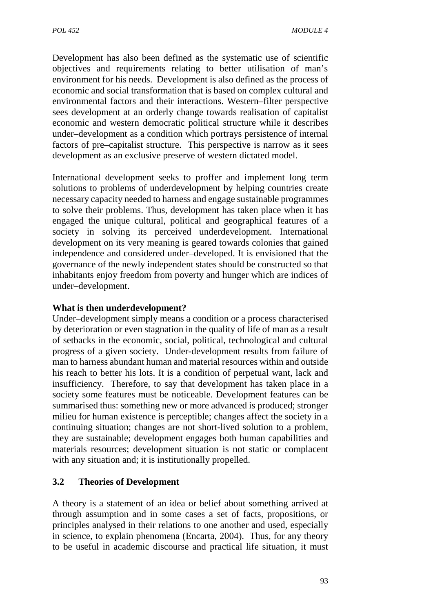Development has also been defined as the systematic use of scientific objectives and requirements relating to better utilisation of man's environment for his needs. Development is also defined as the process of economic and social transformation that is based on complex cultural and environmental factors and their interactions. Western–filter perspective sees development at an orderly change towards realisation of capitalist economic and western democratic political structure while it describes under–development as a condition which portrays persistence of internal factors of pre–capitalist structure. This perspective is narrow as it sees development as an exclusive preserve of western dictated model.

International development seeks to proffer and implement long term solutions to problems of underdevelopment by helping countries create necessary capacity needed to harness and engage sustainable programmes to solve their problems. Thus, development has taken place when it has engaged the unique cultural, political and geographical features of a society in solving its perceived underdevelopment. International development on its very meaning is geared towards colonies that gained independence and considered under–developed. It is envisioned that the governance of the newly independent states should be constructed so that inhabitants enjoy freedom from poverty and hunger which are indices of under–development.

## **What is then underdevelopment?**

Under–development simply means a condition or a process characterised by deterioration or even stagnation in the quality of life of man as a result of setbacks in the economic, social, political, technological and cultural progress of a given society. Under-development results from failure of man to harness abundant human and material resources within and outside his reach to better his lots. It is a condition of perpetual want, lack and insufficiency. Therefore, to say that development has taken place in a society some features must be noticeable. Development features can be summarised thus: something new or more advanced is produced; stronger milieu for human existence is perceptible; changes affect the society in a continuing situation; changes are not short-lived solution to a problem, they are sustainable; development engages both human capabilities and materials resources; development situation is not static or complacent with any situation and; it is institutionally propelled.

## **3.2 Theories of Development**

A theory is a statement of an idea or belief about something arrived at through assumption and in some cases a set of facts, propositions, or principles analysed in their relations to one another and used, especially in science, to explain phenomena (Encarta, 2004). Thus, for any theory to be useful in academic discourse and practical life situation, it must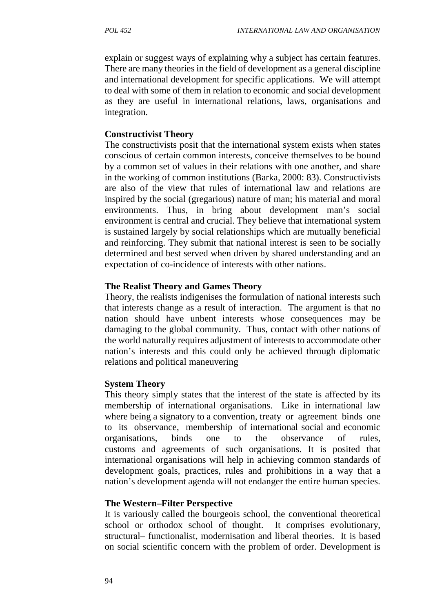explain or suggest ways of explaining why a subject has certain features. There are many theories in the field of development as a general discipline and international development for specific applications. We will attempt to deal with some of them in relation to economic and social development as they are useful in international relations, laws, organisations and integration.

#### **Constructivist Theory**

The constructivists posit that the international system exists when states conscious of certain common interests, conceive themselves to be bound by a common set of values in their relations with one another, and share in the working of common institutions (Barka, 2000: 83). Constructivists are also of the view that rules of international law and relations are inspired by the social (gregarious) nature of man; his material and moral environments. Thus, in bring about development man's social environment is central and crucial. They believe that international system is sustained largely by social relationships which are mutually beneficial and reinforcing. They submit that national interest is seen to be socially determined and best served when driven by shared understanding and an expectation of co-incidence of interests with other nations.

### **The Realist Theory and Games Theory**

Theory, the realists indigenises the formulation of national interests such that interests change as a result of interaction. The argument is that no nation should have unbent interests whose consequences may be damaging to the global community. Thus, contact with other nations of the world naturally requires adjustment of interests to accommodate other nation's interests and this could only be achieved through diplomatic relations and political maneuvering

## **System Theory**

This theory simply states that the interest of the state is affected by its membership of international organisations. Like in international law where being a signatory to a convention, treaty or agreement binds one to its observance, membership of international social and economic organisations, binds one to the observance of rules, customs and agreements of such organisations. It is posited that international organisations will help in achieving common standards of development goals, practices, rules and prohibitions in a way that a nation's development agenda will not endanger the entire human species.

## **The Western–Filter Perspective**

It is variously called the bourgeois school, the conventional theoretical school or orthodox school of thought. It comprises evolutionary, structural– functionalist, modernisation and liberal theories. It is based on social scientific concern with the problem of order. Development is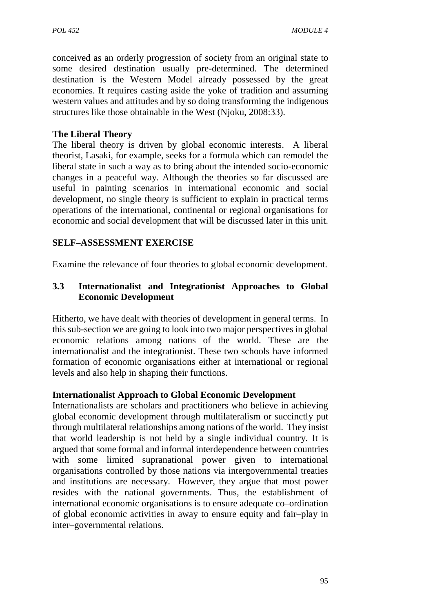conceived as an orderly progression of society from an original state to some desired destination usually pre-determined. The determined destination is the Western Model already possessed by the great economies. It requires casting aside the yoke of tradition and assuming western values and attitudes and by so doing transforming the indigenous structures like those obtainable in the West (Njoku, 2008:33).

# **The Liberal Theory**

The liberal theory is driven by global economic interests. A liberal theorist, Lasaki, for example, seeks for a formula which can remodel the liberal state in such a way as to bring about the intended socio-economic changes in a peaceful way. Although the theories so far discussed are useful in painting scenarios in international economic and social development, no single theory is sufficient to explain in practical terms operations of the international, continental or regional organisations for economic and social development that will be discussed later in this unit.

# **SELF–ASSESSMENT EXERCISE**

Examine the relevance of four theories to global economic development.

## **3.3 Internationalist and Integrationist Approaches to Global Economic Development**

Hitherto, we have dealt with theories of development in general terms. In this sub-section we are going to look into two major perspectives in global economic relations among nations of the world. These are the internationalist and the integrationist. These two schools have informed formation of economic organisations either at international or regional levels and also help in shaping their functions.

## **Internationalist Approach to Global Economic Development**

Internationalists are scholars and practitioners who believe in achieving global economic development through multilateralism or succinctly put through multilateral relationships among nations of the world. They insist that world leadership is not held by a single individual country. It is argued that some formal and informal interdependence between countries with some limited supranational power given to international organisations controlled by those nations via intergovernmental treaties and institutions are necessary. However, they argue that most power resides with the national governments. Thus, the establishment of international economic organisations is to ensure adequate co–ordination of global economic activities in away to ensure equity and fair–play in inter–governmental relations.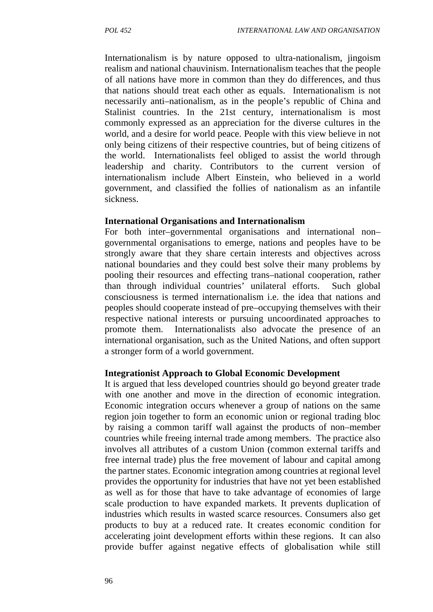Internationalism is by nature opposed to ultra-nationalism, jingoism realism and national chauvinism. Internationalism teaches that the people of all nations have more in common than they do differences, and thus that nations should treat each other as equals. Internationalism is not necessarily anti–nationalism, as in the people's republic of China and Stalinist countries. In the 21st century, internationalism is most commonly expressed as an appreciation for the diverse cultures in the world, and a desire for world peace. People with this view believe in not only being citizens of their respective countries, but of being citizens of the world. Internationalists feel obliged to assist the world through leadership and charity. Contributors to the current version of internationalism include Albert Einstein, who believed in a world government, and classified the follies of nationalism as an infantile sickness.

#### **International Organisations and Internationalism**

For both inter–governmental organisations and international non– governmental organisations to emerge, nations and peoples have to be strongly aware that they share certain interests and objectives across national boundaries and they could best solve their many problems by pooling their resources and effecting trans–national cooperation, rather than through individual countries' unilateral efforts. Such global consciousness is termed internationalism i.e. the idea that nations and peoples should cooperate instead of pre–occupying themselves with their respective national interests or pursuing uncoordinated approaches to promote them. Internationalists also advocate the presence of an international organisation, such as the United Nations, and often support a stronger form of a world government.

#### **Integrationist Approach to Global Economic Development**

It is argued that less developed countries should go beyond greater trade with one another and move in the direction of economic integration. Economic integration occurs whenever a group of nations on the same region join together to form an economic union or regional trading bloc by raising a common tariff wall against the products of non–member countries while freeing internal trade among members. The practice also involves all attributes of a custom Union (common external tariffs and free internal trade) plus the free movement of labour and capital among the partner states. Economic integration among countries at regional level provides the opportunity for industries that have not yet been established as well as for those that have to take advantage of economies of large scale production to have expanded markets. It prevents duplication of industries which results in wasted scarce resources. Consumers also get products to buy at a reduced rate. It creates economic condition for accelerating joint development efforts within these regions. It can also provide buffer against negative effects of globalisation while still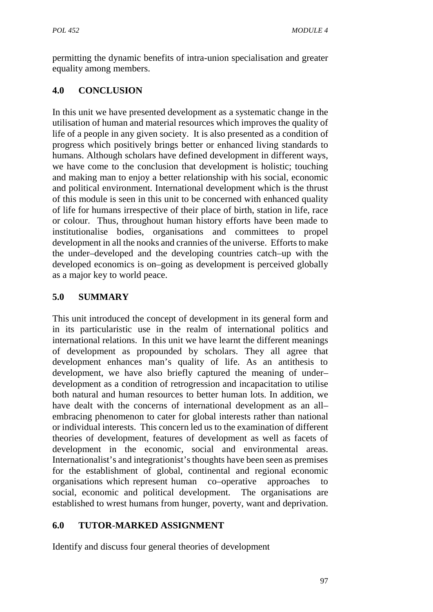permitting the dynamic benefits of intra-union specialisation and greater equality among members.

# **4.0 CONCLUSION**

In this unit we have presented development as a systematic change in the utilisation of human and material resources which improves the quality of life of a people in any given society. It is also presented as a condition of progress which positively brings better or enhanced living standards to humans. Although scholars have defined development in different ways, we have come to the conclusion that development is holistic; touching and making man to enjoy a better relationship with his social, economic and political environment. International development which is the thrust of this module is seen in this unit to be concerned with enhanced quality of life for humans irrespective of their place of birth, station in life, race or colour. Thus, throughout human history efforts have been made to institutionalise bodies, organisations and committees to propel development in all the nooks and crannies of the universe. Efforts to make the under–developed and the developing countries catch–up with the developed economics is on–going as development is perceived globally as a major key to world peace.

# **5.0 SUMMARY**

This unit introduced the concept of development in its general form and in its particularistic use in the realm of international politics and international relations. In this unit we have learnt the different meanings of development as propounded by scholars. They all agree that development enhances man's quality of life. As an antithesis to development, we have also briefly captured the meaning of under– development as a condition of retrogression and incapacitation to utilise both natural and human resources to better human lots. In addition, we have dealt with the concerns of international development as an all– embracing phenomenon to cater for global interests rather than national or individual interests. This concern led us to the examination of different theories of development, features of development as well as facets of development in the economic, social and environmental areas. Internationalist's and integrationist's thoughts have been seen as premises for the establishment of global, continental and regional economic organisations which represent human co–operative approaches to social, economic and political development. The organisations are established to wrest humans from hunger, poverty, want and deprivation.

# **6.0 TUTOR-MARKED ASSIGNMENT**

Identify and discuss four general theories of development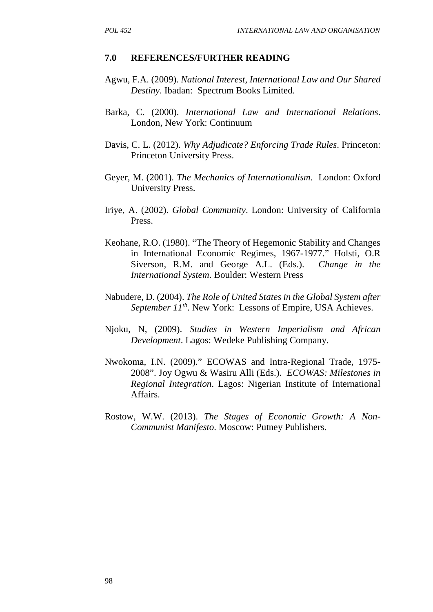#### **7.0 REFERENCES/FURTHER READING**

- Agwu, F.A. (2009). *National Interest, International Law and Our Shared Destiny*. Ibadan: Spectrum Books Limited.
- Barka, C. (2000). *International Law and International Relations*. London, New York: Continuum
- Davis, C. L. (2012). *Why Adjudicate? Enforcing Trade Rules*. Princeton: Princeton University Press.
- Geyer, M. (2001). *The Mechanics of Internationalism*. London: Oxford University Press.
- Iriye, A. (2002). *Global Community*. London: University of California Press.
- Keohane, R.O. (1980). "The Theory of Hegemonic Stability and Changes in International Economic Regimes, 1967-1977." Holsti, O.R Siverson, R.M. and George A.L. (Eds.). *Change in the International System*. Boulder: Western Press
- Nabudere, D. (2004). *The Role of United States in the Global System after September 11th*. New York: Lessons of Empire, USA Achieves.
- Njoku, N, (2009). *Studies in Western Imperialism and African Development*. Lagos: Wedeke Publishing Company.
- Nwokoma, I.N. (2009)." ECOWAS and Intra-Regional Trade, 1975- 2008". Joy Ogwu & Wasiru Alli (Eds.). *ECOWAS: Milestones in Regional Integration*. Lagos: Nigerian Institute of International Affairs.
- Rostow, W.W. (2013). *The Stages of Economic Growth: A Non- Communist Manifesto*. Moscow: Putney Publishers.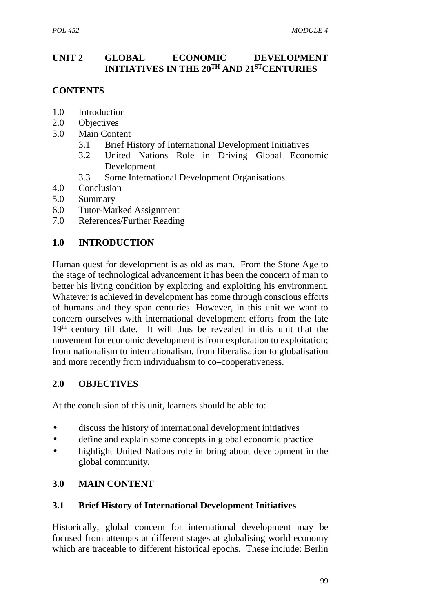# **UNIT 2 GLOBAL ECONOMIC DEVELOPMENT INITIATIVES IN THE 20TH AND 21STCENTURIES**

# **CONTENTS**

- 1.0 Introduction
- 2.0 Objectives
- 3.0 Main Content
	- 3.1 Brief History of International Development Initiatives
	- 3.2 United Nations Role in Driving Global Economic Development
	- 3.3 Some International Development Organisations
- 4.0 Conclusion
- 5.0 Summary
- 6.0 Tutor-Marked Assignment
- 7.0 References/Further Reading

# **1.0 INTRODUCTION**

Human quest for development is as old as man. From the Stone Age to the stage of technological advancement it has been the concern of man to better his living condition by exploring and exploiting his environment. Whatever is achieved in development has come through conscious efforts of humans and they span centuries. However, in this unit we want to concern ourselves with international development efforts from the late 19<sup>th</sup> century till date. It will thus be revealed in this unit that the movement for economic development is from exploration to exploitation; from nationalism to internationalism, from liberalisation to globalisation and more recently from individualism to co–cooperativeness.

# **2.0 OBJECTIVES**

At the conclusion of this unit, learners should be able to:

- discuss the history of international development initiatives
- define and explain some concepts in global economic practice
- highlight United Nations role in bring about development in the global community.

# **3.0 MAIN CONTENT**

## **3.1 Brief History of International Development Initiatives**

Historically, global concern for international development may be focused from attempts at different stages at globalising world economy which are traceable to different historical epochs. These include: Berlin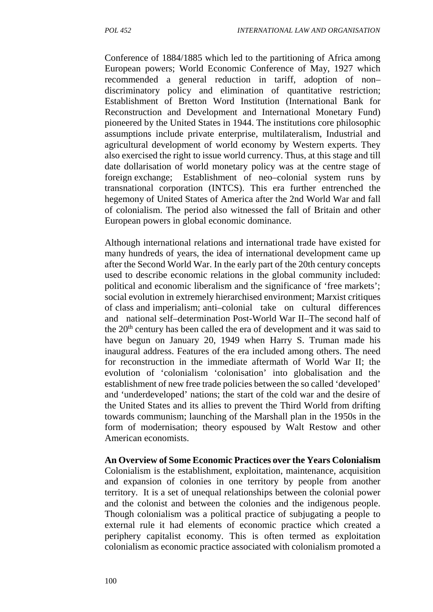Conference of 1884/1885 which led to the partitioning of Africa among European powers; World Economic Conference of May, 1927 which recommended a general reduction in tariff, adoption of non– discriminatory policy and elimination of quantitative restriction; Establishment of Bretton Word Institution (International Bank for Reconstruction and Development and International Monetary Fund) pioneered by the United States in 1944. The institutions core philosophic assumptions include private enterprise, multilateralism, Industrial and agricultural development of world economy by Western experts. They also exercised the right to issue world currency. Thus, at this stage and till date dollarisation of world monetary policy was at the centre stage of foreign exchange; Establishment of neo–colonial system runs by transnational corporation (INTCS). This era further entrenched the hegemony of United States of America after the 2nd World War and fall of colonialism. The period also witnessed the fall of Britain and other European powers in global economic dominance.

Although international relations and international trade have existed for many hundreds of years, the idea of international development came up after the Second World War. In the early part of the 20th century concepts used to describe economic relations in the global community included: political and economic liberalism and the significance of 'free markets'; social evolution in extremely hierarchised environment; Marxist critiques of class and imperialism; anti–colonial take on cultural differences and national self–determination Post-World War II–The second half of the 20<sup>th</sup> century has been called the era of development and it was said to have begun on January 20, 1949 when Harry S. Truman made his inaugural address. Features of the era included among others. The need for reconstruction in the immediate aftermath of World War II; the evolution of 'colonialism 'colonisation' into globalisation and the establishment of new free trade policies between the so called 'developed' and 'underdeveloped' nations; the start of the cold war and the desire of the United States and its allies to prevent the Third World from drifting towards communism; launching of the Marshall plan in the 1950s in the form of modernisation; theory espoused by Walt Restow and other American economists.

**An Overview of Some Economic Practices over the Years Colonialism** Colonialism is the establishment, exploitation, maintenance, acquisition and expansion of colonies in one territory by people from another territory. It is a set of unequal relationships between the colonial power and the colonist and between the colonies and the indigenous people. Though colonialism was a political practice of subjugating a people to external rule it had elements of economic practice which created a periphery capitalist economy. This is often termed as exploitation colonialism as economic practice associated with colonialism promoted a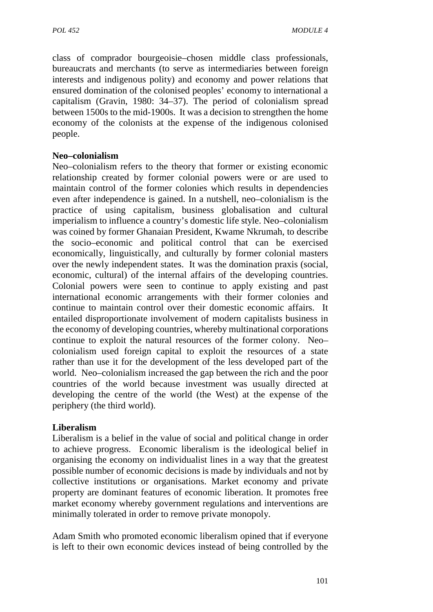class of comprador bourgeoisie–chosen middle class professionals, bureaucrats and merchants (to serve as intermediaries between foreign interests and indigenous polity) and economy and power relations that ensured domination of the colonised peoples' economy to international a capitalism (Gravin, 1980: 34–37). The period of colonialism spread between 1500s to the mid-1900s. It was a decision to strengthen the home economy of the colonists at the expense of the indigenous colonised people.

## **Neo–colonialism**

Neo–colonialism refers to the theory that former or existing economic relationship created by former colonial powers were or are used to maintain control of the former colonies which results in dependencies even after independence is gained. In a nutshell, neo–colonialism is the practice of using capitalism, business globalisation and cultural imperialism to influence a country's domestic life style. Neo–colonialism was coined by former Ghanaian President, Kwame Nkrumah, to describe the socio–economic and political control that can be exercised economically, linguistically, and culturally by former colonial masters over the newly independent states. It was the domination praxis (social, economic, cultural) of the internal affairs of the developing countries. Colonial powers were seen to continue to apply existing and past international economic arrangements with their former colonies and continue to maintain control over their domestic economic affairs. It entailed disproportionate involvement of modern capitalists business in the economy of developing countries, whereby multinational corporations continue to exploit the natural resources of the former colony. Neo– colonialism used foreign capital to exploit the resources of a state rather than use it for the development of the less developed part of the world. Neo–colonialism increased the gap between the rich and the poor countries of the world because investment was usually directed at developing the centre of the world (the West) at the expense of the periphery (the third world).

#### **Liberalism**

Liberalism is a belief in the value of social and political change in order to achieve progress. Economic liberalism is the ideological belief in organising the economy on individualist lines in a way that the greatest possible number of economic decisions is made by individuals and not by collective institutions or organisations. Market economy and private property are dominant features of economic liberation. It promotes free market economy whereby government regulations and interventions are minimally tolerated in order to remove private monopoly.

Adam Smith who promoted economic liberalism opined that if everyone is left to their own economic devices instead of being controlled by the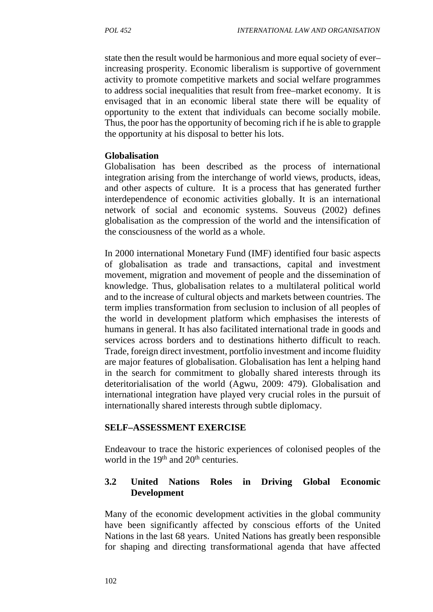state then the result would be harmonious and more equal society of ever– increasing prosperity. Economic liberalism is supportive of government activity to promote competitive markets and social welfare programmes to address social inequalities that result from free–market economy. It is envisaged that in an economic liberal state there will be equality of opportunity to the extent that individuals can become socially mobile. Thus, the poor has the opportunity of becoming rich if he is able to grapple the opportunity at his disposal to better his lots.

#### **Globalisation**

Globalisation has been described as the process of international integration arising from the interchange of world views, products, ideas, and other aspects of culture. It is a process that has generated further interdependence of economic activities globally. It is an international network of social and economic systems. Souveus (2002) defines globalisation as the compression of the world and the intensification of the consciousness of the world as a whole.

In 2000 international Monetary Fund (IMF) identified four basic aspects of globalisation as trade and transactions, capital and investment movement, migration and movement of people and the dissemination of knowledge. Thus, globalisation relates to a multilateral political world and to the increase of cultural objects and markets between countries. The term implies transformation from seclusion to inclusion of all peoples of the world in development platform which emphasises the interests of humans in general. It has also facilitated international trade in goods and services across borders and to destinations hitherto difficult to reach. Trade, foreign direct investment, portfolio investment and income fluidity are major features of globalisation. Globalisation has lent a helping hand in the search for commitment to globally shared interests through its deteritorialisation of the world (Agwu, 2009: 479). Globalisation and international integration have played very crucial roles in the pursuit of internationally shared interests through subtle diplomacy.

## **SELF–ASSESSMENT EXERCISE**

Endeavour to trace the historic experiences of colonised peoples of the world in the  $19<sup>th</sup>$  and  $20<sup>th</sup>$  centuries.

# **3.2 United Nations Roles in Driving Global Economic Development**

Many of the economic development activities in the global community have been significantly affected by conscious efforts of the United Nations in the last 68 years. United Nations has greatly been responsible for shaping and directing transformational agenda that have affected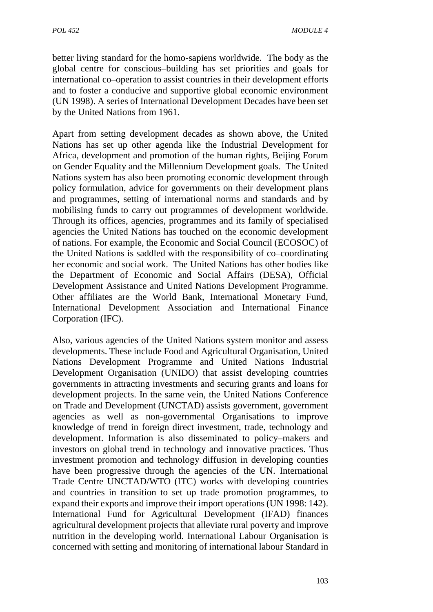better living standard for the homo-sapiens worldwide. The body as the global centre for conscious–building has set priorities and goals for international co–operation to assist countries in their development efforts and to foster a conducive and supportive global economic environment (UN 1998). A series of International Development Decades have been set by the United Nations from 1961.

Apart from setting development decades as shown above, the United Nations has set up other agenda like the Industrial Development for Africa, development and promotion of the human rights, Beijing Forum on Gender Equality and the Millennium Development goals. The United Nations system has also been promoting economic development through policy formulation, advice for governments on their development plans and programmes, setting of international norms and standards and by mobilising funds to carry out programmes of development worldwide. Through its offices, agencies, programmes and its family of specialised agencies the United Nations has touched on the economic development of nations. For example, the Economic and Social Council (ECOSOC) of the United Nations is saddled with the responsibility of co–coordinating her economic and social work. The United Nations has other bodies like the Department of Economic and Social Affairs (DESA), Official Development Assistance and United Nations Development Programme. Other affiliates are the World Bank, International Monetary Fund, International Development Association and International Finance Corporation (IFC).

Also, various agencies of the United Nations system monitor and assess developments. These include Food and Agricultural Organisation, United Nations Development Programme and United Nations Industrial Development Organisation (UNIDO) that assist developing countries governments in attracting investments and securing grants and loans for development projects. In the same vein, the United Nations Conference on Trade and Development (UNCTAD) assists government, government agencies as well as non-governmental Organisations to improve knowledge of trend in foreign direct investment, trade, technology and development. Information is also disseminated to policy–makers and investors on global trend in technology and innovative practices. Thus investment promotion and technology diffusion in developing counties have been progressive through the agencies of the UN. International Trade Centre UNCTAD/WTO (ITC) works with developing countries and countries in transition to set up trade promotion programmes, to expand their exports and improve their import operations (UN 1998: 142). International Fund for Agricultural Development (IFAD) finances agricultural development projects that alleviate rural poverty and improve nutrition in the developing world. International Labour Organisation is concerned with setting and monitoring of international labour Standard in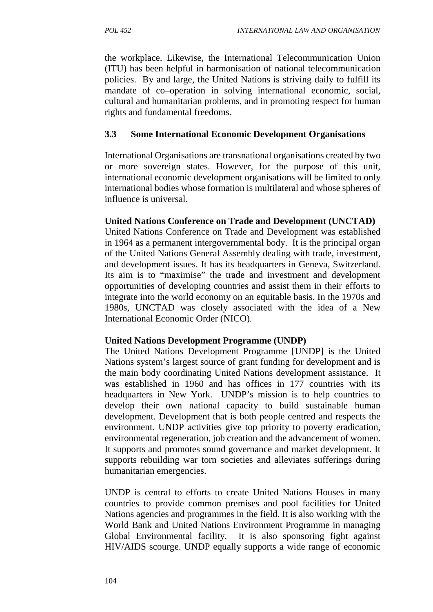the workplace. Likewise, the International Telecommunication Union (ITU) has been helpful in harmonisation of national telecommunication policies. By and large, the United Nations is striving daily to fulfill its mandate of co–operation in solving international economic, social, cultural and humanitarian problems, and in promoting respect for human rights and fundamental freedoms.

# **3.3 Some International Economic Development Organisations**

International Organisations are transnational organisations created by two or more sovereign states. However, for the purpose of this unit, international economic development organisations will be limited to only international bodies whose formation is multilateral and whose spheres of influence is universal.

## **United Nations Conference on Trade and Development (UNCTAD)**

United Nations Conference on Trade and Development was established in 1964 as a permanent intergovernmental body. It is the principal organ of the United Nations General Assembly dealing with trade, investment, and development issues. It has its headquarters in Geneva, Switzerland. Its aim is to "maximise" the trade and investment and development opportunities of developing countries and assist them in their efforts to integrate into the world economy on an equitable basis. In the 1970s and 1980s, UNCTAD was closely associated with the idea of a New International Economic Order (NICO).

## **United Nations Development Programme (UNDP)**

The United Nations Development Programme [UNDP] is the United Nations system's largest source of grant funding for development and is the main body coordinating United Nations development assistance. It was established in 1960 and has offices in 177 countries with its headquarters in New York. UNDP's mission is to help countries to develop their own national capacity to build sustainable human development. Development that is both people centred and respects the environment. UNDP activities give top priority to poverty eradication, environmental regeneration, job creation and the advancement of women. It supports and promotes sound governance and market development. It supports rebuilding war torn societies and alleviates sufferings during humanitarian emergencies.

UNDP is central to efforts to create United Nations Houses in many countries to provide common premises and pool facilities for United Nations agencies and programmes in the field. It is also working with the World Bank and United Nations Environment Programme in managing Global Environmental facility. It is also sponsoring fight against HIV/AIDS scourge. UNDP equally supports a wide range of economic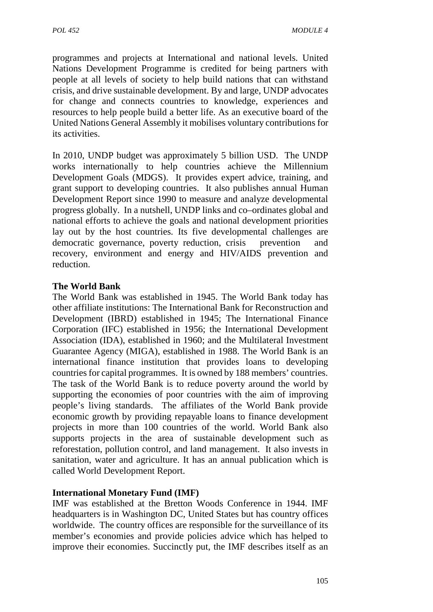programmes and projects at International and national levels. United Nations Development Programme is credited for being partners with people at all levels of society to help build nations that can withstand crisis, and drive sustainable development. By and large, UNDP advocates for change and connects countries to knowledge, experiences and resources to help people build a better life. As an executive board of the United Nations General Assembly it mobilises voluntary contributions for its activities.

In 2010, UNDP budget was approximately 5 billion USD. The UNDP works internationally to help countries achieve the Millennium Development Goals (MDGS). It provides expert advice, training, and grant support to developing countries. It also publishes annual Human Development Report since 1990 to measure and analyze developmental progress globally. In a nutshell, UNDP links and co–ordinates global and national efforts to achieve the goals and national development priorities lay out by the host countries. Its five developmental challenges are democratic governance, poverty reduction, crisis prevention and recovery, environment and energy and HIV/AIDS prevention and reduction.

# **The World Bank**

The World Bank was established in 1945. The World Bank today has other affiliate institutions: The International Bank for Reconstruction and Development (IBRD) established in 1945; The International Finance Corporation (IFC) established in 1956; the International Development Association (IDA), established in 1960; and the Multilateral Investment Guarantee Agency (MIGA), established in 1988. The World Bank is an international finance institution that provides loans to developing countries for capital programmes. It is owned by 188 members' countries. The task of the World Bank is to reduce poverty around the world by supporting the economies of poor countries with the aim of improving people's living standards. The affiliates of the World Bank provide economic growth by providing repayable loans to finance development projects in more than 100 countries of the world. World Bank also supports projects in the area of sustainable development such as reforestation, pollution control, and land management. It also invests in sanitation, water and agriculture. It has an annual publication which is called World Development Report.

## **International Monetary Fund (IMF)**

IMF was established at the Bretton Woods Conference in 1944. IMF headquarters is in Washington DC, United States but has country offices worldwide. The country offices are responsible for the surveillance of its member's economies and provide policies advice which has helped to improve their economies. Succinctly put, the IMF describes itself as an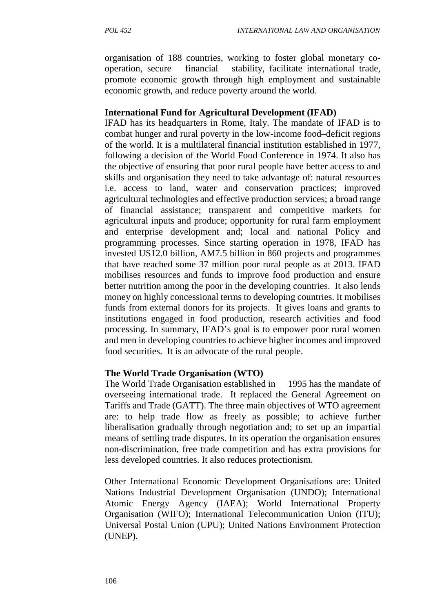organisation of 188 countries, working to foster global monetary co operation, secure financial stability, facilitate international trade, promote economic growth through high employment and sustainable economic growth, and reduce poverty around the world.

### **International Fund for Agricultural Development (IFAD)**

IFAD has its headquarters in Rome, Italy. The mandate of IFAD is to combat hunger and rural poverty in the low-income food–deficit regions of the world. It is a multilateral financial institution established in 1977, following a decision of the World Food Conference in 1974. It also has the objective of ensuring that poor rural people have better access to and skills and organisation they need to take advantage of: natural resources i.e. access to land, water and conservation practices; improved agricultural technologies and effective production services; a broad range of financial assistance; transparent and competitive markets for agricultural inputs and produce; opportunity for rural farm employment and enterprise development and; local and national Policy and programming processes. Since starting operation in 1978, IFAD has invested US12.0 billion, AM7.5 billion in 860 projects and programmes that have reached some 37 million poor rural people as at 2013. IFAD mobilises resources and funds to improve food production and ensure better nutrition among the poor in the developing countries. It also lends money on highly concessional terms to developing countries. It mobilises funds from external donors for its projects. It gives loans and grants to institutions engaged in food production, research activities and food processing. In summary, IFAD's goal is to empower poor rural women and men in developing countries to achieve higher incomes and improved food securities. It is an advocate of the rural people.

#### **The World Trade Organisation (WTO)**

The World Trade Organisation established in 1995 has the mandate of overseeing international trade. It replaced the General Agreement on Tariffs and Trade (GATT). The three main objectives of WTO agreement are: to help trade flow as freely as possible; to achieve further liberalisation gradually through negotiation and; to set up an impartial means of settling trade disputes. In its operation the organisation ensures non-discrimination, free trade competition and has extra provisions for less developed countries. It also reduces protectionism.

Other International Economic Development Organisations are: United Nations Industrial Development Organisation (UNDO); International Atomic Energy Agency (IAEA); World International Property Organisation (WIFO); International Telecommunication Union (ITU); Universal Postal Union (UPU); United Nations Environment Protection (UNEP).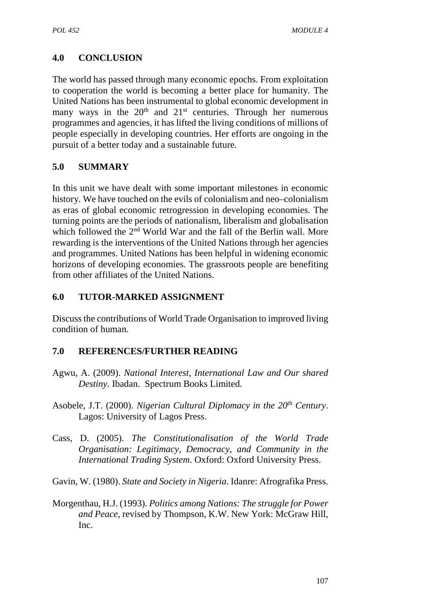# **4.0 CONCLUSION**

The world has passed through many economic epochs. From exploitation to cooperation the world is becoming a better place for humanity. The United Nations has been instrumental to global economic development in many ways in the  $20<sup>th</sup>$  and  $21<sup>st</sup>$  centuries. Through her numerous programmes and agencies, it has lifted the living conditions of millions of people especially in developing countries. Her efforts are ongoing in the pursuit of a better today and a sustainable future.

# **5.0 SUMMARY**

In this unit we have dealt with some important milestones in economic history. We have touched on the evils of colonialism and neo–colonialism as eras of global economic retrogression in developing economies. The turning points are the periods of nationalism, liberalism and globalisation which followed the 2<sup>nd</sup> World War and the fall of the Berlin wall. More rewarding is the interventions of the United Nations through her agencies and programmes. United Nations has been helpful in widening economic horizons of developing economies. The grassroots people are benefiting from other affiliates of the United Nations.

# **6.0 TUTOR-MARKED ASSIGNMENT**

Discuss the contributions of World Trade Organisation to improved living condition of human.

# **7.0 REFERENCES/FURTHER READING**

- Agwu, A. (2009). *National Interest, International Law and Our shared Destiny*. Ibadan. Spectrum Books Limited.
- Asobele, J.T. (2000). *Nigerian Cultural Diplomacy in the 20th Century*. Lagos: University of Lagos Press.
- Cass, D. (2005). *The Constitutionalisation of the World Trade Organisation: Legitimacy, Democracy, and Community in the International Trading System*. Oxford: Oxford University Press.
- Gavin, W. (1980). *State and Society in Nigeria*. Idanre: Afrografika Press.
- Morgenthau, H.J. (1993). *Politics among Nations: The struggle for Power and Peace*, revised by Thompson, K.W. New York: McGraw Hill, Inc.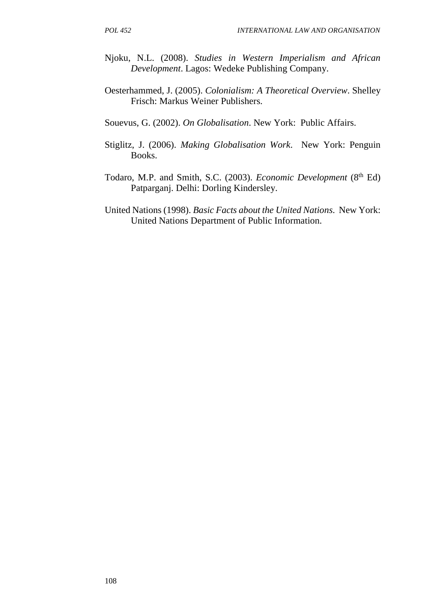- Njoku, N.L. (2008). *Studies in Western Imperialism and African Development*. Lagos: Wedeke Publishing Company.
- Oesterhammed, J. (2005). *Colonialism: A Theoretical Overview*. Shelley Frisch: Markus Weiner Publishers.
- Souevus, G. (2002). *On Globalisation*. New York: Public Affairs.
- Stiglitz, J. (2006). *Making Globalisation Work*. New York: Penguin Books.
- Todaro, M.P. and Smith, S.C. (2003). *Economic Development* (8<sup>th</sup> Ed) Patparganj. Delhi: Dorling Kindersley.
- United Nations (1998). *Basic Facts about the United Nations*. New York: United Nations Department of Public Information.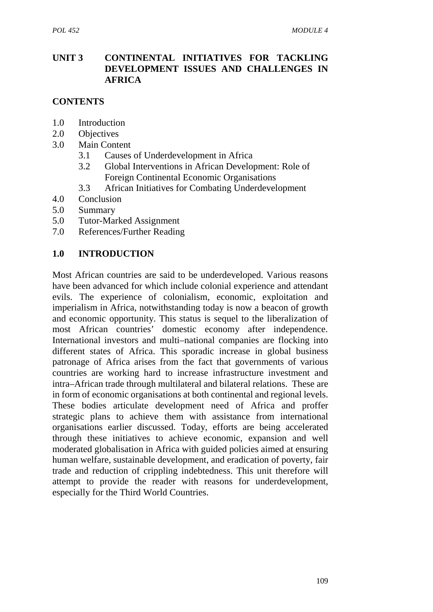## **UNIT 3 CONTINENTAL INITIATIVES FOR TACKLING DEVELOPMENT ISSUES AND CHALLENGES IN AFRICA**

# **CONTENTS**

- 1.0 Introduction
- 2.0 Objectives
- 3.0 Main Content
	- 3.1 Causes of Underdevelopment in Africa
	- 3.2 Global Interventions in African Development: Role of Foreign Continental Economic Organisations
	- 3.3 African Initiatives for Combating Underdevelopment
- 4.0 Conclusion
- 5.0 Summary
- 5.0 Tutor-Marked Assignment
- 7.0 References/Further Reading

# **1.0 INTRODUCTION**

Most African countries are said to be underdeveloped. Various reasons have been advanced for which include colonial experience and attendant evils. The experience of colonialism, economic, exploitation and imperialism in Africa, notwithstanding today is now a beacon of growth and economic opportunity. This status is sequel to the liberalization of most African countries' domestic economy after independence. International investors and multi–national companies are flocking into different states of Africa. This sporadic increase in global business patronage of Africa arises from the fact that governments of various countries are working hard to increase infrastructure investment and intra–African trade through multilateral and bilateral relations. These are in form of economic organisations at both continental and regional levels. These bodies articulate development need of Africa and proffer strategic plans to achieve them with assistance from international organisations earlier discussed. Today, efforts are being accelerated through these initiatives to achieve economic, expansion and well moderated globalisation in Africa with guided policies aimed at ensuring human welfare, sustainable development, and eradication of poverty, fair trade and reduction of crippling indebtedness. This unit therefore will attempt to provide the reader with reasons for underdevelopment, especially for the Third World Countries.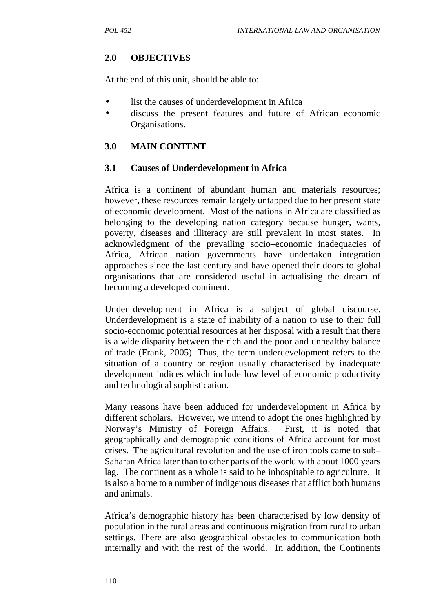# **2.0 OBJECTIVES**

At the end of this unit, should be able to:

- list the causes of underdevelopment in Africa
- discuss the present features and future of African economic Organisations.

#### **3.0 MAIN CONTENT**

#### **3.1 Causes of Underdevelopment in Africa**

Africa is a continent of abundant human and materials resources; however, these resources remain largely untapped due to her present state of economic development. Most of the nations in Africa are classified as belonging to the developing nation category because hunger, wants, poverty, diseases and illiteracy are still prevalent in most states. In acknowledgment of the prevailing socio–economic inadequacies of Africa, African nation governments have undertaken integration approaches since the last century and have opened their doors to global organisations that are considered useful in actualising the dream of becoming a developed continent.

Under–development in Africa is a subject of global discourse. Underdevelopment is a state of inability of a nation to use to their full socio-economic potential resources at her disposal with a result that there is a wide disparity between the rich and the poor and unhealthy balance of trade (Frank, 2005). Thus, the term underdevelopment refers to the situation of a country or region usually characterised by inadequate development indices which include low level of economic productivity and technological sophistication.

Many reasons have been adduced for underdevelopment in Africa by different scholars. However, we intend to adopt the ones highlighted by Norway's Ministry of Foreign Affairs. First, it is noted that geographically and demographic conditions of Africa account for most crises. The agricultural revolution and the use of iron tools came to sub– Saharan Africa later than to other parts of the world with about 1000 years lag. The continent as a whole is said to be inhospitable to agriculture. It is also a home to a number of indigenous diseases that afflict both humans and animals.

Africa's demographic history has been characterised by low density of population in the rural areas and continuous migration from rural to urban settings. There are also geographical obstacles to communication both internally and with the rest of the world. In addition, the Continents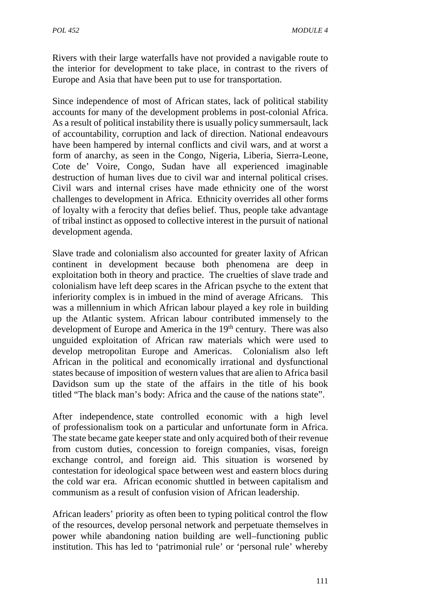Rivers with their large waterfalls have not provided a navigable route to the interior for development to take place, in contrast to the rivers of Europe and Asia that have been put to use for transportation.

Since independence of most of African states, lack of political stability accounts for many of the development problems in post-colonial Africa. As a result of political instability there is usually policy summersault, lack of accountability, corruption and lack of direction. National endeavours have been hampered by internal conflicts and civil wars, and at worst a form of anarchy, as seen in the Congo, Nigeria, Liberia, Sierra-Leone, Cote de' Voire, Congo, Sudan have all experienced imaginable destruction of human lives due to civil war and internal political crises. Civil wars and internal crises have made ethnicity one of the worst challenges to development in Africa. Ethnicity overrides all other forms of loyalty with a ferocity that defies belief. Thus, people take advantage of tribal instinct as opposed to collective interest in the pursuit of national development agenda.

Slave trade and colonialism also accounted for greater laxity of African continent in development because both phenomena are deep in exploitation both in theory and practice. The cruelties of slave trade and colonialism have left deep scares in the African psyche to the extent that inferiority complex is in imbued in the mind of average Africans. This was a millennium in which African labour played a key role in building up the Atlantic system. African labour contributed immensely to the development of Europe and America in the 19<sup>th</sup> century. There was also unguided exploitation of African raw materials which were used to develop metropolitan Europe and Americas. Colonialism also left African in the political and economically irrational and dysfunctional states because of imposition of western values that are alien to Africa basil Davidson sum up the state of the affairs in the title of his book titled "The black man's body: Africa and the cause of the nations state".

After independence, state controlled economic with a high level of professionalism took on a particular and unfortunate form in Africa. The state became gate keeper state and only acquired both of their revenue from custom duties, concession to foreign companies, visas, foreign exchange control, and foreign aid. This situation is worsened by contestation for ideological space between west and eastern blocs during the cold war era. African economic shuttled in between capitalism and communism as a result of confusion vision of African leadership.

African leaders' priority as often been to typing political control the flow of the resources, develop personal network and perpetuate themselves in power while abandoning nation building are well–functioning public institution. This has led to 'patrimonial rule' or 'personal rule' whereby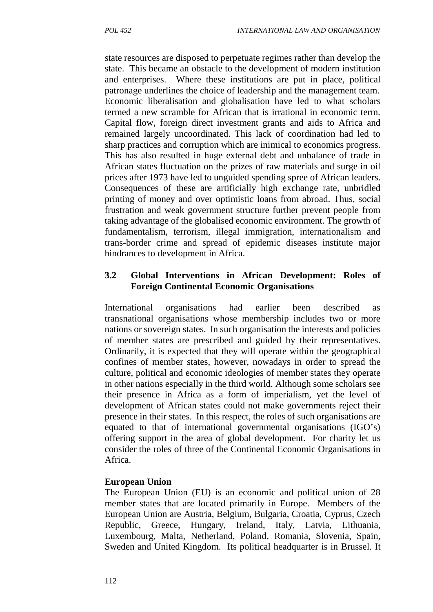state resources are disposed to perpetuate regimes rather than develop the state. This became an obstacle to the development of modern institution and enterprises. Where these institutions are put in place, political patronage underlines the choice of leadership and the management team. Economic liberalisation and globalisation have led to what scholars termed a new scramble for African that is irrational in economic term. Capital flow, foreign direct investment grants and aids to Africa and remained largely uncoordinated. This lack of coordination had led to sharp practices and corruption which are inimical to economics progress. This has also resulted in huge external debt and unbalance of trade in African states fluctuation on the prizes of raw materials and surge in oil prices after 1973 have led to unguided spending spree of African leaders. Consequences of these are artificially high exchange rate, unbridled printing of money and over optimistic loans from abroad. Thus, social frustration and weak government structure further prevent people from taking advantage of the globalised economic environment. The growth of fundamentalism, terrorism, illegal immigration, internationalism and trans-border crime and spread of epidemic diseases institute major hindrances to development in Africa.

### **3.2 Global Interventions in African Development: Roles of Foreign Continental Economic Organisations**

International organisations had earlier been described as transnational organisations whose membership includes two or more nations or sovereign states. In such organisation the interests and policies of member states are prescribed and guided by their representatives. Ordinarily, it is expected that they will operate within the geographical confines of member states, however, nowadays in order to spread the culture, political and economic ideologies of member states they operate in other nations especially in the third world. Although some scholars see their presence in Africa as a form of imperialism, yet the level of development of African states could not make governments reject their presence in their states. In this respect, the roles of such organisations are equated to that of international governmental organisations (IGO's) offering support in the area of global development. For charity let us consider the roles of three of the Continental Economic Organisations in Africa.

#### **European Union**

The European Union (EU) is an economic and political union of 28 member states that are located primarily in Europe. Members of the European Union are Austria, Belgium, Bulgaria, Croatia, Cyprus, Czech Republic, Greece, Hungary, Ireland, Italy, Latvia, Lithuania, Luxembourg, Malta, Netherland, Poland, Romania, Slovenia, Spain, Sweden and United Kingdom. Its political headquarter is in Brussel. It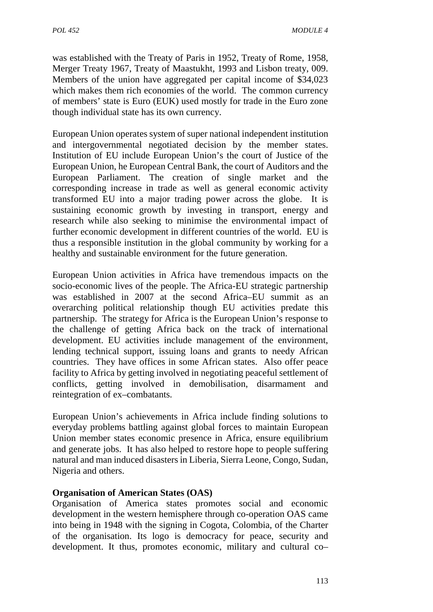was established with the Treaty of Paris in 1952, Treaty of Rome, 1958, Merger Treaty 1967, Treaty of Maastukht, 1993 and Lisbon treaty, 009. Members of the union have aggregated per capital income of \$34,023 which makes them rich economies of the world. The common currency of members' state is Euro (EUK) used mostly for trade in the Euro zone though individual state has its own currency.

European Union operates system of super national independent institution and intergovernmental negotiated decision by the member states. Institution of EU include European Union's the court of Justice of the European Union, he European Central Bank, the court of Auditors and the European Parliament. The creation of single market and the corresponding increase in trade as well as general economic activity transformed EU into a major trading power across the globe. It is sustaining economic growth by investing in transport, energy and research while also seeking to minimise the environmental impact of further economic development in different countries of the world. EU is thus a responsible institution in the global community by working for a healthy and sustainable environment for the future generation.

European Union activities in Africa have tremendous impacts on the socio-economic lives of the people. The Africa-EU strategic partnership was established in 2007 at the second Africa–EU summit as an overarching political relationship though EU activities predate this partnership. The strategy for Africa is the European Union's response to the challenge of getting Africa back on the track of international development. EU activities include management of the environment, lending technical support, issuing loans and grants to needy African countries. They have offices in some African states. Also offer peace facility to Africa by getting involved in negotiating peaceful settlement of conflicts, getting involved in demobilisation, disarmament and reintegration of ex–combatants.

European Union's achievements in Africa include finding solutions to everyday problems battling against global forces to maintain European Union member states economic presence in Africa, ensure equilibrium and generate jobs. It has also helped to restore hope to people suffering natural and man induced disasters in Liberia, Sierra Leone, Congo, Sudan, Nigeria and others.

## **Organisation of American States (OAS)**

Organisation of America states promotes social and economic development in the western hemisphere through co-operation OAS came into being in 1948 with the signing in Cogota, Colombia, of the Charter of the organisation. Its logo is democracy for peace, security and development. It thus, promotes economic, military and cultural co–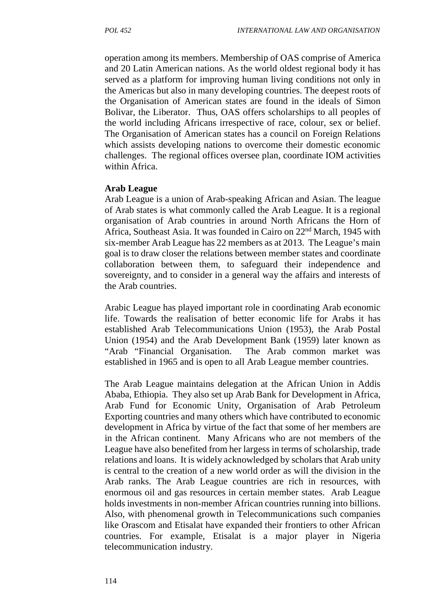operation among its members. Membership of OAS comprise of America and 20 Latin American nations. As the world oldest regional body it has served as a platform for improving human living conditions not only in the Americas but also in many developing countries. The deepest roots of the Organisation of American states are found in the ideals of Simon Bolivar, the Liberator. Thus, OAS offers scholarships to all peoples of the world including Africans irrespective of race, colour, sex or belief. The Organisation of American states has a council on Foreign Relations which assists developing nations to overcome their domestic economic challenges. The regional offices oversee plan, coordinate IOM activities within Africa.

#### **Arab League**

Arab League is a union of Arab-speaking African and Asian. The league of Arab states is what commonly called the Arab League. It is a regional organisation of Arab countries in around North Africans the Horn of Africa, Southeast Asia. It was founded in Cairo on 22nd March, 1945 with six-member Arab League has 22 members as at 2013. The League's main goal is to draw closer the relations between member states and coordinate collaboration between them, to safeguard their independence and sovereignty, and to consider in a general way the affairs and interests of the Arab countries.

Arabic League has played important role in coordinating Arab economic life. Towards the realisation of better economic life for Arabs it has established Arab Telecommunications Union (1953), the Arab Postal Union (1954) and the Arab Development Bank (1959) later known as "Arab "Financial Organisation. The Arab common market was established in 1965 and is open to all Arab League member countries.

The Arab League maintains delegation at the African Union in Addis Ababa, Ethiopia. They also set up Arab Bank for Development in Africa, Arab Fund for Economic Unity, Organisation of Arab Petroleum Exporting countries and many others which have contributed to economic development in Africa by virtue of the fact that some of her members are in the African continent. Many Africans who are not members of the League have also benefited from her largess in terms of scholarship, trade relations and loans. It is widely acknowledged by scholars that Arab unity is central to the creation of a new world order as will the division in the Arab ranks. The Arab League countries are rich in resources, with enormous oil and gas resources in certain member states. Arab League holds investments in non-member African countries running into billions. Also, with phenomenal growth in Telecommunications such companies like Orascom and Etisalat have expanded their frontiers to other African countries. For example, Etisalat is a major player in Nigeria telecommunication industry.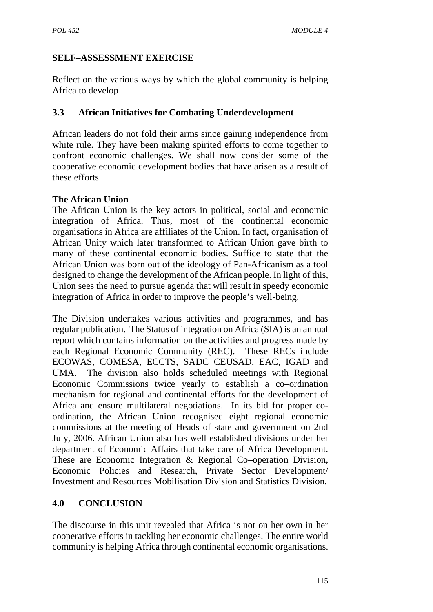# **SELF–ASSESSMENT EXERCISE**

Reflect on the various ways by which the global community is helping Africa to develop

# **3.3 African Initiatives for Combating Underdevelopment**

African leaders do not fold their arms since gaining independence from white rule. They have been making spirited efforts to come together to confront economic challenges. We shall now consider some of the cooperative economic development bodies that have arisen as a result of these efforts.

# **The African Union**

The African Union is the key actors in political, social and economic integration of Africa. Thus, most of the continental economic organisations in Africa are affiliates of the Union. In fact, organisation of African Unity which later transformed to African Union gave birth to many of these continental economic bodies. Suffice to state that the African Union was born out of the ideology of Pan-Africanism as a tool designed to change the development of the African people. In light of this, Union sees the need to pursue agenda that will result in speedy economic integration of Africa in order to improve the people's well-being.

The Division undertakes various activities and programmes, and has regular publication. The Status of integration on Africa (SIA) is an annual report which contains information on the activities and progress made by each Regional Economic Community (REC). These RECs include ECOWAS, COMESA, ECCTS, SADC CEUSAD, EAC, IGAD and UMA. The division also holds scheduled meetings with Regional Economic Commissions twice yearly to establish a co–ordination mechanism for regional and continental efforts for the development of Africa and ensure multilateral negotiations. In its bid for proper co ordination, the African Union recognised eight regional economic commissions at the meeting of Heads of state and government on 2nd July, 2006. African Union also has well established divisions under her department of Economic Affairs that take care of Africa Development. These are Economic Integration & Regional Co–operation Division, Economic Policies and Research, Private Sector Development/ Investment and Resources Mobilisation Division and Statistics Division.

## **4.0 CONCLUSION**

The discourse in this unit revealed that Africa is not on her own in her cooperative efforts in tackling her economic challenges. The entire world community is helping Africa through continental economic organisations.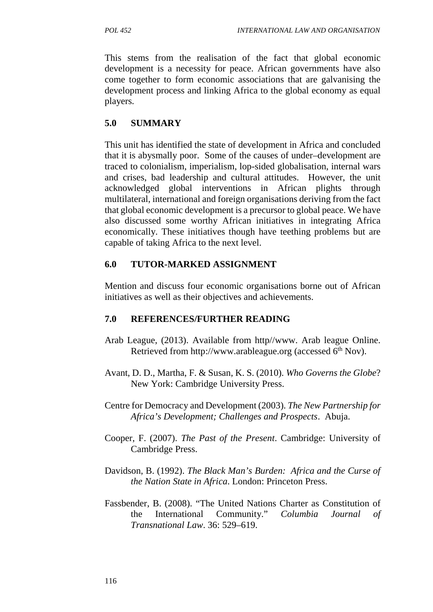This stems from the realisation of the fact that global economic development is a necessity for peace. African governments have also come together to form economic associations that are galvanising the development process and linking Africa to the global economy as equal players.

# **5.0 SUMMARY**

This unit has identified the state of development in Africa and concluded that it is abysmally poor. Some of the causes of under–development are traced to colonialism, imperialism, lop-sided globalisation, internal wars and crises, bad leadership and cultural attitudes. However, the unit acknowledged global interventions in African plights through multilateral, international and foreign organisations deriving from the fact that global economic development is a precursor to global peace. We have also discussed some worthy African initiatives in integrating Africa economically. These initiatives though have teething problems but are capable of taking Africa to the next level.

# **6.0 TUTOR-MARKED ASSIGNMENT**

Mention and discuss four economic organisations borne out of African initiatives as well as their objectives and achievements.

# **7.0 REFERENCES/FURTHER READING**

- Arab League, (2013). Available from http//www. Arab league Online. Retrieved from http://www.arableague.org (accessed 6<sup>th</sup> Nov).
- Avant, D. D., Martha, F. & Susan, K. S. (2010). *Who Governs the Globe*? New York: Cambridge University Press.
- Centre for Democracy and Development (2003). *The New Partnership for Africa's Development; Challenges and Prospects*. Abuja.
- Cooper, F. (2007). *The Past of the Present*. Cambridge: University of Cambridge Press.
- Davidson, B. (1992). *The Black Man's Burden: Africa and the Curse of the Nation State in Africa*. London: Princeton Press.
- Fassbender, B. (2008). "The United Nations Charter as Constitution of the International Community." *Columbia Journal of Transnational Law*. 36: 529–619.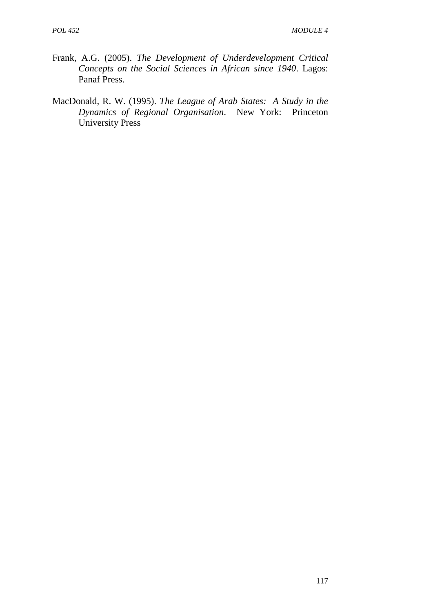- Frank, A.G. (2005). *The Development of Underdevelopment Critical Concepts on the Social Sciences in African since 1940*. Lagos: Panaf Press.
- MacDonald, R. W. (1995). *The League of Arab States: A Study in the Dynamics of Regional Organisation*. New York: Princeton University Press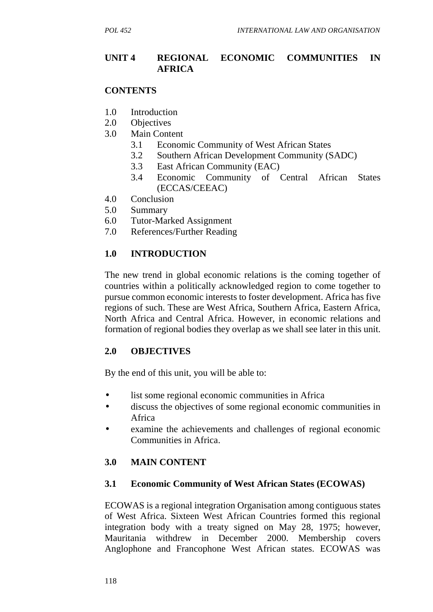## **UNIT 4 REGIONAL ECONOMIC COMMUNITIES IN AFRICA**

### **CONTENTS**

- 1.0 Introduction
- 2.0 Objectives
- 3.0 Main Content
	- 3.1 Economic Community of West African States
	- 3.2 Southern African Development Community (SADC)
	- 3.3 East African Community (EAC)
	- 3.4 Economic Community of Central African States (ECCAS/CEEAC)
- 4.0 Conclusion
- 5.0 Summary
- 6.0 Tutor-Marked Assignment
- 7.0 References/Further Reading

### **1.0 INTRODUCTION**

The new trend in global economic relations is the coming together of countries within a politically acknowledged region to come together to pursue common economic interests to foster development. Africa has five regions of such. These are West Africa, Southern Africa, Eastern Africa, North Africa and Central Africa. However, in economic relations and formation of regional bodies they overlap as we shall see later in this unit.

## **2.0 OBJECTIVES**

By the end of this unit, you will be able to:

- list some regional economic communities in Africa
- discuss the objectives of some regional economic communities in Africa
- examine the achievements and challenges of regional economic Communities in Africa.

## **3.0 MAIN CONTENT**

## **3.1 Economic Community of West African States (ECOWAS)**

ECOWAS is a regional integration Organisation among contiguous states of West Africa. Sixteen West African Countries formed this regional integration body with a treaty signed on May 28, 1975; however, Mauritania withdrew in December 2000. Membership covers Anglophone and Francophone West African states. ECOWAS was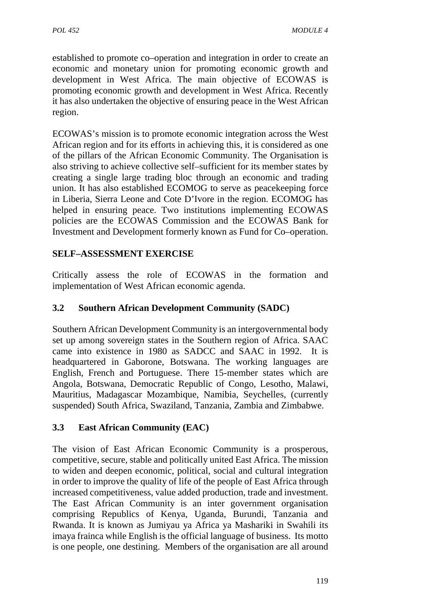established to promote co–operation and integration in order to create an economic and monetary union for promoting economic growth and development in West Africa. The main objective of ECOWAS is promoting economic growth and development in West Africa. Recently it has also undertaken the objective of ensuring peace in the West African region.

ECOWAS's mission is to promote economic integration across the West African region and for its efforts in achieving this, it is considered as one of the pillars of the African Economic Community. The Organisation is also striving to achieve collective self–sufficient for its member states by creating a single large trading bloc through an economic and trading union. It has also established ECOMOG to serve as peacekeeping force in Liberia, Sierra Leone and Cote D'Ivore in the region. ECOMOG has helped in ensuring peace. Two institutions implementing ECOWAS policies are the ECOWAS Commission and the ECOWAS Bank for Investment and Development formerly known as Fund for Co–operation.

# **SELF–ASSESSMENT EXERCISE**

Critically assess the role of ECOWAS in the formation and implementation of West African economic agenda.

# **3.2 Southern African Development Community (SADC)**

Southern African Development Community is an intergovernmental body set up among sovereign states in the Southern region of Africa. SAAC came into existence in 1980 as SADCC and SAAC in 1992. It is headquartered in Gaborone, Botswana. The working languages are English, French and Portuguese. There 15-member states which are Angola, Botswana, Democratic Republic of Congo, Lesotho, Malawi, Mauritius, Madagascar Mozambique, Namibia, Seychelles, (currently suspended) South Africa, Swaziland, Tanzania, Zambia and Zimbabwe.

## **3.3 East African Community (EAC)**

The vision of East African Economic Community is a prosperous, competitive, secure, stable and politically united East Africa. The mission to widen and deepen economic, political, social and cultural integration in order to improve the quality of life of the people of East Africa through increased competitiveness, value added production, trade and investment. The East African Community is an inter government organisation comprising Republics of Kenya, Uganda, Burundi, Tanzania and Rwanda. It is known as Jumiyau ya Africa ya Mashariki in Swahili its imaya frainca while English is the official language of business. Its motto is one people, one destining. Members of the organisation are all around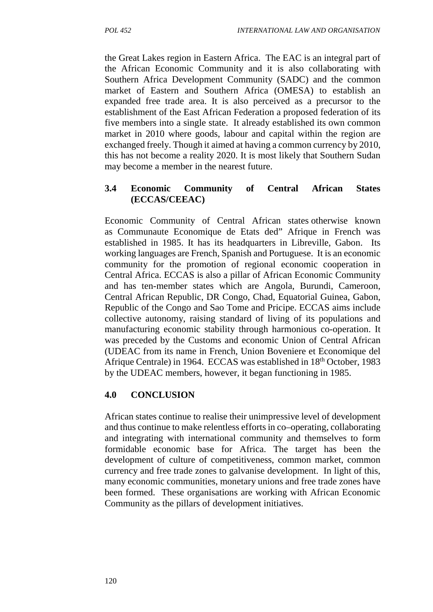the Great Lakes region in Eastern Africa. The EAC is an integral part of the African Economic Community and it is also collaborating with Southern Africa Development Community (SADC) and the common market of Eastern and Southern Africa (OMESA) to establish an expanded free trade area. It is also perceived as a precursor to the establishment of the East African Federation a proposed federation of its five members into a single state. It already established its own common market in 2010 where goods, labour and capital within the region are exchanged freely. Though it aimed at having a common currency by 2010, this has not become a reality 2020. It is most likely that Southern Sudan may become a member in the nearest future.

# **3.4 Economic Community of Central African States (ECCAS/CEEAC)**

Economic Community of Central African states otherwise known as Communaute Economique de Etats ded" Afrique in French was established in 1985. It has its headquarters in Libreville, Gabon. Its working languages are French, Spanish and Portuguese. It is an economic community for the promotion of regional economic cooperation in Central Africa. ECCAS is also a pillar of African Economic Community and has ten-member states which are Angola, Burundi, Cameroon, Central African Republic, DR Congo, Chad, Equatorial Guinea, Gabon, Republic of the Congo and Sao Tome and Pricipe. ECCAS aims include collective autonomy, raising standard of living of its populations and manufacturing economic stability through harmonious co-operation. It was preceded by the Customs and economic Union of Central African (UDEAC from its name in French, Union Boveniere et Economique del Afrique Centrale) in 1964. ECCAS was established in 18<sup>th</sup> October, 1983 by the UDEAC members, however, it began functioning in 1985.

# **4.0 CONCLUSION**

African states continue to realise their unimpressive level of development and thus continue to make relentless efforts in co–operating, collaborating and integrating with international community and themselves to form formidable economic base for Africa. The target has been the development of culture of competitiveness, common market, common currency and free trade zones to galvanise development. In light of this, many economic communities, monetary unions and free trade zones have been formed. These organisations are working with African Economic Community as the pillars of development initiatives.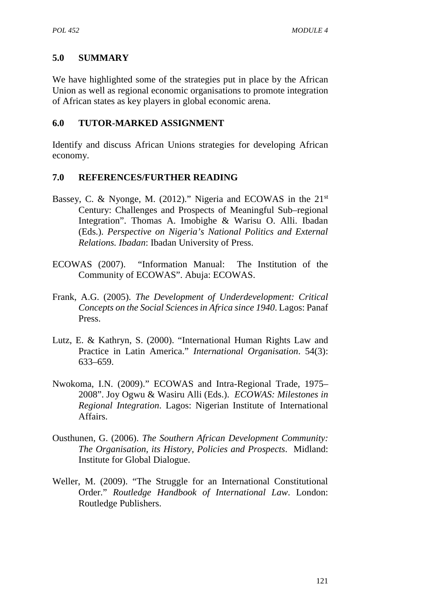# **5.0 SUMMARY**

We have highlighted some of the strategies put in place by the African Union as well as regional economic organisations to promote integration of African states as key players in global economic arena.

## **6.0 TUTOR-MARKED ASSIGNMENT**

Identify and discuss African Unions strategies for developing African economy.

# **7.0 REFERENCES/FURTHER READING**

- Bassey, C. & Nyonge, M. (2012)." Nigeria and ECOWAS in the 21<sup>st</sup> Century: Challenges and Prospects of Meaningful Sub–regional Integration". Thomas A. Imobighe & Warisu O. Alli. Ibadan (Eds.). *Perspective on Nigeria's National Politics and External Relations. Ibadan*: Ibadan University of Press.
- ECOWAS (2007). "Information Manual: The Institution of the Community of ECOWAS". Abuja: ECOWAS.
- Frank, A.G. (2005). *The Development of Underdevelopment: Critical Concepts on the Social Sciences in Africa since 1940*. Lagos: Panaf Press.
- Lutz, E. & Kathryn, S. (2000). "International Human Rights Law and Practice in Latin America." *International Organisation*. 54(3): 633–659.
- Nwokoma, I.N. (2009)." ECOWAS and Intra-Regional Trade, 1975– 2008". Joy Ogwu & Wasiru Alli (Eds.). *ECOWAS: Milestones in Regional Integration*. Lagos: Nigerian Institute of International Affairs.
- Ousthunen, G. (2006). *The Southern African Development Community: The Organisation, its History, Policies and Prospects*. Midland: Institute for Global Dialogue.
- Weller, M. (2009). "The Struggle for an International Constitutional Order." *Routledge Handbook of International Law*. London: Routledge Publishers.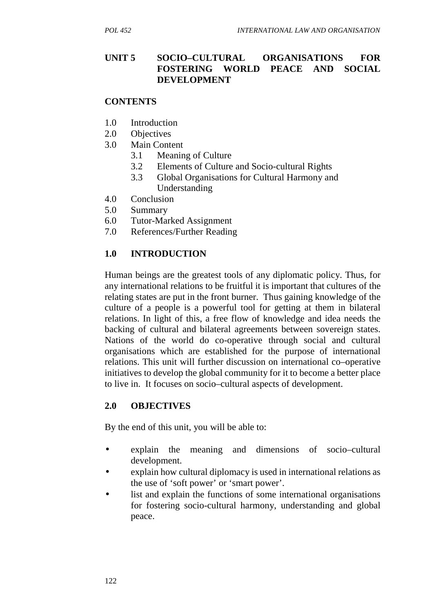# **UNIT 5 SOCIO–CULTURAL ORGANISATIONS FOR FOSTERING WORLD PEACE AND SOCIAL DEVELOPMENT**

## **CONTENTS**

- 1.0 Introduction
- 2.0 Objectives
- 3.0 Main Content
	- 3.1 Meaning of Culture
	- 3.2 Elements of Culture and Socio-cultural Rights
	- 3.3 Global Organisations for Cultural Harmony and Understanding
- 4.0 Conclusion
- 5.0 Summary
- 6.0 Tutor-Marked Assignment
- 7.0 References/Further Reading

## **1.0 INTRODUCTION**

Human beings are the greatest tools of any diplomatic policy. Thus, for any international relations to be fruitful it is important that cultures of the relating states are put in the front burner. Thus gaining knowledge of the culture of a people is a powerful tool for getting at them in bilateral relations. In light of this, a free flow of knowledge and idea needs the backing of cultural and bilateral agreements between sovereign states. Nations of the world do co-operative through social and cultural organisations which are established for the purpose of international relations. This unit will further discussion on international co–operative initiatives to develop the global community for it to become a better place to live in. It focuses on socio–cultural aspects of development.

## **2.0 OBJECTIVES**

By the end of this unit, you will be able to:

- explain the meaning and dimensions of socio–cultural development.
- explain how cultural diplomacy is used in international relations as the use of 'soft power' or 'smart power'.
- list and explain the functions of some international organisations for fostering socio-cultural harmony, understanding and global peace.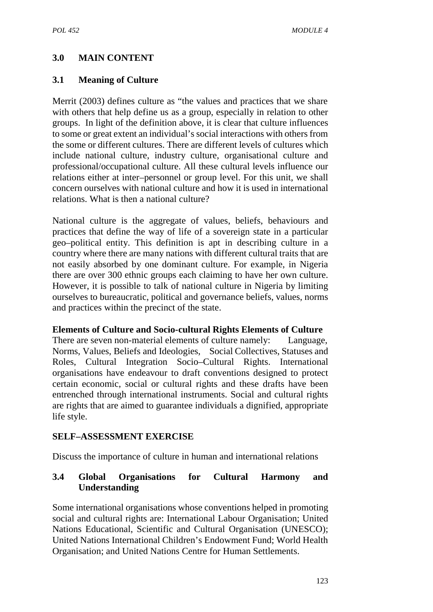## **3.0 MAIN CONTENT**

### **3.1 Meaning of Culture**

Merrit (2003) defines culture as "the values and practices that we share with others that help define us as a group, especially in relation to other groups. In light of the definition above, it is clear that culture influences to some or great extent an individual's social interactions with others from the some or different cultures. There are different levels of cultures which include national culture, industry culture, organisational culture and professional/occupational culture. All these cultural levels influence our relations either at inter–personnel or group level. For this unit, we shall concern ourselves with national culture and how it is used in international relations. What is then a national culture?

National culture is the aggregate of values, beliefs, behaviours and practices that define the way of life of a sovereign state in a particular geo–political entity. This definition is apt in describing culture in a country where there are many nations with different cultural traits that are not easily absorbed by one dominant culture. For example, in Nigeria there are over 300 ethnic groups each claiming to have her own culture. However, it is possible to talk of national culture in Nigeria by limiting ourselves to bureaucratic, political and governance beliefs, values, norms and practices within the precinct of the state.

#### **Elements of Culture and Socio-cultural Rights Elements of Culture**

There are seven non-material elements of culture namely: Language, Norms, Values, Beliefs and Ideologies, Social Collectives, Statuses and Roles, Cultural Integration Socio–Cultural Rights. International organisations have endeavour to draft conventions designed to protect certain economic, social or cultural rights and these drafts have been entrenched through international instruments. Social and cultural rights are rights that are aimed to guarantee individuals a dignified, appropriate life style.

#### **SELF–ASSESSMENT EXERCISE**

Discuss the importance of culture in human and international relations

### **3.4 Global Organisations for Cultural Harmony and Understanding**

Some international organisations whose conventions helped in promoting social and cultural rights are: International Labour Organisation; United Nations Educational, Scientific and Cultural Organisation (UNESCO); United Nations International Children's Endowment Fund; World Health Organisation; and United Nations Centre for Human Settlements.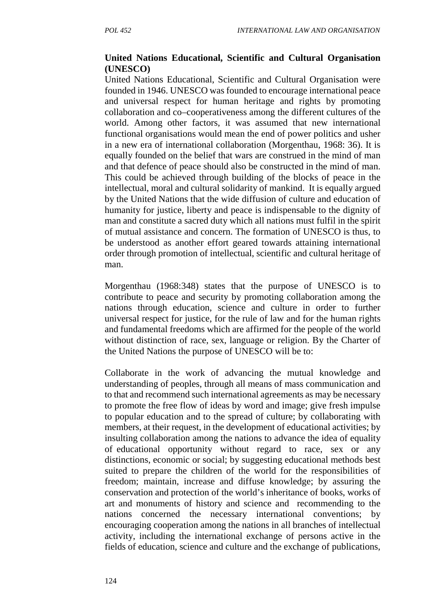## **United Nations Educational, Scientific and Cultural Organisation (UNESCO)**

United Nations Educational, Scientific and Cultural Organisation were founded in 1946. UNESCO was founded to encourage international peace and universal respect for human heritage and rights by promoting collaboration and co–cooperativeness among the different cultures of the world. Among other factors, it was assumed that new international functional organisations would mean the end of power politics and usher in a new era of international collaboration (Morgenthau, 1968: 36). It is equally founded on the belief that wars are construed in the mind of man and that defence of peace should also be constructed in the mind of man. This could be achieved through building of the blocks of peace in the intellectual, moral and cultural solidarity of mankind. It is equally argued by the United Nations that the wide diffusion of culture and education of humanity for justice, liberty and peace is indispensable to the dignity of man and constitute a sacred duty which all nations must fulfil in the spirit of mutual assistance and concern. The formation of UNESCO is thus, to be understood as another effort geared towards attaining international order through promotion of intellectual, scientific and cultural heritage of man.

Morgenthau (1968:348) states that the purpose of UNESCO is to contribute to peace and security by promoting collaboration among the nations through education, science and culture in order to further universal respect for justice, for the rule of law and for the human rights and fundamental freedoms which are affirmed for the people of the world without distinction of race, sex, language or religion. By the Charter of the United Nations the purpose of UNESCO will be to:

Collaborate in the work of advancing the mutual knowledge and understanding of peoples, through all means of mass communication and to that and recommend such international agreements as may be necessary to promote the free flow of ideas by word and image; give fresh impulse to popular education and to the spread of culture; by collaborating with members, at their request, in the development of educational activities; by insulting collaboration among the nations to advance the idea of equality of educational opportunity without regard to race, sex or any distinctions, economic or social; by suggesting educational methods best suited to prepare the children of the world for the responsibilities of freedom; maintain, increase and diffuse knowledge; by assuring the conservation and protection of the world's inheritance of books, works of art and monuments of history and science and recommending to the nations concerned the necessary international conventions; by encouraging cooperation among the nations in all branches of intellectual activity, including the international exchange of persons active in the fields of education, science and culture and the exchange of publications,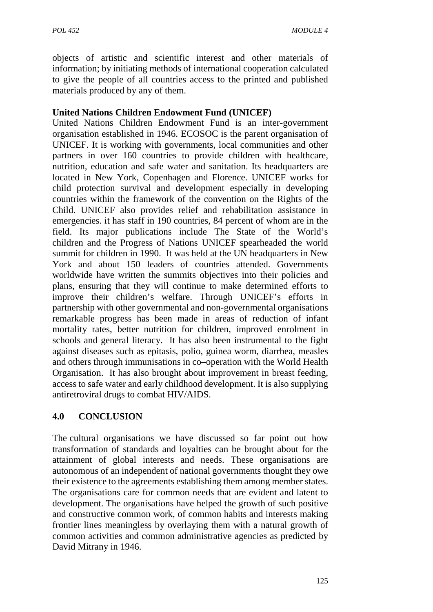objects of artistic and scientific interest and other materials of information; by initiating methods of international cooperation calculated to give the people of all countries access to the printed and published materials produced by any of them.

## **United Nations Children Endowment Fund (UNICEF)**

United Nations Children Endowment Fund is an inter-government organisation established in 1946. ECOSOC is the parent organisation of UNICEF. It is working with governments, local communities and other partners in over 160 countries to provide children with healthcare, nutrition, education and safe water and sanitation. Its headquarters are located in New York, Copenhagen and Florence. UNICEF works for child protection survival and development especially in developing countries within the framework of the convention on the Rights of the Child. UNICEF also provides relief and rehabilitation assistance in emergencies. it has staff in 190 countries, 84 percent of whom are in the field. Its major publications include The State of the World's children and the Progress of Nations UNICEF spearheaded the world summit for children in 1990. It was held at the UN headquarters in New York and about 150 leaders of countries attended. Governments worldwide have written the summits objectives into their policies and plans, ensuring that they will continue to make determined efforts to improve their children's welfare. Through UNICEF's efforts in partnership with other governmental and non-governmental organisations remarkable progress has been made in areas of reduction of infant mortality rates, better nutrition for children, improved enrolment in schools and general literacy. It has also been instrumental to the fight against diseases such as epitasis, polio, guinea worm, diarrhea, measles and others through immunisations in co–operation with the World Health Organisation. It has also brought about improvement in breast feeding, access to safe water and early childhood development. It is also supplying antiretroviral drugs to combat HIV/AIDS.

## **4.0 CONCLUSION**

The cultural organisations we have discussed so far point out how transformation of standards and loyalties can be brought about for the attainment of global interests and needs. These organisations are autonomous of an independent of national governments thought they owe their existence to the agreements establishing them among member states. The organisations care for common needs that are evident and latent to development. The organisations have helped the growth of such positive and constructive common work, of common habits and interests making frontier lines meaningless by overlaying them with a natural growth of common activities and common administrative agencies as predicted by David Mitrany in 1946.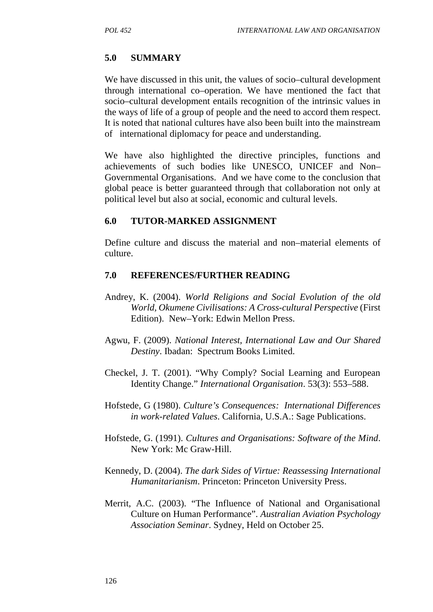### **5.0 SUMMARY**

We have discussed in this unit, the values of socio–cultural development through international co–operation. We have mentioned the fact that socio–cultural development entails recognition of the intrinsic values in the ways of life of a group of people and the need to accord them respect. It is noted that national cultures have also been built into the mainstream of international diplomacy for peace and understanding.

We have also highlighted the directive principles, functions and achievements of such bodies like UNESCO, UNICEF and Non– Governmental Organisations. And we have come to the conclusion that global peace is better guaranteed through that collaboration not only at political level but also at social, economic and cultural levels.

#### **6.0 TUTOR-MARKED ASSIGNMENT**

Define culture and discuss the material and non–material elements of culture.

### **7.0 REFERENCES/FURTHER READING**

- Andrey, K. (2004). *World Religions and Social Evolution of the old World, Okumene Civilisations: A Cross-cultural Perspective* (First Edition). New–York: Edwin Mellon Press.
- Agwu, F. (2009). *National Interest, International Law and Our Shared Destiny*. Ibadan: Spectrum Books Limited.
- Checkel, J. T. (2001). "Why Comply? Social Learning and European Identity Change." *International Organisation*. 53(3): 553–588.
- Hofstede, G (1980). *Culture's Consequences: International Differences in work-related Values*. California, U.S.A.: Sage Publications.
- Hofstede, G. (1991). *Cultures and Organisations: Software of the Mind*. New York: Mc Graw-Hill.
- Kennedy, D. (2004). *The dark Sides of Virtue: Reassessing International Humanitarianism*. Princeton: Princeton University Press.
- Merrit, A.C. (2003). "The Influence of National and Organisational Culture on Human Performance". *Australian Aviation Psychology Association Seminar*. Sydney, Held on October 25.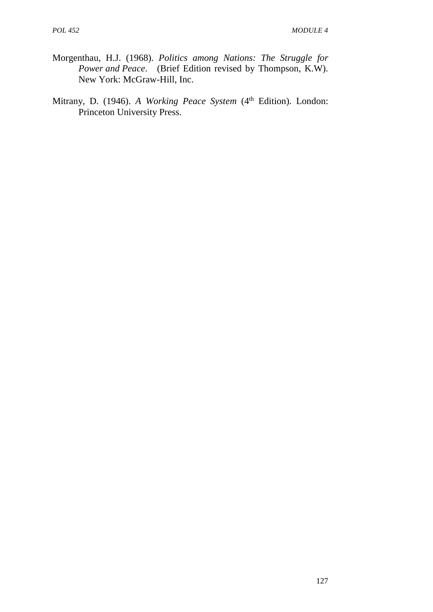- Morgenthau, H.J. (1968). *Politics among Nations: The Struggle for Power and Peace*. (Brief Edition revised by Thompson, K.W). New York: McGraw-Hill, Inc.
- Mitrany, D. (1946). *A Working Peace System* (4<sup>th</sup> Edition). London: Princeton University Press.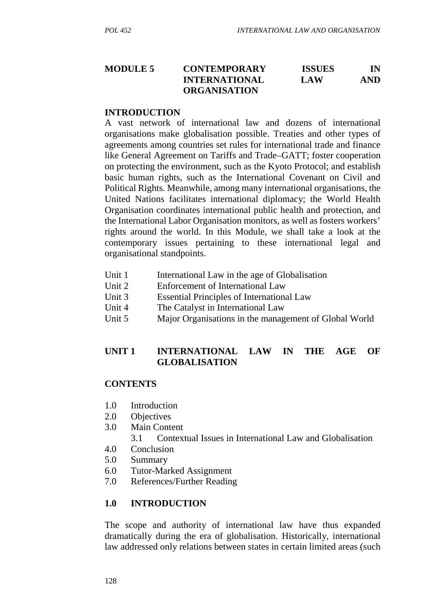#### **MODULE 5 CONTEMPORARY ISSUES IN INTERNATIONAL LAW AND ORGANISATION**

#### **INTRODUCTION**

A vast network of international law and dozens of international organisations make globalisation possible. Treaties and other types of agreements among countries set rules for international trade and finance like General Agreement on Tariffs and Trade–GATT; foster cooperation on protecting the environment, such as the Kyoto Protocol; and establish basic human rights, such as the International Covenant on Civil and Political Rights. Meanwhile, among many international organisations, the United Nations facilitates international diplomacy; the World Health Organisation coordinates international public health and protection, and the International Labor Organisation monitors, as well as fosters workers' rights around the world. In this Module, we shall take a look at the contemporary issues pertaining to these international legal and organisational standpoints.

- Unit 1 International Law in the age of Globalisation
- Unit 2 Enforcement of International Law
- Unit 3 Essential Principles of International Law
- Unit 4 The Catalyst in International Law
- Unit 5 Major Organisations in the management of Global World

## **UNIT 1 INTERNATIONAL LAW IN THE AGE OF GLOBALISATION**

### **CONTENTS**

- 1.0 Introduction
- 2.0 Objectives
- 3.0 Main Content
	- 3.1 Contextual Issues in International Law and Globalisation
- 4.0 Conclusion
- 5.0 Summary
- 6.0 Tutor-Marked Assignment
- 7.0 References/Further Reading

### **1.0 INTRODUCTION**

The scope and authority of international law have thus expanded dramatically during the era of globalisation. Historically, international law addressed only relations between states in certain limited areas (such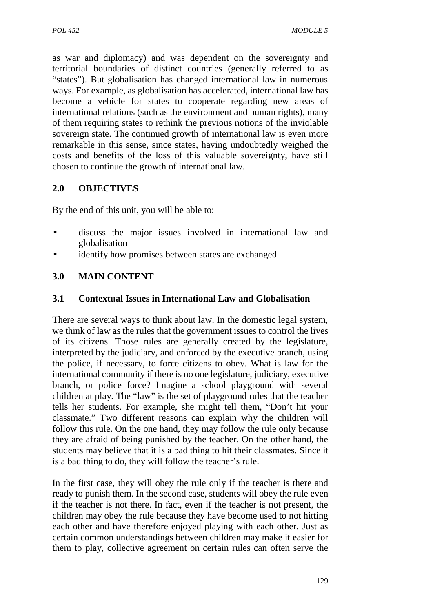as war and diplomacy) and was dependent on the sovereignty and territorial boundaries of distinct countries (generally referred to as "states"). But globalisation has changed international law in numerous ways. For example, as globalisation has accelerated, international law has become a vehicle for states to cooperate regarding new areas of international relations (such as the environment and human rights), many of them requiring states to rethink the previous notions of the inviolable sovereign state. The continued growth of international law is even more remarkable in this sense, since states, having undoubtedly weighed the costs and benefits of the loss of this valuable sovereignty, have still chosen to continue the growth of international law.

## **2.0 OBJECTIVES**

By the end of this unit, you will be able to:

- discuss the major issues involved in international law and globalisation
- identify how promises between states are exchanged.

## **3.0 MAIN CONTENT**

### **3.1 Contextual Issues in International Law and Globalisation**

There are several ways to think about law. In the domestic legal system, we think of law as the rules that the government issues to control the lives of its citizens. Those rules are generally created by the legislature, interpreted by the judiciary, and enforced by the executive branch, using the police, if necessary, to force citizens to obey. What is law for the international community if there is no one legislature, judiciary, executive branch, or police force? Imagine a school playground with several children at play. The "law" is the set of playground rules that the teacher tells her students. For example, she might tell them, "Don't hit your classmate." Two different reasons can explain why the children will follow this rule. On the one hand, they may follow the rule only because they are afraid of being punished by the teacher. On the other hand, the students may believe that it is a bad thing to hit their classmates. Since it is a bad thing to do, they will follow the teacher's rule.

In the first case, they will obey the rule only if the teacher is there and ready to punish them. In the second case, students will obey the rule even if the teacher is not there. In fact, even if the teacher is not present, the children may obey the rule because they have become used to not hitting each other and have therefore enjoyed playing with each other. Just as certain common understandings between children may make it easier for them to play, collective agreement on certain rules can often serve the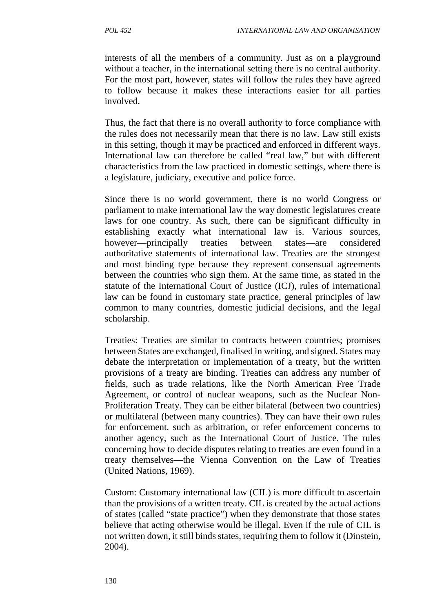interests of all the members of a community. Just as on a playground without a teacher, in the international setting there is no central authority. For the most part, however, states will follow the rules they have agreed to follow because it makes these interactions easier for all parties involved.

Thus, the fact that there is no overall authority to force compliance with the rules does not necessarily mean that there is no law. Law still exists in this setting, though it may be practiced and enforced in different ways. International law can therefore be called "real law," but with different characteristics from the law practiced in domestic settings, where there is a legislature, judiciary, executive and police force.

Since there is no world government, there is no world Congress or parliament to make international law the way domestic legislatures create laws for one country. As such, there can be significant difficulty in establishing exactly what international law is. Various sources, however—principally treaties between states—are considered authoritative statements of international law. Treaties are the strongest and most binding type because they represent consensual agreements between the countries who sign them. At the same time, as stated in the statute of the International Court of Justice (ICJ), rules of international law can be found in customary state practice, general principles of law common to many countries, domestic judicial decisions, and the legal scholarship.

Treaties: Treaties are similar to contracts between countries; promises between States are exchanged, finalised in writing, and signed. States may debate the interpretation or implementation of a treaty, but the written provisions of a treaty are binding. Treaties can address any number of fields, such as trade relations, like the North American Free Trade Agreement, or control of nuclear weapons, such as the Nuclear Non- Proliferation Treaty. They can be either bilateral (between two countries) or multilateral (between many countries). They can have their own rules for enforcement, such as arbitration, or refer enforcement concerns to another agency, such as the International Court of Justice. The rules concerning how to decide disputes relating to treaties are even found in a treaty themselves—the Vienna Convention on the Law of Treaties (United Nations, 1969).

Custom: Customary international law (CIL) is more difficult to ascertain than the provisions of a written treaty. CIL is created by the actual actions of states (called "state practice") when they demonstrate that those states believe that acting otherwise would be illegal. Even if the rule of CIL is not written down, it still binds states, requiring them to follow it (Dinstein, 2004).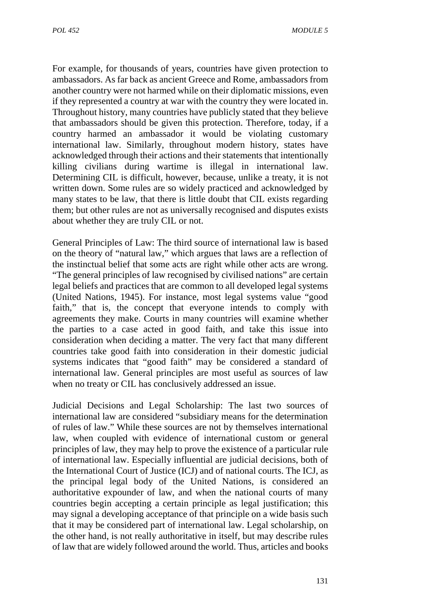For example, for thousands of years, countries have given protection to ambassadors. As far back as ancient Greece and Rome, ambassadors from another country were not harmed while on their diplomatic missions, even if they represented a country at war with the country they were located in. Throughout history, many countries have publicly stated that they believe that ambassadors should be given this protection. Therefore, today, if a country harmed an ambassador it would be violating customary international law. Similarly, throughout modern history, states have acknowledged through their actions and their statements that intentionally killing civilians during wartime is illegal in international law. Determining CIL is difficult, however, because, unlike a treaty, it is not written down. Some rules are so widely practiced and acknowledged by many states to be law, that there is little doubt that CIL exists regarding them; but other rules are not as universally recognised and disputes exists about whether they are truly CIL or not.

General Principles of Law: The third source of international law is based on the theory of "natural law," which argues that laws are a reflection of the instinctual belief that some acts are right while other acts are wrong. "The general principles of law recognised by civilised nations" are certain legal beliefs and practices that are common to all developed legal systems (United Nations, 1945). For instance, most legal systems value "good faith," that is, the concept that everyone intends to comply with agreements they make. Courts in many countries will examine whether the parties to a case acted in good faith, and take this issue into consideration when deciding a matter. The very fact that many different countries take good faith into consideration in their domestic judicial systems indicates that "good faith" may be considered a standard of international law. General principles are most useful as sources of law when no treaty or CIL has conclusively addressed an issue.

Judicial Decisions and Legal Scholarship: The last two sources of international law are considered "subsidiary means for the determination of rules of law." While these sources are not by themselves international law, when coupled with evidence of international custom or general principles of law, they may help to prove the existence of a particular rule of international law. Especially influential are judicial decisions, both of the International Court of Justice (ICJ) and of national courts. The ICJ, as the principal legal body of the United Nations, is considered an authoritative expounder of law, and when the national courts of many countries begin accepting a certain principle as legal justification; this may signal a developing acceptance of that principle on a wide basis such that it may be considered part of international law. Legal scholarship, on the other hand, is not really authoritative in itself, but may describe rules of law that are widely followed around the world. Thus, articles and books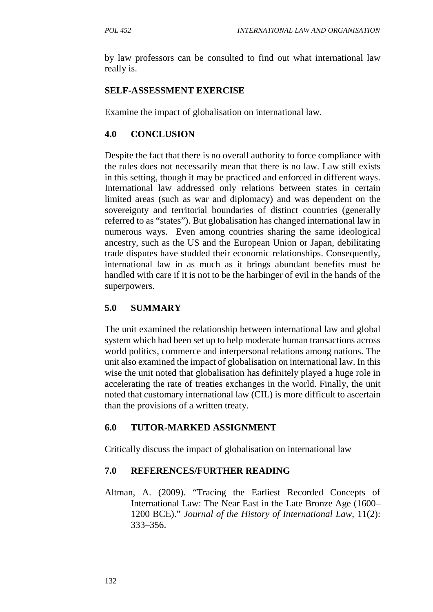by law professors can be consulted to find out what international law really is.

# **SELF-ASSESSMENT EXERCISE**

Examine the impact of globalisation on international law.

# **4.0 CONCLUSION**

Despite the fact that there is no overall authority to force compliance with the rules does not necessarily mean that there is no law. Law still exists in this setting, though it may be practiced and enforced in different ways. International law addressed only relations between states in certain limited areas (such as war and diplomacy) and was dependent on the sovereignty and territorial boundaries of distinct countries (generally referred to as "states"). But globalisation has changed international law in numerous ways. Even among countries sharing the same ideological ancestry, such as the US and the European Union or Japan, debilitating trade disputes have studded their economic relationships. Consequently, international law in as much as it brings abundant benefits must be handled with care if it is not to be the harbinger of evil in the hands of the superpowers.

# **5.0 SUMMARY**

The unit examined the relationship between international law and global system which had been set up to help moderate human transactions across world politics, commerce and interpersonal relations among nations. The unit also examined the impact of globalisation on international law. In this wise the unit noted that globalisation has definitely played a huge role in accelerating the rate of treaties exchanges in the world. Finally, the unit noted that customary international law (CIL) is more difficult to ascertain than the provisions of a written treaty.

# **6.0 TUTOR-MARKED ASSIGNMENT**

Critically discuss the impact of globalisation on international law

## **7.0 REFERENCES/FURTHER READING**

Altman, A. (2009). "Tracing the Earliest Recorded Concepts of International Law: The Near East in the Late Bronze Age (1600– 1200 BCE)." *Journal of the History of International Law*, 11(2): 333–356.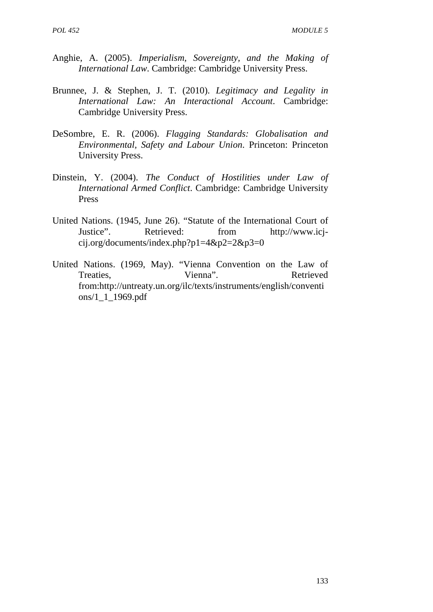- Anghie, A. (2005). *Imperialism, Sovereignty, and the Making of International Law*. Cambridge: Cambridge University Press.
- Brunnee, J. & Stephen, J. T. (2010). *Legitimacy and Legality in International Law: An Interactional Account*. Cambridge: Cambridge University Press.
- DeSombre, E. R. (2006). *Flagging Standards: Globalisation and Environmental, Safety and Labour Union*. Princeton: Princeton University Press.
- Dinstein, Y. (2004). *The Conduct of Hostilities under Law of International Armed Conflict*. Cambridge: Cambridge University Press
- United Nations. (1945, June 26). "Statute of the International Court of Justice". Retrieved: from http://www.icj cij.org/documents/index.php?p1=4&p2=2&p3=0
- United Nations. (1969, May). "Vienna Convention on the Law of Treaties. Vienna". Retrieved from:http://untreaty.un.org/ilc/texts/instruments/english/conventi ons/1\_1\_1969.pdf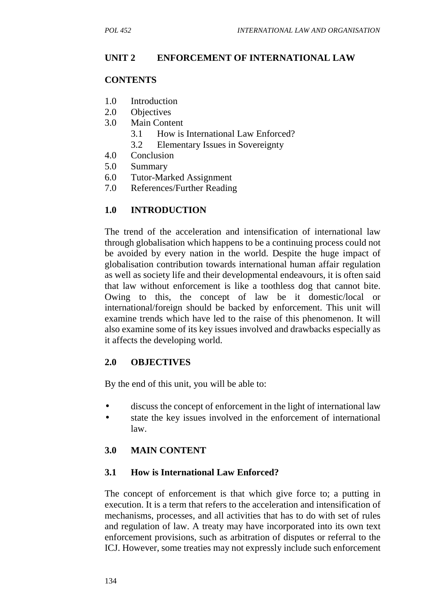## **UNIT 2 ENFORCEMENT OF INTERNATIONAL LAW**

### **CONTENTS**

- 1.0 Introduction
- 2.0 Objectives
- 3.0 Main Content
	- 3.1 How is International Law Enforced?
	- 3.2 Elementary Issues in Sovereignty
- 4.0 Conclusion
- 5.0 Summary
- 6.0 Tutor-Marked Assignment
- 7.0 References/Further Reading

## **1.0 INTRODUCTION**

The trend of the acceleration and intensification of international law through globalisation which happens to be a continuing process could not be avoided by every nation in the world. Despite the huge impact of globalisation contribution towards international human affair regulation as well as society life and their developmental endeavours, it is often said that law without enforcement is like a toothless dog that cannot bite. Owing to this, the concept of law be it domestic/local international/foreign should be backed by enforcement. This unit will examine trends which have led to the raise of this phenomenon. It will also examine some of its key issues involved and drawbacks especially as it affects the developing world.

### **2.0 OBJECTIVES**

By the end of this unit, you will be able to:

- discuss the concept of enforcement in the light of international law
- state the key issues involved in the enforcement of international law.

### **3.0 MAIN CONTENT**

### **3.1 How is International Law Enforced?**

The concept of enforcement is that which give force to; a putting in execution. It is a term that refers to the acceleration and intensification of mechanisms, processes, and all activities that has to do with set of rules and regulation of law. A treaty may have incorporated into its own text enforcement provisions, such as arbitration of disputes or referral to the ICJ. However, some treaties may not expressly include such enforcement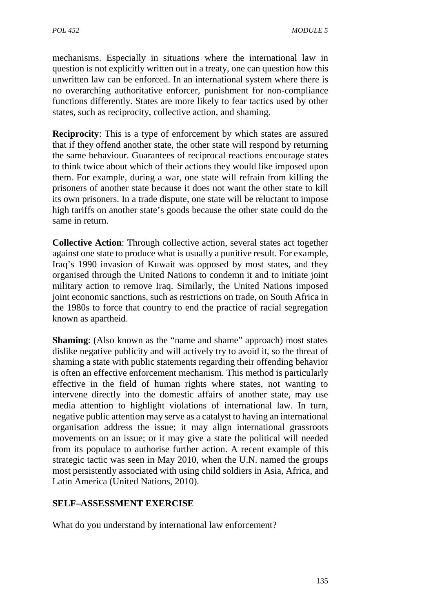mechanisms. Especially in situations where the international law in question is not explicitly written out in a treaty, one can question how this unwritten law can be enforced. In an international system where there is no overarching authoritative enforcer, punishment for non-compliance functions differently. States are more likely to fear tactics used by other states, such as reciprocity, collective action, and shaming.

**Reciprocity**: This is a type of enforcement by which states are assured that if they offend another state, the other state will respond by returning the same behaviour. Guarantees of reciprocal reactions encourage states to think twice about which of their actions they would like imposed upon them. For example, during a war, one state will refrain from killing the prisoners of another state because it does not want the other state to kill its own prisoners. In a trade dispute, one state will be reluctant to impose high tariffs on another state's goods because the other state could do the same in return.

**Collective Action:** Through collective action, several states act together against one state to produce what is usually a punitive result. For example, Iraq's 1990 invasion of Kuwait was opposed by most states, and they organised through the United Nations to condemn it and to initiate joint military action to remove Iraq. Similarly, the United Nations imposed joint economic sanctions, such as restrictions on trade, on South Africa in the 1980s to force that country to end the practice of racial segregation known as apartheid.

**Shaming**: (Also known as the "name and shame" approach) most states dislike negative publicity and will actively try to avoid it, so the threat of shaming a state with public statements regarding their offending behavior is often an effective enforcement mechanism. This method is particularly effective in the field of human rights where states, not wanting to intervene directly into the domestic affairs of another state, may use media attention to highlight violations of international law. In turn, negative public attention may serve as a catalyst to having an international organisation address the issue; it may align international grassroots movements on an issue; or it may give a state the political will needed from its populace to authorise further action. A recent example of this strategic tactic was seen in May 2010, when the U.N. named the groups most persistently associated with using child soldiers in Asia, Africa, and Latin America (United Nations, 2010).

## **SELF–ASSESSMENT EXERCISE**

What do you understand by international law enforcement?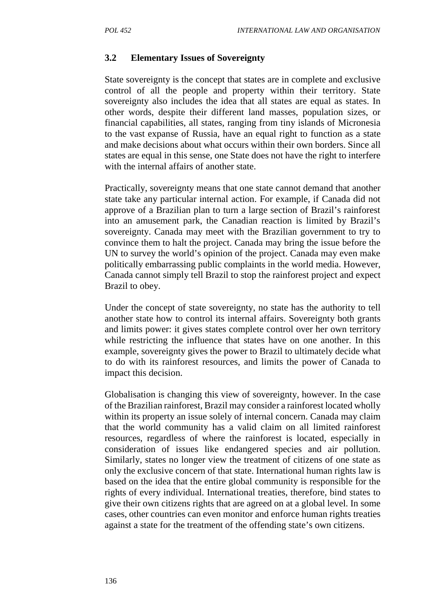### **3.2 Elementary Issues of Sovereignty**

State sovereignty is the concept that states are in complete and exclusive control of all the people and property within their territory. State sovereignty also includes the idea that all states are equal as states. In other words, despite their different land masses, population sizes, or financial capabilities, all states, ranging from tiny islands of Micronesia to the vast expanse of Russia, have an equal right to function as a state and make decisions about what occurs within their own borders. Since all states are equal in this sense, one State does not have the right to interfere with the internal affairs of another state.

Practically, sovereignty means that one state cannot demand that another state take any particular internal action. For example, if Canada did not approve of a Brazilian plan to turn a large section of Brazil's rainforest into an amusement park, the Canadian reaction is limited by Brazil's sovereignty. Canada may meet with the Brazilian government to try to convince them to halt the project. Canada may bring the issue before the UN to survey the world's opinion of the project. Canada may even make politically embarrassing public complaints in the world media. However, Canada cannot simply tell Brazil to stop the rainforest project and expect Brazil to obey.

Under the concept of state sovereignty, no state has the authority to tell another state how to control its internal affairs. Sovereignty both grants and limits power: it gives states complete control over her own territory while restricting the influence that states have on one another. In this example, sovereignty gives the power to Brazil to ultimately decide what to do with its rainforest resources, and limits the power of Canada to impact this decision.

Globalisation is changing this view of sovereignty, however. In the case of the Brazilian rainforest, Brazil may consider a rainforest located wholly within its property an issue solely of internal concern. Canada may claim that the world community has a valid claim on all limited rainforest resources, regardless of where the rainforest is located, especially in consideration of issues like endangered species and air pollution. Similarly, states no longer view the treatment of citizens of one state as only the exclusive concern of that state. International human rights law is based on the idea that the entire global community is responsible for the rights of every individual. International treaties, therefore, bind states to give their own citizens rights that are agreed on at a global level. In some cases, other countries can even monitor and enforce human rights treaties against a state for the treatment of the offending state's own citizens.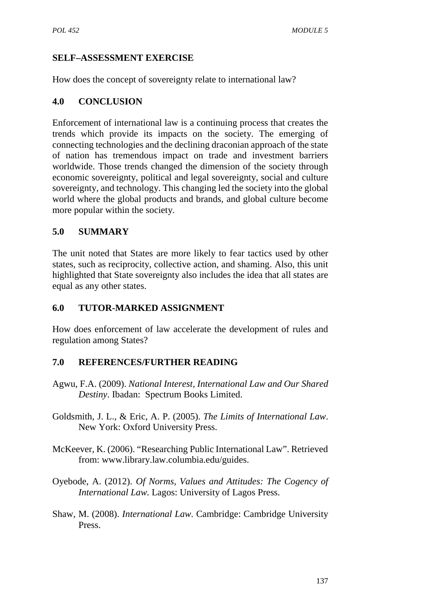## **SELF–ASSESSMENT EXERCISE**

How does the concept of sovereignty relate to international law?

## **4.0 CONCLUSION**

Enforcement of international law is a continuing process that creates the trends which provide its impacts on the society. The emerging of connecting technologies and the declining draconian approach of the state of nation has tremendous impact on trade and investment barriers worldwide. Those trends changed the dimension of the society through economic sovereignty, political and legal sovereignty, social and culture sovereignty, and technology. This changing led the society into the global world where the global products and brands, and global culture become more popular within the society.

## **5.0 SUMMARY**

The unit noted that States are more likely to fear tactics used by other states, such as reciprocity, collective action, and shaming. Also, this unit highlighted that State sovereignty also includes the idea that all states are equal as any other states.

## **6.0 TUTOR-MARKED ASSIGNMENT**

How does enforcement of law accelerate the development of rules and regulation among States?

### **7.0 REFERENCES/FURTHER READING**

- Agwu, F.A. (2009). *National Interest, International Law and Our Shared Destiny*. Ibadan: Spectrum Books Limited.
- Goldsmith, J. L., & Eric, A. P. (2005). *The Limits of International Law*. New York: Oxford University Press.
- McKeever, K. (2006). "Researching Public International Law". Retrieved from: www.library.law.columbia.edu/guides.
- Oyebode, A. (2012). *Of Norms, Values and Attitudes: The Cogency of International Law.* Lagos: University of Lagos Press.
- Shaw, M. (2008). *International Law*. Cambridge: Cambridge University Press.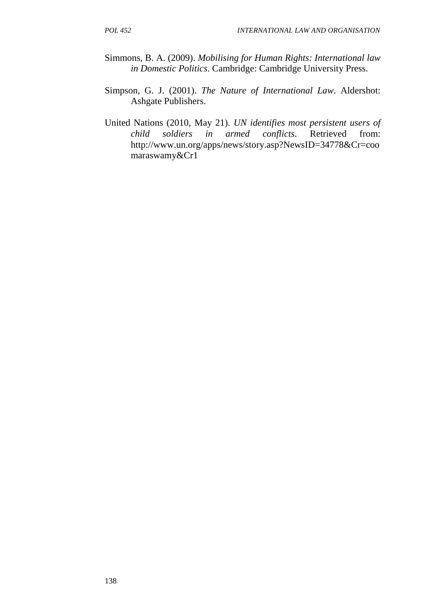- Simmons, B. A. (2009). *Mobilising for Human Rights: International law in Domestic Politics*. Cambridge: Cambridge University Press.
- Simpson, G. J. (2001). *The Nature of International Law*. Aldershot: Ashgate Publishers.
- United Nations (2010, May 21). *UN identifies most persistent users of child soldiers in armed conflicts*. Retrieved from: http://www.un.org/apps/news/story.asp?NewsID=34778&Cr=coo maraswamy&Cr1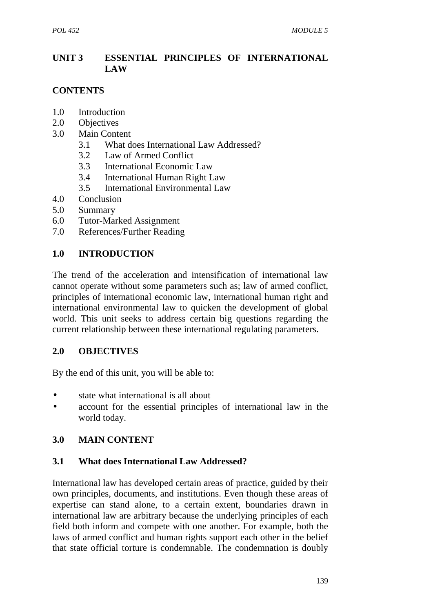## **UNIT 3 ESSENTIAL PRINCIPLES OF INTERNATIONAL LAW**

## **CONTENTS**

- 1.0 Introduction
- 2.0 Objectives
- 3.0 Main Content
	- 3.1 What does International Law Addressed?
	- 3.2 Law of Armed Conflict
	- 3.3 International Economic Law
	- 3.4 International Human Right Law
	- 3.5 International Environmental Law
- 4.0 Conclusion
- 5.0 Summary
- 6.0 Tutor-Marked Assignment
- 7.0 References/Further Reading

## **1.0 INTRODUCTION**

The trend of the acceleration and intensification of international law cannot operate without some parameters such as; law of armed conflict, principles of international economic law, international human right and international environmental law to quicken the development of global world. This unit seeks to address certain big questions regarding the current relationship between these international regulating parameters.

### **2.0 OBJECTIVES**

By the end of this unit, you will be able to:

- state what international is all about
- account for the essential principles of international law in the world today.

## **3.0 MAIN CONTENT**

### **3.1 What does International Law Addressed?**

International law has developed certain areas of practice, guided by their own principles, documents, and institutions. Even though these areas of expertise can stand alone, to a certain extent, boundaries drawn in international law are arbitrary because the underlying principles of each field both inform and compete with one another. For example, both the laws of armed conflict and human rights support each other in the belief that state official torture is condemnable. The condemnation is doubly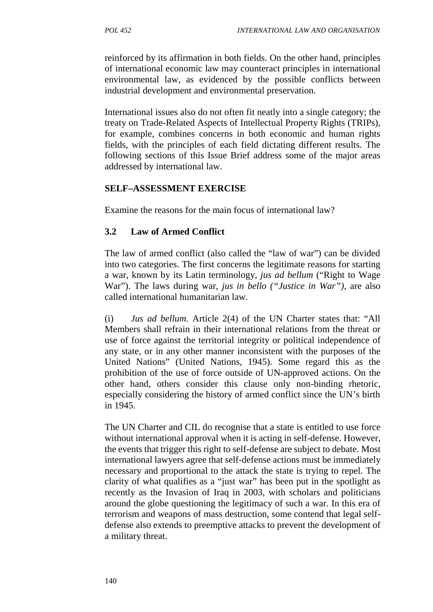reinforced by its affirmation in both fields. On the other hand, principles of international economic law may counteract principles in international environmental law, as evidenced by the possible conflicts between industrial development and environmental preservation.

International issues also do not often fit neatly into a single category; the treaty on Trade-Related Aspects of Intellectual Property Rights (TRIPs), for example, combines concerns in both economic and human rights fields, with the principles of each field dictating different results. The following sections of this Issue Brief address some of the major areas addressed by international law.

### **SELF–ASSESSMENT EXERCISE**

Examine the reasons for the main focus of international law?

## **3.2 Law of Armed Conflict**

The law of armed conflict (also called the "law of war") can be divided into two categories. The first concerns the legitimate reasons for starting a war, known by its Latin terminology, *jus ad bellum* ("Right to Wage War"). The laws during war, *jus in bello ("Justice in War")*, are also called international humanitarian law.

(i) *Jus ad bellum*. Article 2(4) of the UN Charter states that: "All Members shall refrain in their international relations from the threat or use of force against the territorial integrity or political independence of any state, or in any other manner inconsistent with the purposes of the United Nations" (United Nations, 1945). Some regard this as the prohibition of the use of force outside of UN-approved actions. On the other hand, others consider this clause only non-binding rhetoric, especially considering the history of armed conflict since the UN's birth in 1945.

The UN Charter and CIL do recognise that a state is entitled to use force without international approval when it is acting in self-defense. However, the events that trigger this right to self-defense are subject to debate. Most international lawyers agree that self-defense actions must be immediately necessary and proportional to the attack the state is trying to repel. The clarity of what qualifies as a "just war" has been put in the spotlight as recently as the Invasion of Iraq in 2003, with scholars and politicians around the globe questioning the legitimacy of such a war. In this era of terrorism and weapons of mass destruction, some contend that legal self defense also extends to preemptive attacks to prevent the development of a military threat.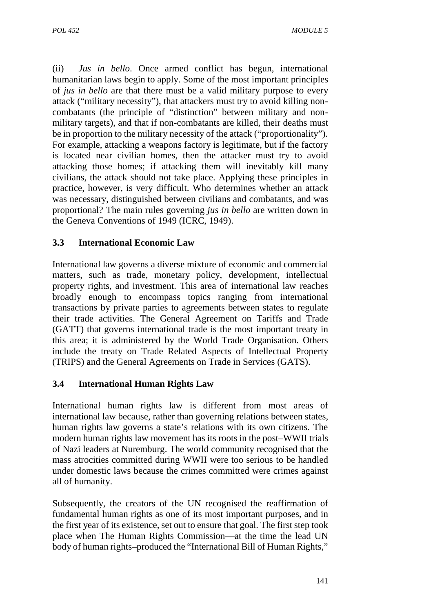(ii) *Jus in bello*. Once armed conflict has begun, international humanitarian laws begin to apply. Some of the most important principles of *jus in bello* are that there must be a valid military purpose to every attack ("military necessity"), that attackers must try to avoid killing non combatants (the principle of "distinction" between military and non military targets), and that if non-combatants are killed, their deaths must be in proportion to the military necessity of the attack ("proportionality"). For example, attacking a weapons factory is legitimate, but if the factory is located near civilian homes, then the attacker must try to avoid attacking those homes; if attacking them will inevitably kill many civilians, the attack should not take place. Applying these principles in practice, however, is very difficult. Who determines whether an attack was necessary, distinguished between civilians and combatants, and was proportional? The main rules governing *jus in bello* are written down in the Geneva Conventions of 1949 (ICRC, 1949).

## **3.3 International Economic Law**

International law governs a diverse mixture of economic and commercial matters, such as trade, monetary policy, development, intellectual property rights, and investment. This area of international law reaches broadly enough to encompass topics ranging from international transactions by private parties to agreements between states to regulate their trade activities. The General Agreement on Tariffs and Trade (GATT) that governs international trade is the most important treaty in this area; it is administered by the World Trade Organisation. Others include the treaty on Trade Related Aspects of Intellectual Property (TRIPS) and the General Agreements on Trade in Services (GATS).

## **3.4 International Human Rights Law**

International human rights law is different from most areas of international law because, rather than governing relations between states, human rights law governs a state's relations with its own citizens. The modern human rights law movement has its roots in the post–WWII trials of Nazi leaders at Nuremburg. The world community recognised that the mass atrocities committed during WWII were too serious to be handled under domestic laws because the crimes committed were crimes against all of humanity.

Subsequently, the creators of the UN recognised the reaffirmation of fundamental human rights as one of its most important purposes, and in the first year of its existence, set out to ensure that goal. The first step took place when The Human Rights Commission—at the time the lead UN body of human rights–produced the "International Bill of Human Rights,"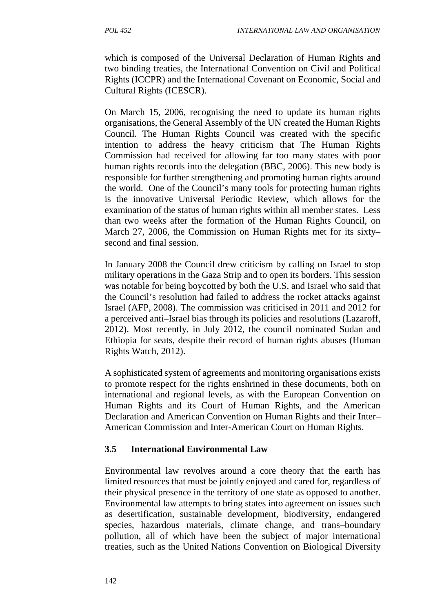which is composed of the Universal Declaration of Human Rights and two binding treaties, the International Convention on Civil and Political Rights (ICCPR) and the International Covenant on Economic, Social and Cultural Rights (ICESCR).

On March 15, 2006, recognising the need to update its human rights organisations, the General Assembly of the UN created the Human Rights Council. The Human Rights Council was created with the specific intention to address the heavy criticism that The Human Rights Commission had received for allowing far too many states with poor human rights records into the delegation (BBC, 2006). This new body is responsible for further strengthening and promoting human rights around the world. One of the Council's many tools for protecting human rights is the innovative Universal Periodic Review, which allows for the examination of the status of human rights within all member states. Less than two weeks after the formation of the Human Rights Council, on March 27, 2006, the Commission on Human Rights met for its sixty– second and final session.

In January 2008 the Council drew criticism by calling on Israel to stop military operations in the Gaza Strip and to open its borders. This session was notable for being boycotted by both the U.S. and Israel who said that the Council's resolution had failed to address the rocket attacks against Israel (AFP, 2008). The commission was criticised in 2011 and 2012 for a perceived anti–Israel bias through its policies and resolutions (Lazaroff, 2012). Most recently, in July 2012, the council nominated Sudan and Ethiopia for seats, despite their record of human rights abuses (Human Rights Watch, 2012).

A sophisticated system of agreements and monitoring organisations exists to promote respect for the rights enshrined in these documents, both on international and regional levels, as with the European Convention on Human Rights and its Court of Human Rights, and the American Declaration and American Convention on Human Rights and their Inter– American Commission and Inter-American Court on Human Rights.

## **3.5 International Environmental Law**

Environmental law revolves around a core theory that the earth has limited resources that must be jointly enjoyed and cared for, regardless of their physical presence in the territory of one state as opposed to another. Environmental law attempts to bring states into agreement on issues such as desertification, sustainable development, biodiversity, endangered species, hazardous materials, climate change, and trans–boundary pollution, all of which have been the subject of major international treaties, such as the United Nations Convention on Biological Diversity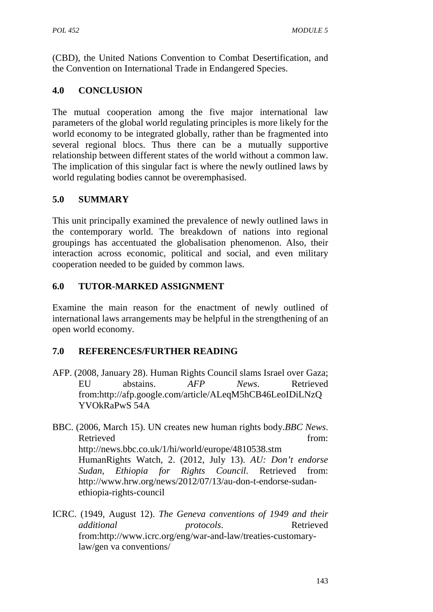(CBD), the United Nations Convention to Combat Desertification, and the Convention on International Trade in Endangered Species.

## **4.0 CONCLUSION**

The mutual cooperation among the five major international law parameters of the global world regulating principles is more likely for the world economy to be integrated globally, rather than be fragmented into several regional blocs. Thus there can be a mutually supportive relationship between different states of the world without a common law. The implication of this singular fact is where the newly outlined laws by world regulating bodies cannot be overemphasised.

# **5.0 SUMMARY**

This unit principally examined the prevalence of newly outlined laws in the contemporary world. The breakdown of nations into regional groupings has accentuated the globalisation phenomenon. Also, their interaction across economic, political and social, and even military cooperation needed to be guided by common laws.

## **6.0 TUTOR-MARKED ASSIGNMENT**

Examine the main reason for the enactment of newly outlined of international laws arrangements may be helpful in the strengthening of an open world economy.

# **7.0 REFERENCES/FURTHER READING**

- AFP. (2008, January 28). Human Rights Council slams Israel over Gaza; EU abstains. *AFP News*. Retrieved from:http://afp.google.com/article/ALeqM5hCB46LeoIDiLNzQ YVOkRaPwS 54A
- BBC. (2006, March 15). UN creates new human rights body.*BBC News*. Retrieved from: http://news.bbc.co.uk/1/hi/world/europe/4810538.stm HumanRights Watch, 2. (2012, July 13). *AU: Don't endorse Sudan, Ethiopia for Rights Council*. Retrieved from: http://www.hrw.org/news/2012/07/13/au-don-t-endorse-sudan ethiopia-rights-council
- ICRC. (1949, August 12). *The Geneva conventions of 1949 and their additional protocols*. Retrieved from:http://www.icrc.org/eng/war-and-law/treaties-customarylaw/gen va conventions/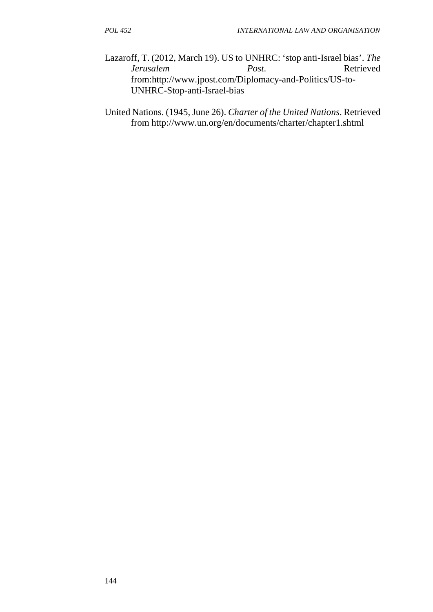Lazaroff, T. (2012, March 19). US to UNHRC: 'stop anti-Israel bias'. *The Jerusalem Post*. Retrieved from:http://www.jpost.com/Diplomacy-and-Politics/US-to- UNHRC-Stop-anti-Israel-bias

United Nations. (1945, June 26). *Charter of the United Nations*. Retrieved from http://www.un.org/en/documents/charter/chapter1.shtml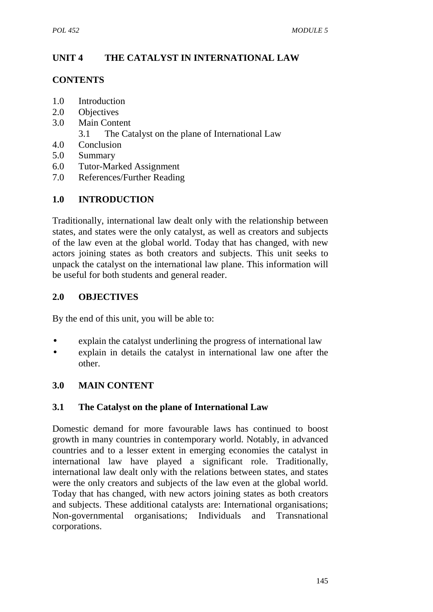# **UNIT 4 THE CATALYST IN INTERNATIONAL LAW**

## **CONTENTS**

- 1.0 Introduction
- 2.0 Objectives
- 3.0 Main Content
	- 3.1 The Catalyst on the plane of International Law
- 4.0 Conclusion
- 5.0 Summary
- 6.0 Tutor-Marked Assignment
- 7.0 References/Further Reading

# **1.0 INTRODUCTION**

Traditionally, international law dealt only with the relationship between states, and states were the only catalyst, as well as creators and subjects of the law even at the global world. Today that has changed, with new actors joining states as both creators and subjects. This unit seeks to unpack the catalyst on the international law plane. This information will be useful for both students and general reader.

## **2.0 OBJECTIVES**

By the end of this unit, you will be able to:

- explain the catalyst underlining the progress of international law
- explain in details the catalyst in international law one after the other.

## **3.0 MAIN CONTENT**

### **3.1 The Catalyst on the plane of International Law**

Domestic demand for more favourable laws has continued to boost growth in many countries in contemporary world. Notably, in advanced countries and to a lesser extent in emerging economies the catalyst in international law have played a significant role. Traditionally, international law dealt only with the relations between states, and states were the only creators and subjects of the law even at the global world. Today that has changed, with new actors joining states as both creators and subjects. These additional catalysts are: International organisations; Non-governmental organisations; Individuals and Transnational corporations.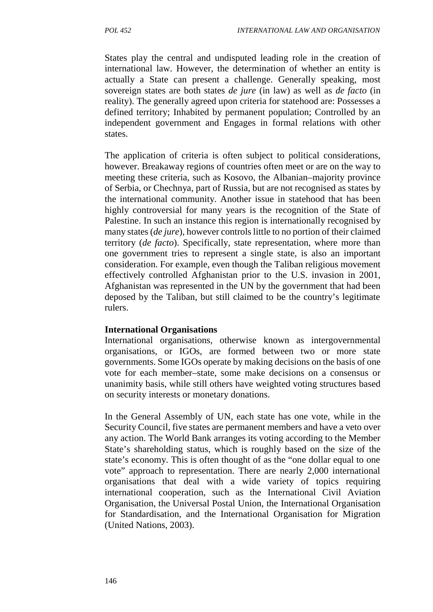States play the central and undisputed leading role in the creation of international law. However, the determination of whether an entity is actually a State can present a challenge. Generally speaking, most sovereign states are both states *de jure* (in law) as well as *de facto* (in reality). The generally agreed upon criteria for statehood are: Possesses a defined territory; Inhabited by permanent population; Controlled by an independent government and Engages in formal relations with other states.

The application of criteria is often subject to political considerations, however. Breakaway regions of countries often meet or are on the way to meeting these criteria, such as Kosovo, the Albanian–majority province of Serbia, or Chechnya, part of Russia, but are not recognised as states by the international community. Another issue in statehood that has been highly controversial for many years is the recognition of the State of Palestine. In such an instance this region is internationally recognised by many states (*de jure*), however controls little to no portion of their claimed territory (*de facto*). Specifically, state representation, where more than one government tries to represent a single state, is also an important consideration. For example, even though the Taliban religious movement effectively controlled Afghanistan prior to the U.S. invasion in 2001, Afghanistan was represented in the UN by the government that had been deposed by the Taliban, but still claimed to be the country's legitimate rulers.

### **International Organisations**

International organisations, otherwise known as intergovernmental organisations, or IGOs, are formed between two or more state governments. Some IGOs operate by making decisions on the basis of one vote for each member–state, some make decisions on a consensus or unanimity basis, while still others have weighted voting structures based on security interests or monetary donations.

In the General Assembly of UN, each state has one vote, while in the Security Council, five states are permanent members and have a veto over any action. The World Bank arranges its voting according to the Member State's shareholding status, which is roughly based on the size of the state's economy. This is often thought of as the "one dollar equal to one vote" approach to representation. There are nearly 2,000 international organisations that deal with a wide variety of topics requiring international cooperation, such as the International Civil Aviation Organisation, the Universal Postal Union, the International Organisation for Standardisation, and the International Organisation for Migration (United Nations, 2003).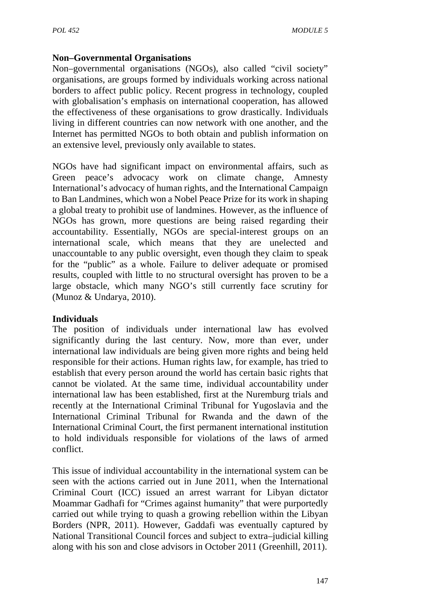### **Non–Governmental Organisations**

Non–governmental organisations (NGOs), also called "civil society" organisations, are groups formed by individuals working across national borders to affect public policy. Recent progress in technology, coupled with globalisation's emphasis on international cooperation, has allowed the effectiveness of these organisations to grow drastically. Individuals living in different countries can now network with one another, and the Internet has permitted NGOs to both obtain and publish information on an extensive level, previously only available to states.

NGOs have had significant impact on environmental affairs, such as Green peace's advocacy work on climate change, Amnesty International's advocacy of human rights, and the International Campaign to Ban Landmines, which won a Nobel Peace Prize for its work in shaping a global treaty to prohibit use of landmines. However, as the influence of NGOs has grown, more questions are being raised regarding their accountability. Essentially, NGOs are special-interest groups on an international scale, which means that they are unelected and unaccountable to any public oversight, even though they claim to speak for the "public" as a whole. Failure to deliver adequate or promised results, coupled with little to no structural oversight has proven to be a large obstacle, which many NGO's still currently face scrutiny for (Munoz & Undarya, 2010).

### **Individuals**

The position of individuals under international law has evolved significantly during the last century. Now, more than ever, under international law individuals are being given more rights and being held responsible for their actions. Human rights law, for example, has tried to establish that every person around the world has certain basic rights that cannot be violated. At the same time, individual accountability under international law has been established, first at the Nuremburg trials and recently at the International Criminal Tribunal for Yugoslavia and the International Criminal Tribunal for Rwanda and the dawn of the International Criminal Court, the first permanent international institution to hold individuals responsible for violations of the laws of armed conflict.

This issue of individual accountability in the international system can be seen with the actions carried out in June 2011, when the International Criminal Court (ICC) issued an arrest warrant for Libyan dictator Moammar Gadhafi for "Crimes against humanity" that were purportedly carried out while trying to quash a growing rebellion within the Libyan Borders (NPR, 2011). However, Gaddafi was eventually captured by National Transitional Council forces and subject to extra–judicial killing along with his son and close advisors in October 2011 (Greenhill, 2011).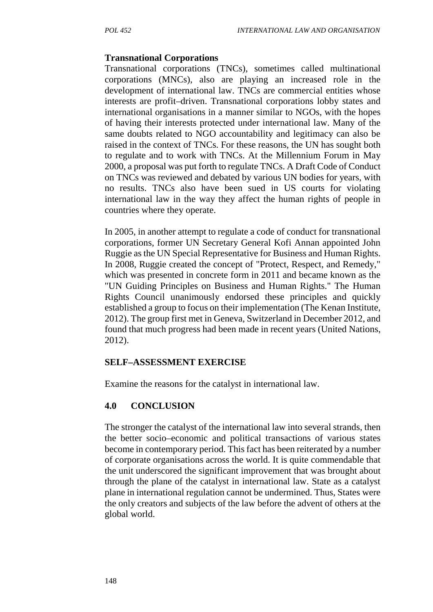### **Transnational Corporations**

Transnational corporations (TNCs), sometimes called multinational corporations (MNCs), also are playing an increased role in the development of international law. TNCs are commercial entities whose interests are profit–driven. Transnational corporations lobby states and international organisations in a manner similar to NGOs, with the hopes of having their interests protected under international law. Many of the same doubts related to NGO accountability and legitimacy can also be raised in the context of TNCs. For these reasons, the UN has sought both to regulate and to work with TNCs. At the Millennium Forum in May 2000, a proposal was put forth to regulate TNCs. A Draft Code of Conduct on TNCs was reviewed and debated by various UN bodies for years, with no results. TNCs also have been sued in US courts for violating international law in the way they affect the human rights of people in countries where they operate.

In 2005, in another attempt to regulate a code of conduct for transnational corporations, former UN Secretary General Kofi Annan appointed John Ruggie as the UN Special Representative for Business and Human Rights. In 2008, Ruggie created the concept of "Protect, Respect, and Remedy," which was presented in concrete form in 2011 and became known as the "UN Guiding Principles on Business and Human Rights." The Human Rights Council unanimously endorsed these principles and quickly established a group to focus on their implementation (The Kenan Institute, 2012). The group first met in Geneva, Switzerland in December 2012, and found that much progress had been made in recent years (United Nations, 2012).

#### **SELF–ASSESSMENT EXERCISE**

Examine the reasons for the catalyst in international law.

### **4.0 CONCLUSION**

The stronger the catalyst of the international law into several strands, then the better socio–economic and political transactions of various states become in contemporary period. This fact has been reiterated by a number of corporate organisations across the world. It is quite commendable that the unit underscored the significant improvement that was brought about through the plane of the catalyst in international law. State as a catalyst plane in international regulation cannot be undermined. Thus, States were the only creators and subjects of the law before the advent of others at the global world.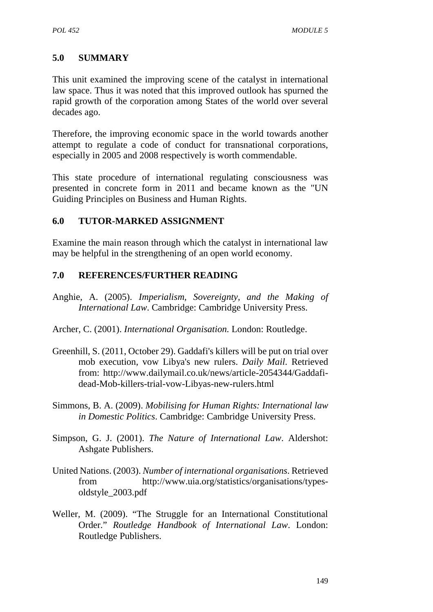### **5.0 SUMMARY**

This unit examined the improving scene of the catalyst in international law space. Thus it was noted that this improved outlook has spurned the rapid growth of the corporation among States of the world over several decades ago.

Therefore, the improving economic space in the world towards another attempt to regulate a code of conduct for transnational corporations, especially in 2005 and 2008 respectively is worth commendable.

This state procedure of international regulating consciousness was presented in concrete form in 2011 and became known as the "UN Guiding Principles on Business and Human Rights.

### **6.0 TUTOR-MARKED ASSIGNMENT**

Examine the main reason through which the catalyst in international law may be helpful in the strengthening of an open world economy.

#### **7.0 REFERENCES/FURTHER READING**

Anghie, A. (2005). *Imperialism, Sovereignty, and the Making of International Law*. Cambridge: Cambridge University Press.

Archer, C. (2001). *International Organisation.* London: Routledge.

- Greenhill, S. (2011, October 29). Gaddafi's killers will be put on trial over mob execution, vow Libya's new rulers. *Daily Mail*. Retrieved from: http://www.dailymail.co.uk/news/article-2054344/Gaddafi dead-Mob-killers-trial-vow-Libyas-new-rulers.html
- Simmons, B. A. (2009). *Mobilising for Human Rights: International law in Domestic Politics*. Cambridge: Cambridge University Press.
- Simpson, G. J. (2001). *The Nature of International Law*. Aldershot: Ashgate Publishers.
- United Nations. (2003). *Number of international organisations*. Retrieved from http://www.uia.org/statistics/organisations/types oldstyle\_2003.pdf
- Weller, M. (2009). "The Struggle for an International Constitutional Order." *Routledge Handbook of International Law*. London: Routledge Publishers.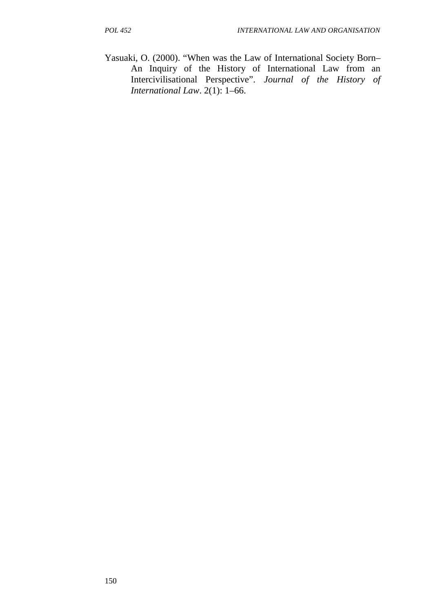Yasuaki, O. (2000). "When was the Law of International Society Born– An Inquiry of the History of International Law from an Intercivilisational Perspective". *Journal of the History of International Law*. 2(1): 1–66.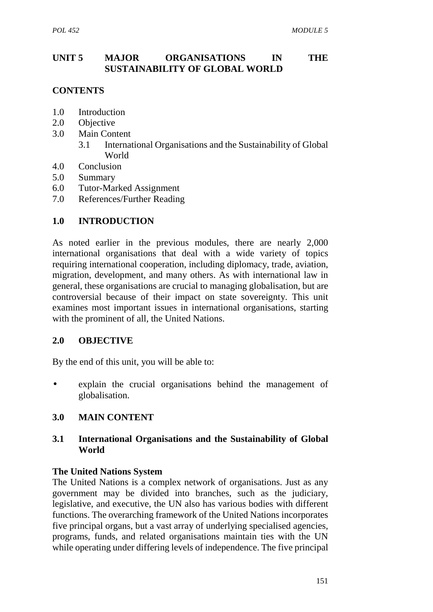## **UNIT 5 MAJOR ORGANISATIONS IN THE SUSTAINABILITY OF GLOBAL WORLD**

## **CONTENTS**

- 1.0 Introduction
- 2.0 Objective
- 3.0 Main Content
	- 3.1 International Organisations and the Sustainability of Global World
- 4.0 Conclusion
- 5.0 Summary
- 6.0 Tutor-Marked Assignment
- 7.0 References/Further Reading

### **1.0 INTRODUCTION**

As noted earlier in the previous modules, there are nearly 2,000 international organisations that deal with a wide variety of topics requiring international cooperation, including diplomacy, trade, aviation, migration, development, and many others. As with international law in general, these organisations are crucial to managing globalisation, but are controversial because of their impact on state sovereignty. This unit examines most important issues in international organisations, starting with the prominent of all, the United Nations.

### **2.0 OBJECTIVE**

By the end of this unit, you will be able to:

 explain the crucial organisations behind the management of globalisation.

### **3.0 MAIN CONTENT**

### **3.1 International Organisations and the Sustainability of Global World**

#### **The United Nations System**

The United Nations is a complex network of organisations. Just as any government may be divided into branches, such as the judiciary, legislative, and executive, the UN also has various bodies with different functions. The overarching framework of the United Nations incorporates five principal organs, but a vast array of underlying specialised agencies, programs, funds, and related organisations maintain ties with the UN while operating under differing levels of independence. The five principal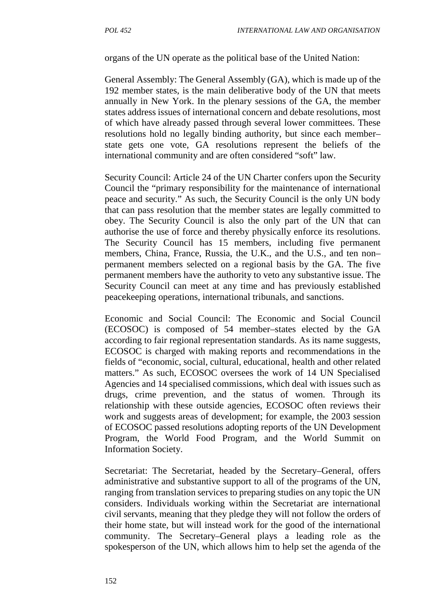organs of the UN operate as the political base of the United Nation:

General Assembly: The General Assembly (GA), which is made up of the 192 member states, is the main deliberative body of the UN that meets annually in New York. In the plenary sessions of the GA, the member states address issues of international concern and debate resolutions, most of which have already passed through several lower committees. These resolutions hold no legally binding authority, but since each member– state gets one vote, GA resolutions represent the beliefs of the international community and are often considered "soft" law.

Security Council: Article 24 of the UN Charter confers upon the Security Council the "primary responsibility for the maintenance of international peace and security." As such, the Security Council is the only UN body that can pass resolution that the member states are legally committed to obey. The Security Council is also the only part of the UN that can authorise the use of force and thereby physically enforce its resolutions. The Security Council has 15 members, including five permanent members, China, France, Russia, the U.K., and the U.S., and ten non– permanent members selected on a regional basis by the GA. The five permanent members have the authority to veto any substantive issue. The Security Council can meet at any time and has previously established peacekeeping operations, international tribunals, and sanctions.

Economic and Social Council: The Economic and Social Council (ECOSOC) is composed of 54 member–states elected by the GA according to fair regional representation standards. As its name suggests, ECOSOC is charged with making reports and recommendations in the fields of "economic, social, cultural, educational, health and other related matters." As such, ECOSOC oversees the work of 14 UN Specialised Agencies and 14 specialised commissions, which deal with issues such as drugs, crime prevention, and the status of women. Through its relationship with these outside agencies, ECOSOC often reviews their work and suggests areas of development; for example, the 2003 session of ECOSOC passed resolutions adopting reports of the UN Development Program, the World Food Program, and the World Summit on Information Society.

Secretariat: The Secretariat, headed by the Secretary–General, offers administrative and substantive support to all of the programs of the UN, ranging from translation services to preparing studies on any topic the UN considers. Individuals working within the Secretariat are international civil servants, meaning that they pledge they will not follow the orders of their home state, but will instead work for the good of the international community. The Secretary–General plays a leading role as the spokesperson of the UN, which allows him to help set the agenda of the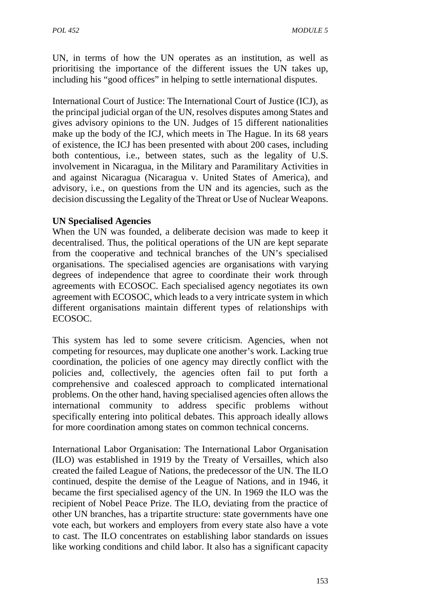UN, in terms of how the UN operates as an institution, as well as prioritising the importance of the different issues the UN takes up, including his "good offices" in helping to settle international disputes.

International Court of Justice: The International Court of Justice (ICJ), as the principal judicial organ of the UN, resolves disputes among States and gives advisory opinions to the UN. Judges of 15 different nationalities make up the body of the ICJ, which meets in The Hague. In its 68 years of existence, the ICJ has been presented with about 200 cases, including both contentious, i.e., between states, such as the legality of U.S. involvement in Nicaragua, in the Military and Paramilitary Activities in and against Nicaragua (Nicaragua v. United States of America), and advisory, i.e., on questions from the UN and its agencies, such as the decision discussing the Legality of the Threat or Use of Nuclear Weapons.

### **UN Specialised Agencies**

When the UN was founded, a deliberate decision was made to keep it decentralised. Thus, the political operations of the UN are kept separate from the cooperative and technical branches of the UN's specialised organisations. The specialised agencies are organisations with varying degrees of independence that agree to coordinate their work through agreements with ECOSOC. Each specialised agency negotiates its own agreement with ECOSOC, which leads to a very intricate system in which different organisations maintain different types of relationships with ECOSOC.

This system has led to some severe criticism. Agencies, when not competing for resources, may duplicate one another's work. Lacking true coordination, the policies of one agency may directly conflict with the policies and, collectively, the agencies often fail to put forth a comprehensive and coalesced approach to complicated international problems. On the other hand, having specialised agencies often allows the international community to address specific problems without specifically entering into political debates. This approach ideally allows for more coordination among states on common technical concerns.

International Labor Organisation: The International Labor Organisation (ILO) was established in 1919 by the Treaty of Versailles, which also created the failed League of Nations, the predecessor of the UN. The ILO continued, despite the demise of the League of Nations, and in 1946, it became the first specialised agency of the UN. In 1969 the ILO was the recipient of Nobel Peace Prize. The ILO, deviating from the practice of other UN branches, has a tripartite structure: state governments have one vote each, but workers and employers from every state also have a vote to cast. The ILO concentrates on establishing labor standards on issues like working conditions and child labor. It also has a significant capacity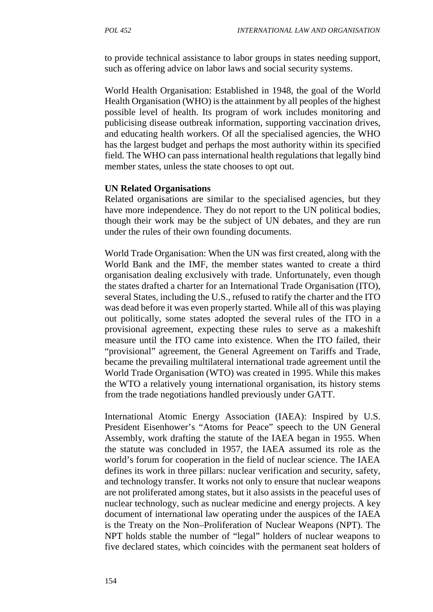to provide technical assistance to labor groups in states needing support, such as offering advice on labor laws and social security systems.

World Health Organisation: Established in 1948, the goal of the World Health Organisation (WHO) is the attainment by all peoples of the highest possible level of health. Its program of work includes monitoring and publicising disease outbreak information, supporting vaccination drives, and educating health workers. Of all the specialised agencies, the WHO has the largest budget and perhaps the most authority within its specified field. The WHO can pass international health regulations that legally bind member states, unless the state chooses to opt out.

#### **UN Related Organisations**

Related organisations are similar to the specialised agencies, but they have more independence. They do not report to the UN political bodies, though their work may be the subject of UN debates, and they are run under the rules of their own founding documents.

World Trade Organisation: When the UN was first created, along with the World Bank and the IMF, the member states wanted to create a third organisation dealing exclusively with trade. Unfortunately, even though the states drafted a charter for an International Trade Organisation (ITO), several States, including the U.S., refused to ratify the charter and the ITO was dead before it was even properly started. While all of this was playing out politically, some states adopted the several rules of the ITO in a provisional agreement, expecting these rules to serve as a makeshift measure until the ITO came into existence. When the ITO failed, their "provisional" agreement, the General Agreement on Tariffs and Trade, became the prevailing multilateral international trade agreement until the World Trade Organisation (WTO) was created in 1995. While this makes the WTO a relatively young international organisation, its history stems from the trade negotiations handled previously under GATT.

International Atomic Energy Association (IAEA): Inspired by U.S. President Eisenhower's "Atoms for Peace" speech to the UN General Assembly, work drafting the statute of the IAEA began in 1955. When the statute was concluded in 1957, the IAEA assumed its role as the world's forum for cooperation in the field of nuclear science. The IAEA defines its work in three pillars: nuclear verification and security, safety, and technology transfer. It works not only to ensure that nuclear weapons are not proliferated among states, but it also assists in the peaceful uses of nuclear technology, such as nuclear medicine and energy projects. A key document of international law operating under the auspices of the IAEA is the Treaty on the Non–Proliferation of Nuclear Weapons (NPT). The NPT holds stable the number of "legal" holders of nuclear weapons to five declared states, which coincides with the permanent seat holders of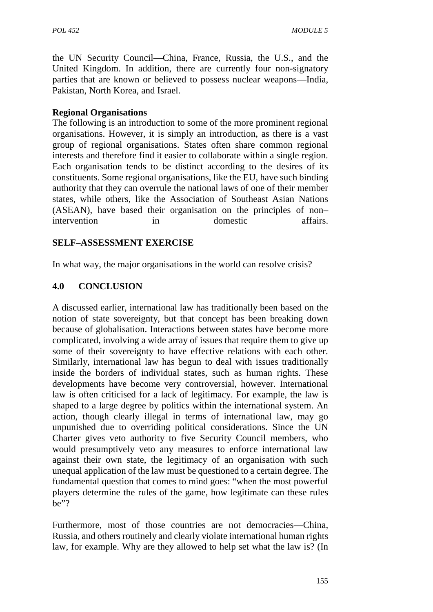the UN Security Council—China, France, Russia, the U.S., and the United Kingdom. In addition, there are currently four non-signatory parties that are known or believed to possess nuclear weapons—India, Pakistan, North Korea, and Israel.

## **Regional Organisations**

The following is an introduction to some of the more prominent regional organisations. However, it is simply an introduction, as there is a vast group of regional organisations. States often share common regional interests and therefore find it easier to collaborate within a single region. Each organisation tends to be distinct according to the desires of its constituents. Some regional organisations, like the EU, have such binding authority that they can overrule the national laws of one of their member states, while others, like the Association of Southeast Asian Nations (ASEAN), have based their organisation on the principles of non– intervention in domestic affairs.

## **SELF–ASSESSMENT EXERCISE**

In what way, the major organisations in the world can resolve crisis?

## **4.0 CONCLUSION**

A discussed earlier, international law has traditionally been based on the notion of state sovereignty, but that concept has been breaking down because of globalisation. Interactions between states have become more complicated, involving a wide array of issues that require them to give up some of their sovereignty to have effective relations with each other. Similarly, international law has begun to deal with issues traditionally inside the borders of individual states, such as human rights. These developments have become very controversial, however. International law is often criticised for a lack of legitimacy. For example, the law is shaped to a large degree by politics within the international system. An action, though clearly illegal in terms of international law, may go unpunished due to overriding political considerations. Since the UN Charter gives veto authority to five Security Council members, who would presumptively veto any measures to enforce international law against their own state, the legitimacy of an organisation with such unequal application of the law must be questioned to a certain degree. The fundamental question that comes to mind goes: "when the most powerful players determine the rules of the game, how legitimate can these rules be"?

Furthermore, most of those countries are not democracies—China, Russia, and others routinely and clearly violate international human rights law, for example. Why are they allowed to help set what the law is? (In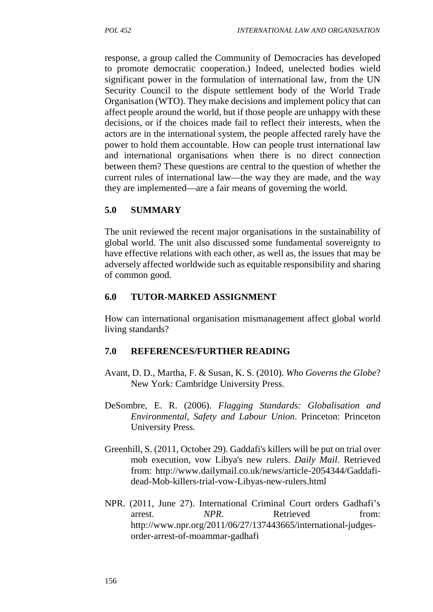response, a group called the Community of Democracies has developed to promote democratic cooperation.) Indeed, unelected bodies wield significant power in the formulation of international law, from the UN Security Council to the dispute settlement body of the World Trade Organisation (WTO). They make decisions and implement policy that can affect people around the world, but if those people are unhappy with these decisions, or if the choices made fail to reflect their interests, when the actors are in the international system, the people affected rarely have the power to hold them accountable. How can people trust international law and international organisations when there is no direct connection between them? These questions are central to the question of whether the current rules of international law—the way they are made, and the way they are implemented—are a fair means of governing the world.

## **5.0 SUMMARY**

The unit reviewed the recent major organisations in the sustainability of global world. The unit also discussed some fundamental sovereignty to have effective relations with each other, as well as, the issues that may be adversely affected worldwide such as equitable responsibility and sharing of common good.

### **6.0 TUTOR-MARKED ASSIGNMENT**

How can international organisation mismanagement affect global world living standards?

### **7.0 REFERENCES/FURTHER READING**

- Avant, D. D., Martha, F. & Susan, K. S. (2010). *Who Governs the Globe*? New York: Cambridge University Press.
- DeSombre, E. R. (2006). *Flagging Standards: Globalisation and Environmental, Safety and Labour Union*. Princeton: Princeton University Press.
- Greenhill, S. (2011, October 29). Gaddafi's killers will be put on trial over mob execution, vow Libya's new rulers. *Daily Mail*. Retrieved from: http://www.dailymail.co.uk/news/article-2054344/Gaddafi dead-Mob-killers-trial-vow-Libyas-new-rulers.html
- NPR. (2011, June 27). International Criminal Court orders Gadhafi's arrest. *NPR*. Retrieved from: http://www.npr.org/2011/06/27/137443665/international-judges order-arrest-of-moammar-gadhafi